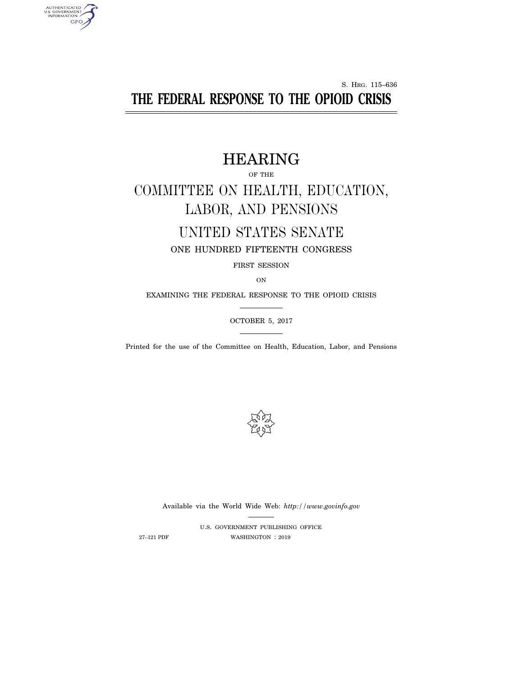# S. HRG. 115–636 **THE FEDERAL RESPONSE TO THE OPIOID CRISIS**

# HEARING

OF THE

# COMMITTEE ON HEALTH, EDUCATION, LABOR, AND PENSIONS

# UNITED STATES SENATE

ONE HUNDRED FIFTEENTH CONGRESS

FIRST SESSION

ON

EXAMINING THE FEDERAL RESPONSE TO THE OPIOID CRISIS

OCTOBER 5, 2017

Printed for the use of the Committee on Health, Education, Labor, and Pensions



Available via the World Wide Web: *http://www.govinfo.gov* 

U.S. GOVERNMENT PUBLISHING OFFICE 27–121 PDF WASHINGTON : 2019

AUTHENTICATED<br>U.S. GOVERNMENT<br>INFORMATION **GPO**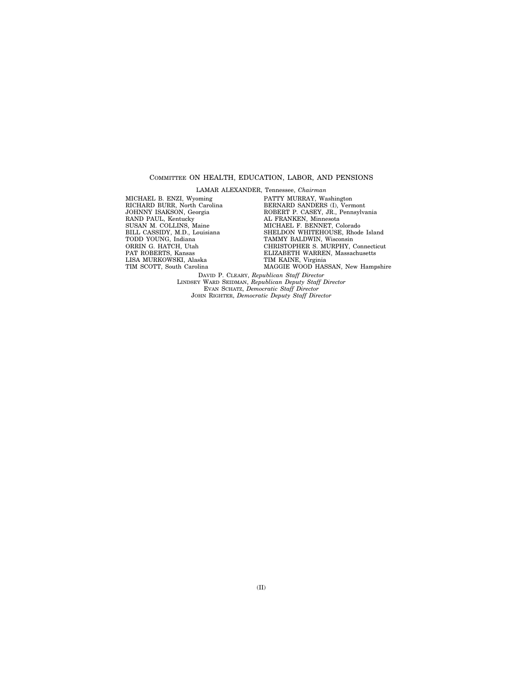#### COMMITTEE ON HEALTH, EDUCATION, LABOR, AND PENSIONS

LAMAR ALEXANDER, Tennessee, *Chairman* 

MICHAEL B. ENZI, Wyoming RICHARD BURR, North Carolina JOHNNY ISAKSON, Georgia RAND PAUL, Kentucky SUSAN M. COLLINS, Maine BILL CASSIDY, M.D., Louisiana TODD YOUNG, Indiana ORRIN G. HATCH, Utah PAT ROBERTS, Kansas LISA MURKOWSKI, Alaska TIM SCOTT, South Carolina

PATTY MURRAY, Washington BERNARD SANDERS (I), Vermont ROBERT P. CASEY, JR., Pennsylvania AL FRANKEN, Minnesota MICHAEL F. BENNET, Colorado SHELDON WHITEHOUSE, Rhode Island TAMMY BALDWIN, Wisconsin CHRISTOPHER S. MURPHY, Connecticut ELIZABETH WARREN, Massachusetts TIM KAINE, Virginia MAGGIE WOOD HASSAN, New Hampshire

DAVID P. CLEARY, *Republican Staff Director*  LINDSEY WARD SEIDMAN, *Republican Deputy Staff Director*  EVAN SCHATZ, *Democratic Staff Director*  JOHN RIGHTER, *Democratic Deputy Staff Director*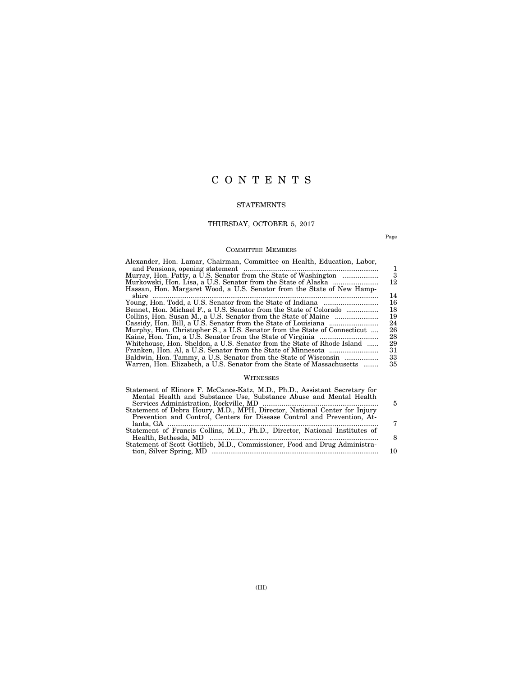# C O N T E N T S

### STATEMENTS

## THURSDAY, OCTOBER 5, 2017

Page

### COMMITTEE MEMBERS

| Alexander, Hon. Lamar, Chairman, Committee on Health, Education, Labor,   |    |
|---------------------------------------------------------------------------|----|
|                                                                           | 1. |
| Murray, Hon. Patty, a U.S. Senator from the State of Washington           | 3  |
|                                                                           | 12 |
| Hassan, Hon. Margaret Wood, a U.S. Senator from the State of New Hamp-    |    |
|                                                                           | 14 |
|                                                                           | 16 |
| Bennet, Hon. Michael F., a U.S. Senator from the State of Colorado        | 18 |
|                                                                           | 19 |
|                                                                           | 24 |
| Murphy, Hon. Christopher S., a U.S. Senator from the State of Connecticut | 26 |
|                                                                           | 28 |
| Whitehouse, Hon. Sheldon, a U.S. Senator from the State of Rhode Island   | 29 |
|                                                                           | 31 |
| Baldwin, Hon. Tammy, a U.S. Senator from the State of Wisconsin           | 33 |
| Warren, Hon. Elizabeth, a U.S. Senator from the State of Massachusetts    | 35 |
|                                                                           |    |

### WITNESSES

| 5  |
|----|
|    |
|    |
| 7  |
|    |
|    |
|    |
| 10 |
|    |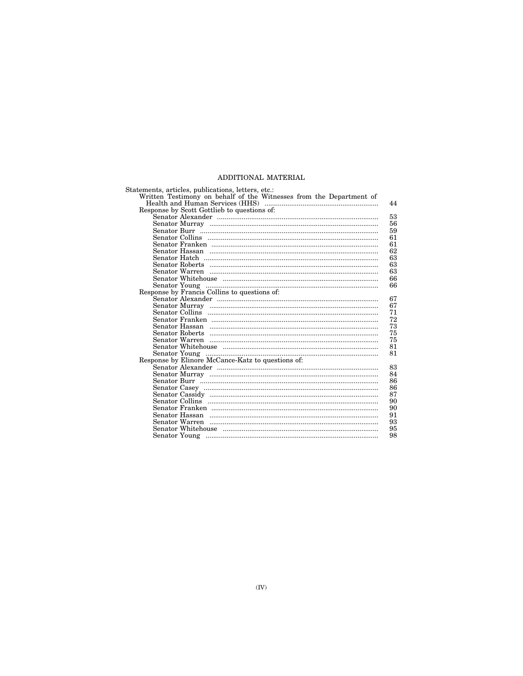### ADDITIONAL MATERIAL

| Statements, articles, publications, letters, etc.:                                                                                                                                                                                                                                                                                                                                                                   |    |
|----------------------------------------------------------------------------------------------------------------------------------------------------------------------------------------------------------------------------------------------------------------------------------------------------------------------------------------------------------------------------------------------------------------------|----|
| Written Testimony on behalf of the Witnesses from the Department of                                                                                                                                                                                                                                                                                                                                                  |    |
|                                                                                                                                                                                                                                                                                                                                                                                                                      | 44 |
| Response by Scott Gottlieb to questions of:                                                                                                                                                                                                                                                                                                                                                                          |    |
|                                                                                                                                                                                                                                                                                                                                                                                                                      | 53 |
|                                                                                                                                                                                                                                                                                                                                                                                                                      | 56 |
|                                                                                                                                                                                                                                                                                                                                                                                                                      | 59 |
|                                                                                                                                                                                                                                                                                                                                                                                                                      | 61 |
|                                                                                                                                                                                                                                                                                                                                                                                                                      | 61 |
|                                                                                                                                                                                                                                                                                                                                                                                                                      | 62 |
|                                                                                                                                                                                                                                                                                                                                                                                                                      | 63 |
|                                                                                                                                                                                                                                                                                                                                                                                                                      | 63 |
|                                                                                                                                                                                                                                                                                                                                                                                                                      | 63 |
|                                                                                                                                                                                                                                                                                                                                                                                                                      | 66 |
|                                                                                                                                                                                                                                                                                                                                                                                                                      | 66 |
| ${\bf \begin{tabular}{ll} Search row: 1.5\textwidth}{ \begin{tabular}{ll} \bf \textbf{Separor Young} & \textbf{}{\textbf{}{\textbf{}{\textbf{}{\textbf{}{\textbf{}{\textbf{}{\textbf{}{\textbf{}{\textbf{}{\textbf{}{\textbf{}{\textbf{}{\textbf{}{\textbf{}{\textbf{}{\textbf{}{\textbf{}{\textbf{}{\textbf{}{\textbf{}{\textbf{}{\textbf{}{\textbf{}{\textbf{}{\textbf{}{\textbf{}{\textbf{}{\textbf{}{\textbf{}{$ |    |
|                                                                                                                                                                                                                                                                                                                                                                                                                      | 67 |
|                                                                                                                                                                                                                                                                                                                                                                                                                      | 67 |
|                                                                                                                                                                                                                                                                                                                                                                                                                      | 71 |
|                                                                                                                                                                                                                                                                                                                                                                                                                      | 72 |
|                                                                                                                                                                                                                                                                                                                                                                                                                      | 73 |
|                                                                                                                                                                                                                                                                                                                                                                                                                      | 75 |
|                                                                                                                                                                                                                                                                                                                                                                                                                      | 75 |
|                                                                                                                                                                                                                                                                                                                                                                                                                      | 81 |
|                                                                                                                                                                                                                                                                                                                                                                                                                      | 81 |
|                                                                                                                                                                                                                                                                                                                                                                                                                      |    |
|                                                                                                                                                                                                                                                                                                                                                                                                                      | 83 |
|                                                                                                                                                                                                                                                                                                                                                                                                                      | 84 |
|                                                                                                                                                                                                                                                                                                                                                                                                                      | 86 |
|                                                                                                                                                                                                                                                                                                                                                                                                                      | 86 |
|                                                                                                                                                                                                                                                                                                                                                                                                                      | 87 |
|                                                                                                                                                                                                                                                                                                                                                                                                                      | 90 |
|                                                                                                                                                                                                                                                                                                                                                                                                                      | 90 |
|                                                                                                                                                                                                                                                                                                                                                                                                                      | 91 |
|                                                                                                                                                                                                                                                                                                                                                                                                                      | 93 |
|                                                                                                                                                                                                                                                                                                                                                                                                                      | 95 |
|                                                                                                                                                                                                                                                                                                                                                                                                                      | 98 |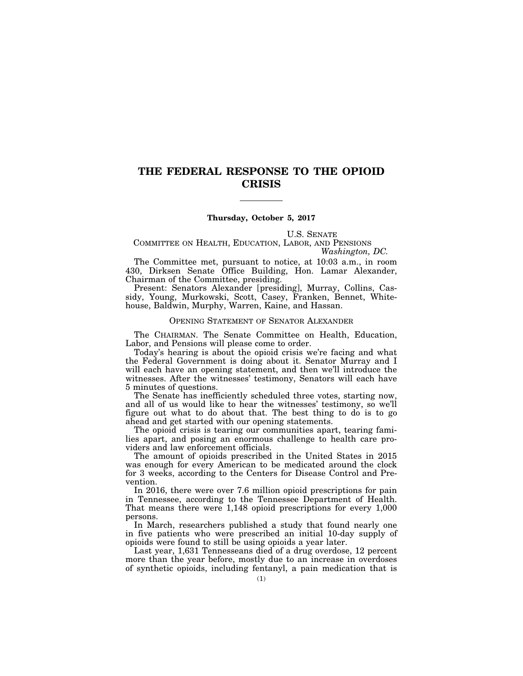## **THE FEDERAL RESPONSE TO THE OPIOID CRISIS**

#### **Thursday, October 5, 2017**

U.S. SENATE

COMMITTEE ON HEALTH, EDUCATION, LABOR, AND PENSIONS *Washington, DC.* 

The Committee met, pursuant to notice, at 10:03 a.m., in room 430, Dirksen Senate Office Building, Hon. Lamar Alexander, Chairman of the Committee, presiding.

Present: Senators Alexander [presiding], Murray, Collins, Cassidy, Young, Murkowski, Scott, Casey, Franken, Bennet, Whitehouse, Baldwin, Murphy, Warren, Kaine, and Hassan.

#### OPENING STATEMENT OF SENATOR ALEXANDER

The CHAIRMAN. The Senate Committee on Health, Education, Labor, and Pensions will please come to order.

Today's hearing is about the opioid crisis we're facing and what the Federal Government is doing about it. Senator Murray and I will each have an opening statement, and then we'll introduce the witnesses. After the witnesses' testimony, Senators will each have 5 minutes of questions.

The Senate has inefficiently scheduled three votes, starting now, and all of us would like to hear the witnesses' testimony, so we'll figure out what to do about that. The best thing to do is to go ahead and get started with our opening statements.

The opioid crisis is tearing our communities apart, tearing families apart, and posing an enormous challenge to health care providers and law enforcement officials.

The amount of opioids prescribed in the United States in 2015 was enough for every American to be medicated around the clock for 3 weeks, according to the Centers for Disease Control and Prevention.

In 2016, there were over 7.6 million opioid prescriptions for pain in Tennessee, according to the Tennessee Department of Health. That means there were 1,148 opioid prescriptions for every 1,000 persons.

In March, researchers published a study that found nearly one in five patients who were prescribed an initial 10-day supply of opioids were found to still be using opioids a year later.

Last year, 1,631 Tennesseans died of a drug overdose, 12 percent more than the year before, mostly due to an increase in overdoses of synthetic opioids, including fentanyl, a pain medication that is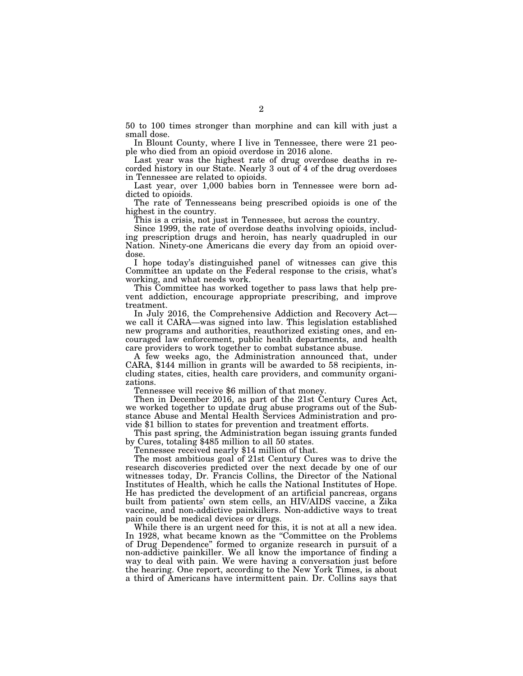50 to 100 times stronger than morphine and can kill with just a small dose.

In Blount County, where I live in Tennessee, there were 21 people who died from an opioid overdose in 2016 alone.

Last year was the highest rate of drug overdose deaths in recorded history in our State. Nearly 3 out of 4 of the drug overdoses in Tennessee are related to opioids.

Last year, over 1,000 babies born in Tennessee were born addicted to opioids.

The rate of Tennesseans being prescribed opioids is one of the highest in the country.

This is a crisis, not just in Tennessee, but across the country.

Since 1999, the rate of overdose deaths involving opioids, including prescription drugs and heroin, has nearly quadrupled in our Nation. Ninety-one Americans die every day from an opioid overdose.

I hope today's distinguished panel of witnesses can give this Committee an update on the Federal response to the crisis, what's working, and what needs work.

This Committee has worked together to pass laws that help prevent addiction, encourage appropriate prescribing, and improve treatment.

In July 2016, the Comprehensive Addiction and Recovery Act we call it CARA—was signed into law. This legislation established new programs and authorities, reauthorized existing ones, and encouraged law enforcement, public health departments, and health care providers to work together to combat substance abuse.

CARA, \$144 million in grants will be awarded to 58 recipients, including states, cities, health care providers, and community organizations.

Tennessee will receive \$6 million of that money.

Then in December 2016, as part of the 21st Century Cures Act, we worked together to update drug abuse programs out of the Substance Abuse and Mental Health Services Administration and provide \$1 billion to states for prevention and treatment efforts.

This past spring, the Administration began issuing grants funded by Cures, totaling \$485 million to all 50 states.

Tennessee received nearly \$14 million of that.

The most ambitious goal of 21st Century Cures was to drive the research discoveries predicted over the next decade by one of our witnesses today, Dr. Francis Collins, the Director of the National Institutes of Health, which he calls the National Institutes of Hope. He has predicted the development of an artificial pancreas, organs built from patients' own stem cells, an HIV/AIDS vaccine, a Zika vaccine, and non-addictive painkillers. Non-addictive ways to treat pain could be medical devices or drugs.

While there is an urgent need for this, it is not at all a new idea. In 1928, what became known as the "Committee on the Problems" of Drug Dependence'' formed to organize research in pursuit of a non-addictive painkiller. We all know the importance of finding a way to deal with pain. We were having a conversation just before the hearing. One report, according to the New York Times, is about a third of Americans have intermittent pain. Dr. Collins says that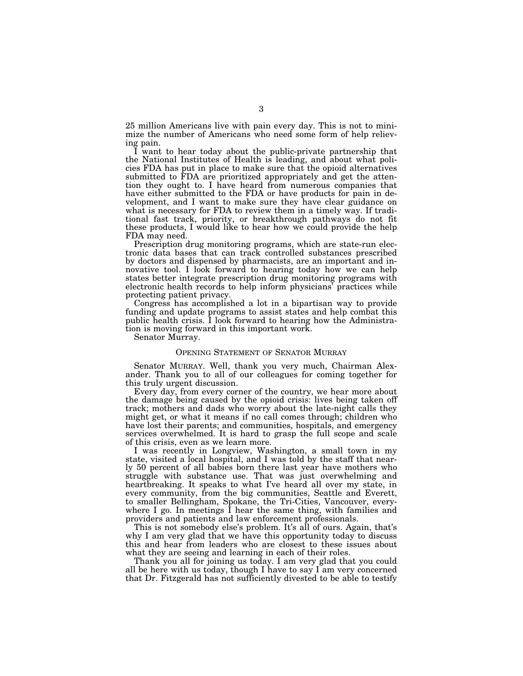25 million Americans live with pain every day. This is not to minimize the number of Americans who need some form of help relieving pain.

I want to hear today about the public-private partnership that the National Institutes of Health is leading, and about what policies FDA has put in place to make sure that the opioid alternatives submitted to FDA are prioritized appropriately and get the attention they ought to. I have heard from numerous companies that have either submitted to the FDA or have products for pain in development, and I want to make sure they have clear guidance on what is necessary for FDA to review them in a timely way. If traditional fast track, priority, or breakthrough pathways do not fit these products, I would like to hear how we could provide the help FDA may need.

Prescription drug monitoring programs, which are state-run electronic data bases that can track controlled substances prescribed by doctors and dispensed by pharmacists, are an important and innovative tool. I look forward to hearing today how we can help states better integrate prescription drug monitoring programs with electronic health records to help inform physicians' practices while protecting patient privacy.

Congress has accomplished a lot in a bipartisan way to provide funding and update programs to assist states and help combat this public health crisis. I look forward to hearing how the Administration is moving forward in this important work.

Senator Murray.

#### OPENING STATEMENT OF SENATOR MURRAY

Senator MURRAY. Well, thank you very much, Chairman Alexander. Thank you to all of our colleagues for coming together for this truly urgent discussion.

Every day, from every corner of the country, we hear more about the damage being caused by the opioid crisis: lives being taken off track; mothers and dads who worry about the late-night calls they might get, or what it means if no call comes through; children who have lost their parents; and communities, hospitals, and emergency services overwhelmed. It is hard to grasp the full scope and scale of this crisis, even as we learn more.

I was recently in Longview, Washington, a small town in my state, visited a local hospital, and I was told by the staff that nearly 50 percent of all babies born there last year have mothers who struggle with substance use. That was just overwhelming and heartbreaking. It speaks to what I've heard all over my state, in every community, from the big communities, Seattle and Everett, to smaller Bellingham, Spokane, the Tri-Cities, Vancouver, everywhere I go. In meetings I hear the same thing, with families and providers and patients and law enforcement professionals.

This is not somebody else's problem. It's all of ours. Again, that's why I am very glad that we have this opportunity today to discuss this and hear from leaders who are closest to these issues about what they are seeing and learning in each of their roles.

Thank you all for joining us today. I am very glad that you could all be here with us today, though I have to say I am very concerned that Dr. Fitzgerald has not sufficiently divested to be able to testify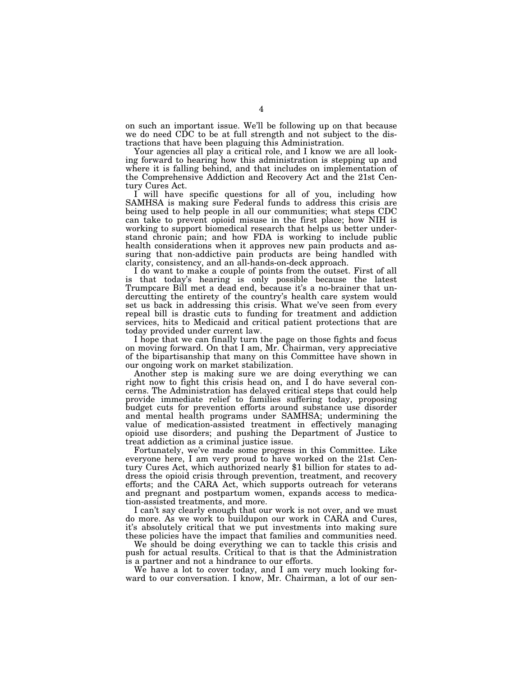on such an important issue. We'll be following up on that because we do need CDC to be at full strength and not subject to the distractions that have been plaguing this Administration.

Your agencies all play a critical role, and I know we are all looking forward to hearing how this administration is stepping up and where it is falling behind, and that includes on implementation of the Comprehensive Addiction and Recovery Act and the 21st Century Cures Act.

I will have specific questions for all of you, including how SAMHSA is making sure Federal funds to address this crisis are being used to help people in all our communities; what steps CDC can take to prevent opioid misuse in the first place; how NIH is working to support biomedical research that helps us better understand chronic pain; and how FDA is working to include public health considerations when it approves new pain products and assuring that non-addictive pain products are being handled with clarity, consistency, and an all-hands-on-deck approach.

I do want to make a couple of points from the outset. First of all is that today's hearing is only possible because the latest Trumpcare Bill met a dead end, because it's a no-brainer that undercutting the entirety of the country's health care system would set us back in addressing this crisis. What we've seen from every repeal bill is drastic cuts to funding for treatment and addiction services, hits to Medicaid and critical patient protections that are today provided under current law.

I hope that we can finally turn the page on those fights and focus on moving forward. On that I am, Mr. Chairman, very appreciative of the bipartisanship that many on this Committee have shown in our ongoing work on market stabilization.

Another step is making sure we are doing everything we can right now to fight this crisis head on, and I do have several concerns. The Administration has delayed critical steps that could help provide immediate relief to families suffering today, proposing budget cuts for prevention efforts around substance use disorder and mental health programs under SAMHSA; undermining the value of medication-assisted treatment in effectively managing opioid use disorders; and pushing the Department of Justice to treat addiction as a criminal justice issue.

Fortunately, we've made some progress in this Committee. Like everyone here, I am very proud to have worked on the 21st Century Cures Act, which authorized nearly \$1 billion for states to address the opioid crisis through prevention, treatment, and recovery efforts; and the CARA Act, which supports outreach for veterans and pregnant and postpartum women, expands access to medication-assisted treatments, and more.

I can't say clearly enough that our work is not over, and we must do more. As we work to buildupon our work in CARA and Cures, it's absolutely critical that we put investments into making sure these policies have the impact that families and communities need.

We should be doing everything we can to tackle this crisis and push for actual results. Critical to that is that the Administration is a partner and not a hindrance to our efforts.

We have a lot to cover today, and I am very much looking forward to our conversation. I know, Mr. Chairman, a lot of our sen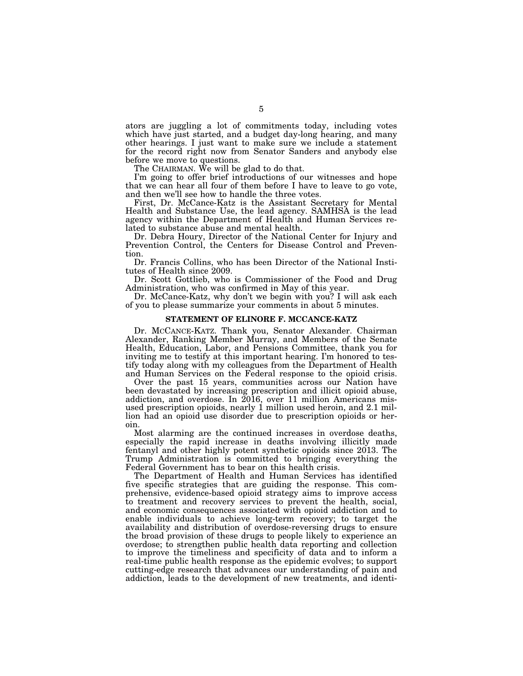ators are juggling a lot of commitments today, including votes which have just started, and a budget day-long hearing, and many other hearings. I just want to make sure we include a statement for the record right now from Senator Sanders and anybody else before we move to questions.

The CHAIRMAN. We will be glad to do that.

I'm going to offer brief introductions of our witnesses and hope that we can hear all four of them before I have to leave to go vote, and then we'll see how to handle the three votes.

First, Dr. McCance-Katz is the Assistant Secretary for Mental Health and Substance Use, the lead agency. SAMHSA is the lead agency within the Department of Health and Human Services related to substance abuse and mental health.

Dr. Debra Houry, Director of the National Center for Injury and Prevention Control, the Centers for Disease Control and Prevention.

Dr. Francis Collins, who has been Director of the National Institutes of Health since 2009.

Dr. Scott Gottlieb, who is Commissioner of the Food and Drug Administration, who was confirmed in May of this year.

Dr. McCance-Katz, why don't we begin with you? I will ask each of you to please summarize your comments in about 5 minutes.

#### **STATEMENT OF ELINORE F. MCCANCE-KATZ**

Dr. MCCANCE-KATZ. Thank you, Senator Alexander. Chairman Alexander, Ranking Member Murray, and Members of the Senate Health, Education, Labor, and Pensions Committee, thank you for inviting me to testify at this important hearing. I'm honored to testify today along with my colleagues from the Department of Health and Human Services on the Federal response to the opioid crisis.

Over the past 15 years, communities across our Nation have been devastated by increasing prescription and illicit opioid abuse, addiction, and overdose. In 2016, over 11 million Americans misused prescription opioids, nearly 1 million used heroin, and 2.1 million had an opioid use disorder due to prescription opioids or heroin.

Most alarming are the continued increases in overdose deaths, especially the rapid increase in deaths involving illicitly made fentanyl and other highly potent synthetic opioids since 2013. The Trump Administration is committed to bringing everything the Federal Government has to bear on this health crisis.

The Department of Health and Human Services has identified five specific strategies that are guiding the response. This comprehensive, evidence-based opioid strategy aims to improve access to treatment and recovery services to prevent the health, social, and economic consequences associated with opioid addiction and to enable individuals to achieve long-term recovery; to target the availability and distribution of overdose-reversing drugs to ensure the broad provision of these drugs to people likely to experience an overdose; to strengthen public health data reporting and collection to improve the timeliness and specificity of data and to inform a real-time public health response as the epidemic evolves; to support cutting-edge research that advances our understanding of pain and addiction, leads to the development of new treatments, and identi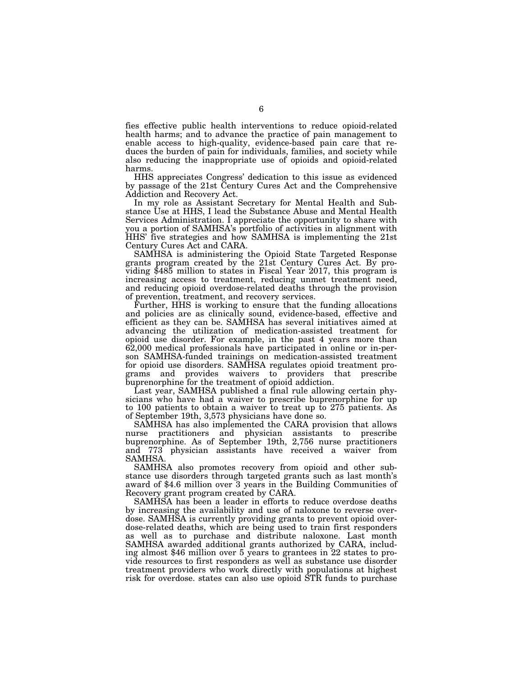fies effective public health interventions to reduce opioid-related health harms; and to advance the practice of pain management to enable access to high-quality, evidence-based pain care that reduces the burden of pain for individuals, families, and society while also reducing the inappropriate use of opioids and opioid-related harms.

HHS appreciates Congress' dedication to this issue as evidenced by passage of the 21st Century Cures Act and the Comprehensive Addiction and Recovery Act.

In my role as Assistant Secretary for Mental Health and Substance Use at HHS, I lead the Substance Abuse and Mental Health Services Administration. I appreciate the opportunity to share with you a portion of SAMHSA's portfolio of activities in alignment with HHS' five strategies and how SAMHSA is implementing the 21st Century Cures Act and CARA.

SAMHSA is administering the Opioid State Targeted Response grants program created by the 21st Century Cures Act. By providing \$485 million to states in Fiscal Year 2017, this program is increasing access to treatment, reducing unmet treatment need, and reducing opioid overdose-related deaths through the provision of prevention, treatment, and recovery services.

Further, HHS is working to ensure that the funding allocations and policies are as clinically sound, evidence-based, effective and efficient as they can be. SAMHSA has several initiatives aimed at advancing the utilization of medication-assisted treatment for opioid use disorder. For example, in the past 4 years more than 62,000 medical professionals have participated in online or in-person SAMHSA-funded trainings on medication-assisted treatment for opioid use disorders. SAMHSA regulates opioid treatment programs and provides waivers to providers that prescribe buprenorphine for the treatment of opioid addiction.

Last year, SAMHSA published a final rule allowing certain physicians who have had a waiver to prescribe buprenorphine for up to 100 patients to obtain a waiver to treat up to 275 patients. As of September 19th, 3,573 physicians have done so.

SAMHSA has also implemented the CARA provision that allows nurse practitioners and physician assistants to prescribe buprenorphine. As of September 19th, 2,756 nurse practitioners and 773 physician assistants have received a waiver from SAMHSA.

SAMHSA also promotes recovery from opioid and other substance use disorders through targeted grants such as last month's award of \$4.6 million over 3 years in the Building Communities of Recovery grant program created by CARA.

SAMHSA has been a leader in efforts to reduce overdose deaths by increasing the availability and use of naloxone to reverse overdose. SAMHSA is currently providing grants to prevent opioid overdose-related deaths, which are being used to train first responders as well as to purchase and distribute naloxone. Last month SAMHSA awarded additional grants authorized by CARA, including almost \$46 million over 5 years to grantees in 22 states to provide resources to first responders as well as substance use disorder treatment providers who work directly with populations at highest risk for overdose. states can also use opioid STR funds to purchase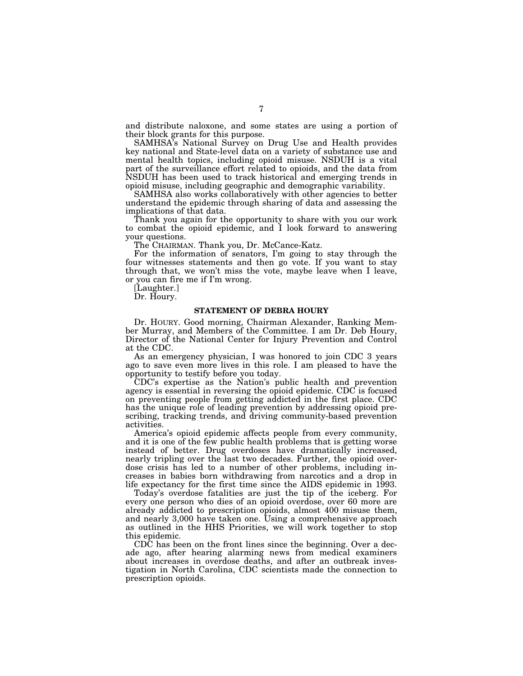and distribute naloxone, and some states are using a portion of their block grants for this purpose.

SAMHSA's National Survey on Drug Use and Health provides key national and State-level data on a variety of substance use and mental health topics, including opioid misuse. NSDUH is a vital part of the surveillance effort related to opioids, and the data from NSDUH has been used to track historical and emerging trends in opioid misuse, including geographic and demographic variability.

SAMHSA also works collaboratively with other agencies to better understand the epidemic through sharing of data and assessing the implications of that data.

Thank you again for the opportunity to share with you our work to combat the opioid epidemic, and I look forward to answering your questions.

The CHAIRMAN. Thank you, Dr. McCance-Katz.

For the information of senators, I'm going to stay through the four witnesses statements and then go vote. If you want to stay through that, we won't miss the vote, maybe leave when I leave, or you can fire me if I'm wrong.

[Laughter.]

Dr. Houry.

#### **STATEMENT OF DEBRA HOURY**

Dr. HOURY. Good morning, Chairman Alexander, Ranking Member Murray, and Members of the Committee. I am Dr. Deb Houry, Director of the National Center for Injury Prevention and Control at the CDC.

As an emergency physician, I was honored to join CDC 3 years ago to save even more lives in this role. I am pleased to have the opportunity to testify before you today.

CDC's expertise as the Nation's public health and prevention agency is essential in reversing the opioid epidemic. CDC is focused on preventing people from getting addicted in the first place. CDC has the unique role of leading prevention by addressing opioid prescribing, tracking trends, and driving community-based prevention activities.

America's opioid epidemic affects people from every community, and it is one of the few public health problems that is getting worse instead of better. Drug overdoses have dramatically increased, nearly tripling over the last two decades. Further, the opioid overdose crisis has led to a number of other problems, including increases in babies born withdrawing from narcotics and a drop in life expectancy for the first time since the AIDS epidemic in 1993.

Today's overdose fatalities are just the tip of the iceberg. For every one person who dies of an opioid overdose, over 60 more are already addicted to prescription opioids, almost 400 misuse them, and nearly 3,000 have taken one. Using a comprehensive approach as outlined in the HHS Priorities, we will work together to stop this epidemic.

CDC has been on the front lines since the beginning. Over a decade ago, after hearing alarming news from medical examiners about increases in overdose deaths, and after an outbreak investigation in North Carolina, CDC scientists made the connection to prescription opioids.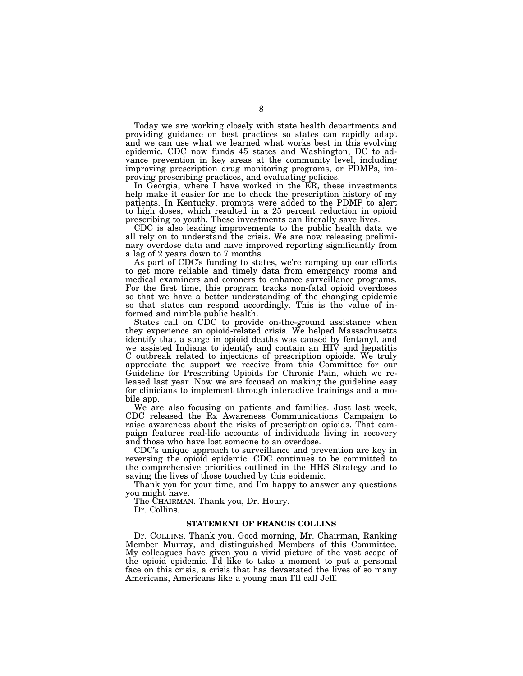Today we are working closely with state health departments and providing guidance on best practices so states can rapidly adapt and we can use what we learned what works best in this evolving epidemic. CDC now funds 45 states and Washington, DC to advance prevention in key areas at the community level, including improving prescription drug monitoring programs, or PDMPs, improving prescribing practices, and evaluating policies.

In Georgia, where I have worked in the ER, these investments help make it easier for me to check the prescription history of my patients. In Kentucky, prompts were added to the PDMP to alert to high doses, which resulted in a 25 percent reduction in opioid prescribing to youth. These investments can literally save lives.

CDC is also leading improvements to the public health data we all rely on to understand the crisis. We are now releasing preliminary overdose data and have improved reporting significantly from a lag of 2 years down to 7 months.

As part of CDC's funding to states, we're ramping up our efforts to get more reliable and timely data from emergency rooms and medical examiners and coroners to enhance surveillance programs. For the first time, this program tracks non-fatal opioid overdoses so that we have a better understanding of the changing epidemic so that states can respond accordingly. This is the value of informed and nimble public health.

States call on CDC to provide on-the-ground assistance when they experience an opioid-related crisis. We helped Massachusetts identify that a surge in opioid deaths was caused by fentanyl, and we assisted Indiana to identify and contain an HIV and hepatitis C outbreak related to injections of prescription opioids. We truly appreciate the support we receive from this Committee for our Guideline for Prescribing Opioids for Chronic Pain, which we released last year. Now we are focused on making the guideline easy for clinicians to implement through interactive trainings and a mobile app.

We are also focusing on patients and families. Just last week, CDC released the Rx Awareness Communications Campaign to raise awareness about the risks of prescription opioids. That campaign features real-life accounts of individuals living in recovery and those who have lost someone to an overdose.

CDC's unique approach to surveillance and prevention are key in reversing the opioid epidemic. CDC continues to be committed to the comprehensive priorities outlined in the HHS Strategy and to saving the lives of those touched by this epidemic.

Thank you for your time, and I'm happy to answer any questions you might have.

The CHAIRMAN. Thank you, Dr. Houry.

Dr. Collins.

#### **STATEMENT OF FRANCIS COLLINS**

Dr. COLLINS. Thank you. Good morning, Mr. Chairman, Ranking Member Murray, and distinguished Members of this Committee. My colleagues have given you a vivid picture of the vast scope of the opioid epidemic. I'd like to take a moment to put a personal face on this crisis, a crisis that has devastated the lives of so many Americans, Americans like a young man I'll call Jeff.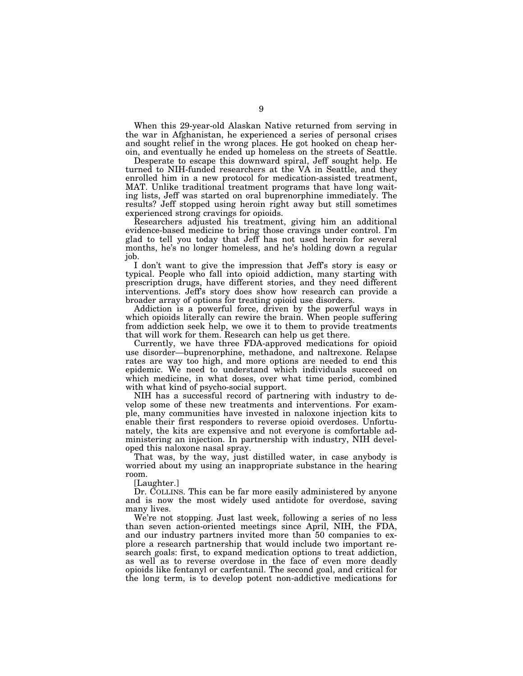When this 29-year-old Alaskan Native returned from serving in the war in Afghanistan, he experienced a series of personal crises and sought relief in the wrong places. He got hooked on cheap heroin, and eventually he ended up homeless on the streets of Seattle.

Desperate to escape this downward spiral, Jeff sought help. He turned to NIH-funded researchers at the VA in Seattle, and they enrolled him in a new protocol for medication-assisted treatment, MAT. Unlike traditional treatment programs that have long waiting lists, Jeff was started on oral buprenorphine immediately. The results? Jeff stopped using heroin right away but still sometimes experienced strong cravings for opioids.

Researchers adjusted his treatment, giving him an additional evidence-based medicine to bring those cravings under control. I'm glad to tell you today that Jeff has not used heroin for several months, he's no longer homeless, and he's holding down a regular job.

I don't want to give the impression that Jeff's story is easy or typical. People who fall into opioid addiction, many starting with prescription drugs, have different stories, and they need different interventions. Jeff's story does show how research can provide a broader array of options for treating opioid use disorders.

Addiction is a powerful force, driven by the powerful ways in which opioids literally can rewire the brain. When people suffering from addiction seek help, we owe it to them to provide treatments that will work for them. Research can help us get there.

Currently, we have three FDA-approved medications for opioid use disorder—buprenorphine, methadone, and naltrexone. Relapse rates are way too high, and more options are needed to end this epidemic. We need to understand which individuals succeed on which medicine, in what doses, over what time period, combined with what kind of psycho-social support.

NIH has a successful record of partnering with industry to develop some of these new treatments and interventions. For example, many communities have invested in naloxone injection kits to enable their first responders to reverse opioid overdoses. Unfortunately, the kits are expensive and not everyone is comfortable administering an injection. In partnership with industry, NIH developed this naloxone nasal spray.

That was, by the way, just distilled water, in case anybody is worried about my using an inappropriate substance in the hearing room.

[Laughter.]

Dr. COLLINS. This can be far more easily administered by anyone and is now the most widely used antidote for overdose, saving many lives.

We're not stopping. Just last week, following a series of no less than seven action-oriented meetings since April, NIH, the FDA, and our industry partners invited more than 50 companies to explore a research partnership that would include two important research goals: first, to expand medication options to treat addiction, as well as to reverse overdose in the face of even more deadly opioids like fentanyl or carfentanil. The second goal, and critical for the long term, is to develop potent non-addictive medications for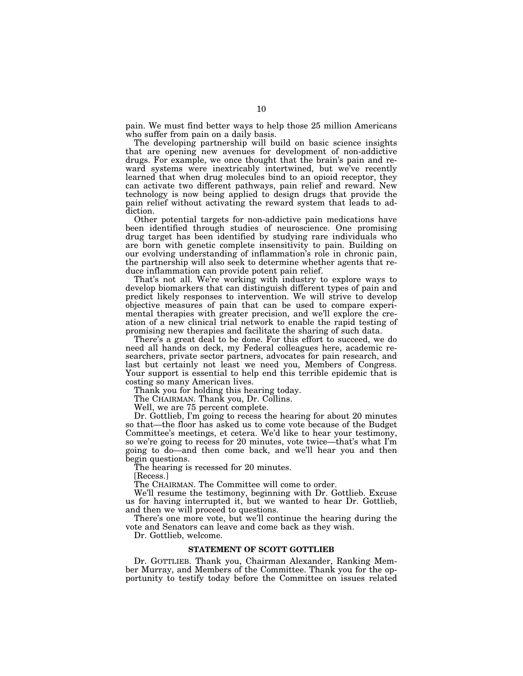pain. We must find better ways to help those 25 million Americans who suffer from pain on a daily basis.

The developing partnership will build on basic science insights that are opening new avenues for development of non-addictive drugs. For example, we once thought that the brain's pain and reward systems were inextricably intertwined, but we've recently learned that when drug molecules bind to an opioid receptor, they can activate two different pathways, pain relief and reward. New technology is now being applied to design drugs that provide the pain relief without activating the reward system that leads to addiction.

Other potential targets for non-addictive pain medications have been identified through studies of neuroscience. One promising drug target has been identified by studying rare individuals who are born with genetic complete insensitivity to pain. Building on our evolving understanding of inflammation's role in chronic pain, the partnership will also seek to determine whether agents that reduce inflammation can provide potent pain relief.

That's not all. We're working with industry to explore ways to develop biomarkers that can distinguish different types of pain and predict likely responses to intervention. We will strive to develop objective measures of pain that can be used to compare experimental therapies with greater precision, and we'll explore the creation of a new clinical trial network to enable the rapid testing of promising new therapies and facilitate the sharing of such data.

There's a great deal to be done. For this effort to succeed, we do need all hands on deck, my Federal colleagues here, academic researchers, private sector partners, advocates for pain research, and last but certainly not least we need you, Members of Congress. Your support is essential to help end this terrible epidemic that is costing so many American lives.

Thank you for holding this hearing today.

The CHAIRMAN. Thank you, Dr. Collins.

Well, we are 75 percent complete.

Dr. Gottlieb, I'm going to recess the hearing for about 20 minutes so that—the floor has asked us to come vote because of the Budget Committee's meetings, et cetera. We'd like to hear your testimony, so we're going to recess for 20 minutes, vote twice—that's what I'm going to do—and then come back, and we'll hear you and then begin questions.

The hearing is recessed for 20 minutes.

[Recess.]

The CHAIRMAN. The Committee will come to order.

We'll resume the testimony, beginning with Dr. Gottlieb. Excuse us for having interrupted it, but we wanted to hear Dr. Gottlieb, and then we will proceed to questions.

There's one more vote, but we'll continue the hearing during the vote and Senators can leave and come back as they wish.

Dr. Gottlieb, welcome.

#### **STATEMENT OF SCOTT GOTTLIEB**

Dr. GOTTLIEB. Thank you, Chairman Alexander, Ranking Member Murray, and Members of the Committee. Thank you for the opportunity to testify today before the Committee on issues related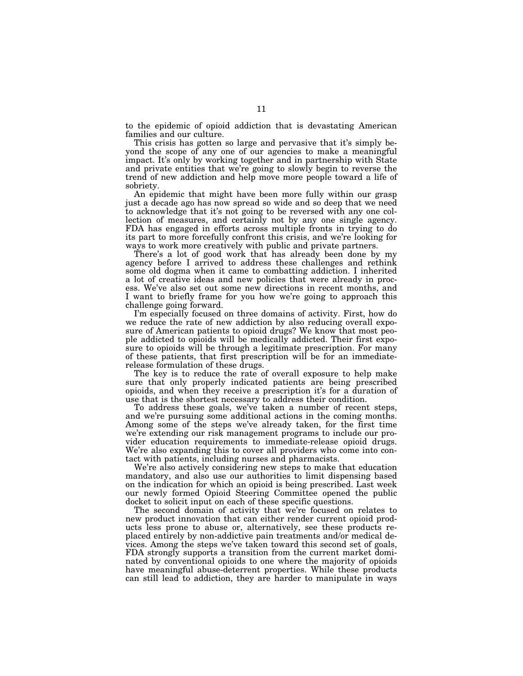to the epidemic of opioid addiction that is devastating American families and our culture.

This crisis has gotten so large and pervasive that it's simply beyond the scope of any one of our agencies to make a meaningful impact. It's only by working together and in partnership with State and private entities that we're going to slowly begin to reverse the trend of new addiction and help move more people toward a life of sobriety.

An epidemic that might have been more fully within our grasp just a decade ago has now spread so wide and so deep that we need to acknowledge that it's not going to be reversed with any one collection of measures, and certainly not by any one single agency. FDA has engaged in efforts across multiple fronts in trying to do its part to more forcefully confront this crisis, and we're looking for ways to work more creatively with public and private partners.

There's a lot of good work that has already been done by my agency before I arrived to address these challenges and rethink some old dogma when it came to combatting addiction. I inherited a lot of creative ideas and new policies that were already in process. We've also set out some new directions in recent months, and I want to briefly frame for you how we're going to approach this challenge going forward.

I'm especially focused on three domains of activity. First, how do we reduce the rate of new addiction by also reducing overall exposure of American patients to opioid drugs? We know that most people addicted to opioids will be medically addicted. Their first exposure to opioids will be through a legitimate prescription. For many of these patients, that first prescription will be for an immediaterelease formulation of these drugs.

The key is to reduce the rate of overall exposure to help make sure that only properly indicated patients are being prescribed opioids, and when they receive a prescription it's for a duration of use that is the shortest necessary to address their condition.

To address these goals, we've taken a number of recent steps, and we're pursuing some additional actions in the coming months. Among some of the steps we've already taken, for the first time we're extending our risk management programs to include our provider education requirements to immediate-release opioid drugs. We're also expanding this to cover all providers who come into contact with patients, including nurses and pharmacists.

We're also actively considering new steps to make that education mandatory, and also use our authorities to limit dispensing based on the indication for which an opioid is being prescribed. Last week our newly formed Opioid Steering Committee opened the public docket to solicit input on each of these specific questions.

The second domain of activity that we're focused on relates to new product innovation that can either render current opioid products less prone to abuse or, alternatively, see these products replaced entirely by non-addictive pain treatments and/or medical devices. Among the steps we've taken toward this second set of goals, FDA strongly supports a transition from the current market dominated by conventional opioids to one where the majority of opioids have meaningful abuse-deterrent properties. While these products can still lead to addiction, they are harder to manipulate in ways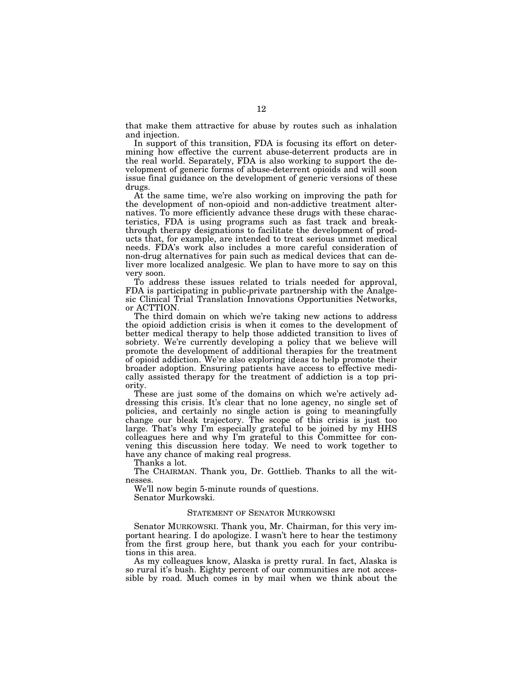that make them attractive for abuse by routes such as inhalation and injection.

In support of this transition, FDA is focusing its effort on determining how effective the current abuse-deterrent products are in the real world. Separately, FDA is also working to support the development of generic forms of abuse-deterrent opioids and will soon issue final guidance on the development of generic versions of these drugs.

At the same time, we're also working on improving the path for the development of non-opioid and non-addictive treatment alternatives. To more efficiently advance these drugs with these characteristics, FDA is using programs such as fast track and breakthrough therapy designations to facilitate the development of products that, for example, are intended to treat serious unmet medical needs. FDA's work also includes a more careful consideration of non-drug alternatives for pain such as medical devices that can deliver more localized analgesic. We plan to have more to say on this very soon.

To address these issues related to trials needed for approval, FDA is participating in public-private partnership with the Analgesic Clinical Trial Translation Innovations Opportunities Networks, or ACTTION.

The third domain on which we're taking new actions to address the opioid addiction crisis is when it comes to the development of better medical therapy to help those addicted transition to lives of sobriety. We're currently developing a policy that we believe will promote the development of additional therapies for the treatment of opioid addiction. We're also exploring ideas to help promote their broader adoption. Ensuring patients have access to effective medically assisted therapy for the treatment of addiction is a top priority.

These are just some of the domains on which we're actively addressing this crisis. It's clear that no lone agency, no single set of policies, and certainly no single action is going to meaningfully change our bleak trajectory. The scope of this crisis is just too large. That's why I'm especially grateful to be joined by my HHS colleagues here and why I'm grateful to this Committee for convening this discussion here today. We need to work together to have any chance of making real progress.

Thanks a lot.

The CHAIRMAN. Thank you, Dr. Gottlieb. Thanks to all the witnesses.

We'll now begin 5-minute rounds of questions. Senator Murkowski.

#### STATEMENT OF SENATOR MURKOWSKI

Senator MURKOWSKI. Thank you, Mr. Chairman, for this very important hearing. I do apologize. I wasn't here to hear the testimony from the first group here, but thank you each for your contributions in this area.

As my colleagues know, Alaska is pretty rural. In fact, Alaska is so rural it's bush. Eighty percent of our communities are not accessible by road. Much comes in by mail when we think about the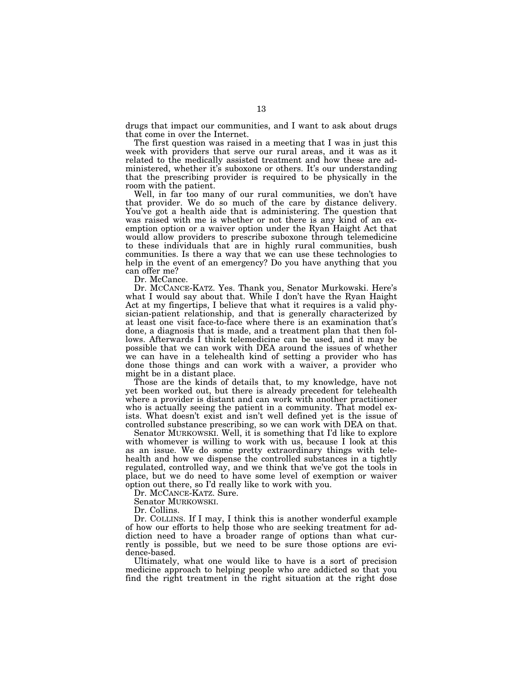drugs that impact our communities, and I want to ask about drugs that come in over the Internet.

The first question was raised in a meeting that I was in just this week with providers that serve our rural areas, and it was as it related to the medically assisted treatment and how these are administered, whether it's suboxone or others. It's our understanding that the prescribing provider is required to be physically in the room with the patient.

Well, in far too many of our rural communities, we don't have that provider. We do so much of the care by distance delivery. You've got a health aide that is administering. The question that was raised with me is whether or not there is any kind of an exemption option or a waiver option under the Ryan Haight Act that would allow providers to prescribe suboxone through telemedicine to these individuals that are in highly rural communities, bush communities. Is there a way that we can use these technologies to help in the event of an emergency? Do you have anything that you can offer me?

Dr. McCance.

Dr. MCCANCE-KATZ. Yes. Thank you, Senator Murkowski. Here's what I would say about that. While I don't have the Ryan Haight Act at my fingertips, I believe that what it requires is a valid physician-patient relationship, and that is generally characterized by at least one visit face-to-face where there is an examination that's done, a diagnosis that is made, and a treatment plan that then follows. Afterwards I think telemedicine can be used, and it may be possible that we can work with DEA around the issues of whether we can have in a telehealth kind of setting a provider who has done those things and can work with a waiver, a provider who might be in a distant place.

Those are the kinds of details that, to my knowledge, have not yet been worked out, but there is already precedent for telehealth where a provider is distant and can work with another practitioner who is actually seeing the patient in a community. That model exists. What doesn't exist and isn't well defined yet is the issue of controlled substance prescribing, so we can work with DEA on that.

Senator MURKOWSKI. Well, it is something that I'd like to explore with whomever is willing to work with us, because I look at this as an issue. We do some pretty extraordinary things with telehealth and how we dispense the controlled substances in a tightly regulated, controlled way, and we think that we've got the tools in place, but we do need to have some level of exemption or waiver option out there, so I'd really like to work with you.

Dr. MCCANCE-KATZ. Sure.

Senator MURKOWSKI.

Dr. Collins.

Dr. COLLINS. If I may, I think this is another wonderful example of how our efforts to help those who are seeking treatment for addiction need to have a broader range of options than what currently is possible, but we need to be sure those options are evidence-based.

Ultimately, what one would like to have is a sort of precision medicine approach to helping people who are addicted so that you find the right treatment in the right situation at the right dose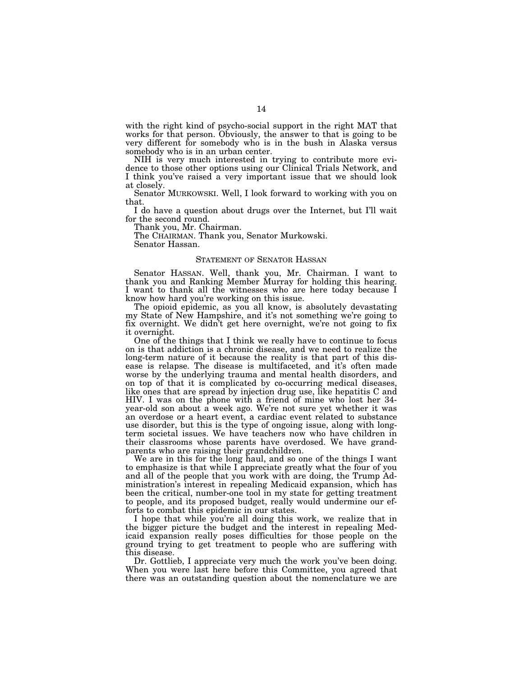with the right kind of psycho-social support in the right MAT that works for that person. Obviously, the answer to that is going to be very different for somebody who is in the bush in Alaska versus somebody who is in an urban center.

NIH is very much interested in trying to contribute more evidence to those other options using our Clinical Trials Network, and I think you've raised a very important issue that we should look at closely.

Senator MURKOWSKI. Well, I look forward to working with you on that.

I do have a question about drugs over the Internet, but I'll wait for the second round.

Thank you, Mr. Chairman.

The CHAIRMAN. Thank you, Senator Murkowski.

Senator Hassan.

#### STATEMENT OF SENATOR HASSAN

Senator HASSAN. Well, thank you, Mr. Chairman. I want to thank you and Ranking Member Murray for holding this hearing. I want to thank all the witnesses who are here today because I know how hard you're working on this issue.

The opioid epidemic, as you all know, is absolutely devastating my State of New Hampshire, and it's not something we're going to fix overnight. We didn't get here overnight, we're not going to fix it overnight.

One of the things that I think we really have to continue to focus on is that addiction is a chronic disease, and we need to realize the long-term nature of it because the reality is that part of this disease is relapse. The disease is multifaceted, and it's often made worse by the underlying trauma and mental health disorders, and on top of that it is complicated by co-occurring medical diseases, like ones that are spread by injection drug use, like hepatitis C and HIV. I was on the phone with a friend of mine who lost her 34 year-old son about a week ago. We're not sure yet whether it was an overdose or a heart event, a cardiac event related to substance use disorder, but this is the type of ongoing issue, along with longterm societal issues. We have teachers now who have children in their classrooms whose parents have overdosed. We have grandparents who are raising their grandchildren.

We are in this for the long haul, and so one of the things I want to emphasize is that while I appreciate greatly what the four of you and all of the people that you work with are doing, the Trump Administration's interest in repealing Medicaid expansion, which has been the critical, number-one tool in my state for getting treatment to people, and its proposed budget, really would undermine our efforts to combat this epidemic in our states.

I hope that while you're all doing this work, we realize that in the bigger picture the budget and the interest in repealing Medicaid expansion really poses difficulties for those people on the ground trying to get treatment to people who are suffering with this disease.

Dr. Gottlieb, I appreciate very much the work you've been doing. When you were last here before this Committee, you agreed that there was an outstanding question about the nomenclature we are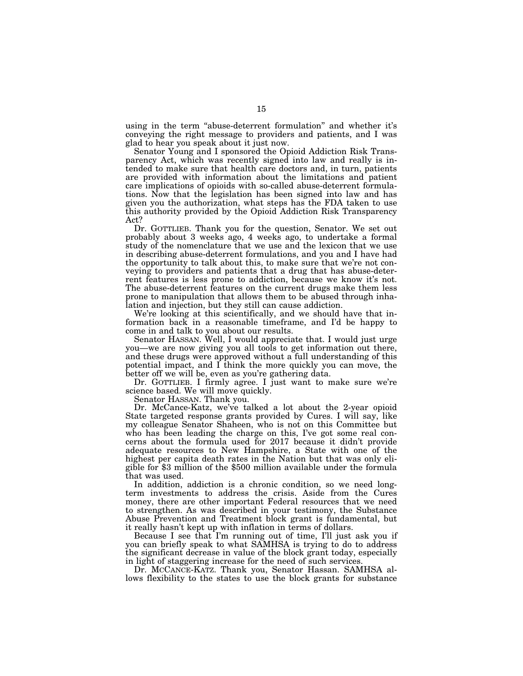using in the term "abuse-deterrent formulation" and whether it's conveying the right message to providers and patients, and I was glad to hear you speak about it just now.

Senator Young and I sponsored the Opioid Addiction Risk Transparency Act, which was recently signed into law and really is intended to make sure that health care doctors and, in turn, patients are provided with information about the limitations and patient care implications of opioids with so-called abuse-deterrent formulations. Now that the legislation has been signed into law and has given you the authorization, what steps has the FDA taken to use this authority provided by the Opioid Addiction Risk Transparency Act?

Dr. GOTTLIEB. Thank you for the question, Senator. We set out probably about 3 weeks ago, 4 weeks ago, to undertake a formal study of the nomenclature that we use and the lexicon that we use in describing abuse-deterrent formulations, and you and I have had the opportunity to talk about this, to make sure that we're not conveying to providers and patients that a drug that has abuse-deterrent features is less prone to addiction, because we know it's not. The abuse-deterrent features on the current drugs make them less prone to manipulation that allows them to be abused through inhalation and injection, but they still can cause addiction.

We're looking at this scientifically, and we should have that information back in a reasonable timeframe, and I'd be happy to come in and talk to you about our results.

Senator HASSAN. Well, I would appreciate that. I would just urge you—we are now giving you all tools to get information out there, and these drugs were approved without a full understanding of this potential impact, and I think the more quickly you can move, the better off we will be, even as you're gathering data.

Dr. GOTTLIEB. I firmly agree. I just want to make sure we're science based. We will move quickly.

Senator HASSAN. Thank you.

Dr. McCance-Katz, we've talked a lot about the 2-year opioid State targeted response grants provided by Cures. I will say, like my colleague Senator Shaheen, who is not on this Committee but who has been leading the charge on this, I've got some real concerns about the formula used for 2017 because it didn't provide adequate resources to New Hampshire, a State with one of the highest per capita death rates in the Nation but that was only eligible for \$3 million of the \$500 million available under the formula that was used.

In addition, addiction is a chronic condition, so we need longterm investments to address the crisis. Aside from the Cures money, there are other important Federal resources that we need to strengthen. As was described in your testimony, the Substance Abuse Prevention and Treatment block grant is fundamental, but it really hasn't kept up with inflation in terms of dollars.

Because I see that I'm running out of time, I'll just ask you if you can briefly speak to what SAMHSA is trying to do to address the significant decrease in value of the block grant today, especially in light of staggering increase for the need of such services.

Dr. MCCANCE-KATZ. Thank you, Senator Hassan. SAMHSA allows flexibility to the states to use the block grants for substance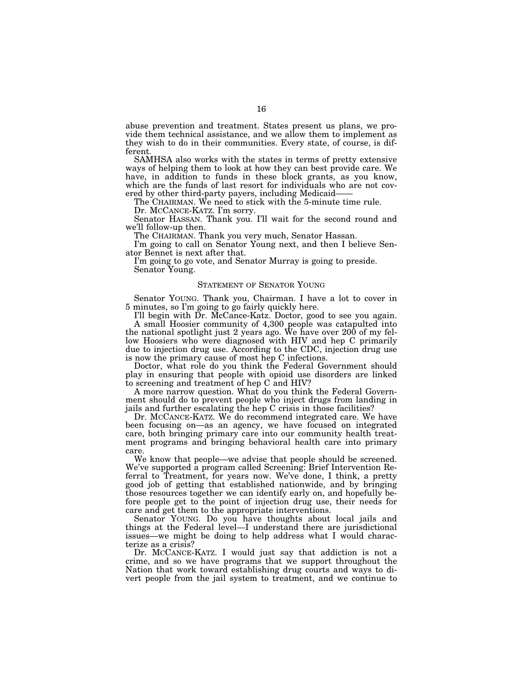abuse prevention and treatment. States present us plans, we provide them technical assistance, and we allow them to implement as they wish to do in their communities. Every state, of course, is different.

SAMHSA also works with the states in terms of pretty extensive ways of helping them to look at how they can best provide care. We have, in addition to funds in these block grants, as you know, which are the funds of last resort for individuals who are not covered by other third-party payers, including Medicaid——

The CHAIRMAN. We need to stick with the 5-minute time rule. Dr. MCCANCE-KATZ. I'm sorry.

Senator HASSAN. Thank you. I'll wait for the second round and we'll follow-up then.

The CHAIRMAN. Thank you very much, Senator Hassan.

I'm going to call on Senator Young next, and then I believe Senator Bennet is next after that.

I'm going to go vote, and Senator Murray is going to preside. Senator Young.

#### STATEMENT OF SENATOR YOUNG

Senator YOUNG. Thank you, Chairman. I have a lot to cover in 5 minutes, so I'm going to go fairly quickly here.

I'll begin with Dr. McCance-Katz. Doctor, good to see you again. A small Hoosier community of 4,300 people was catapulted into the national spotlight just 2 years ago. We have over 200 of my fellow Hoosiers who were diagnosed with HIV and hep C primarily due to injection drug use. According to the CDC, injection drug use is now the primary cause of most hep C infections.

Doctor, what role do you think the Federal Government should play in ensuring that people with opioid use disorders are linked to screening and treatment of hep C and HIV?

A more narrow question. What do you think the Federal Government should do to prevent people who inject drugs from landing in jails and further escalating the hep C crisis in those facilities?

Dr. MCCANCE-KATZ. We do recommend integrated care. We have been focusing on—as an agency, we have focused on integrated care, both bringing primary care into our community health treatment programs and bringing behavioral health care into primary care.

We know that people—we advise that people should be screened. We've supported a program called Screening: Brief Intervention Referral to Treatment, for years now. We've done, I think, a pretty good job of getting that established nationwide, and by bringing those resources together we can identify early on, and hopefully before people get to the point of injection drug use, their needs for care and get them to the appropriate interventions.

Senator YOUNG. Do you have thoughts about local jails and things at the Federal level—I understand there are jurisdictional issues—we might be doing to help address what I would characterize as a crisis?

Dr. MCCANCE-KATZ. I would just say that addiction is not a crime, and so we have programs that we support throughout the Nation that work toward establishing drug courts and ways to divert people from the jail system to treatment, and we continue to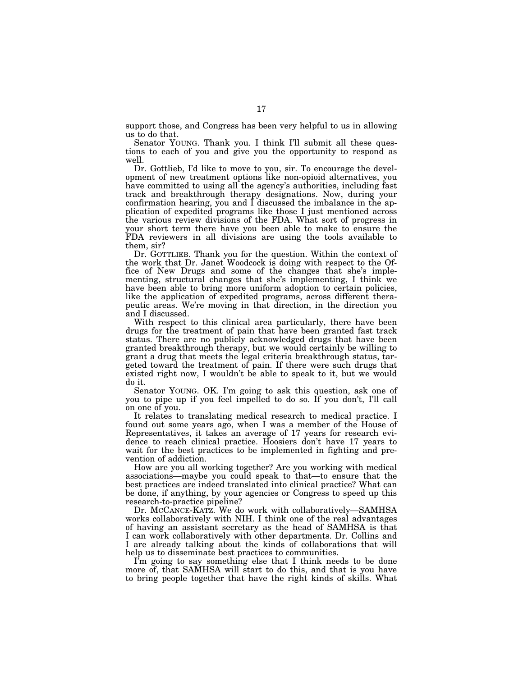support those, and Congress has been very helpful to us in allowing us to do that.

Senator YOUNG. Thank you. I think I'll submit all these questions to each of you and give you the opportunity to respond as well.

Dr. Gottlieb, I'd like to move to you, sir. To encourage the development of new treatment options like non-opioid alternatives, you have committed to using all the agency's authorities, including fast track and breakthrough therapy designations. Now, during your confirmation hearing, you and I discussed the imbalance in the application of expedited programs like those I just mentioned across the various review divisions of the FDA. What sort of progress in your short term there have you been able to make to ensure the FDA reviewers in all divisions are using the tools available to them, sir?

Dr. GOTTLIEB. Thank you for the question. Within the context of the work that Dr. Janet Woodcock is doing with respect to the Office of New Drugs and some of the changes that she's implementing, structural changes that she's implementing, I think we have been able to bring more uniform adoption to certain policies, like the application of expedited programs, across different therapeutic areas. We're moving in that direction, in the direction you and I discussed.

With respect to this clinical area particularly, there have been drugs for the treatment of pain that have been granted fast track status. There are no publicly acknowledged drugs that have been granted breakthrough therapy, but we would certainly be willing to grant a drug that meets the legal criteria breakthrough status, targeted toward the treatment of pain. If there were such drugs that existed right now, I wouldn't be able to speak to it, but we would do it.

Senator YOUNG. OK. I'm going to ask this question, ask one of you to pipe up if you feel impelled to do so. If you don't, I'll call on one of you.

It relates to translating medical research to medical practice. I found out some years ago, when I was a member of the House of Representatives, it takes an average of 17 years for research evidence to reach clinical practice. Hoosiers don't have 17 years to wait for the best practices to be implemented in fighting and prevention of addiction.

How are you all working together? Are you working with medical associations—maybe you could speak to that—to ensure that the best practices are indeed translated into clinical practice? What can be done, if anything, by your agencies or Congress to speed up this research-to-practice pipeline?

Dr. MCCANCE-KATZ. We do work with collaboratively—SAMHSA works collaboratively with NIH. I think one of the real advantages of having an assistant secretary as the head of SAMHSA is that I can work collaboratively with other departments. Dr. Collins and I are already talking about the kinds of collaborations that will help us to disseminate best practices to communities.

I'm going to say something else that I think needs to be done more of, that SAMHSA will start to do this, and that is you have to bring people together that have the right kinds of skills. What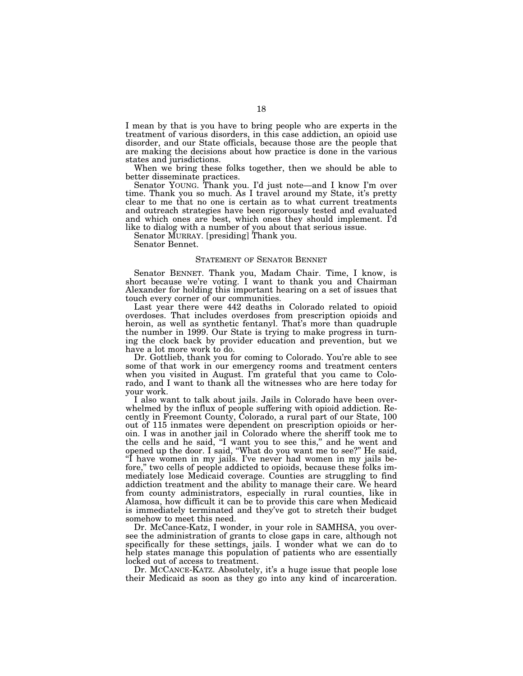I mean by that is you have to bring people who are experts in the treatment of various disorders, in this case addiction, an opioid use disorder, and our State officials, because those are the people that are making the decisions about how practice is done in the various states and jurisdictions.

When we bring these folks together, then we should be able to better disseminate practices.

Senator YOUNG. Thank you. I'd just note—and I know I'm over time. Thank you so much. As I travel around my State, it's pretty clear to me that no one is certain as to what current treatments and outreach strategies have been rigorously tested and evaluated and which ones are best, which ones they should implement. I'd like to dialog with a number of you about that serious issue.

Senator MURRAY. [presiding] Thank you.

Senator Bennet.

#### STATEMENT OF SENATOR BENNET

Senator BENNET. Thank you, Madam Chair. Time, I know, is short because we're voting. I want to thank you and Chairman Alexander for holding this important hearing on a set of issues that touch every corner of our communities.

Last year there were 442 deaths in Colorado related to opioid overdoses. That includes overdoses from prescription opioids and heroin, as well as synthetic fentanyl. That's more than quadruple the number in 1999. Our State is trying to make progress in turning the clock back by provider education and prevention, but we have a lot more work to do.

Dr. Gottlieb, thank you for coming to Colorado. You're able to see some of that work in our emergency rooms and treatment centers when you visited in August. I'm grateful that you came to Colorado, and I want to thank all the witnesses who are here today for your work.

I also want to talk about jails. Jails in Colorado have been overwhelmed by the influx of people suffering with opioid addiction. Recently in Freemont County, Colorado, a rural part of our State, 100 out of 115 inmates were dependent on prescription opioids or heroin. I was in another jail in Colorado where the sheriff took me to the cells and he said, ''I want you to see this,'' and he went and opened up the door. I said, ''What do you want me to see?'' He said, ''I have women in my jails. I've never had women in my jails before,'' two cells of people addicted to opioids, because these folks immediately lose Medicaid coverage. Counties are struggling to find addiction treatment and the ability to manage their care. We heard from county administrators, especially in rural counties, like in Alamosa, how difficult it can be to provide this care when Medicaid is immediately terminated and they've got to stretch their budget somehow to meet this need.

Dr. McCance-Katz, I wonder, in your role in SAMHSA, you oversee the administration of grants to close gaps in care, although not specifically for these settings, jails. I wonder what we can do to help states manage this population of patients who are essentially locked out of access to treatment.

Dr. MCCANCE-KATZ. Absolutely, it's a huge issue that people lose their Medicaid as soon as they go into any kind of incarceration.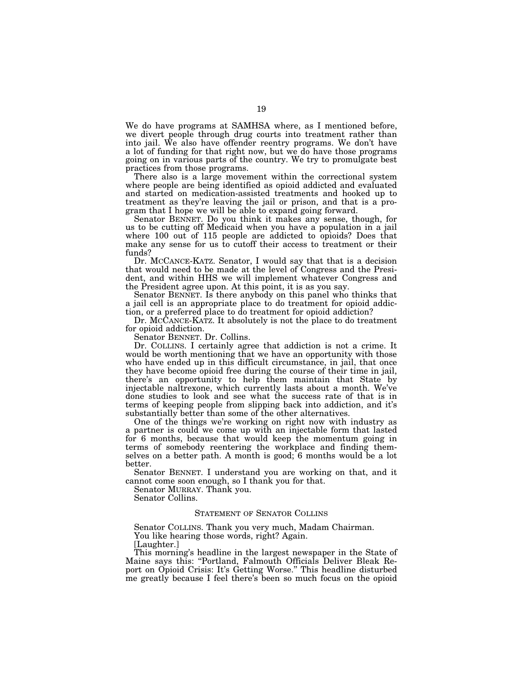We do have programs at SAMHSA where, as I mentioned before, we divert people through drug courts into treatment rather than into jail. We also have offender reentry programs. We don't have a lot of funding for that right now, but we do have those programs going on in various parts of the country. We try to promulgate best practices from those programs.

There also is a large movement within the correctional system where people are being identified as opioid addicted and evaluated and started on medication-assisted treatments and hooked up to treatment as they're leaving the jail or prison, and that is a program that I hope we will be able to expand going forward.

Senator BENNET. Do you think it makes any sense, though, for us to be cutting off Medicaid when you have a population in a jail where 100 out of 115 people are addicted to opioids? Does that make any sense for us to cutoff their access to treatment or their funds?

Dr. MCCANCE-KATZ. Senator, I would say that that is a decision that would need to be made at the level of Congress and the President, and within HHS we will implement whatever Congress and the President agree upon. At this point, it is as you say.

Senator BENNET. Is there anybody on this panel who thinks that a jail cell is an appropriate place to do treatment for opioid addiction, or a preferred place to do treatment for opioid addiction?

Dr. MCCANCE-KATZ. It absolutely is not the place to do treatment for opioid addiction.

Senator BENNET. Dr. Collins.

Dr. COLLINS. I certainly agree that addiction is not a crime. It would be worth mentioning that we have an opportunity with those who have ended up in this difficult circumstance, in jail, that once they have become opioid free during the course of their time in jail, there's an opportunity to help them maintain that State by injectable naltrexone, which currently lasts about a month. We've done studies to look and see what the success rate of that is in terms of keeping people from slipping back into addiction, and it's substantially better than some of the other alternatives.

One of the things we're working on right now with industry as a partner is could we come up with an injectable form that lasted for 6 months, because that would keep the momentum going in terms of somebody reentering the workplace and finding themselves on a better path. A month is good; 6 months would be a lot better.

Senator BENNET. I understand you are working on that, and it cannot come soon enough, so I thank you for that.

Senator MURRAY. Thank you.

Senator Collins.

#### STATEMENT OF SENATOR COLLINS

Senator COLLINS. Thank you very much, Madam Chairman. You like hearing those words, right? Again.

[Laughter.]

This morning's headline in the largest newspaper in the State of Maine says this: ''Portland, Falmouth Officials Deliver Bleak Report on Opioid Crisis: It's Getting Worse.'' This headline disturbed me greatly because I feel there's been so much focus on the opioid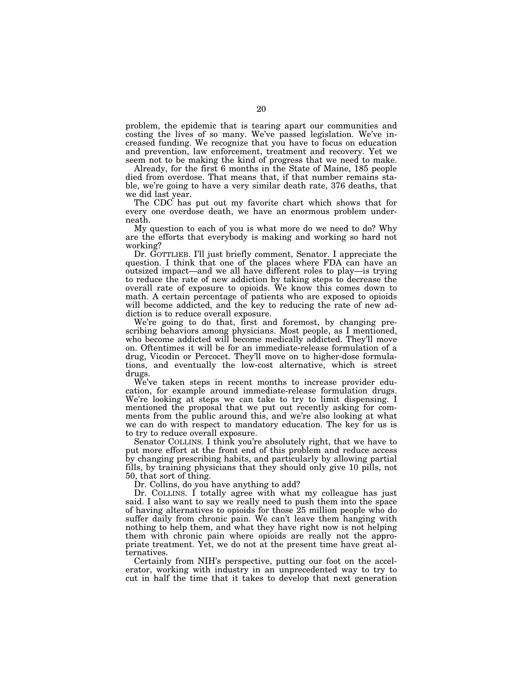problem, the epidemic that is tearing apart our communities and costing the lives of so many. We've passed legislation. We've increased funding. We recognize that you have to focus on education and prevention, law enforcement, treatment and recovery. Yet we seem not to be making the kind of progress that we need to make.

Already, for the first 6 months in the State of Maine, 185 people died from overdose. That means that, if that number remains stable, we're going to have a very similar death rate, 376 deaths, that we did last year.

The CDC has put out my favorite chart which shows that for every one overdose death, we have an enormous problem underneath.

My question to each of you is what more do we need to do? Why are the efforts that everybody is making and working so hard not working?

Dr. GOTTLIEB. I'll just briefly comment, Senator. I appreciate the question. I think that one of the places where FDA can have an outsized impact—and we all have different roles to play—is trying to reduce the rate of new addiction by taking steps to decrease the overall rate of exposure to opioids. We know this comes down to math. A certain percentage of patients who are exposed to opioids will become addicted, and the key to reducing the rate of new addiction is to reduce overall exposure.

We're going to do that, first and foremost, by changing prescribing behaviors among physicians. Most people, as I mentioned, who become addicted will become medically addicted. They'll move on. Oftentimes it will be for an immediate-release formulation of a drug, Vicodin or Percocet. They'll move on to higher-dose formulations, and eventually the low-cost alternative, which is street drugs.

We've taken steps in recent months to increase provider education, for example around immediate-release formulation drugs. We're looking at steps we can take to try to limit dispensing. I mentioned the proposal that we put out recently asking for comments from the public around this, and we're also looking at what we can do with respect to mandatory education. The key for us is to try to reduce overall exposure.

Senator COLLINS. I think you're absolutely right, that we have to put more effort at the front end of this problem and reduce access by changing prescribing habits, and particularly by allowing partial fills, by training physicians that they should only give 10 pills, not 50, that sort of thing.

Dr. Collins, do you have anything to add?

Dr. COLLINS. I totally agree with what my colleague has just said. I also want to say we really need to push them into the space of having alternatives to opioids for those 25 million people who do suffer daily from chronic pain. We can't leave them hanging with nothing to help them, and what they have right now is not helping them with chronic pain where opioids are really not the appropriate treatment. Yet, we do not at the present time have great alternatives.

Certainly from NIH's perspective, putting our foot on the accelerator, working with industry in an unprecedented way to try to cut in half the time that it takes to develop that next generation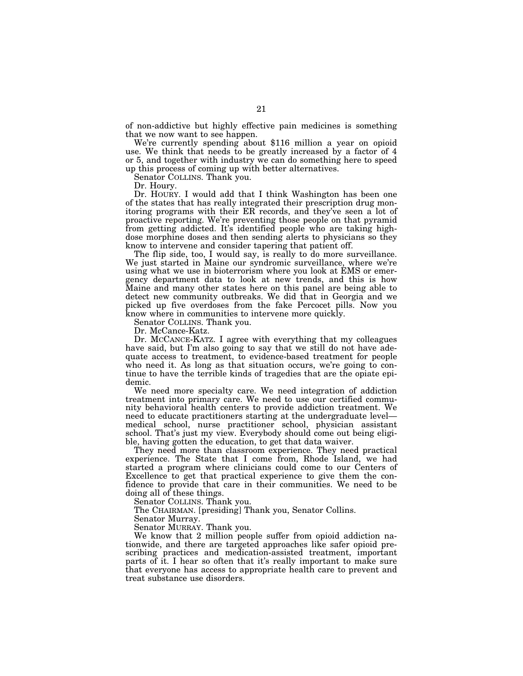of non-addictive but highly effective pain medicines is something

We're currently spending about \$116 million a year on opioid use. We think that needs to be greatly increased by a factor of 4 or 5, and together with industry we can do something here to speed up this process of coming up with better alternatives.

Senator COLLINS. Thank you.

Dr. Houry.

Dr. HOURY. I would add that I think Washington has been one of the states that has really integrated their prescription drug monitoring programs with their ER records, and they've seen a lot of proactive reporting. We're preventing those people on that pyramid from getting addicted. It's identified people who are taking highdose morphine doses and then sending alerts to physicians so they know to intervene and consider tapering that patient off.

The flip side, too, I would say, is really to do more surveillance. We just started in Maine our syndromic surveillance, where we're using what we use in bioterrorism where you look at EMS or emergency department data to look at new trends, and this is how Maine and many other states here on this panel are being able to detect new community outbreaks. We did that in Georgia and we picked up five overdoses from the fake Percocet pills. Now you know where in communities to intervene more quickly.

Senator COLLINS. Thank you.

Dr. McCance-Katz.

Dr. MCCANCE-KATZ. I agree with everything that my colleagues have said, but I'm also going to say that we still do not have adequate access to treatment, to evidence-based treatment for people who need it. As long as that situation occurs, we're going to continue to have the terrible kinds of tragedies that are the opiate epidemic.

We need more specialty care. We need integration of addiction treatment into primary care. We need to use our certified community behavioral health centers to provide addiction treatment. We need to educate practitioners starting at the undergraduate level medical school, nurse practitioner school, physician assistant school. That's just my view. Everybody should come out being eligible, having gotten the education, to get that data waiver.

They need more than classroom experience. They need practical experience. The State that I come from, Rhode Island, we had started a program where clinicians could come to our Centers of Excellence to get that practical experience to give them the confidence to provide that care in their communities. We need to be doing all of these things.

Senator COLLINS. Thank you.

The CHAIRMAN. [presiding] Thank you, Senator Collins.

Senator Murray.

Senator MURRAY. Thank you.

We know that 2 million people suffer from opioid addiction nationwide, and there are targeted approaches like safer opioid prescribing practices and medication-assisted treatment, important parts of it. I hear so often that it's really important to make sure that everyone has access to appropriate health care to prevent and treat substance use disorders.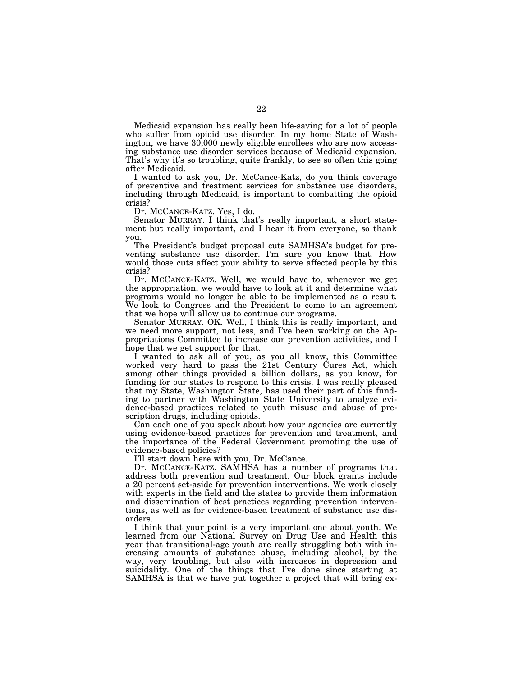Medicaid expansion has really been life-saving for a lot of people who suffer from opioid use disorder. In my home State of Washington, we have 30,000 newly eligible enrollees who are now accessing substance use disorder services because of Medicaid expansion. That's why it's so troubling, quite frankly, to see so often this going after Medicaid.

I wanted to ask you, Dr. McCance-Katz, do you think coverage of preventive and treatment services for substance use disorders, including through Medicaid, is important to combatting the opioid crisis?

Dr. MCCANCE-KATZ. Yes, I do.

Senator MURRAY. I think that's really important, a short statement but really important, and I hear it from everyone, so thank you.

The President's budget proposal cuts SAMHSA's budget for preventing substance use disorder. I'm sure you know that. How would those cuts affect your ability to serve affected people by this crisis?

Dr. MCCANCE-KATZ. Well, we would have to, whenever we get the appropriation, we would have to look at it and determine what programs would no longer be able to be implemented as a result. We look to Congress and the President to come to an agreement that we hope will allow us to continue our programs.

Senator MURRAY. OK. Well, I think this is really important, and we need more support, not less, and I've been working on the Appropriations Committee to increase our prevention activities, and I hope that we get support for that.

I wanted to ask all of you, as you all know, this Committee worked very hard to pass the 21st Century Cures Act, which among other things provided a billion dollars, as you know, for funding for our states to respond to this crisis. I was really pleased that my State, Washington State, has used their part of this funding to partner with Washington State University to analyze evidence-based practices related to youth misuse and abuse of prescription drugs, including opioids.

Can each one of you speak about how your agencies are currently using evidence-based practices for prevention and treatment, and the importance of the Federal Government promoting the use of evidence-based policies?

I'll start down here with you, Dr. McCance.

Dr. MCCANCE-KATZ. SAMHSA has a number of programs that address both prevention and treatment. Our block grants include a 20 percent set-aside for prevention interventions. We work closely with experts in the field and the states to provide them information and dissemination of best practices regarding prevention interventions, as well as for evidence-based treatment of substance use disorders.

I think that your point is a very important one about youth. We learned from our National Survey on Drug Use and Health this year that transitional-age youth are really struggling both with increasing amounts of substance abuse, including alcohol, by the way, very troubling, but also with increases in depression and suicidality. One of the things that I've done since starting at SAMHSA is that we have put together a project that will bring ex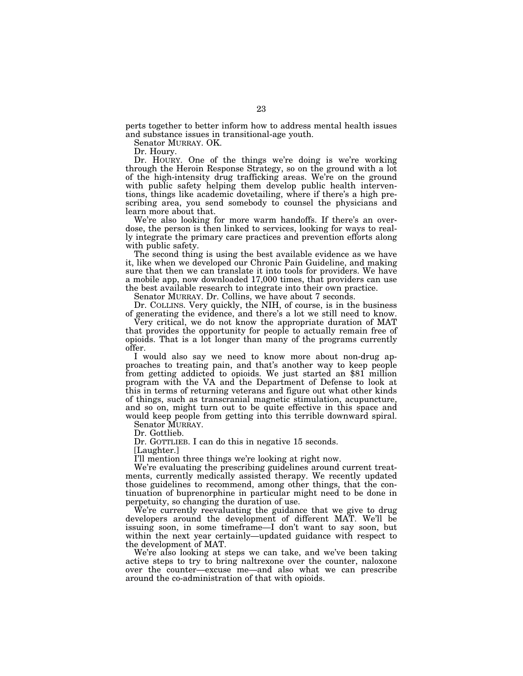perts together to better inform how to address mental health issues and substance issues in transitional-age youth.

Senator MURRAY. OK.

Dr. Houry.

Dr. HOURY. One of the things we're doing is we're working through the Heroin Response Strategy, so on the ground with a lot of the high-intensity drug trafficking areas. We're on the ground with public safety helping them develop public health interventions, things like academic dovetailing, where if there's a high prescribing area, you send somebody to counsel the physicians and learn more about that.

We're also looking for more warm handoffs. If there's an overdose, the person is then linked to services, looking for ways to really integrate the primary care practices and prevention efforts along with public safety.

The second thing is using the best available evidence as we have it, like when we developed our Chronic Pain Guideline, and making sure that then we can translate it into tools for providers. We have a mobile app, now downloaded 17,000 times, that providers can use the best available research to integrate into their own practice.

Senator MURRAY. Dr. Collins, we have about 7 seconds.

Dr. COLLINS. Very quickly, the NIH, of course, is in the business of generating the evidence, and there's a lot we still need to know.

Very critical, we do not know the appropriate duration of MAT that provides the opportunity for people to actually remain free of opioids. That is a lot longer than many of the programs currently offer.

I would also say we need to know more about non-drug approaches to treating pain, and that's another way to keep people from getting addicted to opioids. We just started an \$81 million program with the VA and the Department of Defense to look at this in terms of returning veterans and figure out what other kinds of things, such as transcranial magnetic stimulation, acupuncture, and so on, might turn out to be quite effective in this space and would keep people from getting into this terrible downward spiral.

Senator MURRAY. Dr. Gottlieb.

Dr. GOTTLIEB. I can do this in negative 15 seconds.

[Laughter.]

I'll mention three things we're looking at right now.

We're evaluating the prescribing guidelines around current treatments, currently medically assisted therapy. We recently updated those guidelines to recommend, among other things, that the continuation of buprenorphine in particular might need to be done in perpetuity, so changing the duration of use.

We're currently reevaluating the guidance that we give to drug developers around the development of different MAT. We'll be issuing soon, in some timeframe—I don't want to say soon, but within the next year certainly—updated guidance with respect to the development of MAT.

We're also looking at steps we can take, and we've been taking active steps to try to bring naltrexone over the counter, naloxone over the counter—excuse me—and also what we can prescribe around the co-administration of that with opioids.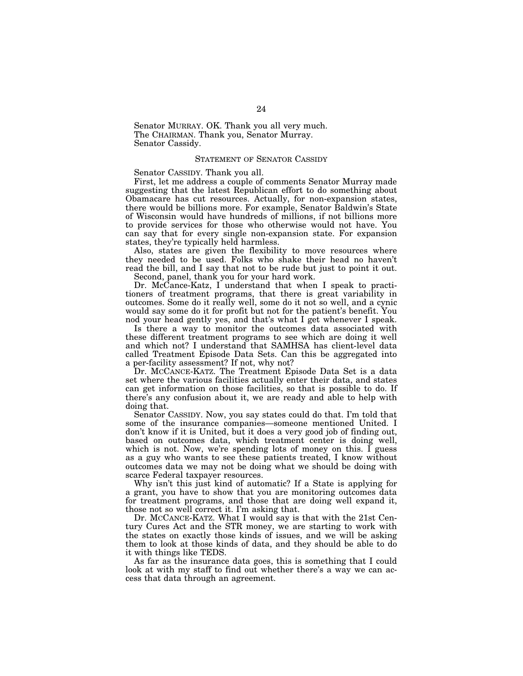Senator MURRAY. OK. Thank you all very much. The CHAIRMAN. Thank you, Senator Murray. Senator Cassidy.

#### STATEMENT OF SENATOR CASSIDY

Senator CASSIDY. Thank you all.

First, let me address a couple of comments Senator Murray made suggesting that the latest Republican effort to do something about Obamacare has cut resources. Actually, for non-expansion states, there would be billions more. For example, Senator Baldwin's State of Wisconsin would have hundreds of millions, if not billions more to provide services for those who otherwise would not have. You can say that for every single non-expansion state. For expansion states, they're typically held harmless.

Also, states are given the flexibility to move resources where they needed to be used. Folks who shake their head no haven't read the bill, and I say that not to be rude but just to point it out. Second, panel, thank you for your hard work.

Dr. McCance-Katz, I understand that when I speak to practi-

tioners of treatment programs, that there is great variability in outcomes. Some do it really well, some do it not so well, and a cynic would say some do it for profit but not for the patient's benefit. You nod your head gently yes, and that's what I get whenever I speak.

Is there a way to monitor the outcomes data associated with these different treatment programs to see which are doing it well and which not? I understand that SAMHSA has client-level data called Treatment Episode Data Sets. Can this be aggregated into a per-facility assessment? If not, why not?

Dr. MCCANCE-KATZ. The Treatment Episode Data Set is a data set where the various facilities actually enter their data, and states can get information on those facilities, so that is possible to do. If there's any confusion about it, we are ready and able to help with doing that.

Senator CASSIDY. Now, you say states could do that. I'm told that some of the insurance companies—someone mentioned United. I don't know if it is United, but it does a very good job of finding out, based on outcomes data, which treatment center is doing well, which is not. Now, we're spending lots of money on this. I guess as a guy who wants to see these patients treated, I know without outcomes data we may not be doing what we should be doing with scarce Federal taxpayer resources.

Why isn't this just kind of automatic? If a State is applying for a grant, you have to show that you are monitoring outcomes data for treatment programs, and those that are doing well expand it, those not so well correct it. I'm asking that.

Dr. MCCANCE-KATZ. What I would say is that with the 21st Century Cures Act and the STR money, we are starting to work with the states on exactly those kinds of issues, and we will be asking them to look at those kinds of data, and they should be able to do it with things like TEDS.

As far as the insurance data goes, this is something that I could look at with my staff to find out whether there's a way we can access that data through an agreement.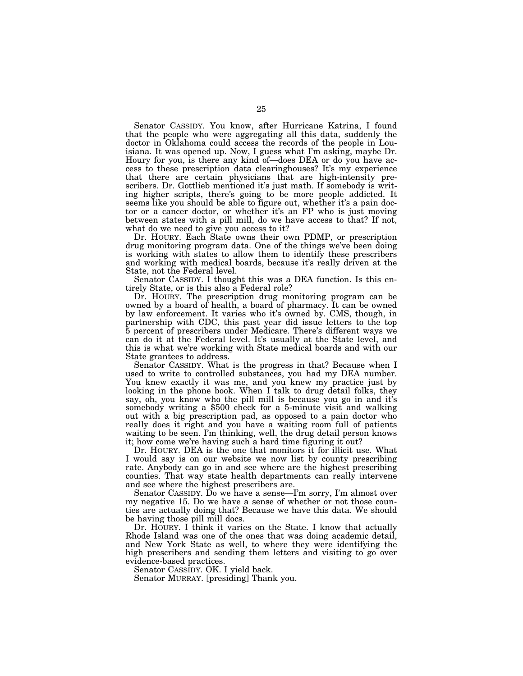Senator CASSIDY. You know, after Hurricane Katrina, I found that the people who were aggregating all this data, suddenly the doctor in Oklahoma could access the records of the people in Louisiana. It was opened up. Now, I guess what I'm asking, maybe Dr. Houry for you, is there any kind of—does DEA or do you have access to these prescription data clearinghouses? It's my experience that there are certain physicians that are high-intensity prescribers. Dr. Gottlieb mentioned it's just math. If somebody is writing higher scripts, there's going to be more people addicted. It seems like you should be able to figure out, whether it's a pain doctor or a cancer doctor, or whether it's an FP who is just moving between states with a pill mill, do we have access to that? If not, what do we need to give you access to it?

Dr. HOURY. Each State owns their own PDMP, or prescription drug monitoring program data. One of the things we've been doing is working with states to allow them to identify these prescribers and working with medical boards, because it's really driven at the State, not the Federal level.

Senator CASSIDY. I thought this was a DEA function. Is this entirely State, or is this also a Federal role?

Dr. HOURY. The prescription drug monitoring program can be owned by a board of health, a board of pharmacy. It can be owned by law enforcement. It varies who it's owned by. CMS, though, in partnership with CDC, this past year did issue letters to the top 5 percent of prescribers under Medicare. There's different ways we can do it at the Federal level. It's usually at the State level, and this is what we're working with State medical boards and with our State grantees to address.

Senator CASSIDY. What is the progress in that? Because when I used to write to controlled substances, you had my DEA number. You knew exactly it was me, and you knew my practice just by looking in the phone book. When I talk to drug detail folks, they say, oh, you know who the pill mill is because you go in and it's somebody writing a \$500 check for a 5-minute visit and walking out with a big prescription pad, as opposed to a pain doctor who really does it right and you have a waiting room full of patients waiting to be seen. I'm thinking, well, the drug detail person knows it; how come we're having such a hard time figuring it out?

Dr. HOURY. DEA is the one that monitors it for illicit use. What I would say is on our website we now list by county prescribing rate. Anybody can go in and see where are the highest prescribing counties. That way state health departments can really intervene and see where the highest prescribers are.

Senator CASSIDY. Do we have a sense—I'm sorry, I'm almost over my negative 15. Do we have a sense of whether or not those counties are actually doing that? Because we have this data. We should be having those pill mill docs.

Dr. HOURY. I think it varies on the State. I know that actually Rhode Island was one of the ones that was doing academic detail, and New York State as well, to where they were identifying the high prescribers and sending them letters and visiting to go over evidence-based practices.

Senator CASSIDY. OK. I yield back.

Senator MURRAY. [presiding] Thank you.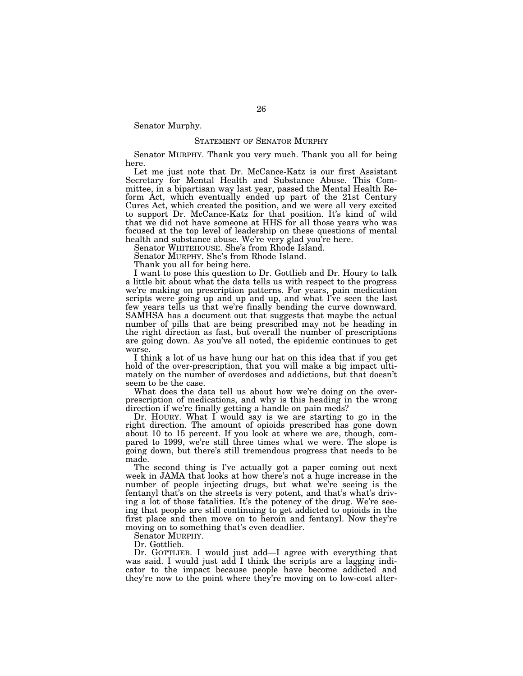Senator Murphy.

#### STATEMENT OF SENATOR MURPHY

Senator MURPHY. Thank you very much. Thank you all for being here.

Let me just note that Dr. McCance-Katz is our first Assistant Secretary for Mental Health and Substance Abuse. This Committee, in a bipartisan way last year, passed the Mental Health Reform Act, which eventually ended up part of the 21st Century Cures Act, which created the position, and we were all very excited to support Dr. McCance-Katz for that position. It's kind of wild that we did not have someone at HHS for all those years who was focused at the top level of leadership on these questions of mental health and substance abuse. We're very glad you're here.

Senator WHITEHOUSE. She's from Rhode Island.

Senator MURPHY. She's from Rhode Island.

Thank you all for being here.

I want to pose this question to Dr. Gottlieb and Dr. Houry to talk a little bit about what the data tells us with respect to the progress we're making on prescription patterns. For years, pain medication scripts were going up and up and up, and what I've seen the last few years tells us that we're finally bending the curve downward. SAMHSA has a document out that suggests that maybe the actual number of pills that are being prescribed may not be heading in the right direction as fast, but overall the number of prescriptions are going down. As you've all noted, the epidemic continues to get worse.

I think a lot of us have hung our hat on this idea that if you get hold of the over-prescription, that you will make a big impact ultimately on the number of overdoses and addictions, but that doesn't seem to be the case.

What does the data tell us about how we're doing on the overprescription of medications, and why is this heading in the wrong direction if we're finally getting a handle on pain meds?

Dr. HOURY. What I would say is we are starting to go in the right direction. The amount of opioids prescribed has gone down about 10 to 15 percent. If you look at where we are, though, compared to 1999, we're still three times what we were. The slope is going down, but there's still tremendous progress that needs to be made.

The second thing is I've actually got a paper coming out next week in JAMA that looks at how there's not a huge increase in the number of people injecting drugs, but what we're seeing is the fentanyl that's on the streets is very potent, and that's what's driving a lot of those fatalities. It's the potency of the drug. We're seeing that people are still continuing to get addicted to opioids in the first place and then move on to heroin and fentanyl. Now they're moving on to something that's even deadlier.

Senator MURPHY.

Dr. Gottlieb.

Dr. GOTTLIEB. I would just add—I agree with everything that was said. I would just add I think the scripts are a lagging indicator to the impact because people have become addicted and they're now to the point where they're moving on to low-cost alter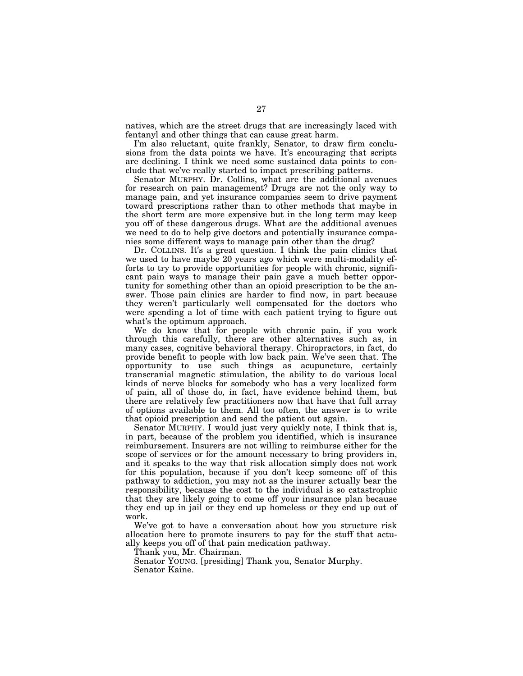natives, which are the street drugs that are increasingly laced with fentanyl and other things that can cause great harm.

I'm also reluctant, quite frankly, Senator, to draw firm conclusions from the data points we have. It's encouraging that scripts are declining. I think we need some sustained data points to conclude that we've really started to impact prescribing patterns.

Senator MURPHY. Dr. Collins, what are the additional avenues for research on pain management? Drugs are not the only way to manage pain, and yet insurance companies seem to drive payment toward prescriptions rather than to other methods that maybe in the short term are more expensive but in the long term may keep you off of these dangerous drugs. What are the additional avenues we need to do to help give doctors and potentially insurance companies some different ways to manage pain other than the drug?

Dr. COLLINS. It's a great question. I think the pain clinics that we used to have maybe 20 years ago which were multi-modality efforts to try to provide opportunities for people with chronic, significant pain ways to manage their pain gave a much better opportunity for something other than an opioid prescription to be the answer. Those pain clinics are harder to find now, in part because they weren't particularly well compensated for the doctors who were spending a lot of time with each patient trying to figure out what's the optimum approach.

We do know that for people with chronic pain, if you work through this carefully, there are other alternatives such as, in many cases, cognitive behavioral therapy. Chiropractors, in fact, do provide benefit to people with low back pain. We've seen that. The opportunity to use such things as acupuncture, certainly transcranial magnetic stimulation, the ability to do various local kinds of nerve blocks for somebody who has a very localized form of pain, all of those do, in fact, have evidence behind them, but there are relatively few practitioners now that have that full array of options available to them. All too often, the answer is to write that opioid prescription and send the patient out again.

Senator MURPHY. I would just very quickly note, I think that is, in part, because of the problem you identified, which is insurance reimbursement. Insurers are not willing to reimburse either for the scope of services or for the amount necessary to bring providers in, and it speaks to the way that risk allocation simply does not work for this population, because if you don't keep someone off of this pathway to addiction, you may not as the insurer actually bear the responsibility, because the cost to the individual is so catastrophic that they are likely going to come off your insurance plan because they end up in jail or they end up homeless or they end up out of work.

We've got to have a conversation about how you structure risk allocation here to promote insurers to pay for the stuff that actually keeps you off of that pain medication pathway.

Thank you, Mr. Chairman.

Senator YOUNG. [presiding] Thank you, Senator Murphy. Senator Kaine.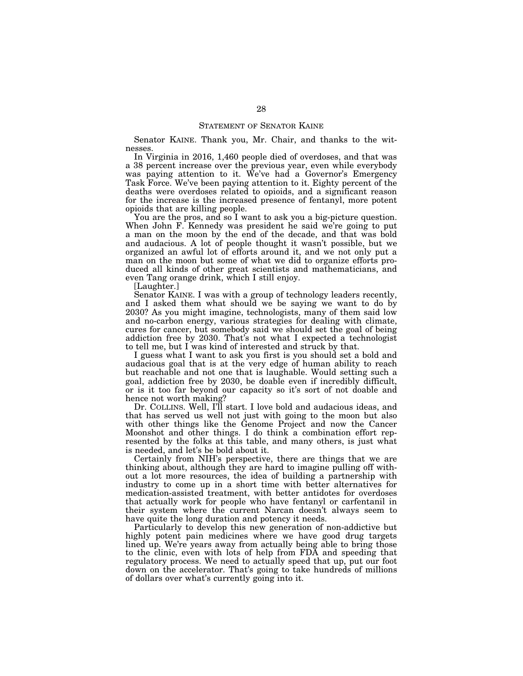Senator KAINE. Thank you, Mr. Chair, and thanks to the witnesses.

In Virginia in 2016, 1,460 people died of overdoses, and that was a 38 percent increase over the previous year, even while everybody was paying attention to it. We've had a Governor's Emergency Task Force. We've been paying attention to it. Eighty percent of the deaths were overdoses related to opioids, and a significant reason for the increase is the increased presence of fentanyl, more potent opioids that are killing people.

You are the pros, and so I want to ask you a big-picture question. When John F. Kennedy was president he said we're going to put a man on the moon by the end of the decade, and that was bold and audacious. A lot of people thought it wasn't possible, but we organized an awful lot of efforts around it, and we not only put a man on the moon but some of what we did to organize efforts produced all kinds of other great scientists and mathematicians, and even Tang orange drink, which I still enjoy.

[Laughter.]

Senator KAINE. I was with a group of technology leaders recently, and I asked them what should we be saying we want to do by 2030? As you might imagine, technologists, many of them said low and no-carbon energy, various strategies for dealing with climate, cures for cancer, but somebody said we should set the goal of being addiction free by 2030. That's not what I expected a technologist to tell me, but I was kind of interested and struck by that.

I guess what I want to ask you first is you should set a bold and audacious goal that is at the very edge of human ability to reach but reachable and not one that is laughable. Would setting such a goal, addiction free by 2030, be doable even if incredibly difficult, or is it too far beyond our capacity so it's sort of not doable and hence not worth making?

Dr. COLLINS. Well, I'll start. I love bold and audacious ideas, and that has served us well not just with going to the moon but also with other things like the Genome Project and now the Cancer Moonshot and other things. I do think a combination effort represented by the folks at this table, and many others, is just what is needed, and let's be bold about it.

Certainly from NIH's perspective, there are things that we are thinking about, although they are hard to imagine pulling off without a lot more resources, the idea of building a partnership with industry to come up in a short time with better alternatives for medication-assisted treatment, with better antidotes for overdoses that actually work for people who have fentanyl or carfentanil in their system where the current Narcan doesn't always seem to have quite the long duration and potency it needs.

Particularly to develop this new generation of non-addictive but highly potent pain medicines where we have good drug targets lined up. We're years away from actually being able to bring those to the clinic, even with lots of help from FDA and speeding that regulatory process. We need to actually speed that up, put our foot down on the accelerator. That's going to take hundreds of millions of dollars over what's currently going into it.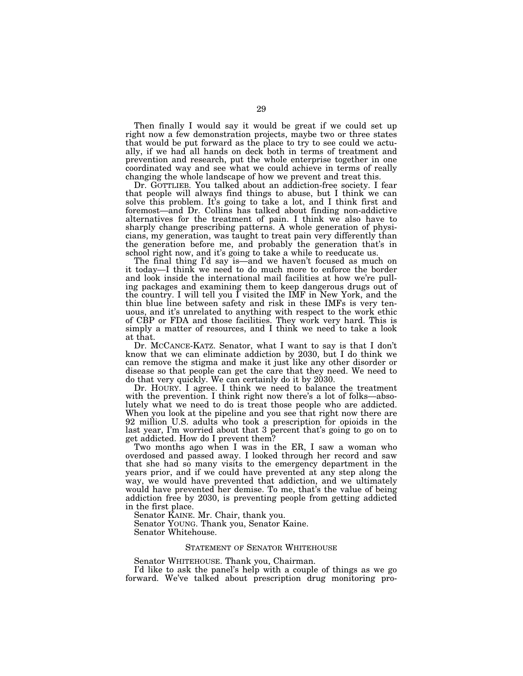Then finally I would say it would be great if we could set up right now a few demonstration projects, maybe two or three states that would be put forward as the place to try to see could we actually, if we had all hands on deck both in terms of treatment and prevention and research, put the whole enterprise together in one coordinated way and see what we could achieve in terms of really changing the whole landscape of how we prevent and treat this.

Dr. GOTTLIEB. You talked about an addiction-free society. I fear that people will always find things to abuse, but I think we can solve this problem. It's going to take a lot, and I think first and foremost—and Dr. Collins has talked about finding non-addictive alternatives for the treatment of pain. I think we also have to sharply change prescribing patterns. A whole generation of physicians, my generation, was taught to treat pain very differently than the generation before me, and probably the generation that's in school right now, and it's going to take a while to reeducate us.

The final thing I'd say is—and we haven't focused as much on it today—I think we need to do much more to enforce the border and look inside the international mail facilities at how we're pulling packages and examining them to keep dangerous drugs out of the country. I will tell you I visited the IMF in New York, and the thin blue line between safety and risk in these IMFs is very tenuous, and it's unrelated to anything with respect to the work ethic of CBP or FDA and those facilities. They work very hard. This is simply a matter of resources, and I think we need to take a look at that.

Dr. MCCANCE-KATZ. Senator, what I want to say is that I don't know that we can eliminate addiction by 2030, but I do think we can remove the stigma and make it just like any other disorder or disease so that people can get the care that they need. We need to do that very quickly. We can certainly do it by 2030.

Dr. HOURY. I agree. I think we need to balance the treatment with the prevention. I think right now there's a lot of folks—absolutely what we need to do is treat those people who are addicted. When you look at the pipeline and you see that right now there are 92 million U.S. adults who took a prescription for opioids in the last year, I'm worried about that 3 percent that's going to go on to get addicted. How do I prevent them?

Two months ago when I was in the ER, I saw a woman who overdosed and passed away. I looked through her record and saw that she had so many visits to the emergency department in the years prior, and if we could have prevented at any step along the way, we would have prevented that addiction, and we ultimately would have prevented her demise. To me, that's the value of being addiction free by 2030, is preventing people from getting addicted in the first place.

Senator KAINE. Mr. Chair, thank you.

Senator YOUNG. Thank you, Senator Kaine.

Senator Whitehouse.

#### STATEMENT OF SENATOR WHITEHOUSE

Senator WHITEHOUSE. Thank you, Chairman.

I'd like to ask the panel's help with a couple of things as we go forward. We've talked about prescription drug monitoring pro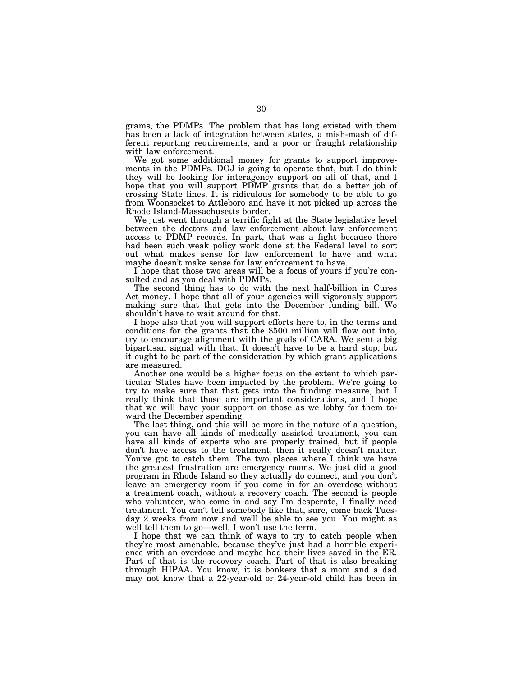grams, the PDMPs. The problem that has long existed with them has been a lack of integration between states, a mish-mash of different reporting requirements, and a poor or fraught relationship with law enforcement.

We got some additional money for grants to support improvements in the PDMPs. DOJ is going to operate that, but I do think they will be looking for interagency support on all of that, and I hope that you will support PDMP grants that do a better job of crossing State lines. It is ridiculous for somebody to be able to go from Woonsocket to Attleboro and have it not picked up across the Rhode Island-Massachusetts border.

We just went through a terrific fight at the State legislative level between the doctors and law enforcement about law enforcement access to PDMP records. In part, that was a fight because there had been such weak policy work done at the Federal level to sort out what makes sense for law enforcement to have and what maybe doesn't make sense for law enforcement to have.

I hope that those two areas will be a focus of yours if you're consulted and as you deal with PDMPs.

The second thing has to do with the next half-billion in Cures Act money. I hope that all of your agencies will vigorously support making sure that that gets into the December funding bill. We shouldn't have to wait around for that.

I hope also that you will support efforts here to, in the terms and conditions for the grants that the \$500 million will flow out into, try to encourage alignment with the goals of CARA. We sent a big bipartisan signal with that. It doesn't have to be a hard stop, but it ought to be part of the consideration by which grant applications are measured.

Another one would be a higher focus on the extent to which particular States have been impacted by the problem. We're going to try to make sure that that gets into the funding measure, but I really think that those are important considerations, and I hope that we will have your support on those as we lobby for them toward the December spending.

The last thing, and this will be more in the nature of a question, you can have all kinds of medically assisted treatment, you can have all kinds of experts who are properly trained, but if people don't have access to the treatment, then it really doesn't matter. You've got to catch them. The two places where I think we have the greatest frustration are emergency rooms. We just did a good program in Rhode Island so they actually do connect, and you don't leave an emergency room if you come in for an overdose without a treatment coach, without a recovery coach. The second is people who volunteer, who come in and say I'm desperate, I finally need treatment. You can't tell somebody like that, sure, come back Tuesday 2 weeks from now and we'll be able to see you. You might as well tell them to go—well, I won't use the term.

I hope that we can think of ways to try to catch people when they're most amenable, because they've just had a horrible experience with an overdose and maybe had their lives saved in the ER. Part of that is the recovery coach. Part of that is also breaking through HIPAA. You know, it is bonkers that a mom and a dad may not know that a 22-year-old or 24-year-old child has been in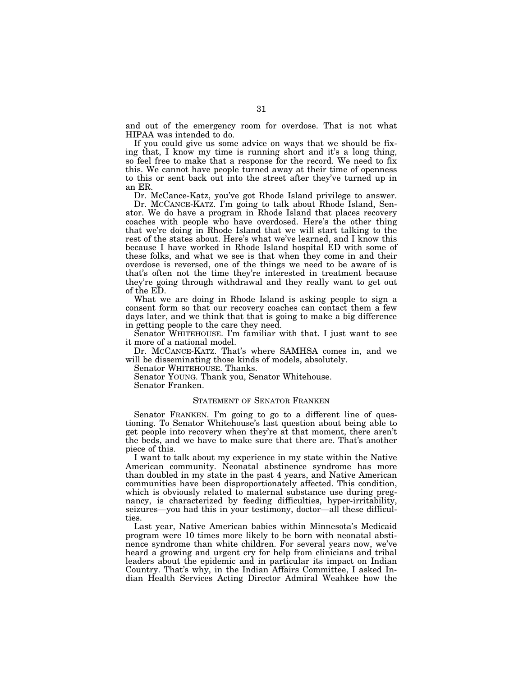and out of the emergency room for overdose. That is not what HIPAA was intended to do.

If you could give us some advice on ways that we should be fixing that, I know my time is running short and it's a long thing, so feel free to make that a response for the record. We need to fix this. We cannot have people turned away at their time of openness to this or sent back out into the street after they've turned up in an ER.

Dr. McCance-Katz, you've got Rhode Island privilege to answer.

Dr. MCCANCE-KATZ. I'm going to talk about Rhode Island, Senator. We do have a program in Rhode Island that places recovery coaches with people who have overdosed. Here's the other thing that we're doing in Rhode Island that we will start talking to the rest of the states about. Here's what we've learned, and I know this because I have worked in Rhode Island hospital ED with some of these folks, and what we see is that when they come in and their overdose is reversed, one of the things we need to be aware of is that's often not the time they're interested in treatment because they're going through withdrawal and they really want to get out of the ED.

What we are doing in Rhode Island is asking people to sign a consent form so that our recovery coaches can contact them a few days later, and we think that that is going to make a big difference in getting people to the care they need.

Senator WHITEHOUSE. I'm familiar with that. I just want to see it more of a national model.

Dr. MCCANCE-KATZ. That's where SAMHSA comes in, and we will be disseminating those kinds of models, absolutely.

Senator WHITEHOUSE. Thanks.

Senator YOUNG. Thank you, Senator Whitehouse.

Senator Franken.

#### STATEMENT OF SENATOR FRANKEN

Senator FRANKEN. I'm going to go to a different line of questioning. To Senator Whitehouse's last question about being able to get people into recovery when they're at that moment, there aren't the beds, and we have to make sure that there are. That's another piece of this.

I want to talk about my experience in my state within the Native American community. Neonatal abstinence syndrome has more than doubled in my state in the past 4 years, and Native American communities have been disproportionately affected. This condition, which is obviously related to maternal substance use during pregnancy, is characterized by feeding difficulties, hyper-irritability, seizures—you had this in your testimony, doctor—all these difficulties.

Last year, Native American babies within Minnesota's Medicaid program were 10 times more likely to be born with neonatal abstinence syndrome than white children. For several years now, we've heard a growing and urgent cry for help from clinicians and tribal leaders about the epidemic and in particular its impact on Indian Country. That's why, in the Indian Affairs Committee, I asked Indian Health Services Acting Director Admiral Weahkee how the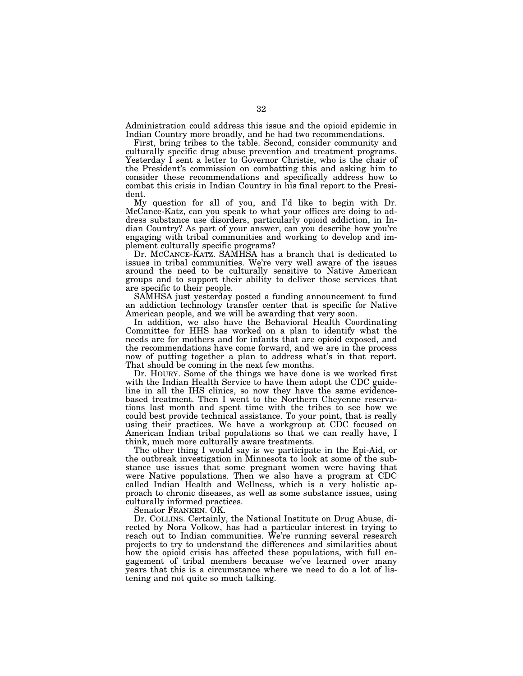Administration could address this issue and the opioid epidemic in Indian Country more broadly, and he had two recommendations.

First, bring tribes to the table. Second, consider community and culturally specific drug abuse prevention and treatment programs. Yesterday I sent a letter to Governor Christie, who is the chair of the President's commission on combatting this and asking him to consider these recommendations and specifically address how to combat this crisis in Indian Country in his final report to the President.

My question for all of you, and I'd like to begin with Dr. McCance-Katz, can you speak to what your offices are doing to address substance use disorders, particularly opioid addiction, in Indian Country? As part of your answer, can you describe how you're engaging with tribal communities and working to develop and implement culturally specific programs?

Dr. MCCANCE-KATZ. SAMHSA has a branch that is dedicated to issues in tribal communities. We're very well aware of the issues around the need to be culturally sensitive to Native American groups and to support their ability to deliver those services that are specific to their people.

SAMHSA just yesterday posted a funding announcement to fund an addiction technology transfer center that is specific for Native American people, and we will be awarding that very soon.

In addition, we also have the Behavioral Health Coordinating Committee for HHS has worked on a plan to identify what the needs are for mothers and for infants that are opioid exposed, and the recommendations have come forward, and we are in the process now of putting together a plan to address what's in that report. That should be coming in the next few months.

Dr. HOURY. Some of the things we have done is we worked first with the Indian Health Service to have them adopt the CDC guideline in all the IHS clinics, so now they have the same evidencebased treatment. Then I went to the Northern Cheyenne reservations last month and spent time with the tribes to see how we could best provide technical assistance. To your point, that is really using their practices. We have a workgroup at CDC focused on American Indian tribal populations so that we can really have, I think, much more culturally aware treatments.

The other thing I would say is we participate in the Epi-Aid, or the outbreak investigation in Minnesota to look at some of the substance use issues that some pregnant women were having that were Native populations. Then we also have a program at CDC called Indian Health and Wellness, which is a very holistic approach to chronic diseases, as well as some substance issues, using culturally informed practices.

Senator FRANKEN. OK.

Dr. COLLINS. Certainly, the National Institute on Drug Abuse, directed by Nora Volkow, has had a particular interest in trying to reach out to Indian communities. We're running several research projects to try to understand the differences and similarities about how the opioid crisis has affected these populations, with full engagement of tribal members because we've learned over many years that this is a circumstance where we need to do a lot of listening and not quite so much talking.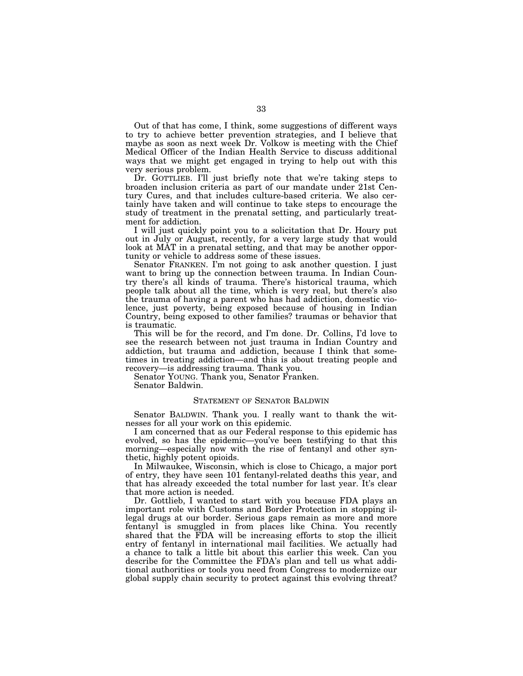Out of that has come, I think, some suggestions of different ways to try to achieve better prevention strategies, and I believe that maybe as soon as next week Dr. Volkow is meeting with the Chief Medical Officer of the Indian Health Service to discuss additional ways that we might get engaged in trying to help out with this very serious problem.

Dr. GOTTLIEB. I'll just briefly note that we're taking steps to broaden inclusion criteria as part of our mandate under 21st Century Cures, and that includes culture-based criteria. We also certainly have taken and will continue to take steps to encourage the study of treatment in the prenatal setting, and particularly treatment for addiction.

I will just quickly point you to a solicitation that Dr. Houry put out in July or August, recently, for a very large study that would look at MAT in a prenatal setting, and that may be another opportunity or vehicle to address some of these issues.

Senator FRANKEN. I'm not going to ask another question. I just want to bring up the connection between trauma. In Indian Country there's all kinds of trauma. There's historical trauma, which people talk about all the time, which is very real, but there's also the trauma of having a parent who has had addiction, domestic violence, just poverty, being exposed because of housing in Indian Country, being exposed to other families? traumas or behavior that is traumatic.

This will be for the record, and I'm done. Dr. Collins, I'd love to see the research between not just trauma in Indian Country and addiction, but trauma and addiction, because I think that sometimes in treating addiction—and this is about treating people and recovery—is addressing trauma. Thank you.

Senator YOUNG. Thank you, Senator Franken.

Senator Baldwin.

# STATEMENT OF SENATOR BALDWIN

Senator BALDWIN. Thank you. I really want to thank the witnesses for all your work on this epidemic.

I am concerned that as our Federal response to this epidemic has evolved, so has the epidemic—you've been testifying to that this morning—especially now with the rise of fentanyl and other synthetic, highly potent opioids.

In Milwaukee, Wisconsin, which is close to Chicago, a major port of entry, they have seen 101 fentanyl-related deaths this year, and that has already exceeded the total number for last year. It's clear that more action is needed.

Dr. Gottlieb, I wanted to start with you because FDA plays an important role with Customs and Border Protection in stopping illegal drugs at our border. Serious gaps remain as more and more fentanyl is smuggled in from places like China. You recently shared that the FDA will be increasing efforts to stop the illicit entry of fentanyl in international mail facilities. We actually had a chance to talk a little bit about this earlier this week. Can you describe for the Committee the FDA's plan and tell us what additional authorities or tools you need from Congress to modernize our global supply chain security to protect against this evolving threat?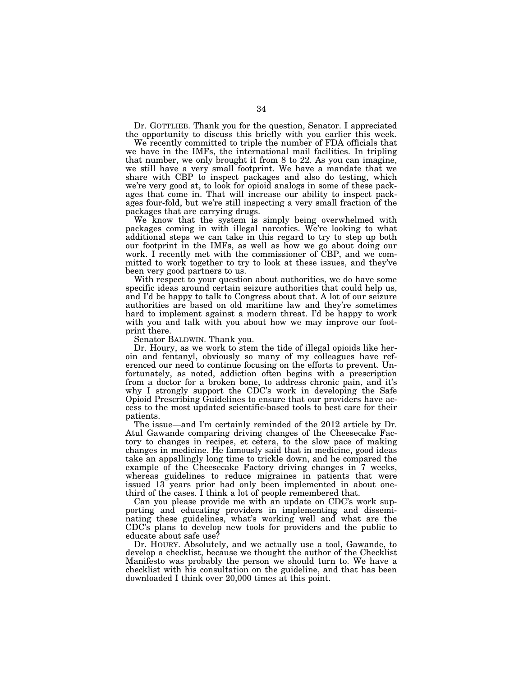Dr. GOTTLIEB. Thank you for the question, Senator. I appreciated the opportunity to discuss this briefly with you earlier this week.

We recently committed to triple the number of FDA officials that we have in the IMFs, the international mail facilities. In tripling that number, we only brought it from 8 to 22. As you can imagine, we still have a very small footprint. We have a mandate that we share with CBP to inspect packages and also do testing, which we're very good at, to look for opioid analogs in some of these packages that come in. That will increase our ability to inspect packages four-fold, but we're still inspecting a very small fraction of the packages that are carrying drugs.

We know that the system is simply being overwhelmed with packages coming in with illegal narcotics. We're looking to what additional steps we can take in this regard to try to step up both our footprint in the IMFs, as well as how we go about doing our work. I recently met with the commissioner of CBP, and we committed to work together to try to look at these issues, and they've been very good partners to us.

With respect to your question about authorities, we do have some specific ideas around certain seizure authorities that could help us, and I'd be happy to talk to Congress about that. A lot of our seizure authorities are based on old maritime law and they're sometimes hard to implement against a modern threat. I'd be happy to work with you and talk with you about how we may improve our footprint there.

Senator BALDWIN. Thank you.

Dr. Houry, as we work to stem the tide of illegal opioids like heroin and fentanyl, obviously so many of my colleagues have referenced our need to continue focusing on the efforts to prevent. Unfortunately, as noted, addiction often begins with a prescription from a doctor for a broken bone, to address chronic pain, and it's why I strongly support the CDC's work in developing the Safe Opioid Prescribing Guidelines to ensure that our providers have access to the most updated scientific-based tools to best care for their patients.

The issue—and I'm certainly reminded of the 2012 article by Dr. Atul Gawande comparing driving changes of the Cheesecake Factory to changes in recipes, et cetera, to the slow pace of making changes in medicine. He famously said that in medicine, good ideas take an appallingly long time to trickle down, and he compared the example of the Cheesecake Factory driving changes in 7 weeks, whereas guidelines to reduce migraines in patients that were issued 13 years prior had only been implemented in about onethird of the cases. I think a lot of people remembered that.

Can you please provide me with an update on CDC's work supporting and educating providers in implementing and disseminating these guidelines, what's working well and what are the CDC's plans to develop new tools for providers and the public to educate about safe use?

Dr. HOURY. Absolutely, and we actually use a tool, Gawande, to develop a checklist, because we thought the author of the Checklist Manifesto was probably the person we should turn to. We have a checklist with his consultation on the guideline, and that has been downloaded I think over 20,000 times at this point.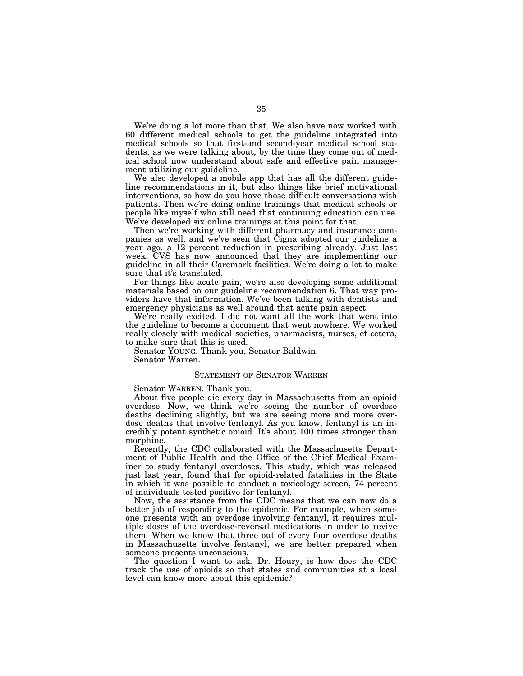We're doing a lot more than that. We also have now worked with 60 different medical schools to get the guideline integrated into medical schools so that first-and second-year medical school students, as we were talking about, by the time they come out of medical school now understand about safe and effective pain management utilizing our guideline.

We also developed a mobile app that has all the different guideline recommendations in it, but also things like brief motivational interventions, so how do you have those difficult conversations with patients. Then we're doing online trainings that medical schools or people like myself who still need that continuing education can use. We've developed six online trainings at this point for that.

Then we're working with different pharmacy and insurance companies as well, and we've seen that Cigna adopted our guideline a year ago, a 12 percent reduction in prescribing already. Just last week, CVS has now announced that they are implementing our guideline in all their Caremark facilities. We're doing a lot to make sure that it's translated.

For things like acute pain, we're also developing some additional materials based on our guideline recommendation 6. That way providers have that information. We've been talking with dentists and emergency physicians as well around that acute pain aspect.

We're really excited. I did not want all the work that went into the guideline to become a document that went nowhere. We worked really closely with medical societies, pharmacists, nurses, et cetera, to make sure that this is used.

Senator YOUNG. Thank you, Senator Baldwin. Senator Warren.

# STATEMENT OF SENATOR WARREN

Senator WARREN. Thank you.

About five people die every day in Massachusetts from an opioid overdose. Now, we think we're seeing the number of overdose deaths declining slightly, but we are seeing more and more overdose deaths that involve fentanyl. As you know, fentanyl is an incredibly potent synthetic opioid. It's about 100 times stronger than morphine.

Recently, the CDC collaborated with the Massachusetts Department of Public Health and the Office of the Chief Medical Examiner to study fentanyl overdoses. This study, which was released just last year, found that for opioid-related fatalities in the State in which it was possible to conduct a toxicology screen, 74 percent of individuals tested positive for fentanyl.

Now, the assistance from the CDC means that we can now do a better job of responding to the epidemic. For example, when someone presents with an overdose involving fentanyl, it requires multiple doses of the overdose-reversal medications in order to revive them. When we know that three out of every four overdose deaths in Massachusetts involve fentanyl, we are better prepared when someone presents unconscious.

The question I want to ask, Dr. Houry, is how does the CDC track the use of opioids so that states and communities at a local level can know more about this epidemic?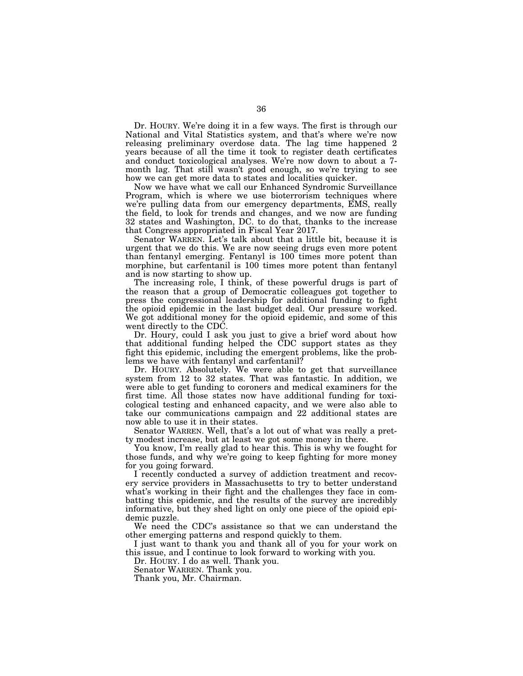Dr. HOURY. We're doing it in a few ways. The first is through our National and Vital Statistics system, and that's where we're now releasing preliminary overdose data. The lag time happened 2 years because of all the time it took to register death certificates and conduct toxicological analyses. We're now down to about a 7 month lag. That still wasn't good enough, so we're trying to see how we can get more data to states and localities quicker.

Now we have what we call our Enhanced Syndromic Surveillance Program, which is where we use bioterrorism techniques where we're pulling data from our emergency departments, EMS, really the field, to look for trends and changes, and we now are funding 32 states and Washington, DC. to do that, thanks to the increase that Congress appropriated in Fiscal Year 2017.

Senator WARREN. Let's talk about that a little bit, because it is urgent that we do this. We are now seeing drugs even more potent than fentanyl emerging. Fentanyl is 100 times more potent than morphine, but carfentanil is 100 times more potent than fentanyl and is now starting to show up.

The increasing role, I think, of these powerful drugs is part of the reason that a group of Democratic colleagues got together to press the congressional leadership for additional funding to fight the opioid epidemic in the last budget deal. Our pressure worked. We got additional money for the opioid epidemic, and some of this went directly to the CDC.

Dr. Houry, could I ask you just to give a brief word about how that additional funding helped the CDC support states as they fight this epidemic, including the emergent problems, like the problems we have with fentanyl and carfentanil?

Dr. HOURY. Absolutely. We were able to get that surveillance system from 12 to 32 states. That was fantastic. In addition, we were able to get funding to coroners and medical examiners for the first time. All those states now have additional funding for toxicological testing and enhanced capacity, and we were also able to take our communications campaign and 22 additional states are now able to use it in their states.

Senator WARREN. Well, that's a lot out of what was really a pretty modest increase, but at least we got some money in there.

You know, I'm really glad to hear this. This is why we fought for those funds, and why we're going to keep fighting for more money for you going forward.

I recently conducted a survey of addiction treatment and recovery service providers in Massachusetts to try to better understand what's working in their fight and the challenges they face in combatting this epidemic, and the results of the survey are incredibly informative, but they shed light on only one piece of the opioid epidemic puzzle.

We need the CDC's assistance so that we can understand the other emerging patterns and respond quickly to them.

I just want to thank you and thank all of you for your work on this issue, and I continue to look forward to working with you.

Dr. HOURY. I do as well. Thank you.

Senator WARREN. Thank you.

Thank you, Mr. Chairman.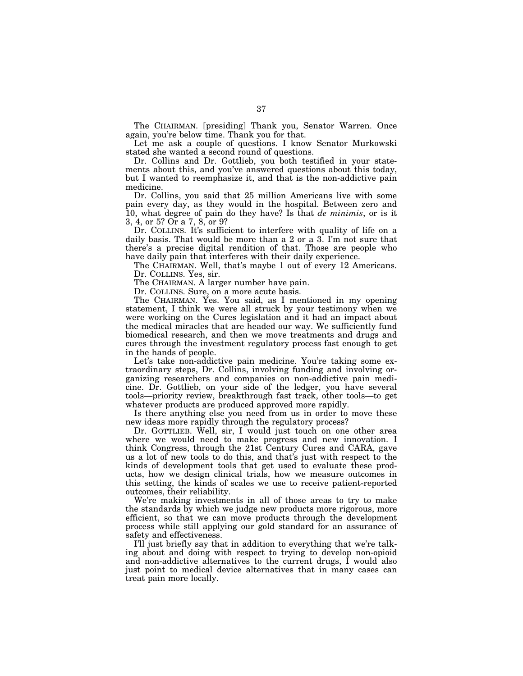The CHAIRMAN. [presiding] Thank you, Senator Warren. Once again, you're below time. Thank you for that.

Let me ask a couple of questions. I know Senator Murkowski stated she wanted a second round of questions.

Dr. Collins and Dr. Gottlieb, you both testified in your statements about this, and you've answered questions about this today, but I wanted to reemphasize it, and that is the non-addictive pain medicine.

Dr. Collins, you said that 25 million Americans live with some pain every day, as they would in the hospital. Between zero and 10, what degree of pain do they have? Is that *de minimis*, or is it 3, 4, or 5? Or a 7, 8, or 9?

Dr. COLLINS. It's sufficient to interfere with quality of life on a daily basis. That would be more than a 2 or a 3. I'm not sure that there's a precise digital rendition of that. Those are people who have daily pain that interferes with their daily experience.

The CHAIRMAN. Well, that's maybe 1 out of every 12 Americans. Dr. COLLINS. Yes, sir.

The CHAIRMAN. A larger number have pain.

Dr. COLLINS. Sure, on a more acute basis.

The CHAIRMAN. Yes. You said, as I mentioned in my opening statement, I think we were all struck by your testimony when we were working on the Cures legislation and it had an impact about the medical miracles that are headed our way. We sufficiently fund biomedical research, and then we move treatments and drugs and cures through the investment regulatory process fast enough to get in the hands of people.

Let's take non-addictive pain medicine. You're taking some extraordinary steps, Dr. Collins, involving funding and involving organizing researchers and companies on non-addictive pain medicine. Dr. Gottlieb, on your side of the ledger, you have several tools—priority review, breakthrough fast track, other tools—to get whatever products are produced approved more rapidly.

Is there anything else you need from us in order to move these new ideas more rapidly through the regulatory process?

Dr. GOTTLIEB. Well, sir, I would just touch on one other area where we would need to make progress and new innovation. I think Congress, through the 21st Century Cures and CARA, gave us a lot of new tools to do this, and that's just with respect to the kinds of development tools that get used to evaluate these products, how we design clinical trials, how we measure outcomes in this setting, the kinds of scales we use to receive patient-reported outcomes, their reliability.

We're making investments in all of those areas to try to make the standards by which we judge new products more rigorous, more efficient, so that we can move products through the development process while still applying our gold standard for an assurance of safety and effectiveness.

I'll just briefly say that in addition to everything that we're talking about and doing with respect to trying to develop non-opioid and non-addictive alternatives to the current drugs, I would also just point to medical device alternatives that in many cases can treat pain more locally.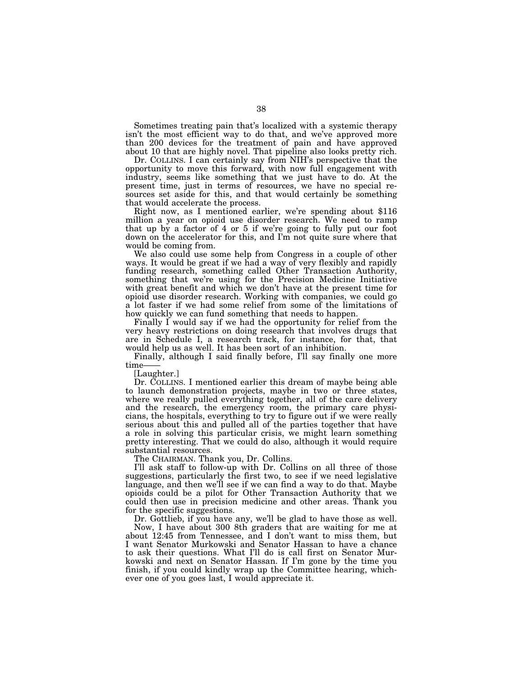Sometimes treating pain that's localized with a systemic therapy isn't the most efficient way to do that, and we've approved more than 200 devices for the treatment of pain and have approved about 10 that are highly novel. That pipeline also looks pretty rich.

Dr. COLLINS. I can certainly say from NIH's perspective that the opportunity to move this forward, with now full engagement with industry, seems like something that we just have to do. At the present time, just in terms of resources, we have no special resources set aside for this, and that would certainly be something

that would accelerate the process. Right now, as I mentioned earlier, we're spending about \$116 million a year on opioid use disorder research. We need to ramp that up by a factor of 4 or 5 if we're going to fully put our foot down on the accelerator for this, and I'm not quite sure where that would be coming from.

We also could use some help from Congress in a couple of other ways. It would be great if we had a way of very flexibly and rapidly funding research, something called Other Transaction Authority, something that we're using for the Precision Medicine Initiative with great benefit and which we don't have at the present time for opioid use disorder research. Working with companies, we could go a lot faster if we had some relief from some of the limitations of how quickly we can fund something that needs to happen.

Finally I would say if we had the opportunity for relief from the very heavy restrictions on doing research that involves drugs that are in Schedule I, a research track, for instance, for that, that would help us as well. It has been sort of an inhibition.

Finally, although I said finally before, I'll say finally one more time-

[Laughter.]

Dr. COLLINS. I mentioned earlier this dream of maybe being able to launch demonstration projects, maybe in two or three states, where we really pulled everything together, all of the care delivery and the research, the emergency room, the primary care physicians, the hospitals, everything to try to figure out if we were really serious about this and pulled all of the parties together that have a role in solving this particular crisis, we might learn something pretty interesting. That we could do also, although it would require substantial resources.

The CHAIRMAN. Thank you, Dr. Collins.

I'll ask staff to follow-up with Dr. Collins on all three of those suggestions, particularly the first two, to see if we need legislative language, and then we'll see if we can find a way to do that. Maybe opioids could be a pilot for Other Transaction Authority that we could then use in precision medicine and other areas. Thank you for the specific suggestions.

Dr. Gottlieb, if you have any, we'll be glad to have those as well. Now, I have about 300 8th graders that are waiting for me at about 12:45 from Tennessee, and I don't want to miss them, but I want Senator Murkowski and Senator Hassan to have a chance to ask their questions. What I'll do is call first on Senator Murkowski and next on Senator Hassan. If I'm gone by the time you finish, if you could kindly wrap up the Committee hearing, whichever one of you goes last, I would appreciate it.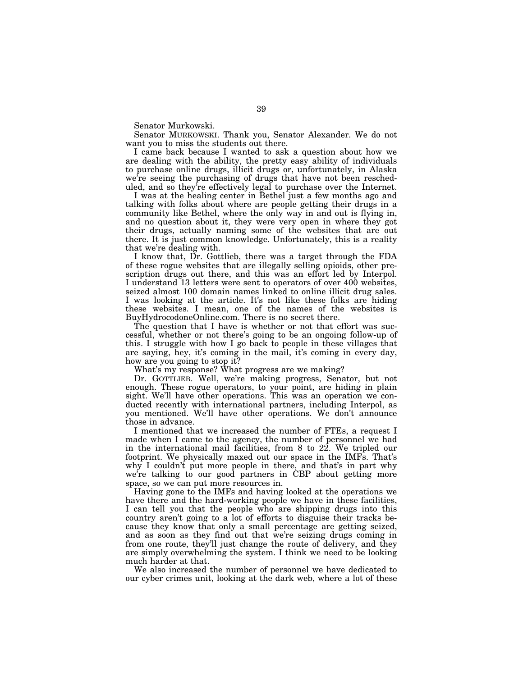Senator Murkowski.

Senator MURKOWSKI. Thank you, Senator Alexander. We do not want you to miss the students out there.

I came back because I wanted to ask a question about how we are dealing with the ability, the pretty easy ability of individuals to purchase online drugs, illicit drugs or, unfortunately, in Alaska we're seeing the purchasing of drugs that have not been rescheduled, and so they're effectively legal to purchase over the Internet.

I was at the healing center in Bethel just a few months ago and talking with folks about where are people getting their drugs in a community like Bethel, where the only way in and out is flying in, and no question about it, they were very open in where they got their drugs, actually naming some of the websites that are out there. It is just common knowledge. Unfortunately, this is a reality that we're dealing with.

I know that, Dr. Gottlieb, there was a target through the FDA of these rogue websites that are illegally selling opioids, other prescription drugs out there, and this was an effort led by Interpol. I understand 13 letters were sent to operators of over 400 websites, seized almost 100 domain names linked to online illicit drug sales. I was looking at the article. It's not like these folks are hiding these websites. I mean, one of the names of the websites is BuyHydrocodoneOnline.com. There is no secret there.

The question that I have is whether or not that effort was successful, whether or not there's going to be an ongoing follow-up of this. I struggle with how I go back to people in these villages that are saying, hey, it's coming in the mail, it's coming in every day, how are you going to stop it?

What's my response? What progress are we making?

Dr. GOTTLIEB. Well, we're making progress, Senator, but not enough. These rogue operators, to your point, are hiding in plain sight. We'll have other operations. This was an operation we conducted recently with international partners, including Interpol, as you mentioned. We'll have other operations. We don't announce those in advance.

I mentioned that we increased the number of FTEs, a request I made when I came to the agency, the number of personnel we had in the international mail facilities, from 8 to 22. We tripled our footprint. We physically maxed out our space in the IMFs. That's why I couldn't put more people in there, and that's in part why we're talking to our good partners in CBP about getting more space, so we can put more resources in.

Having gone to the IMFs and having looked at the operations we have there and the hard-working people we have in these facilities, I can tell you that the people who are shipping drugs into this country aren't going to a lot of efforts to disguise their tracks because they know that only a small percentage are getting seized, and as soon as they find out that we're seizing drugs coming in from one route, they'll just change the route of delivery, and they are simply overwhelming the system. I think we need to be looking much harder at that.

We also increased the number of personnel we have dedicated to our cyber crimes unit, looking at the dark web, where a lot of these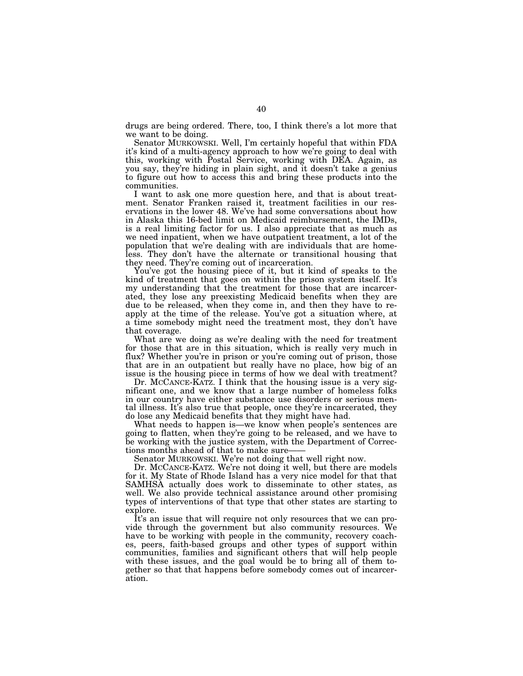drugs are being ordered. There, too, I think there's a lot more that we want to be doing.

Senator MURKOWSKI. Well, I'm certainly hopeful that within FDA it's kind of a multi-agency approach to how we're going to deal with this, working with Postal Service, working with DEA. Again, as you say, they're hiding in plain sight, and it doesn't take a genius to figure out how to access this and bring these products into the communities.

I want to ask one more question here, and that is about treatment. Senator Franken raised it, treatment facilities in our reservations in the lower 48. We've had some conversations about how in Alaska this 16-bed limit on Medicaid reimbursement, the IMDs, is a real limiting factor for us. I also appreciate that as much as we need inpatient, when we have outpatient treatment, a lot of the population that we're dealing with are individuals that are homeless. They don't have the alternate or transitional housing that they need. They're coming out of incarceration.

You've got the housing piece of it, but it kind of speaks to the kind of treatment that goes on within the prison system itself. It's my understanding that the treatment for those that are incarcerated, they lose any preexisting Medicaid benefits when they are due to be released, when they come in, and then they have to reapply at the time of the release. You've got a situation where, at a time somebody might need the treatment most, they don't have that coverage.

What are we doing as we're dealing with the need for treatment for those that are in this situation, which is really very much in flux? Whether you're in prison or you're coming out of prison, those that are in an outpatient but really have no place, how big of an issue is the housing piece in terms of how we deal with treatment?

Dr. MCCANCE-KATZ. I think that the housing issue is a very significant one, and we know that a large number of homeless folks in our country have either substance use disorders or serious mental illness. It's also true that people, once they're incarcerated, they do lose any Medicaid benefits that they might have had.

What needs to happen is—we know when people's sentences are going to flatten, when they're going to be released, and we have to be working with the justice system, with the Department of Corrections months ahead of that to make sure——

Senator MURKOWSKI. We're not doing that well right now.

Dr. MCCANCE-KATZ. We're not doing it well, but there are models for it. My State of Rhode Island has a very nice model for that that SAMHSA actually does work to disseminate to other states, as well. We also provide technical assistance around other promising types of interventions of that type that other states are starting to explore.

It's an issue that will require not only resources that we can provide through the government but also community resources. We have to be working with people in the community, recovery coaches, peers, faith-based groups and other types of support within communities, families and significant others that will help people with these issues, and the goal would be to bring all of them together so that that happens before somebody comes out of incarceration.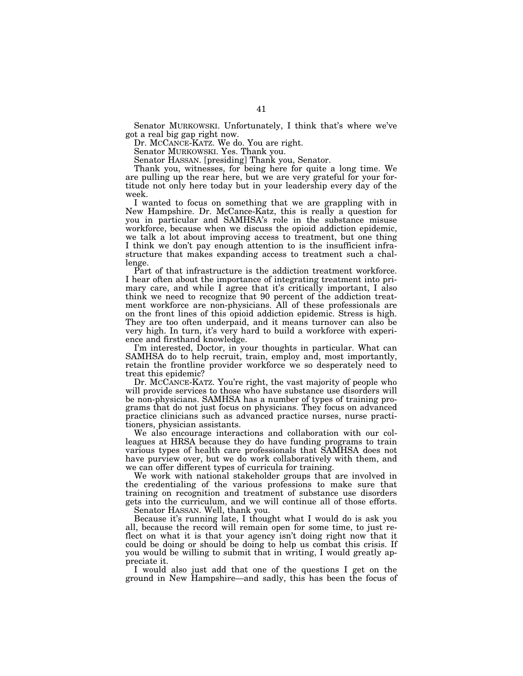Senator MURKOWSKI. Unfortunately, I think that's where we've got a real big gap right now.

Dr. MCCANCE-KATZ. We do. You are right.

Senator MURKOWSKI. Yes. Thank you.

Senator HASSAN. [presiding] Thank you, Senator.

Thank you, witnesses, for being here for quite a long time. We are pulling up the rear here, but we are very grateful for your fortitude not only here today but in your leadership every day of the week.

I wanted to focus on something that we are grappling with in New Hampshire. Dr. McCance-Katz, this is really a question for you in particular and SAMHSA's role in the substance misuse workforce, because when we discuss the opioid addiction epidemic, we talk a lot about improving access to treatment, but one thing I think we don't pay enough attention to is the insufficient infrastructure that makes expanding access to treatment such a challenge.

Part of that infrastructure is the addiction treatment workforce. I hear often about the importance of integrating treatment into primary care, and while I agree that it's critically important, I also think we need to recognize that 90 percent of the addiction treatment workforce are non-physicians. All of these professionals are on the front lines of this opioid addiction epidemic. Stress is high. They are too often underpaid, and it means turnover can also be very high. In turn, it's very hard to build a workforce with experience and firsthand knowledge.

I'm interested, Doctor, in your thoughts in particular. What can SAMHSA do to help recruit, train, employ and, most importantly, retain the frontline provider workforce we so desperately need to treat this epidemic?

Dr. MCCANCE-KATZ. You're right, the vast majority of people who will provide services to those who have substance use disorders will be non-physicians. SAMHSA has a number of types of training programs that do not just focus on physicians. They focus on advanced practice clinicians such as advanced practice nurses, nurse practitioners, physician assistants.

We also encourage interactions and collaboration with our colleagues at HRSA because they do have funding programs to train various types of health care professionals that SAMHSA does not have purview over, but we do work collaboratively with them, and we can offer different types of curricula for training.

We work with national stakeholder groups that are involved in the credentialing of the various professions to make sure that training on recognition and treatment of substance use disorders gets into the curriculum, and we will continue all of those efforts.

Senator HASSAN. Well, thank you.

Because it's running late, I thought what I would do is ask you all, because the record will remain open for some time, to just reflect on what it is that your agency isn't doing right now that it could be doing or should be doing to help us combat this crisis. If you would be willing to submit that in writing, I would greatly appreciate it.

I would also just add that one of the questions I get on the ground in New Hampshire—and sadly, this has been the focus of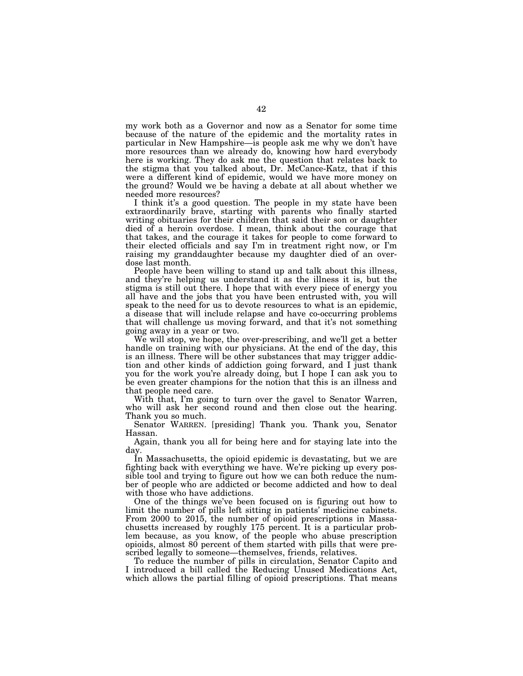my work both as a Governor and now as a Senator for some time because of the nature of the epidemic and the mortality rates in particular in New Hampshire—is people ask me why we don't have more resources than we already do, knowing how hard everybody here is working. They do ask me the question that relates back to the stigma that you talked about, Dr. McCance-Katz, that if this were a different kind of epidemic, would we have more money on the ground? Would we be having a debate at all about whether we needed more resources?

I think it's a good question. The people in my state have been extraordinarily brave, starting with parents who finally started writing obituaries for their children that said their son or daughter died of a heroin overdose. I mean, think about the courage that that takes, and the courage it takes for people to come forward to their elected officials and say I'm in treatment right now, or I'm raising my granddaughter because my daughter died of an overdose last month.

People have been willing to stand up and talk about this illness, and they're helping us understand it as the illness it is, but the stigma is still out there. I hope that with every piece of energy you all have and the jobs that you have been entrusted with, you will speak to the need for us to devote resources to what is an epidemic, a disease that will include relapse and have co-occurring problems that will challenge us moving forward, and that it's not something going away in a year or two.

We will stop, we hope, the over-prescribing, and we'll get a better handle on training with our physicians. At the end of the day, this is an illness. There will be other substances that may trigger addiction and other kinds of addiction going forward, and I just thank you for the work you're already doing, but I hope I can ask you to be even greater champions for the notion that this is an illness and that people need care.

With that, I'm going to turn over the gavel to Senator Warren, who will ask her second round and then close out the hearing. Thank you so much.

Senator WARREN. [presiding] Thank you. Thank you, Senator Hassan.

Again, thank you all for being here and for staying late into the day.

In Massachusetts, the opioid epidemic is devastating, but we are fighting back with everything we have. We're picking up every possible tool and trying to figure out how we can both reduce the number of people who are addicted or become addicted and how to deal with those who have addictions.

One of the things we've been focused on is figuring out how to limit the number of pills left sitting in patients' medicine cabinets. From 2000 to 2015, the number of opioid prescriptions in Massachusetts increased by roughly 175 percent. It is a particular problem because, as you know, of the people who abuse prescription opioids, almost 80 percent of them started with pills that were prescribed legally to someone—themselves, friends, relatives.

To reduce the number of pills in circulation, Senator Capito and I introduced a bill called the Reducing Unused Medications Act, which allows the partial filling of opioid prescriptions. That means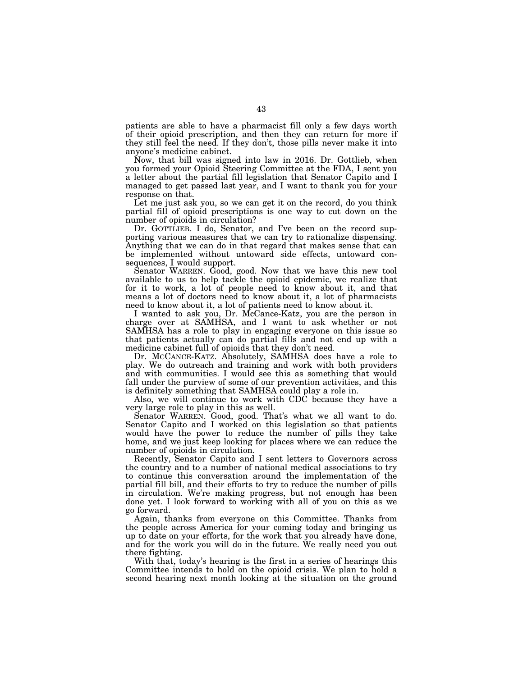patients are able to have a pharmacist fill only a few days worth of their opioid prescription, and then they can return for more if they still feel the need. If they don't, those pills never make it into anyone's medicine cabinet.

Now, that bill was signed into law in 2016. Dr. Gottlieb, when you formed your Opioid Steering Committee at the FDA, I sent you a letter about the partial fill legislation that Senator Capito and I managed to get passed last year, and I want to thank you for your response on that.

Let me just ask you, so we can get it on the record, do you think partial fill of opioid prescriptions is one way to cut down on the number of opioids in circulation?

Dr. GOTTLIEB. I do, Senator, and I've been on the record supporting various measures that we can try to rationalize dispensing. Anything that we can do in that regard that makes sense that can be implemented without untoward side effects, untoward consequences, I would support.

Senator WARREN. Good, good. Now that we have this new tool available to us to help tackle the opioid epidemic, we realize that for it to work, a lot of people need to know about it, and that means a lot of doctors need to know about it, a lot of pharmacists need to know about it, a lot of patients need to know about it.

I wanted to ask you, Dr. McCance-Katz, you are the person in charge over at SAMHSA, and I want to ask whether or not SAMHSA has a role to play in engaging everyone on this issue so that patients actually can do partial fills and not end up with a medicine cabinet full of opioids that they don't need.

Dr. MCCANCE-KATZ. Absolutely, SAMHSA does have a role to play. We do outreach and training and work with both providers and with communities. I would see this as something that would fall under the purview of some of our prevention activities, and this is definitely something that SAMHSA could play a role in.

Also, we will continue to work with CDC because they have a very large role to play in this as well.

Senator WARREN. Good, good. That's what we all want to do. Senator Capito and I worked on this legislation so that patients would have the power to reduce the number of pills they take home, and we just keep looking for places where we can reduce the number of opioids in circulation.

Recently, Senator Capito and I sent letters to Governors across the country and to a number of national medical associations to try to continue this conversation around the implementation of the partial fill bill, and their efforts to try to reduce the number of pills in circulation. We're making progress, but not enough has been done yet. I look forward to working with all of you on this as we go forward.

Again, thanks from everyone on this Committee. Thanks from the people across America for your coming today and bringing us up to date on your efforts, for the work that you already have done, and for the work you will do in the future. We really need you out there fighting.

With that, today's hearing is the first in a series of hearings this Committee intends to hold on the opioid crisis. We plan to hold a second hearing next month looking at the situation on the ground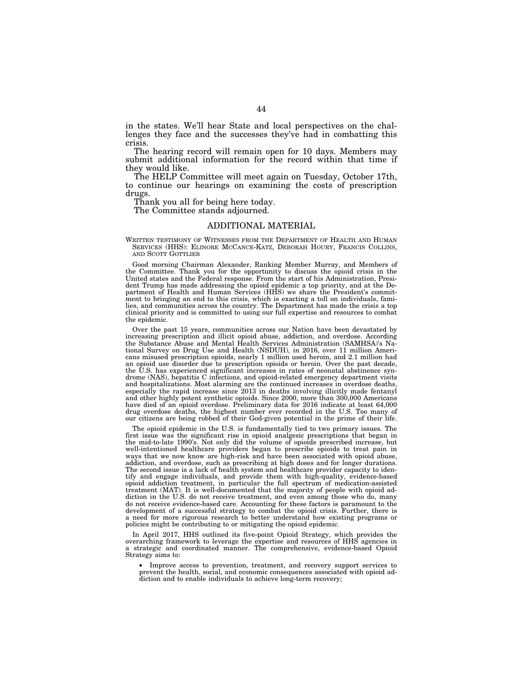in the states. We'll hear State and local perspectives on the challenges they face and the successes they've had in combatting this crisis.

The hearing record will remain open for 10 days. Members may submit additional information for the record within that time if they would like.

The HELP Committee will meet again on Tuesday, October 17th, to continue our hearings on examining the costs of prescription drugs.

Thank you all for being here today.

The Committee stands adjourned.

# ADDITIONAL MATERIAL

WRITTEN TESTIMONY OF WITNESSES FROM THE DEPARTMENT OF HEALTH AND HUMAN SERVICES (HHS): ELINORE MCCANCE-KATZ, DEBORAH HOURY, FRANCIS COLLINS, AND SCOTT GOTTLIEB

Good morning Chairman Alexander, Ranking Member Murray, and Members of the Committee. Thank you for the opportunity to discuss the opioid crisis in the United states and the Federal response. From the start of his Administration, President Trump has made addressing the opioid epidemic a top priority, and at the Department of Health and Human Services (HHS) we share the President's commitment to bringing an end to this crisis, which is exacting a toll on individuals, families, and communities across the country. The Department has made the crisis a top clinical priority and is committed to using our full expertise and resources to combat the epidemic.

Over the past 15 years, communities across our Nation have been devastated by increasing prescription and illicit opioid abuse, addiction, and overdose. According the Substance Abuse and Mental Health Services Administration (SAMHSA)'s National Survey on Drug Use and Health (NSDUH), in 2016, over 11 million Americans misused prescription opioids, nearly 1 million used heroin, and 2.1 million had an opioid use disorder due to prescription opioids or heroin. Over the past decade, the U.S. has experienced significant increases in rates of neonatal abstinence syndrome (NAS), hepatitis C infections, and opioid-related emergency department visits and hospitalizations. Most alarming are the continued increases in overdose deaths, especially the rapid increase since 2013 in deaths involving illicitly made fentanyl and other highly potent synthetic opioids. Since 2000, more than 300,000 Americans have died of an opioid overdose. Preliminary data for 2016 indicate at least 64,000 drug overdose deaths, the highest number ever recorded in the U.S. Too many of our citizens are being robbed of their God-given potential in the prime of their life.

The opioid epidemic in the U.S. is fundamentally tied to two primary issues. The first issue was the significant rise in opioid analgesic prescriptions that began in the mid-to-late 1990's. Not only did the volume of opioids prescribed increase, but well-intentioned healthcare providers began to prescribe opioids to treat pain in ways that we now know are high-risk and have been associated with opioid abuse, addiction, and overdose, such as prescribing at high doses and for longer durations. The second issue is a lack of health system and healthcare provider capacity to identify and engage individuals, and provide them with high-quality, evidence-based opioid addiction treatment, in particular the full spectrum of medication-assisted treatment (MAT). It is well-documented that the majority of people with opioid addiction in the U.S. do not receive treatment, and even among those who do, many do not receive evidence-based care. Accounting for these factors is paramount to the development of a successful strategy to combat the opioid crisis. Further, there is a need for more rigorous research to better understand how existing programs or policies might be contributing to or mitigating the opioid epidemic.

In April 2017, HHS outlined its five-point Opioid Strategy, which provides the overarching framework to leverage the expertise and resources of HHS agencies in a strategic and coordinated manner. The comprehensive, evidence-based Opioid Strategy aims to:

• Improve access to prevention, treatment, and recovery support services to prevent the health, social, and economic consequences associated with opioid addiction and to enable individuals to achieve long-term recovery;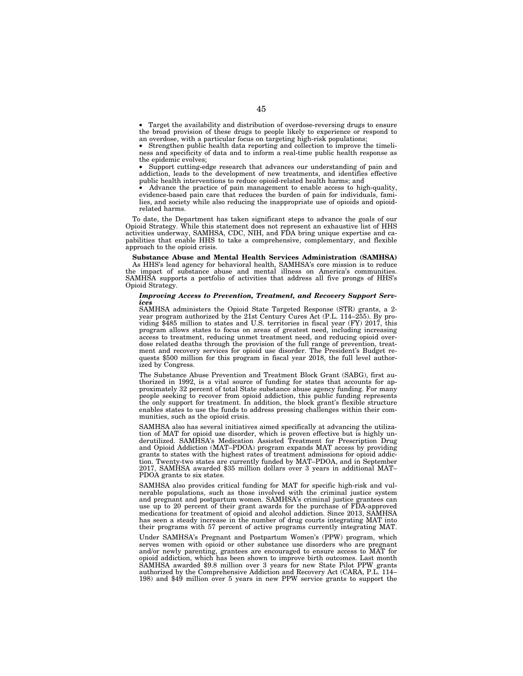• Target the availability and distribution of overdose-reversing drugs to ensure the broad provision of these drugs to people likely to experience or respond to an overdose, with a particular focus on targeting high-risk populations;

• Strengthen public health data reporting and collection to improve the timeliness and specificity of data and to inform a real-time public health response as the epidemic evolves;

Support cutting-edge research that advances our understanding of pain and addiction, leads to the development of new treatments, and identifies effective public health interventions to reduce opioid-related health harms; and

• Advance the practice of pain management to enable access to high-quality, evidence-based pain care that reduces the burden of pain for individuals, families, and society while also reducing the inappropriate use of opioids and opioidrelated harms.

To date, the Department has taken significant steps to advance the goals of our Opioid Strategy. While this statement does not represent an exhaustive list of HHS activities underway, SAMHSA, CDC, NIH, and FDA bring unique expertise and capabilities that enable HHS to take a comprehensive, complementary, and flexible approach to the opioid crisis.

**Substance Abuse and Mental Health Services Administration (SAMHSA)**  As HHS's lead agency for behavioral health, SAMHSA's core mission is to reduce the impact of substance abuse and mental illness on America's communities. SAMHSA supports a portfolio of activities that address all five prongs of HHS's Opioid Strategy.

## *Improving Access to Prevention, Treatment, and Recovery Support Services*

SAMHSA administers the Opioid State Targeted Response (STR) grants, a 2 year program authorized by the 21st Century Cures Act (P.L. 114–255). By providing \$485 million to states and U.S. territories in fiscal year (FY) 2017, this program allows states to focus on areas of greatest need, including increasing access to treatment, reducing unmet treatment need, and reducing opioid overdose related deaths through the provision of the full range of prevention, treatment and recovery services for opioid use disorder. The President's Budget requests \$500 million for this program in fiscal year 2018, the full level authorized by Congress.

The Substance Abuse Prevention and Treatment Block Grant (SABG), first authorized in 1992, is a vital source of funding for states that accounts for approximately 32 percent of total State substance abuse agency funding. For many people seeking to recover from opioid addiction, this public funding represents the only support for treatment. In addition, the block grant's flexible structure enables states to use the funds to address pressing challenges within their communities, such as the opioid crisis.

SAMHSA also has several initiatives aimed specifically at advancing the utilization of MAT for opioid use disorder, which is proven effective but is highly underutilized. SAMHSA's Medication Assisted Treatment for Prescription Drug and Opioid Addiction (MAT–PDOA) program expands MAT access by providing grants to states with the highest rates of treatment admissions for opioid addiction. Twenty-two states are currently funded by MAT–PDOA, and in September 2017, SAMHSA awarded \$35 million dollars over 3 years in additional MAT– PDOA grants to six states.

SAMHSA also provides critical funding for MAT for specific high-risk and vulnerable populations, such as those involved with the criminal justice system and pregnant and postpartum women. SAMHSA's criminal justice grantees can use up to 20 percent of their grant awards for the purchase of FDA-approved medications for treatment of opioid and alcohol addiction. Since 2013, SAMHSA has seen a steady increase in the number of drug courts integrating MAT into their programs with 57 percent of active programs currently integrating MAT.

Under SAMHSA's Pregnant and Postpartum Women's (PPW) program, which serves women with opioid or other substance use disorders who are pregnant and/or newly parenting, grantees are encouraged to ensure access to MAT for opioid addiction, which has been shown to improve birth outcomes. Last month SAMHSA awarded \$9.8 million over 3 years for new State Pilot PPW grants authorized by the Comprehensive Addiction and Recovery Act (CARA, P.L. 114– 198) and \$49 million over 5 years in new PPW service grants to support the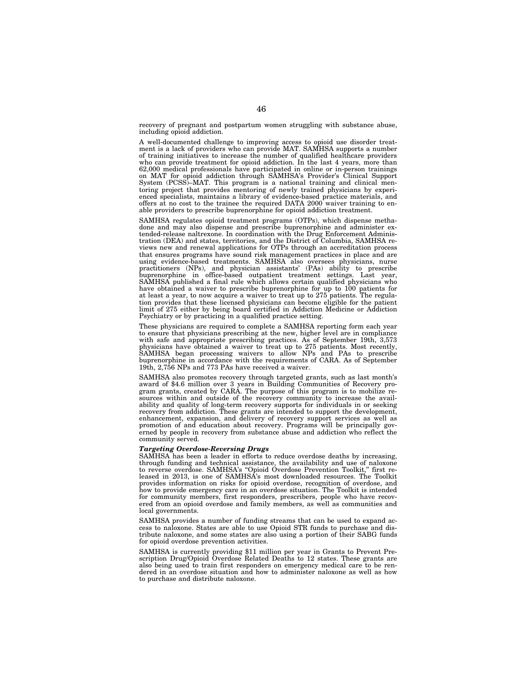recovery of pregnant and postpartum women struggling with substance abuse, including opioid addiction.

A well-documented challenge to improving access to opioid use disorder treatment is a lack of providers who can provide MAT. SAMHSA supports a number of training initiatives to increase the number of qualified healthcare providers who can provide treatment for opioid addiction. In the last 4 years, more than 62,000 medical professionals have participated in online or in-person trainings on MAT for opioid addiction through SAMHSA's Provider's Clinical Support System (PCSS)–MAT. This program is a national training and clinical mentoring project that provides mentoring of newly trained physicians by experienced specialists, maintains a library of evidence-based practice materials, and offers at no cost to the trainee the required DATA 2000 waiver training to enable providers to prescribe buprenorphine for opioid addiction treatment.

SAMHSA regulates opioid treatment programs (OTPs), which dispense methadone and may also dispense and prescribe buprenorphine and administer extended-release naltrexone. In coordination with the Drug Enforcement Administration (DEA) and states, territories, and the District of Columbia, SAMHSA reviews new and renewal applications for OTPs through an accreditation process that ensures programs have sound risk management practices in place and are using evidence-based treatments. SAMHSA also oversees physicians, nurse practitioners (NPs), and physician assistants' (PAs) ability to prescribe buprenorphine in office-based outpatient treatment settings. Last year, SAMHSA published a final rule which allows certain qualified physicians who have obtained a waiver to prescribe buprenorphine for up to 100 patients for at least a year, to now acquire a waiver to treat up to 275 patients. The regulation provides that these licensed physicians can become eligible for the patient limit of 275 either by being board certified in Addiction Medicine or Addiction Psychiatry or by practicing in a qualified practice setting.

These physicians are required to complete a SAMHSA reporting form each year to ensure that physicians prescribing at the new, higher level are in compliance with safe and appropriate prescribing practices. As of September 19th, 3,573 physicians have obtained a waiver to treat up to 275 patients. Most recently, SAMHSA began processing waivers to allow NPs and PAs to prescribe buprenorphine in accordance with the requirements of CARA. As of September 19th, 2,756 NPs and 773 PAs have received a waiver.

SAMHSA also promotes recovery through targeted grants, such as last month's award of \$4.6 million over 3 years in Building Communities of Recovery program grants, created by CARA. The purpose of this program is to mobilize resources within and outside of the recovery community to increase the availability and quality of long-term recovery supports for individuals in or seeking recovery from addiction. These grants are intended to support the development, enhancement, expansion, and delivery of recovery support services as well as promotion of and education about recovery. Programs will be principally governed by people in recovery from substance abuse and addiction who reflect the community served.

# *Targeting Overdose-Reversing Drugs*

SAMHSA has been a leader in efforts to reduce overdose deaths by increasing, through funding and technical assistance, the availability and use of naloxone to reverse overdose. SAMHSA's ''Opioid Overdose Prevention Toolkit,'' first released in 2013, is one of SAMHSA's most downloaded resources. The Toolkit provides information on risks for opioid overdose, recognition of overdose, and how to provide emergency care in an overdose situation. The Toolkit is intended for community members, first responders, prescribers, people who have recovered from an opioid overdose and family members, as well as communities and local governments.

SAMHSA provides a number of funding streams that can be used to expand access to naloxone. States are able to use Opioid STR funds to purchase and distribute naloxone, and some states are also using a portion of their SABG funds for opioid overdose prevention activities.

SAMHSA is currently providing \$11 million per year in Grants to Prevent Prescription Drug/Opioid Overdose Related Deaths to 12 states. These grants are also being used to train first responders on emergency medical care to be rendered in an overdose situation and how to administer naloxone as well as how to purchase and distribute naloxone.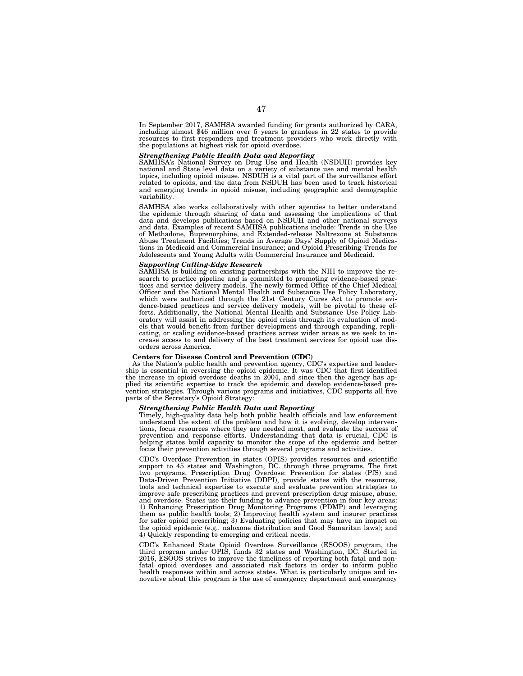In September 2017, SAMHSA awarded funding for grants authorized by CARA, including almost \$46 million over 5 years to grantees in 22 states to provide resources to first responders and treatment providers who work directly with the populations at highest risk for opioid overdose.

## *Strengthening Public Health Data and Reporting*

SAMHSA's National Survey on Drug Use and Health (NSDUH) provides key national and State level data on a variety of substance use and mental health topics, including opioid misuse. NSDUH is a vital part of the surveillance effort related to opioids, and the data from NSDUH has been used to track historical and emerging trends in opioid misuse, including geographic and demographic variability.

SAMHSA also works collaboratively with other agencies to better understand the epidemic through sharing of data and assessing the implications of that data and develops publications based on NSDUH and other national surveys and data. Examples of recent SAMHSA publications include: Trends in the Use of Methadone, Buprenorphine, and Extended-release Naltrexone at Substance Abuse Treatment Facilities; Trends in Average Days' Supply of Opioid Medications in Medicaid and Commercial Insurance; and Opioid Prescribing Trends for Adolescents and Young Adults with Commercial Insurance and Medicaid.

# *Supporting Cutting-Edge Research*

SAMHSA is building on existing partnerships with the NIH to improve the research to practice pipeline and is committed to promoting evidence-based practices and service delivery models. The newly formed Office of the Chief Medical Officer and the National Mental Health and Substance Use Policy Laboratory, which were authorized through the 21st Century Cures Act to promote evidence-based practices and service delivery models, will be pivotal to these efforts. Additionally, the National Mental Health and Substance Use Policy Laboratory will assist in addressing the opioid crisis through its evaluation of models that would benefit from further development and through expanding, replicating, or scaling evidence-based practices across wider areas as we seek to increase access to and delivery of the best treatment services for opioid use disorders across America.

# **Centers for Disease Control and Prevention (CDC)**

As the Nation's public health and prevention agency, CDC's expertise and leadership is essential in reversing the opioid epidemic. It was CDC that first identified the increase in opioid overdose deaths in 2004, and since then the agency has applied its scientific expertise to track the epidemic and develop evidence-based prevention strategies. Through various programs and initiatives, CDC supports all five parts of the Secretary's Opioid Strategy:

# *Strengthening Public Health Data and Reporting*

Timely, high-quality data help both public health officials and law enforcement understand the extent of the problem and how it is evolving, develop interventions, focus resources where they are needed most, and evaluate the success of prevention and response efforts. Understanding that data is crucial, CDC is helping states build capacity to monitor the scope of the epidemic and better focus their prevention activities through several programs and activities.

CDC's Overdose Prevention in states (OPIS) provides resources and scientific support to 45 states and Washington, DC. through three programs. The first two programs, Prescription Drug Overdose: Prevention for states (PfS) and Data-Driven Prevention Initiative (DDPI), provide states with the resources, tools and technical expertise to execute and evaluate prevention strategies to improve safe prescribing practices and prevent prescription drug misuse, abuse, and overdose. States use their funding to advance prevention in four key areas: 1) Enhancing Prescription Drug Monitoring Programs (PDMP) and leveraging them as public health tools; 2) Improving health system and insurer practices for safer opioid prescribing; 3) Evaluating policies that may have an impact on the opioid epidemic (e.g.. naloxone distribution and Good Samaritan laws); and 4) Quickly responding to emerging and critical needs.

CDC's Enhanced State Opioid Overdose Surveillance (ESOOS) program, the third program under OPIS, funds 32 states and Washington, DC. Started in 2016, ESOOS strives to improve the timeliness of reporting both fatal and nonfatal opioid overdoses and associated risk factors in order to inform public health responses within and across states. What is particularly unique and innovative about this program is the use of emergency department and emergency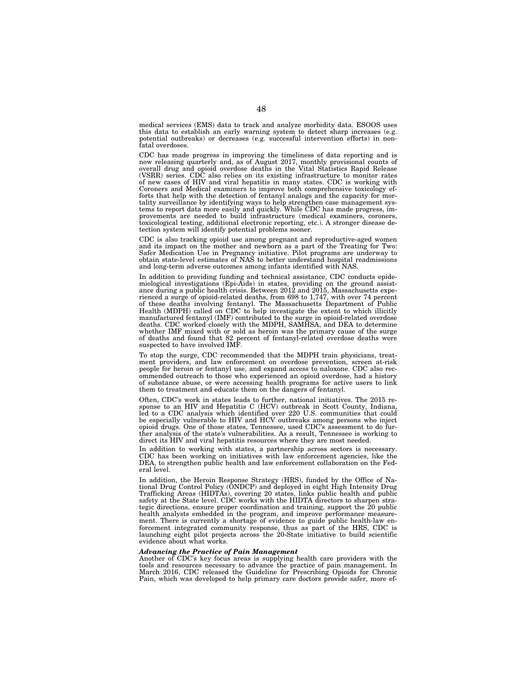medical services (EMS) data to track and analyze morbidity data. ESOOS uses this data to establish an early warning system to detect sharp increases (e.g. potential outbreaks) or decreases (e.g. successful intervention efforts) in non-fatal overdoses.

CDC has made progress in improving the timeliness of data reporting and is now releasing quarterly and, as of August 2017, monthly provisional counts of overall drug and opioid overdose deaths in the Vital Statistics Rapid Release (VSRR) series. CDC also relies on its existing infrastructure to monitor rates of new cases of HIV and viral hepatitis in many states. CDC is working with Coroners and Medical examiners to improve both comprehensive toxicology efforts that help with the detection of fentanyl analogs and the capacity for mortality surveillance by identifying ways to help strengthen case management sys-tems to report data more easily and quickly. While CDC has made progress, improvements are needed to build infrastructure (medical examiners, coroners, toxicological testing, additional electronic reporting, etc.). A stronger disease detection system will identify potential problems sooner.

CDC is also tracking opioid use among pregnant and reproductive-aged women and its impact on the mother and newborn as a part of the Treating for Two: Safer Medication Use in Pregnancy initiative. Pilot programs are underway to obtain state-level estimates of NAS to better understand hospital readmissions and long-term adverse outcomes among infants identified with NAS.

In addition to providing funding and technical assistance, CDC conducts epidemiological investigations (Epi-Aids) in states, providing on the ground assistance during a public health crisis. Between 2012 and 2015, Massachusetts experienced a surge of opioid-related deaths, from 698 to 1,747, with over 74 percent of these deaths involving fentanyl. The Massachusetts Department of Public Health (MDPH) called on CDC to help investigate the extent to which illicitly manufactured fentanyl (IMF) contributed to the surge in opioid-related overdose deaths. CDC worked closely with the MDPH, SAMHSA, and DEA to determine whether IMF mixed with or sold as heroin was the primary cause of the surge of deaths and found that 82 percent of fentanyl-related overdose deaths were suspected to have involved IMF.

To stop the surge, CDC recommended that the MDPH train physicians, treatment providers, and law enforcement on overdose prevention, screen at-risk people for heroin or fentanyl use, and expand access to naloxone. CDC also recommended outreach to those who experienced an opioid overdose, had a history of substance abuse, or were accessing health programs for active users to link them to treatment and educate them on the dangers of fentanyl.

Often, CDC's work in states leads to further, national initiatives. The 2015 response to an HIV and Hepatitis C (HCV) outbreak in Scott County, Indiana, led to a CDC analysis which identified over 220 U.S. communities that could be especially vulnerable to HIV and HCV outbreaks among persons who inject opioid drugs. One of those states, Tennessee, used CDC's assessment to do further analysis of the state's vulnerabilities. As a result, Tennessee is working to direct its HIV and viral hepatitis resources where they are most needed.

In addition to working with states, a partnership across sectors is necessary. CDC has been working on initiatives with law enforcement agencies, like the DEA, to strengthen public health and law enforcement collaboration on the Federal level.

In addition, the Heroin Response Strategy (HRS), funded by the Office of National Drug Control Policy (ONDCP) and deployed in eight High Intensity Drug Trafficking Areas (HIDTAs), covering 20 states, links public health and public safety at the State level. CDC works with the HIDTA directors to sharpen strategic directions, ensure proper coordination and training, support the 20 public health analysts embedded in the program, and improve performance measurement. There is currently a shortage of evidence to guide public health-law enforcement integrated community response, thus as part of the HRS, CDC is launching eight pilot projects across the 20-State initiative to build scientific evidence about what works.

## *Advancing the Practice of Pain Management*

Another of CDC's key focus areas is supplying health care providers with the tools and resources necessary to advance the practice of pain management. In March 2016, CDC released the Guideline for Prescribing Opioids for Chronic Pain, which was developed to help primary care doctors provide safer, more ef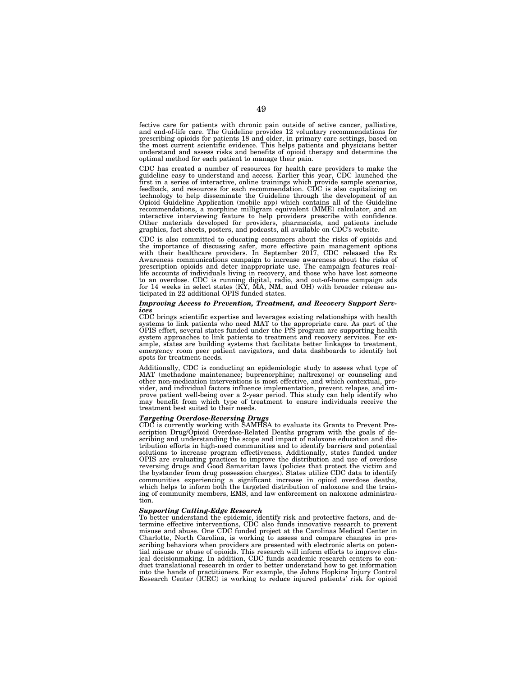fective care for patients with chronic pain outside of active cancer, palliative, and end-of-life care. The Guideline provides 12 voluntary recommendations for prescribing opioids for patients 18 and older, in primary care settings, based on the most current scientific evidence. This helps patients and physicians better understand and assess risks and benefits of opioid therapy and determine the optimal method for each patient to manage their pain.

CDC has created a number of resources for health care providers to make the guideline easy to understand and access. Earlier this year, CDC launched the first in a series of interactive, online trainings which provide sample scenarios, feedback, and resources for each recommendation. CDC is also capitalizing on technology to help disseminate the Guideline through the development of an Opioid Guideline Application (mobile app) which contains all of the Guideline recommendations, a morphine milligram equivalent (MME) calculator, and an interactive interviewing feature to help providers prescribe with confidence. Other materials developed for providers, pharmacists, and patients include graphics, fact sheets, posters, and podcasts, all available on CDC's website.

CDC is also committed to educating consumers about the risks of opioids and the importance of discussing safer, more effective pain management options with their healthcare providers. In September 2017, CDC released the Rx Awareness communications campaign to increase awareness about the risks of prescription opioids and deter inappropriate use. The campaign features real-<br>life accounts of individuals living in recovery, and those who have lost someone<br>to an overdose. CDC is running digital, radio, and out-of-home ticipated in 22 additional OPIS funded states.

# *Improving Access to Prevention, Treatment, and Recovery Support Services*

CDC brings scientific expertise and leverages existing relationships with health systems to link patients who need MAT to the appropriate care. As part of the OPIS effort, several states funded under the PfS program are supporting health system approaches to link patients to treatment and recovery services. For example, states are building systems that facilitate better linkages to treatment, emergency room peer patient navigators, and data dashboards to identify hot spots for treatment needs.

Additionally, CDC is conducting an epidemiologic study to assess what type of MAT (methadone maintenance; buprenorphine; naltrexone) or counseling and other non-medication interventions is most effective, and which contextual, provider, and individual factors influence implementation, prevent relapse, and im-prove patient well-being over a 2-year period. This study can help identify who may benefit from which type of treatment to ensure individuals receive the treatment best suited to their needs.

# *Targeting Overdose-Reversing Drugs*

CDC is currently working with SAMHSA to evaluate its Grants to Prevent Prescription Drug/Opioid Overdose-Related Deaths program with the goals of describing and understanding the scope and impact of naloxone education and distribution efforts in high-need communities and to identify barriers and potential solutions to increase program effectiveness. Additionally, states funded under OPIS are evaluating practices to improve the distribution and use of overdose reversing drugs and Good Samaritan laws (policies that protect the victim and the bystander from drug possession charges). States utilize CDC data to identify communities experiencing a significant increase in opioid overdose deaths, which helps to inform both the targeted distribution of naloxone and the training of community members, EMS, and law enforcement on naloxone administration.

## *Supporting Cutting-Edge Research*

To better understand the epidemic, identify risk and protective factors, and determine effective interventions, CDC also funds innovative research to prevent misuse and abuse. One CDC funded project at the Carolinas Medical Center in Charlotte, North Carolina, is working to assess and compare changes in prescribing behaviors when providers are presented with electronic alerts on potential misuse or abuse of opioids. This research will inform efforts to improve clinical decisionmaking. In addition, CDC funds academic research centers to conduct translational research in order to better understand how to get information into the hands of practitioners. For example, the Johns Hopkins Injury Control Research Center (ICRC) is working to reduce injured patients' risk for opioid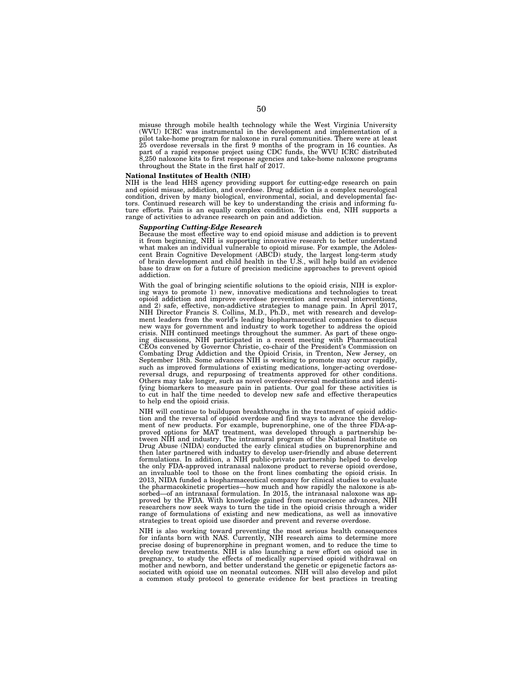misuse through mobile health technology while the West Virginia University (WVU) ICRC was instrumental in the development and implementation of a pilot take-home program for naloxone in rural communities. There were at least 25 overdose reversals in the first 9 months of the program in 16 counties. As part of a rapid response project using CDC funds, the WVU ICRC distributed 8,250 naloxone kits to first response agencies and take-home naloxone programs throughout the State in the first half of 2017.

## **National Institutes of Health (NIH)**

NIH is the lead HHS agency providing support for cutting-edge research on pain and opioid misuse, addiction, and overdose. Drug addiction is a complex neurological condition, driven by many biological, environmental, social, and developmental factors. Continued research will be key to understanding the crisis and informing future efforts. Pain is an equally complex condition. To this end, NIH supports a range of activities to advance research on pain and addiction.

## *Supporting Cutting-Edge Research*

Because the most effective way to end opioid misuse and addiction is to prevent it from beginning, NIH is supporting innovative research to better understand what makes an individual vulnerable to opioid misuse. For example, the Adolescent Brain Cognitive Development (ABCD) study, the largest long-term study of brain development and child health in the U.S., will help build an evidence base to draw on for a future of precision medicine approaches to prevent opioid addiction.

With the goal of bringing scientific solutions to the opioid crisis, NIH is exploring ways to promote 1) new, innovative medications and technologies to treat opioid addiction and improve overdose prevention and reversal interventions, and 2) safe, effective, non-addictive strategies to manage pain. In April 2017, NIH Director Francis S. Collins, M.D., Ph.D., met with research and development leaders from the world's leading biopharmaceutical companies to discuss new ways for government and industry to work together to address the opioid crisis. NIH continued meetings throughout the summer. As part of these ongoing discussions, NIH participated in a recent meeting with Pharmaceutical CEOs convened by Governor Christie, co-chair of the President's Commission on Combating Drug Addiction and the Opioid Crisis, in Trenton, New Jersey, on September 18th. Some advances NIH is working to promote may occur rapidly, such as improved formulations of existing medications, longer-acting overdosereversal drugs, and repurposing of treatments approved for other conditions. Others may take longer, such as novel overdose-reversal medications and identifying biomarkers to measure pain in patients. Our goal for these activities is to cut in half the time needed to develop new safe and effective therapeutics to help end the opioid crisis.

NIH will continue to buildupon breakthroughs in the treatment of opioid addiction and the reversal of opioid overdose and find ways to advance the development of new products. For example, buprenorphine, one of the three FDA-approved options for MAT treatment, was developed through a partnership between NIH and industry. The intramural program of the National Institute on Drug Abuse (NIDA) conducted the early clinical studies on buprenorphine and then later partnered with industry to develop user-friendly and abuse deterrent formulations. In addition, a NIH public-private partnership helped to develop the only FDA-approved intranasal naloxone product to reverse opioid overdose, an invaluable tool to those on the front lines combating the opioid crisis. In 2013, NIDA funded a biopharmaceutical company for clinical studies to evaluate the pharmacokinetic properties—how much and how rapidly the naloxone is absorbed—of an intranasal formulation. In 2015, the intranasal naloxone was approved by the FDA. With knowledge gained from neuroscience advances, NIH researchers now seek ways to turn the tide in the opioid crisis through a wider range of formulations of existing and new medications, as well as innovative strategies to treat opioid use disorder and prevent and reverse overdose.

NIH is also working toward preventing the most serious health consequences for infants born with NAS. Currently, NIH research aims to determine more precise dosing of buprenorphine in pregnant women, and to reduce the time to develop new treatments. NIH is also launching a new effort on opioid use in pregnancy, to study the effects of medically supervised opioid withdrawal on mother and newborn, and better understand the genetic or epigenetic factors as-sociated with opioid use on neonatal outcomes. NIH will also develop and pilot a common study protocol to generate evidence for best practices in treating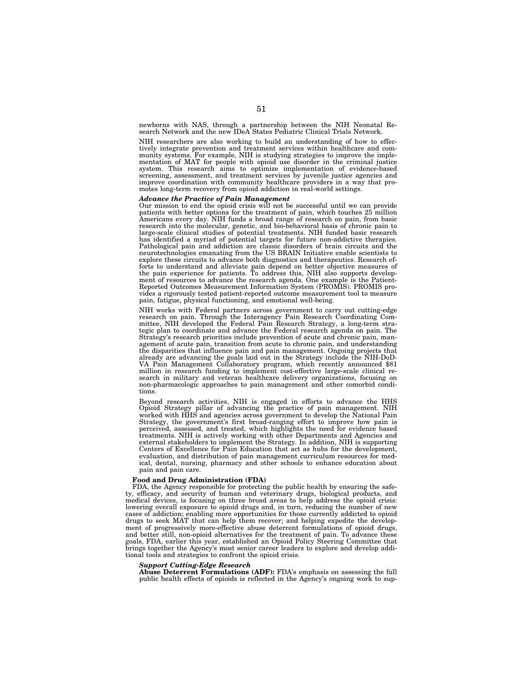newborns with NAS, through a partnership between the NIH Neonatal Re-search Network and the new IDeA States Pediatric Clinical Trials Network.

NIH researchers are also working to build an understanding of how to effectively integrate prevention and treatment services within healthcare and community systems. For example, NIH is studying strategies to improve the implementation of MAT for people with opioid use disorder in the criminal justice system. This research aims to optimize implementation of evidence-based screening, assessment, and treatment services by juvenile justice agencies and improve coordination with community healthcare providers in a way that promotes long-term recovery from opioid addiction in real-world settings.

*Advance the Practice of Pain Management*  Our mission to end the opioid crisis will not be successful until we can provide patients with better options for the treatment of pain, which touches 25 million Americans every day. NIH funds a broad range of research on pain, from basic research into the molecular, genetic, and bio-behavioral basis of chronic pain to large-scale clinical studies of potential treatments. NIH funded basic research has identified a myriad of potential targets for future non-addictive therapies. Pathological pain and addiction are classic disorders of brain circuits and the neurotechnologies emanating from the US BRAIN Initiative enable scientists to explore these circuits to advance both diagnostics and therapeutics. Research efforts to understand and alleviate pain depend on better objective measures of the pain experience for patients. To address this, NIH also supports development of resources to advance the research agenda. One example is the Reported Outcomes Measurement Information System (PROMIS). PROMIS provides a rigorously tested patient-reported outcome measurement tool to measure pain, fatigue, physical functioning, and emotional well-being.

NIH works with Federal partners across government to carry out cutting-edge research on pain. Through the Interagency Pain Research Coordinating Committee, NIH developed the Federal Pain Research Strategy, a long-term strategic plan to coordinate and advance the Federal research agenda on pain. The Strategy's research priorities include prevention of acute and chronic pain, management of acute pain, transition from acute to chronic pain, and understanding the disparities that influence pain and pain management. Ongoing projects that already are advancing the goals laid out in the Strategy include the NIH-DoD-VA Pain Management Collaboratory program, which recently announced \$81 million in research funding to implement cost-effective large-scale clinical research in military and veteran healthcare delivery organizations, focusing on non-pharmacologic approaches to pain management and other comorbid conditions.

Beyond research activities, NIH is engaged in efforts to advance the HHS Opioid Strategy pillar of advancing the practice of pain management. NIH worked with HHS and agencies across government to develop the National Pain Strategy, the government's first broad-ranging effort to improve how pain is perceived, assessed, and treated, which highlights the need for evidence based treatments. NIH is actively working with other Departments and Agencies and external stakeholders to implement the Strategy. In addition, NIH is supporting Centers of Excellence for Pain Education that act as hubs for the development, evaluation, and distribution of pain management curriculum resources for medical, dental, nursing, pharmacy and other schools to enhance education about pain and pain care.

# **Food and Drug Administration (FDA)**

FDA, the Agency responsible for protecting the public health by ensuring the safety, efficacy, and security of human and veterinary drugs, biological products, and medical devices, is focusing on three broad areas to help address the opioid crisis: lowering overall exposure to opioid drugs and, in turn, reducing the number of new cases of addiction; enabling more opportunities for those currently addicted to opioid drugs to seek MAT that can help them recover; and helping expedite the development of progressively more-effective abuse deterrent formulations of opioid drugs, and better still, non-opioid alternatives for the treatment of pain. To advance these goals, FDA, earlier this year, established an Opioid Policy Steering Committee that brings together the Agency's most senior career leaders to explore and develop additional tools and strategies to confront the opioid crisis.

#### *Support Cutting-Edge Research*

**Abuse Deterrent Formulations (ADF):** FDA's emphasis on assessing the full public health effects of opioids is reflected in the Agency's ongoing work to sup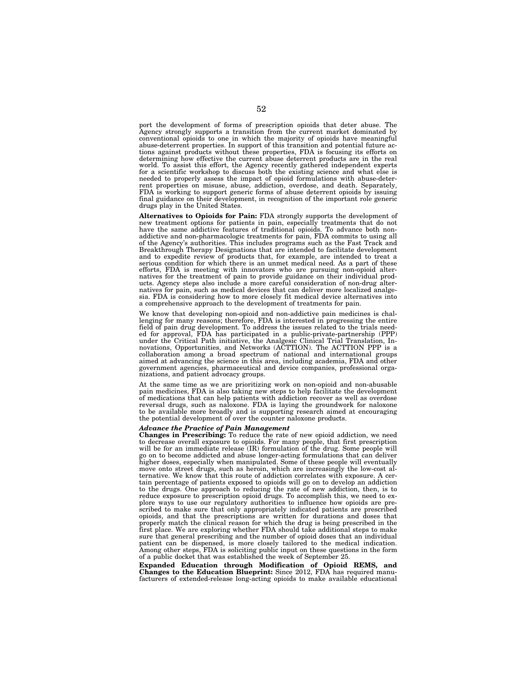port the development of forms of prescription opioids that deter abuse. The Agency strongly supports a transition from the current market dominated by conventional opioids to one in which the majority of opioids have meaningful abuse-deterrent properties. In support of this transition and potential future actions against products without these properties, FDA is focusing its efforts on determining how effective the current abuse deterrent products are in the real world. To assist this effort, the Agency recently gathered independent experts for a scientific workshop to discuss both the existing science and what else is needed to properly assess the impact of opioid formulations with abuse-deterrent properties on misuse, abuse, addiction, overdose, and death. Separately, FDA is working to support generic forms of abuse deterrent opioids by issuing final guidance on their development, in recognition of the important role generic drugs play in the United States.

**Alternatives to Opioids for Pain:** FDA strongly supports the development of new treatment options for patients in pain, especially treatments that do not have the same addictive features of traditional opioids. To advance both nonaddictive and non-pharmacologic treatments for pain, FDA commits to using all of the Agency's authorities. This includes programs such as the Fast Track and Breakthrough Therapy Designations that are intended to facilitate development and to expedite review of products that, for example, are intended to treat a serious condition for which there is an unmet medical need. As a part of these efforts, FDA is meeting with innovators who are pursuing non-opioid alternatives for the treatment of pain to provide guidance on their individual products. Agency steps also include a more careful consideration of non-drug alternatives for pain, such as medical devices that can deliver more localized analgesia. FDA is considering how to more closely fit medical device alternatives into a comprehensive approach to the development of treatments for pain.

We know that developing non-opioid and non-addictive pain medicines is chal-lenging for many reasons; therefore, FDA is interested in progressing the entire field of pain drug development. To address the issues related to the trials need-<br>ed for approval, FDA has participated in a public-private-partnership (PPP)<br>under the Critical Path initiative, the Analgesic Clinical Trial aimed at advancing the science in this area, including academia, FDA and other government agencies, pharmaceutical and device companies, professional organizations, and patient advocacy groups.

At the same time as we are prioritizing work on non-opioid and non-abusable pain medicines, FDA is also taking new steps to help facilitate the development of medications that can help patients with addiction recover as well as overdose reversal drugs, such as naloxone. FDA is laying the groundwork for naloxone to be available more broadly and is supporting research aimed at encouraging the potential development of over the counter naloxone products.

# *Advance the Practice of Pain Management*

**Changes in Prescribing:** To reduce the rate of new opioid addiction, we need to decrease overall exposure to opioids. For many people, that first prescription will be for an immediate release (IR) formulation of the drug. Some people will go on to become addicted and abuse longer-acting formulations that can deliver higher doses, especially when manipulated. Some of these people will eventually move onto street drugs, such as heroin, which are increasingly the low-cost al-ternative. We know that this route of addiction correlates with exposure. A certain percentage of patients exposed to opioids will go on to develop an addiction to the drugs. One approach to reducing the rate of new addiction, then, is to reduce exposure to prescription opioid drugs. To accomplish this, we need to explore ways to use our regulatory authorities to influence how opioids are prescribed to make sure that only appropriately indicated patients are prescribed opioids, and that the prescriptions are written for durations and doses that properly match the clinical reason for which the drug is being prescribed in the first place. We are exploring whether FDA should take additional steps to make sure that general prescribing and the number of opioid doses that an individual patient can be dispensed, is more closely tailored to the medical indication. Among other steps, FDA is soliciting public input on these questions in the form of a public docket that was established the week of September 25.

**Expanded Education through Modification of Opioid REMS, and Changes to the Education Blueprint:** Since 2012, FDA has required manufacturers of extended-release long-acting opioids to make available educational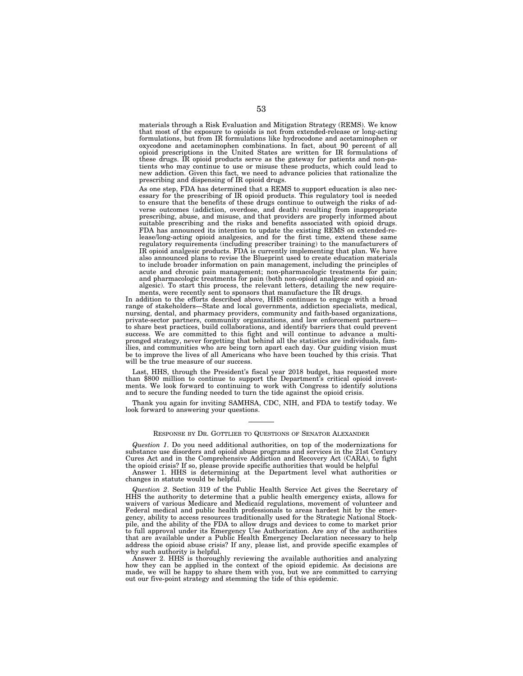materials through a Risk Evaluation and Mitigation Strategy (REMS). We know that most of the exposure to opioids is not from extended-release or long-acting formulations, but from IR formulations like hydrocodone and acetaminophen or oxycodone and acetaminophen combinations. In fact, about 90 percent of all opioid prescriptions in the United States are written for IR formulations of these drugs. IR opioid products serve as the gateway for patients and non-patients who may continue to use or misuse these products, which could lead to new addiction. Given this fact, we need to advance policies that rationalize the prescribing and dispensing of IR opioid drugs.

As one step, FDA has determined that a REMS to support education is also necessary for the prescribing of IR opioid products. This regulatory tool is needed to ensure that the benefits of these drugs continue to outweigh the risks of adverse outcomes (addiction, overdose, and death) resulting from inappropriate prescribing, abuse, and misuse, and that providers are properly informed about suitable prescribing and the risks and benefits associated with opioid drugs. FDA has announced its intention to update the existing REMS on extended-release/long-acting opioid analgesics, and for the first time, extend these same regulatory requirements (including prescriber training) to the manufacturers of IR opioid analgesic products. FDA is currently implementing that plan. We have also announced plans to revise the Blueprint used to create education materials to include broader information on pain management, including the principles of acute and chronic pain management; non-pharmacologic treatments for pain; and pharmacologic treatments for pain (both non-opioid analgesic and opioid analgesic). To start this process, the relevant letters, detailing the new requirements, were recently sent to sponsors that manufacture the IR drugs.

In addition to the efforts described above, HHS continues to engage with a broad range of stakeholders—State and local governments, addiction specialists, medical, nursing, dental, and pharmacy providers, community and faith-based organizations, private-sector partners, community organizations, and law enforcement partners to share best practices, build collaborations, and identify barriers that could prevent success. We are committed to this fight and will continue to advance a multipronged strategy, never forgetting that behind all the statistics are individuals, families, and communities who are being torn apart each day. Our guiding vision must be to improve the lives of all Americans who have been touched by this crisis. That will be the true measure of our success.

Last, HHS, through the President's fiscal year 2018 budget, has requested more than \$800 million to continue to support the Department's critical opioid investments. We look forward to continuing to work with Congress to identify solutions and to secure the funding needed to turn the tide against the opioid crisis.

Thank you again for inviting SAMHSA, CDC, NIH, and FDA to testify today. We look forward to answering your questions.

## RESPONSE BY DR. GOTTLIEB TO QUESTIONS OF SENATOR ALEXANDER

*Question 1*. Do you need additional authorities, on top of the modernizations for substance use disorders and opioid abuse programs and services in the 21st Century Cures Act and in the Comprehensive Addiction and Recovery Act (CARA), to fight the opioid crisis? If so, please provide specific authorities that would be helpful

Answer 1. HHS is determining at the Department level what authorities or changes in statute would be helpful.

*Question 2*. Section 319 of the Public Health Service Act gives the Secretary of HHS the authority to determine that a public health emergency exists, allows for waivers of various Medicare and Medicaid regulations, movement of volunteer and Federal medical and public health professionals to areas hardest hit by the emergency, ability to access resources traditionally used for the Strategic National Stockpile, and the ability of the FDA to allow drugs and devices to come to market prior to full approval under its Emergency Use Authorization. Are any of the authorities that are available under a Public Health Emergency Declaration necessary to help address the opioid abuse crisis? If any, please list, and provide specific examples of why such authority is helpful.

Answer 2. HHS is thoroughly reviewing the available authorities and analyzing how they can be applied in the context of the opioid epidemic. As decisions are made, we will be happy to share them with you, but we are committed to carrying out our five-point strategy and stemming the tide of this epidemic.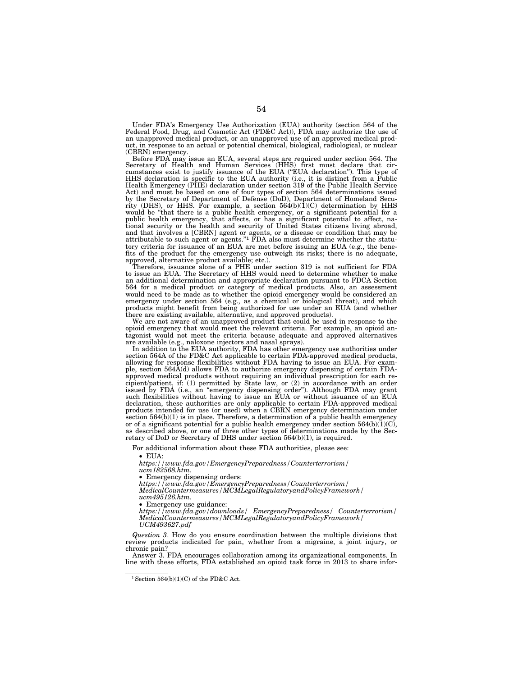Under FDA's Emergency Use Authorization (EUA) authority (section 564 of the Federal Food, Drug, and Cosmetic Act (FD&C Act)), FDA may authorize the use of an unapproved medical product, or an unapproved use of an approved medical product, in response to an actual or potential chemical, biological, radiological, or nuclear (CBRN) emergency.

Before FDA may issue an EUA, several steps are required under section 564. The Secretary of Health and Human Services (HHS) first must declare that cir-<br>cumstances exist to justify issuance of the EUA ("EUA declaration"). This type of HHS declaration is specific to the EUA authority (i.e., it is distinct from a Public Health Emergency (PHE) declaration under section 319 of the Public Health Service Act) and must be based on one of four types of section 564 determinations issued by the Secretary of Department of Defense (DoD), Department of Homeland Secu-rity (DHS), or HHS. For example, a section 564(b)(1)(C) determination by HHS would be ''that there is a public health emergency, or a significant potential for a public health emergency, that affects, or has a significant potential to affect, national security or the health and security of United States citizens living abroad, and that involves a [CBRN] agent or agents, or a disease or condition that may be attributable to such agent or agents."<sup>1</sup> FDA also must determine whether the statutory criteria for issuance of an EUA are met before issuing an EUA (e.g., the benefits of the product for the emergency use outweigh its risks; there is no adequate, approved, alternative product available; etc.).

Therefore, issuance alone of a PHE under section 319 is not sufficient for FDA to issue an EUA. The Secretary of HHS would need to determine whether to make an additional determination and appropriate declaration pursuant to FDCA Section 564 for a medical product or category of medical products. Also, an assessment would need to be made as to whether the opioid emergency would be considered an emergency under section 564 (e.g., as a chemical or biological threat), and which products might benefit from being authorized for use under an EUA (and whether there are existing available, alternative, and approved products).

We are not aware of an unapproved product that could be used in response to the opioid emergency that would meet the relevant criteria. For example, an opioid antagonist would not meet the criteria because adequate and approved alternatives are available (e.g., naloxone injectors and nasal sprays).

In addition to the EUA authority, FDA has other emergency use authorities under section 564A of the FD&C Act applicable to certain FDA-approved medical products, allowing for response flexibilities without FDA having to issue an EUA. For example, section  $564\hat{A}$ (d) allows FDA to authorize emergency dispensing of certain FDAapproved medical products without requiring an individual prescription for each recipient/patient, if: (1) permitted by State law, or (2) in accordance with an order issued by FDA (i.e., an ''emergency dispensing order''). Although FDA may grant such flexibilities without having to issue an EUA or without issuance of an EUA declaration, these authorities are only applicable to certain FDA-approved medical products intended for use (or used) when a CBRN emergency determination under section  $564(b)(1)$  is in place. Therefore, a determination of a public health emergency or of a significant potential for a public health emergency under section  $564(b)(1)(C)$ , as described above, or one of three other types of determinations made by the Secretary of DoD or Secretary of DHS under section 564(b)(1), is required.

For additional information about these FDA authorities, please see:

• EUA:

*https://www.fda.gov/EmergencyPreparedness/Counterterrorism/ ucm182568.htm*.

• Emergency dispensing orders:

*https://www.fda.gov/EmergencyPreparedness/Counterterrorism/ MedicalCountermeasures/MCMLegalRegulatoryandPolicyFramework/ ucm495126.htm*.

• Emergency use guidance:

*https://www.fda.gov/downloads/ EmergencyPreparedness/ Counterterrorism/ MedicalCountermeasures/MCMLegalRegulatoryandPolicyFramework/ UCM493627.pdf* 

*Question 3*. How do you ensure coordination between the multiple divisions that review products indicated for pain, whether from a migraine, a joint injury, or chronic pain?

Answer 3. FDA encourages collaboration among its organizational components. In line with these efforts, FDA established an opioid task force in 2013 to share infor-

<sup>&</sup>lt;sup>1</sup> Section 564(b)(1)(C) of the FD&C Act.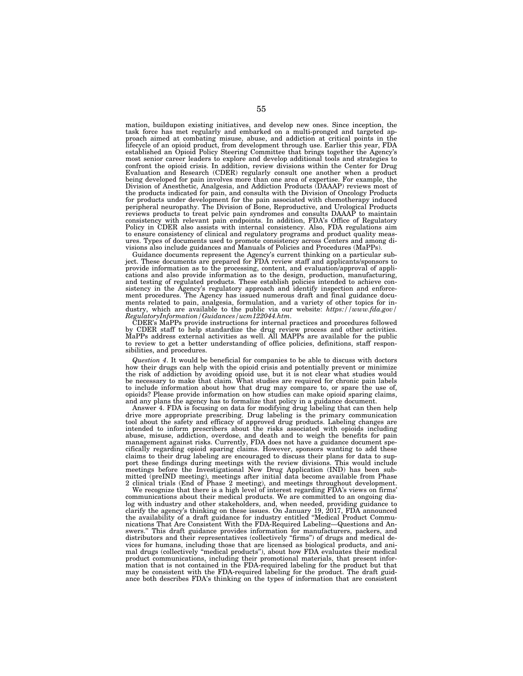mation, buildupon existing initiatives, and develop new ones. Since inception, the task force has met regularly and embarked on a multi-pronged and targeted approach aimed at combating misuse, abuse, and addiction at critical points in the lifecycle of an opioid product, from development through use. Earlier this year, FDA established an Opioid Policy Steering Committee that brings together the Agency's most senior career leaders to explore and develop additional tools and strategies to confront the opioid crisis. In addition, review divisions within the Center for Drug Evaluation and Research (CDER) regularly consult one another when a product being developed for pain involves more than one area of expertise. For example, the Division of Anesthetic, Analgesia, and Addiction Products (DAAAP) reviews most of the products indicated for pain, and consults with the Division of Oncology Products for products under development for the pain associated with chemotherapy induced peripheral neuropathy. The Division of Bone, Reproductive, and Urological Products reviews products to treat pelvic pain syndromes and consults DAAAP to maintain consistency with relevant pain endpoints. In addition, FDA's Office of Regulatory Policy in CDER also assists with internal consistency. Also, FDA regulations aim to ensure consistency of clinical and regulatory programs and product quality measures. Types of documents used to promote consistency across Centers and among divisions also include guidances and Manuals of Policies and Procedures (MaPPs).

Guidance documents represent the Agency's current thinking on a particular subject. These documents are prepared for FDA review staff and applicants/sponsors to provide information as to the processing, content, and evaluation/approval of applications and also provide information as to the design, production, manufacturing, and testing of regulated products. These establish policies intended to achieve consistency in the Agency's regulatory approach and identify inspection and enforcement procedures. The Agency has issued numerous draft and final guidance documents related to pain, analgesia, formulation, and a variety of other topics for industry, which are available to the public via our website: *https://www.fda.gov/ RegulatoryInformation/Guidances/ucm122044.htm*.

CDER's MaPPs provide instructions for internal practices and procedures followed by CDER staff to help standardize the drug review process and other activities. MaPPs address external activities as well. All MAPPs are available for the public to review to get a better understanding of office policies, definitions, staff responsibilities, and procedures.

*Question 4*. It would be beneficial for companies to be able to discuss with doctors how their drugs can help with the opioid crisis and potentially prevent or minimize the risk of addiction by avoiding opioid use, but it is not clear what studies would be necessary to make that claim. What studies are required for chronic pain labels to include information about how that drug may compare to, or spare the use of, opioids? Please provide information on how studies can make opioid sparing claims, and any plans the agency has to formalize that policy in a guidance document.

Answer 4. FDA is focusing on data for modifying drug labeling that can then help drive more appropriate prescribing. Drug labeling is the primary communication tool about the safety and efficacy of approved drug products. Labeling changes are intended to inform prescribers about the risks associated with opioids including abuse, misuse, addiction, overdose, and death and to weigh the benefits for pain management against risks. Currently, FDA does not have a guidance document specifically regarding opioid sparing claims. However, sponsors wanting to add these claims to their drug labeling are encouraged to discuss their plans for data to support these findings during meetings with the review divisions. This would include meetings before the Investigational New Drug Application (IND) has been submitted (preIND meeting), meetings after initial data become available from Phase 2 clinical trials (End of Phase 2 meeting), and meetings throughout development.

We recognize that there is a high level of interest regarding FDA's views on firms' communications about their medical products. We are committed to an ongoing dialog with industry and other stakeholders, and, when needed, providing guidance to clarify the agency's thinking on these issues. On January 19, 2017, FDA announced the availability of a draft guidance for industry entitled ''Medical Product Communications That Are Consistent With the FDA-Required Labeling—Questions and An-This draft guidance provides information for manufacturers, packers, and distributors and their representatives (collectively ''firms'') of drugs and medical devices for humans, including those that are licensed as biological products, and animal drugs (collectively ''medical products''), about how FDA evaluates their medical product communications, including their promotional materials, that present information that is not contained in the FDA-required labeling for the product but that may be consistent with the FDA-required labeling for the product. The draft guidance both describes FDA's thinking on the types of information that are consistent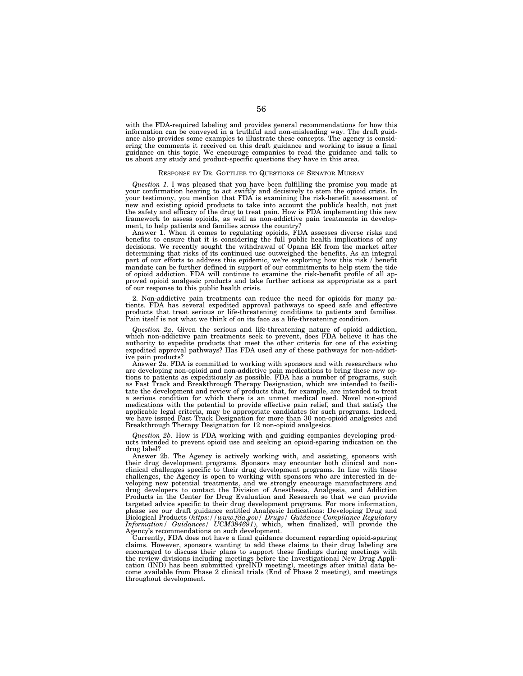with the FDA-required labeling and provides general recommendations for how this information can be conveyed in a truthful and non-misleading way. The draft guidance also provides some examples to illustrate these concepts. The agency is considering the comments it received on this draft guidance and working to issue a final guidance on this topic. We encourage companies to read the guidance and talk to us about any study and product-specific questions they have in this area.

# RESPONSE BY DR. GOTTLIEB TO QUESTIONS OF SENATOR MURRAY

*Question 1*. I was pleased that you have been fulfilling the promise you made at your confirmation hearing to act swiftly and decisively to stem the opioid crisis. In your testimony, you mention that FDA is examining the risk-benefit assessment of new and existing opioid products to take into account the public's health, not just the safety and efficacy of the drug to treat pain. How is FDA implementing this new framework to assess opioids, as well as non-addictive pain treatments in development, to help patients and families across the country?

Answer 1. When it comes to regulating opioids, FDA assesses diverse risks and benefits to ensure that it is considering the full public health implications of any decisions. We recently sought the withdrawal of Opana ER from the market after determining that risks of its continued use outweighed the benefits. As an integral part of our efforts to address this epidemic, we're exploring how this risk / benefit mandate can be further defined in support of our commitments to help stem the tide of opioid addiction. FDA will continue to examine the risk-benefit profile of all approved opioid analgesic products and take further actions as appropriate as a part of our response to this public health crisis.

2. Non-addictive pain treatments can reduce the need for opioids for many patients. FDA has several expedited approval pathways to speed safe and effective products that treat serious or life-threatening conditions to patients and families. Pain itself is not what we think of on its face as a life-threatening condition.

*Question 2a*. Given the serious and life-threatening nature of opioid addiction, which non-addictive pain treatments seek to prevent, does FDA believe it has the authority to expedite products that meet the other criteria for one of the existing expedited approval pathways? Has FDA used any of these pathways for non-addictive pain products?

Answer 2a. FDA is committed to working with sponsors and with researchers who are developing non-opioid and non-addictive pain medications to bring these new options to patients as expeditiously as possible. FDA has a number of programs, such as Fast Track and Breakthrough Therapy Designation, which are intended to facilitate the development and review of products that, for example, are intended to treat a serious condition for which there is an unmet medical need. Novel non-opioid medications with the potential to provide effective pain relief, and that satisfy the applicable legal criteria, may be appropriate candidates for such programs. Indeed, we have issued Fast Track Designation for more than 30 non-opioid analgesics and Breakthrough Therapy Designation for 12 non-opioid analgesics.

*Question 2b*. How is FDA working with and guiding companies developing products intended to prevent opioid use and seeking an opioid-sparing indication on the drug label?

Answer 2b. The Agency is actively working with, and assisting, sponsors with their drug development programs. Sponsors may encounter both clinical and nonclinical challenges specific to their drug development programs. In line with these challenges, the Agency is open to working with sponsors who are interested in developing new potential treatments, and we strongly encourage manufacturers and drug developers to contact the Division of Anesthesia, Analgesia, and Addiction Products in the Center for Drug Evaluation and Research so that we can provide targeted advice specific to their drug development programs. For more information, please see our draft guidance entitled Analgesic Indications: Developing Drug and Biological Products (*https://www.fda.gov/ Drugs/ Guidance Compliance Regulatory Information/ Guidances/ UCM384691*), which, when finalized, will provide the Agency's recommendations on such development.

Currently, FDA does not have a final guidance document regarding opioid-sparing claims. However, sponsors wanting to add these claims to their drug labeling are encouraged to discuss their plans to support these findings during meetings with the review divisions including meetings before the Investigational New Drug Application (IND) has been submitted (preIND meeting), meetings after initial data be-come available from Phase 2 clinical trials (End of Phase 2 meeting), and meetings throughout development.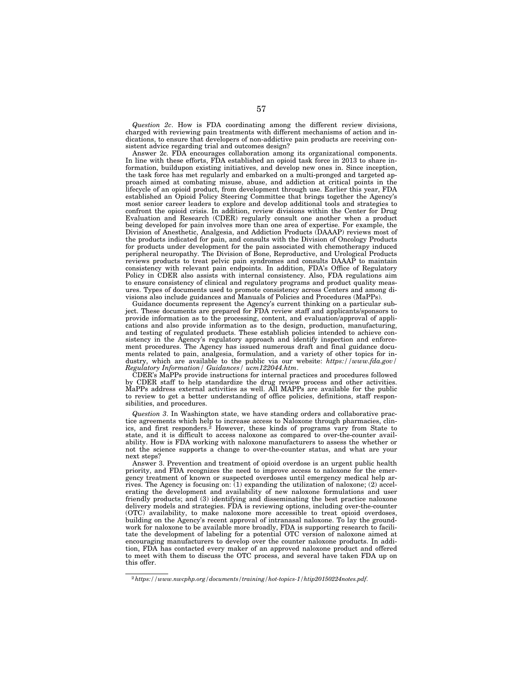*Question 2c*. How is FDA coordinating among the different review divisions, charged with reviewing pain treatments with different mechanisms of action and indications, to ensure that developers of non-addictive pain products are receiving consistent advice regarding trial and outcomes design?

Answer 2c. FDA encourages collaboration among its organizational components. In line with these efforts, FDA established an opioid task force in 2013 to share information, buildupon existing initiatives, and develop new ones in. Since inception, the task force has met regularly and embarked on a multi-pronged and targeted approach aimed at combating misuse, abuse, and addiction at critical points in the lifecycle of an opioid product, from development through use. Earlier this year, FDA established an Opioid Policy Steering Committee that brings together the Agency's most senior career leaders to explore and develop additional tools and strategies to confront the opioid crisis. In addition, review divisions within the Center for Drug Evaluation and Research (CDER) regularly consult one another when a product being developed for pain involves more than one area of expertise. For example, the Division of Anesthetic, Analgesia, and Addiction Products (DAAAP) reviews most of the products indicated for pain, and consults with the Division of Oncology Products for products under development for the pain associated with chemotherapy induced peripheral neuropathy. The Division of Bone, Reproductive, and Urological Products reviews products to treat pelvic pain syndromes and consults DAAAP to maintain consistency with relevant pain endpoints. In addition, FDA's Office of Regulatory Policy in CDER also assists with internal consistency. Also, FDA regulations aim to ensure consistency of clinical and regulatory programs and product quality measures. Types of documents used to promote consistency across Centers and among divisions also include guidances and Manuals of Policies and Procedures (MaPPs).

Guidance documents represent the Agency's current thinking on a particular subject. These documents are prepared for FDA review staff and applicants/sponsors to provide information as to the processing, content, and evaluation/approval of applications and also provide information as to the design, production, manufacturing, and testing of regulated products. These establish policies intended to achieve consistency in the Agency's regulatory approach and identify inspection and enforcement procedures. The Agency has issued numerous draft and final guidance documents related to pain, analgesia, formulation, and a variety of other topics for industry, which are available to the public via our website: *https://www.fda.gov/ Regulatory Information/ Guidances/ ucm122044.htm*.

CDER's MaPPs provide instructions for internal practices and procedures followed by CDER staff to help standardize the drug review process and other activities. MaPPs address external activities as well. All MAPPs are available for the public to review to get a better understanding of office policies, definitions, staff responsibilities, and procedures.

*Question 3*. In Washington state, we have standing orders and collaborative practice agreements which help to increase access to Naloxone through pharmacies, clinics, and first responders.<sup>2</sup> However, these kinds of programs vary from State to state, and it is difficult to access naloxone as compared to over-the-counter availability. How is FDA working with naloxone manufacturers to assess the whether or not the science supports a change to over-the-counter status, and what are your next steps?

Answer 3. Prevention and treatment of opioid overdose is an urgent public health priority, and FDA recognizes the need to improve access to naloxone for the emergency treatment of known or suspected overdoses until emergency medical help arrives. The Agency is focusing on:  $(1)$  expanding the utilization of naloxone; (2) accelerating the development and availability of new naloxone formulations and user friendly products; and (3) identifying and disseminating the best practice naloxone delivery models and strategies. FDA is reviewing options, including over-the-counter (OTC) availability, to make naloxone more accessible to treat opioid overdoses, building on the Agency's recent approval of intranasal naloxone. To lay the groundwork for naloxone to be available more broadly, FDA is supporting research to facilitate the development of labeling for a potential OTC version of naloxone aimed at encouraging manufacturers to develop over the counter naloxone products. In addition, FDA has contacted every maker of an approved naloxone product and offered to meet with them to discuss the OTC process, and several have taken FDA up on this offer.

<sup>2</sup>*https://www.nwcphp.org/documents/training/hot-topics-1/htip20150224notes.pdf*.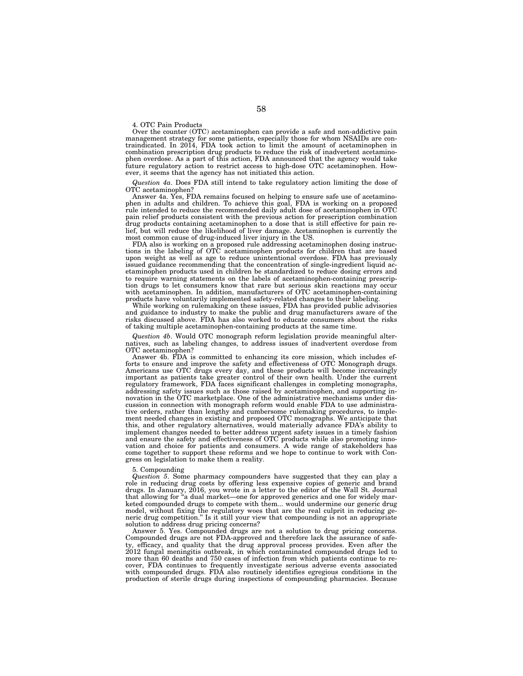4. OTC Pain Products

Over the counter (OTC) acetaminophen can provide a safe and non-addictive pain management strategy for some patients, especially those for whom NSAIDs are contraindicated. In 2014, FDA took action to limit the amount of acetaminophen in combination prescription drug products to reduce the risk of inadvertent acetaminophen overdose. As a part of this action, FDA announced that the agency would take future regulatory action to restrict access to high-dose OTC acetaminophen. However, it seems that the agency has not initiated this action.

*Question 4a*. Does FDA still intend to take regulatory action limiting the dose of OTC acetaminophen?

Answer 4a. Yes, FDA remains focused on helping to ensure safe use of acetaminophen in adults and children. To achieve this goal, FDA is working on a proposed rule intended to reduce the recommended daily adult dose of acetaminophen in OTC pain relief products consistent with the previous action for prescription combination drug products containing acetaminophen to a dose that is still effective for pain relief, but will reduce the likelihood of liver damage. Acetaminophen is currently the most common cause of drug-induced liver injury in the US.

FDA also is working on a proposed rule addressing acetaminophen dosing instructions in the labeling of OTC acetaminophen products for children that are based upon weight as well as age to reduce unintentional overdose. FDA has previously issued guidance recommending that the concentration of single-ingredient liquid acetaminophen products used in children be standardized to reduce dosing errors and to require warning statements on the labels of acetaminophen-containing prescription drugs to let consumers know that rare but serious skin reactions may occur with acetaminophen. In addition, manufacturers of OTC acetaminophen-containing products have voluntarily implemented safety-related changes to their labeling.

While working on rulemaking on these issues, FDA has provided public advisories and guidance to industry to make the public and drug manufacturers aware of the risks discussed above. FDA has also worked to educate consumers about the risks of taking multiple acetaminophen-containing products at the same time.

*Question 4b*. Would OTC monograph reform legislation provide meaningful alternatives, such as labeling changes, to address issues of inadvertent overdose from OTC acetaminophen?

Answer 4b. FDA is committed to enhancing its core mission, which includes efforts to ensure and improve the safety and effectiveness of OTC Monograph drugs. Americans use OTC drugs every day, and these products will become increasingly important as patients take greater control of their own health. Under the current regulatory framework, FDA faces significant challenges in completing monographs, addressing safety issues such as those raised by acetaminophen, and supporting innovation in the OTC marketplace. One of the administrative mechanisms under discussion in connection with monograph reform would enable FDA to use administrative orders, rather than lengthy and cumbersome rulemaking procedures, to implement needed changes in existing and proposed OTC monographs. We anticipate that this, and other regulatory alternatives, would materially advance FDA's ability to implement changes needed to better address urgent safety issues in a timely fashion and ensure the safety and effectiveness of OTC products while also promoting innovation and choice for patients and consumers. A wide range of stakeholders has come together to support these reforms and we hope to continue to work with Congress on legislation to make them a reality.

# 5. Compounding

*Question 5*. Some pharmacy compounders have suggested that they can play a role in reducing drug costs by offering less expensive copies of generic and brand drugs. In January, 2016, you wrote in a letter to the editor of the Wall St. Journal that allowing for ''a dual market—one for approved generics and one for widely marketed compounded drugs to compete with them... would undermine our generic drug model, without fixing the regulatory woes that are the real culprit in reducing generic drug competition.'' Is it still your view that compounding is not an appropriate solution to address drug pricing concerns?

Answer 5. Yes. Compounded drugs are not a solution to drug pricing concerns. Compounded drugs are not FDA-approved and therefore lack the assurance of safety, efficacy, and quality that the drug approval process provides. Even after the 2012 fungal meningitis outbreak, in which contaminated compounded drugs led to more than 60 deaths and 750 cases of infection from which patients continue to recover, FDA continues to frequently investigate serious adverse events associated with compounded drugs. FDA also routinely identifies egregious conditions in the production of sterile drugs during inspections of compounding pharmacies. Because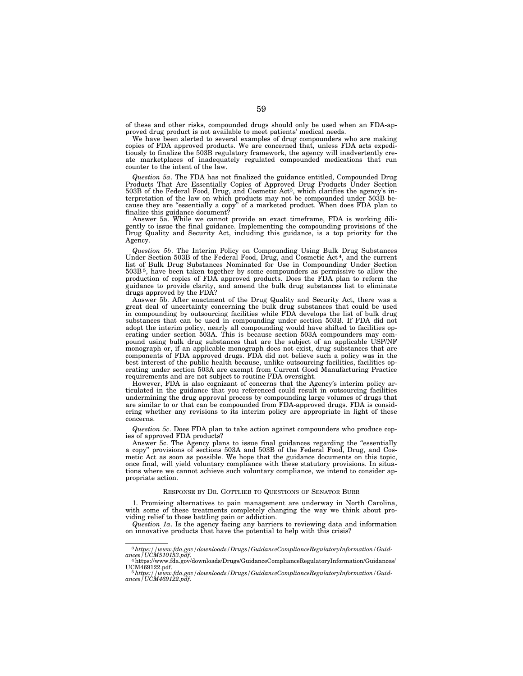of these and other risks, compounded drugs should only be used when an FDA-approved drug product is not available to meet patients' medical needs.

We have been alerted to several examples of drug compounders who are making copies of FDA approved products. We are concerned that, unless FDA acts expeditiously to finalize the 503B regulatory framework, the agency will inadvertently create marketplaces of inadequately regulated compounded medications that run counter to the intent of the law.

*Question 5a*. The FDA has not finalized the guidance entitled, Compounded Drug Products That Are Essentially Copies of Approved Drug Products Under Section 503B of the Federal Food, Drug, and Cosmetic Act3, which clarifies the agency's interpretation of the law on which products may not be compounded under 503B because they are "essentially a copy" of a marketed product. When does FDA plan to finalize this guidance document?

Answer 5a. While we cannot provide an exact timeframe, FDA is working diligently to issue the final guidance. Implementing the compounding provisions of the Drug Quality and Security Act, including this guidance, is a top priority for the Agency.

*Question 5b*. The Interim Policy on Compounding Using Bulk Drug Substances Under Section 503B of the Federal Food, Drug, and Cosmetic Act 4, and the current list of Bulk Drug Substances Nominated for Use in Compounding Under Section 503B 5, have been taken together by some compounders as permissive to allow the production of copies of FDA approved products. Does the FDA plan to reform the guidance to provide clarity, and amend the bulk drug substances list to eliminate drugs approved by the FDA?

Answer 5b. After enactment of the Drug Quality and Security Act, there was a great deal of uncertainty concerning the bulk drug substances that could be used in compounding by outsourcing facilities while FDA develops the list of bulk drug substances that can be used in compounding under section 503B. If FDA did not adopt the interim policy, nearly all compounding would have shifted to facilities operating under section 503A. This is because section 503A compounders may compound using bulk drug substances that are the subject of an applicable USP/NF monograph or, if an applicable monograph does not exist, drug substances that are components of FDA approved drugs. FDA did not believe such a policy was in the best interest of the public health because, unlike outsourcing facilities, facilities operating under section 503A are exempt from Current Good Manufacturing Practice requirements and are not subject to routine FDA oversight.

However, FDA is also cognizant of concerns that the Agency's interim policy articulated in the guidance that you referenced could result in outsourcing facilities undermining the drug approval process by compounding large volumes of drugs that are similar to or that can be compounded from FDA-approved drugs. FDA is considering whether any revisions to its interim policy are appropriate in light of these concerns.

*Question 5c*. Does FDA plan to take action against compounders who produce copies of approved FDA products?

Answer 5c. The Agency plans to issue final guidances regarding the "essentially a copy'' provisions of sections 503A and 503B of the Federal Food, Drug, and Cosmetic Act as soon as possible. We hope that the guidance documents on this topic, once final, will yield voluntary compliance with these statutory provisions. In situations where we cannot achieve such voluntary compliance, we intend to consider appropriate action.

# RESPONSE BY DR. GOTTLIEB TO QUESTIONS OF SENATOR BURR

1. Promising alternatives to pain management are underway in North Carolina, with some of these treatments completely changing the way we think about providing relief to those battling pain or addiction.

*Question 1a*. Is the agency facing any barriers to reviewing data and information on innovative products that have the potential to help with this crisis?

<sup>3</sup>*https://www.fda.gov/downloads/Drugs/GuidanceComplianceRegulatoryInformation/Guidances/UCM510153.pdf*. 4https://www.fda.gov/downloads/Drugs/GuidanceComplianceRegulatoryInformation/Guidances/

UCM469122.pdf. 5*https://www.fda.gov/downloads/Drugs/GuidanceComplianceRegulatoryInformation/Guid-ances/UCM469122.pdf*.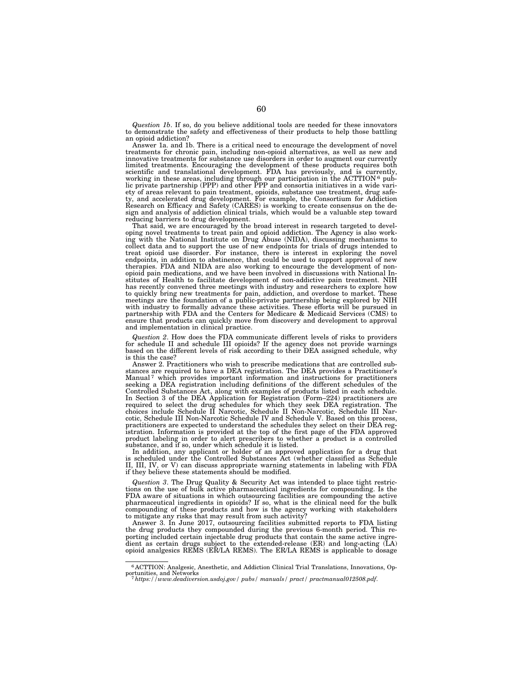*Question 1b*. If so, do you believe additional tools are needed for these innovators to demonstrate the safety and effectiveness of their products to help those battling an opioid addiction?

Answer 1a. and 1b. There is a critical need to encourage the development of novel treatments for chronic pain, including non-opioid alternatives, as well as new and innovative treatments for substance use disorders in order to augment our currently limited treatments. Encouraging the development of these products requires both scientific and translational development. FDA has previously, and is currently, working in these areas, including through our participation in the ACTTION<sup>6</sup> pub-<br>lic private partnership (PPP) and other PPP and consortia i ety of areas relevant to pain treatment, opioids, substance use treatment, drug safety, and accelerated drug development. For example, the Consortium for Addiction Research on Efficacy and Safety (CARES) is working to create consensus on the design and analysis of addiction clinical trials, which would be a valuable step toward reducing barriers to drug development.

That said, we are encouraged by the broad interest in research targeted to devel-oping novel treatments to treat pain and opioid addiction. The Agency is also working with the National Institute on Drug Abuse (NIDA), discussing mechanisms to collect data and to support the use of new endpoints for trials of drugs intended to treat opioid use disorder. For instance, there is interest in exploring the novel endpoints, in addition to abstinence, that could be used to support approval of new therapies. FDA and NIDA are also working to encourage the development of nonopioid pain medications, and we have been involved in discussions with National Institutes of Health to facilitate development of non-addictive pain treatment. NIH has recently convened three meetings with industry and researchers to explore how to quickly bring new treatments for pain, addiction, and overdose to market. These meetings are the foundation of a public-private partnership being explored by NIH with industry to formally advance these activities. These efforts will be pursued in partnership with FDA and the Centers for Medicare & Medicaid Services (CMS) to ensure that products can quickly move from discovery and development to approval and implementation in clinical practice.

*Question 2*. How does the FDA communicate different levels of risks to providers for schedule II and schedule III opioids? If the agency does not provide warnings based on the different levels of risk according to their DEA assigned schedule, why is this the case?

Answer 2. Practitioners who wish to prescribe medications that are controlled substances are required to have a DEA registration. The DEA provides a Practitioner's Manual<sup>7</sup> which provides important information and instructions for practitioners seeking a DEA registration including definitions of the different schedules of the Controlled Substances Act, along with examples of products listed in each schedule. In Section 3 of the DEA Application for Registration (Form–224) practitioners are required to select the drug schedules for which they seek DEA registration. The choices include Schedule II Narcotic, Schedule II Non-Narcotic, Schedule III Narcotic, Schedule III Non-Narcotic Schedule IV and Schedule V. Based on this process, practitioners are expected to understand the schedules they select on their DEA registration. Information is provided at the top of the first page of the FDA approved product labeling in order to alert prescribers to whether a product is a controlled substance, and if so, under which schedule it is listed.

In addition, any applicant or holder of an approved application for a drug that is scheduled under the Controlled Substances Act (whether classified as Schedule II, III, IV, or V) can discuss appropriate warning statements in labeling with FDA if they believe these statements should be modified.

*Question 3*. The Drug Quality & Security Act was intended to place tight restrictions on the use of bulk active pharmaceutical ingredients for compounding. Is the FDA aware of situations in which outsourcing facilities are compounding the active pharmaceutical ingredients in opioids? If so, what is the clinical need for the bulk compounding of these products and how is the agency working with stakeholders to mitigate any risks that may result from such activity?

Answer 3. In June 2017, outsourcing facilities submitted reports to FDA listing the drug products they compounded during the previous 6-month period. This reporting included certain injectable drug products that contain the same active ingredient as certain drugs subject to the extended-release (ER) and long-acting (LA) opioid analgesics REMS (ER/LA REMS). The ER/LA REMS is applicable to dosage

<sup>6</sup> ACTTION: Analgesic, Anesthetic, and Addiction Clinical Trial Translations, Innovations, Opportunities, and Networks 7*https://www.deadiversion.usdoj.gov/ pubs/ manuals/ pract/ practmanual012508.pdf*.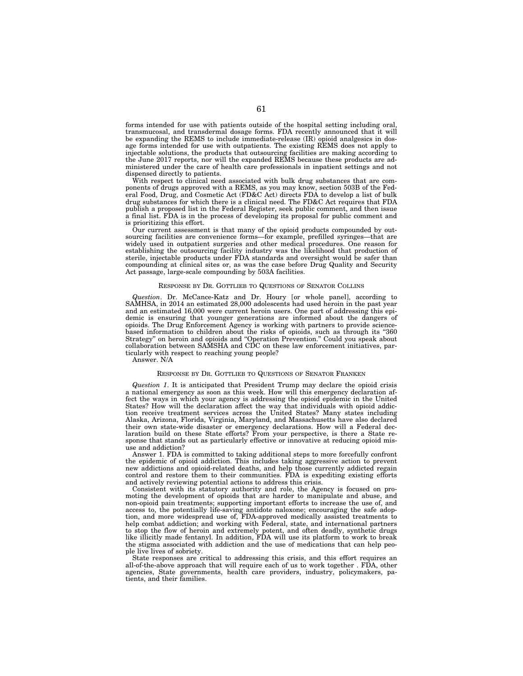forms intended for use with patients outside of the hospital setting including oral, transmucosal, and transdermal dosage forms. FDA recently announced that it will be expanding the REMS to include immediate-release (IR) opioid analgesics in dosage forms intended for use with outpatients. The existing REMS does not apply to injectable solutions, the products that outsourcing facilities are making according to the June 2017 reports, nor will the expanded REMS because these products are administered under the care of health care professionals in inpatient settings and not dispensed directly to patients.

With respect to clinical need associated with bulk drug substances that are components of drugs approved with a REMS, as you may know, section 503B of the Federal Food, Drug, and Cosmetic Act (FD&C Act) directs FDA to develop a list of bulk drug substances for which there is a clinical need. The FD&C Act requires that FDA publish a proposed list in the Federal Register, seek public comment, and then issue a final list. FDA is in the process of developing its proposal for public comment and is prioritizing this effort.

Our current assessment is that many of the opioid products compounded by outsourcing facilities are convenience forms—for example, prefilled syringes—that are widely used in outpatient surgeries and other medical procedures. One reason for establishing the outsourcing facility industry was the likelihood that production of sterile, injectable products under FDA standards and oversight would be safer than compounding at clinical sites or, as was the case before Drug Quality and Security Act passage, large-scale compounding by 503A facilities.

# RESPONSE BY DR. GOTTLIEB TO QUESTIONS OF SENATOR COLLINS

*Question*. Dr. McCance-Katz and Dr. Houry [or whole panel], according to SAMHSA, in 2014 an estimated 28,000 adolescents had used heroin in the past year and an estimated 16,000 were current heroin users. One part of addressing this epidemic is ensuring that younger generations are informed about the dangers of opioids. The Drug Enforcement Agency is working with partners to provide sciencebased information to children about the risks of opioids, such as through its "360 Strategy'' on heroin and opioids and ''Operation Prevention.'' Could you speak about collaboration between SAMSHA and CDC on these law enforcement initiatives, particularly with respect to reaching young people?

Answer. N/A

### RESPONSE BY DR. GOTTLIEB TO QUESTIONS OF SENATOR FRANKEN

*Question 1*. It is anticipated that President Trump may declare the opioid crisis a national emergency as soon as this week. How will this emergency declaration affect the ways in which your agency is addressing the opioid epidemic in the United States? How will the declaration affect the way that individuals with opioid addiction receive treatment services across the United States? Many states including Alaska, Arizona, Florida, Virginia, Maryland, and Massachusetts have also declared their own state-wide disaster or emergency declarations. How will a Federal declaration build on these State efforts? From your perspective, is there a State response that stands out as particularly effective or innovative at reducing opioid misuse and addiction?

Answer 1. FDA is committed to taking additional steps to more forcefully confront the epidemic of opioid addiction. This includes taking aggressive action to prevent new addictions and opioid-related deaths, and help those currently addicted regain control and restore them to their communities. FDA is expediting existing efforts and actively reviewing potential actions to address this crisis.

Consistent with its statutory authority and role, the Agency is focused on promoting the development of opioids that are harder to manipulate and abuse, and non-opioid pain treatments; supporting important efforts to increase the use of, and access to, the potentially life-saving antidote naloxone; encouraging the safe adoption, and more widespread use of, FDA-approved medically assisted treatments to help combat addiction; and working with Federal, state, and international partners to stop the flow of heroin and extremely potent, and often deadly, synthetic drugs like illicitly made fentanyl. In addition, FDA will use its platform to work to break the stigma associated with addiction and the use of medications that can help people live lives of sobriety.

State responses are critical to addressing this crisis, and this effort requires an all-of-the-above approach that will require each of us to work together . FDA, other agencies, State governments, health care providers, industry, policymakers, patients, and their families.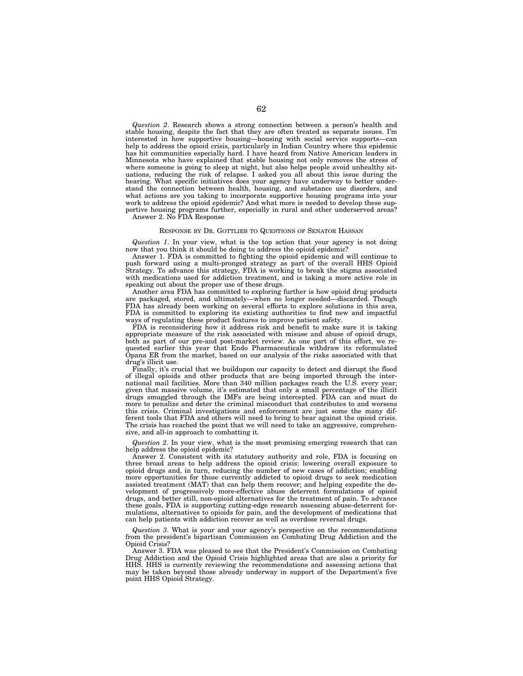*Question 2*. Research shows a strong connection between a person's health and stable housing, despite the fact that they are often treated as separate issues. I'm interested in how supportive housing—housing with social service supports—can help to address the opioid crisis, particularly in Indian Country where this epidemic has hit communities especially hard. I have heard from Native American leaders in Minnesota who have explained that stable housing not only removes the stress of where someone is going to sleep at night, but also helps people avoid unhealthy situations, reducing the risk of relapse. I asked you all about this issue during the hearing. What specific initiatives does your agency have underway to better understand the connection between health, housing, and substance use disorders, and what actions are you taking to incorporate supportive housing programs into your work to address the opioid epidemic? And what more is needed to develop these supportive housing programs further, especially in rural and other underserved areas? Answer 2. No FDA Response

# RESPONSE BY DR. GOTTLIEB TO QUESTIONS OF SENATOR HASSAN

*Question 1*. In your view, what is the top action that your agency is not doing now that you think it should be doing to address the opioid epidemic?

Answer 1. FDA is committed to fighting the opioid epidemic and will continue to push forward using a multi-pronged strategy as part of the overall HHS Opioid Strategy. To advance this strategy, FDA is working to break the stigma associated with medications used for addiction treatment, and is taking a more active role in speaking out about the proper use of these drugs.

Another area FDA has committed to exploring further is how opioid drug products are packaged, stored, and ultimately—when no longer needed—discarded. Though FDA has already been working on several efforts to explore solutions in this area, FDA is committed to exploring its existing authorities to find new and impactful ways of regulating these product features to improve patient safety.

FDA is reconsidering how it address risk and benefit to make sure it is taking appropriate measure of the risk associated with misuse and abuse of opioid drugs, both as part of our pre-and post-market review. As one part of this effort, we requested earlier this year that Endo Pharmaceuticals withdraw its reformulated Opana ER from the market, based on our analysis of the risks associated with that drug's illicit use.

Finally, it's crucial that we buildupon our capacity to detect and disrupt the flood of illegal opioids and other products that are being imported through the international mail facilities. More than 340 million packages reach the U.S. every year; given that massive volume, it's estimated that only a small percentage of the illicit drugs smuggled through the IMFs are being intercepted. FDA can and must do more to penalize and deter the criminal misconduct that contributes to and worsens this crisis. Criminal investigations and enforcement are just some the many different tools that FDA and others will need to bring to bear against the opioid crisis. The crisis has reached the point that we will need to take an aggressive, comprehensive, and all-in approach to combatting it.

*Question 2*. In your view, what is the most promising emerging research that can help address the opioid epidemic?

Answer 2. Consistent with its statutory authority and role, FDA is focusing on three broad areas to help address the opioid crisis: lowering overall exposure to opioid drugs and, in turn, reducing the number of new cases of addiction; enabling more opportunities for those currently addicted to opioid drugs to seek medication assisted treatment (MAT) that can help them recover; and helping expedite the development of progressively more-effective abuse deterrent formulations of opioid drugs, and better still, non-opioid alternatives for the treatment of pain. To advance these goals, FDA is supporting cutting-edge research assessing abuse-deterrent formulations, alternatives to opioids for pain, and the development of medications that can help patients with addiction recover as well as overdose reversal drugs.

*Question 3*. What is your and your agency's perspective on the recommendations from the president's bipartisan Commission on Combating Drug Addiction and the Opioid Crisis?

Answer 3. FDA was pleased to see that the President's Commission on Combating Drug Addiction and the Opioid Crisis highlighted areas that are also a priority for HHS. HHS is currently reviewing the recommendations and assessing actions that may be taken beyond those already underway in support of the Department's five point HHS Opioid Strategy.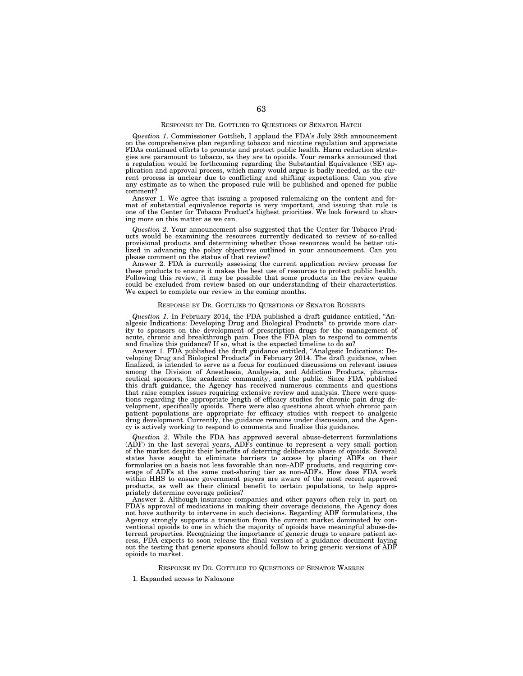Q*uestion 1*. Commissioner Gottlieb, I applaud the FDA's July 28th announcement on the comprehensive plan regarding tobacco and nicotine regulation and appreciate FDAs continued efforts to promote and protect public health. Harm reduction strategies are paramount to tobacco, as they are to opioids. Your remarks announced that a regulation would be forthcoming regarding the Substantial Equivalence (SE) application and approval process, which many would argue is badly needed, as the current process is unclear due to conflicting and shifting expectations. Can you give any estimate as to when the proposed rule will be published and opened for public comment?

Answer 1. We agree that issuing a proposed rulemaking on the content and format of substantial equivalence reports is very important, and issuing that rule is one of the Center for Tobacco Product's highest priorities. We look forward to sharing more on this matter as we can.

*Question 2*. Your announcement also suggested that the Center for Tobacco Products would be examining the resources currently dedicated to review of so-called provisional products and determining whether those resources would be better utilized in advancing the policy objectives outlined in your announcement. Can you please comment on the status of that review?

Answer 2. FDA is currently assessing the current application review process for these products to ensure it makes the best use of resources to protect public health. Following this review, it may be possible that some products in the review queue could be excluded from review based on our understanding of their characteristics. We expect to complete our review in the coming months.

## RESPONSE BY DR. GOTTLIEB TO QUESTIONS OF SENATOR ROBERTS

*Question 1*. In February 2014, the FDA published a draft guidance entitled, ''Analgesic Indications: Developing Drug and Biological Products'' to provide more clarity to sponsors on the development of prescription drugs for the management of acute, chronic and breakthrough pain. Does the FDA plan to respond to comments and finalize this guidance? If so, what is the expected timeline to do so?

Answer 1. FDA published the draft guidance entitled, ''Analgesic Indications: Developing Drug and Biological Products'' in February 2014. The draft guidance, when finalized, is intended to serve as a focus for continued discussions on relevant issues among the Division of Anesthesia, Analgesia, and Addiction Products, pharmaceutical sponsors, the academic community, and the public. Since FDA published this draft guidance, the Agency has received numerous comments and questions that raise complex issues requiring extensive review and analysis. There were questions regarding the appropriate length of efficacy studies for chronic pain drug development, specifically opioids. There were also questions about which chronic pain patient populations are appropriate for efficacy studies with respect to analgesic drug development. Currently, the guidance remains under discussion, and the Agency is actively working to respond to comments and finalize this guidance.

*Question 2*. While the FDA has approved several abuse-deterrent formulations (ADF) in the last several years, ADFs continue to represent a very small portion of the market despite their benefits of deterring deliberate abuse of opioids. Several states have sought to eliminate barriers to access by placing ADFs on their formularies on a basis not less favorable than non-ADF products, and requiring coverage of ADFs at the same cost-sharing tier as non-ADFs. How does FDA work within HHS to ensure government payers are aware of the most recent approved products, as well as their clinical benefit to certain populations, to help appropriately determine coverage policies?

Answer 2. Although insurance companies and other payors often rely in part on FDA's approval of medications in making their coverage decisions, the Agency does not have authority to intervene in such decisions. Regarding ADF formulations, the Agency strongly supports a transition from the current market dominated by conventional opioids to one in which the majority of opioids have meaningful abuse-deterrent properties. Recognizing the importance of generic drugs to ensure patient access, FDA expects to soon release the final version of a guidance document laying out the testing that generic sponsors should follow to bring generic versions of ADF opioids to market.

RESPONSE BY DR. GOTTLIEB TO QUESTIONS OF SENATOR WARREN

1. Expanded access to Naloxone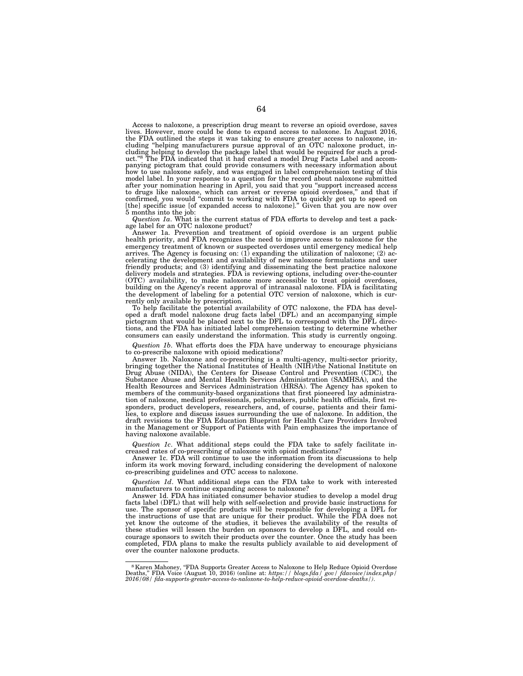Access to naloxone, a prescription drug meant to reverse an opioid overdose, saves lives. However, more could be done to expand access to naloxone. In August 2016, the FDA outlined the steps it was taking to ensure greater access to naloxone, including "helping manufacturers pursue approval of an OTC naloxone product, in-<br>cluding helping to develop the package label that would be required for such a prod-<br>uct."<sup>8</sup> The FDA indicated that it had created a model Dru panying pictogram that could provide consumers with necessary information about how to use naloxone safely, and was engaged in label comprehension testing of this model label. In your response to a question for the record about naloxone submitted after your nomination hearing in April, you said that you ''support increased access to drugs like naloxone, which can arrest or reverse opioid overdoses,'' and that if confirmed, you would ''commit to working with FDA to quickly get up to speed on [the] specific issue [of expanded access to naloxone].'' Given that you are now over 5 months into the job:

*Question 1a*. What is the current status of FDA efforts to develop and test a package label for an OTC naloxone product?

Answer 1a. Prevention and treatment of opioid overdose is an urgent public health priority, and FDA recognizes the need to improve access to naloxone for the emergency treatment of known or suspected overdoses until emergency medical help arrives. The Agency is focusing on: (1) expanding the utilization of naloxone; (2) accelerating the development and availability of new naloxone formulations and user friendly products; and (3) identifying and disseminating the best practice naloxone delivery models and strategies. FDA is reviewing options, including over-the-counter (OTC) availability, to make naloxone more accessible to treat opioid overdoses, building on the Agency's recent approval of intranasal naloxone. FDA is facilitating the development of labeling for a potential OTC version of naloxone, which is currently only available by prescription.

To help facilitate the potential availability of OTC naloxone, the FDA has developed a draft model naloxone drug facts label (DFL) and an accompanying simple pictogram that would be placed next to the DFL to correspond with the DFL directions, and the FDA has initiated label comprehension testing to determine whether consumers can easily understand the information. This study is currently ongoing.

*Question 1b*. What efforts does the FDA have underway to encourage physicians to co-prescribe naloxone with opioid medications?

Answer 1b. Naloxone and co-prescribing is a multi-agency, multi-sector priority, bringing together the National Institutes of Health (NIH)/the National Institute on Drug Abuse (NIDA), the Centers for Disease Control and Prevention (CDC), the Substance Abuse and Mental Health Services Administration (SAMHSA), and the Health Resources and Services Administration (HRSA). The Agency has spoken to members of the community-based organizations that first pioneered lay administration of naloxone, medical professionals, policymakers, public health officials, first responders, product developers, researchers, and, of course, patients and their families, to explore and discuss issues surrounding the use of naloxone. In addition, the draft revisions to the FDA Education Blueprint for Health Care Providers Involved in the Management or Support of Patients with Pain emphasizes the importance of having naloxone available.

*Question 1c*. What additional steps could the FDA take to safely facilitate increased rates of co-prescribing of naloxone with opioid medications?

Answer 1c. FDA will continue to use the information from its discussions to help inform its work moving forward, including considering the development of naloxone co-prescribing guidelines and OTC access to naloxone.

*Question 1d*. What additional steps can the FDA take to work with interested manufacturers to continue expanding access to naloxone?

Answer 1d. FDA has initiated consumer behavior studies to develop a model drug facts label (DFL) that will help with self-selection and provide basic instructions for use. The sponsor of specific products will be responsible for developing a DFL for the instructions of use that are unique for their product. While the FDA does not yet know the outcome of the studies, it believes the availability of the results of these studies will lessen the burden on sponsors to develop a DFL, and could encourage sponsors to switch their products over the counter. Once the study has been completed, FDA plans to make the results publicly available to aid development of over the counter naloxone products.

<sup>8</sup>Karen Mahoney, ''FDA Supports Greater Access to Naloxone to Help Reduce Opioid Overdose Deaths,'' FDA Voice (August 10, 2016) (online at: *https:// blogs.fda/ gov/ fdavoice/index.php/ 2016/08/ fda-supports-greater-access-to-naloxone-to-help-reduce-opioid-overdose-deaths/)*.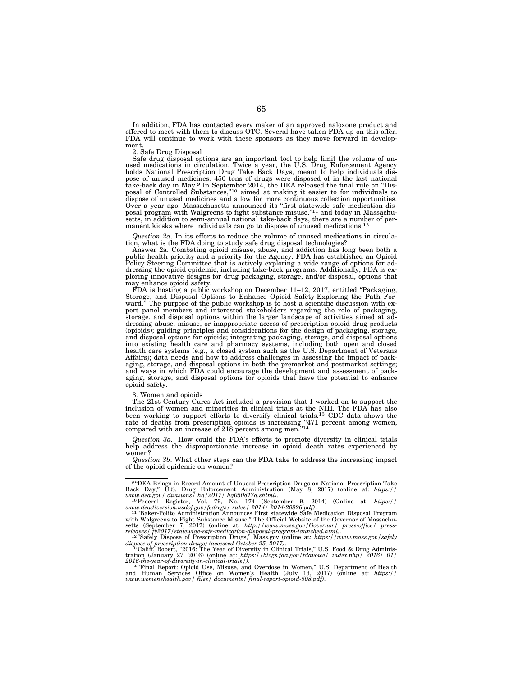In addition, FDA has contacted every maker of an approved naloxone product and offered to meet with them to discuss OTC. Several have taken FDA up on this offer. FDA will continue to work with these sponsors as they move forward in development.

2. Safe Drug Disposal

Safe drug disposal options are an important tool to help limit the volume of unused medications in circulation. Twice a year, the U.S. Drug Enforcement Agency holds National Prescription Drug Take Back Days, meant to help individuals dispose of unused medicines. 450 tons of drugs were disposed of in the last national take-back day in May.9 In September 2014, the DEA released the final rule on ''Disposal of Controlled Substances,"<sup>10</sup> aimed at making it easier to for individuals to dispose of unused medicines and allow for more continuous collection opportunities. Over a year ago, Massachusetts announced its ''first statewide safe medication disposal program with Walgreens to fight substance misuse,"<sup>11</sup> and today in Massachu-<br>setts, in addition to semi-annual national take-back days, there are a number of permanent kiosks where individuals can go to dispose of unused medications.12

*Question 2a*. In its efforts to reduce the volume of unused medications in circulation, what is the FDA doing to study safe drug disposal technologies?

Answer 2a. Combating opioid misuse, abuse, and addiction has long been both a public health priority and a priority for the Agency. FDA has established an Opioid Policy Steering Committee that is actively exploring a wide range of options for addressing the opioid epidemic, including take-back programs. Additionally, FDA is exploring innovative designs for drug packaging, storage, and/or disposal, options that may enhance opioid safety.

FDA is hosting a public workshop on December 11–12, 2017, entitled "Packaging, Storage, and Disposal Options to Enhance Opioid Safety-Exploring the Path Forward.'' The purpose of the public workshop is to host a scientific discussion with ex-pert panel members and interested stakeholders regarding the role of packaging, storage, and disposal options within the larger landscape of activities aimed at addressing abuse, misuse, or inappropriate access of prescription opioid drug products (opioids); guiding principles and considerations for the design of packaging, storage, and disposal options for opioids; integrating packaging, storage, and disposal options into existing health care and pharmacy systems, including both open and closed health care systems (e.g., a closed system such as the U.S. Department of Veterans Affairs); data needs and how to address challenges in assessing the impact of packaging, storage, and disposal options in both the premarket and postmarket settings; and ways in which FDA could encourage the development and assessment of packaging, storage, and disposal options for opioids that have the potential to enhance opioid safety.

3. Women and opioids

The 21st Century Cures Act included a provision that I worked on to support the inclusion of women and minorities in clinical trials at the NIH. The FDA has also been working to support efforts to diversify clinical trials.<sup>13</sup> CDC data shows the rate of deaths from prescription opioids is increasing "471 percent among women, compared with an increase of 218 percent among men.<sup>"14</sup>

*Question 3a.*. How could the FDA's efforts to promote diversity in clinical trials help address the disproportionate increase in opioid death rates experienced by women?

*Question 3b*. What other steps can the FDA take to address the increasing impact of the opioid epidemic on women?

 $www.w.deadiversion.wadoj.gov/fedregs/ rules/ 2014/ 2014-20926.pdf).$ <br>  $11^{\circ}$ Baker-Polito Administration Announces First statewide Safe Medication Disposal Program<br>
with Walgreens to Fight Substance Misuse," The Official Website of the Governor of M

dispose-of-prescription-drugs) (accessed October 25, 2017).<br><sup>13</sup>Califf, Robert, "2016: The Year of Diversity in Clinical Trials," U.S. Food & Drug Administration (January 27, 2016) (online at: *https://blogs.fda.gov/fdavoi* 

and Human Services Office on Women's Health (July 13, 2017) (online at: *https:// www.womenshealth.gov/ files/ documents/ final-report-opioid-508.pdf)*.

<sup>9</sup> ''DEA Brings in Record Amount of Unused Prescription Drugs on National Prescription Take Back Day,'' U.S. Drug Enforcement Administration (May 8, 2017) (online at: *https:// www.dea.gov/ divisions/ hq/2017/ hq050817a.shtml)*. 10Federal Register, Vol. 79, No. 174 (September 9, 2014) (Online at: *https://*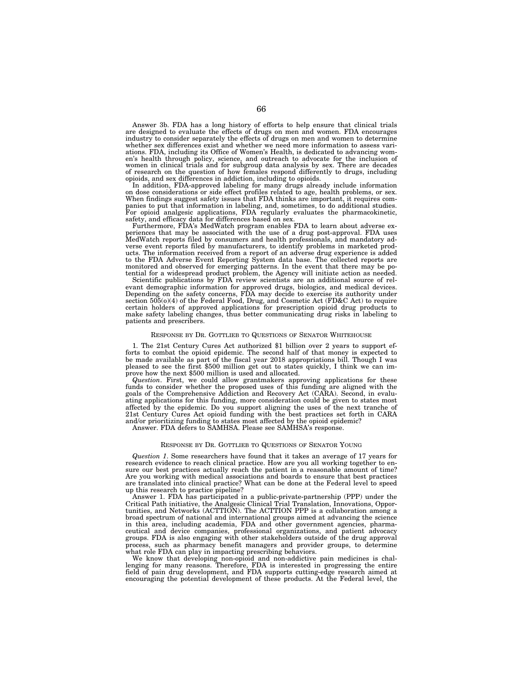Answer 3b. FDA has a long history of efforts to help ensure that clinical trials are designed to evaluate the effects of drugs on men and women. FDA encourages industry to consider separately the effects of drugs on men and women to determine whether sex differences exist and whether we need more information to assess variations. FDA, including its Office of Women's Health, is dedicated to advancing women's health through policy, science, and outreach to advocate for the inclusion of women in clinical trials and for subgroup data analysis by sex. There are decades of research on the question of how females respond differently to drugs, including opioids, and sex differences in addiction, including to opioids.

In addition, FDA-approved labeling for many drugs already include information on dose considerations or side effect profiles related to age, health problems, or sex. When findings suggest safety issues that FDA thinks are important, it requires com-panies to put that information in labeling, and, sometimes, to do additional studies. For opioid analgesic applications, FDA regularly evaluates the pharmacokinetic, safety, and efficacy data for differences based on sex.

Furthermore, FDA's MedWatch program enables FDA to learn about adverse ex-periences that may be associated with the use of a drug post-approval. FDA uses MedWatch reports filed by consumers and health professionals, and mandatory ad-verse event reports filed by manufacturers, to identify problems in marketed products. The information received from a report of an adverse drug experience is added to the FDA Adverse Event Reporting System data base. The collected reports are monitored and observed for emerging patterns. In the event that there may be potential for a widespread product problem, the Agency will initiate action as needed.

Scientific publications by FDA review scientists are an additional source of relevant demographic information for approved drugs, biologics, and medical devices. Depending on the safety concerns, FDA may decide to exercise its authority under section 505(o)(4) of the Federal Food, Drug, and Cosmetic Act (FD&C Act) to require certain holders of approved applications for prescription opioid drug products to make safety labeling changes, thus better communicating drug risks in labeling to patients and prescribers.

#### RESPONSE BY DR. GOTTLIEB TO QUESTIONS OF SENATOR WHITEHOUSE

1. The 21st Century Cures Act authorized \$1 billion over 2 years to support efforts to combat the opioid epidemic. The second half of that money is expected to be made available as part of the fiscal year 2018 appropriations bill. Though I was pleased to see the first \$500 million get out to states quickly, I think we can improve how the next \$500 million is used and allocated.

*Question*. First, we could allow grantmakers approving applications for these funds to consider whether the proposed uses of this funding are aligned with the goals of the Comprehensive Addiction and Recovery Act (CARA). Second, in evaluating applications for this funding, more consideration could be given to states most affected by the epidemic. Do you support aligning the uses of the next tranche of 21st Century Cures Act opioid funding with the best practices set forth in CARA and/or prioritizing funding to states most affected by the opioid epidemic?

Answer. FDA defers to SAMHSA. Please see SAMHSA's response.

## RESPONSE BY DR. GOTTLIEB TO QUESTIONS OF SENATOR YOUNG

*Question 1*. Some researchers have found that it takes an average of 17 years for research evidence to reach clinical practice. How are you all working together to ensure our best practices actually reach the patient in a reasonable amount of time? Are you working with medical associations and boards to ensure that best practices are translated into clinical practice? What can be done at the Federal level to speed up this research to practice pipeline?

Answer 1. FDA has participated in a public-private-partnership (PPP) under the Critical Path initiative, the Analgesic Clinical Trial Translation, Innovations, Opportunities, and Networks (ACTTION). The ACTTION PPP is a collaboration among a broad spectrum of national and international groups aimed at advancing the science in this area, including academia, FDA and other government agencies, pharmaceutical and device companies, professional organizations, and patient advocacy groups. FDA is also engaging with other stakeholders outside of the drug approval process, such as pharmacy benefit managers and provider groups, to determine what role FDA can play in impacting prescribing behaviors.

We know that developing non-opioid and non-addictive pain medicines is challenging for many reasons. Therefore, FDA is interested in progressing the entire field of pain drug development, and FDA supports cutting-edge rese encouraging the potential development of these products. At the Federal level, the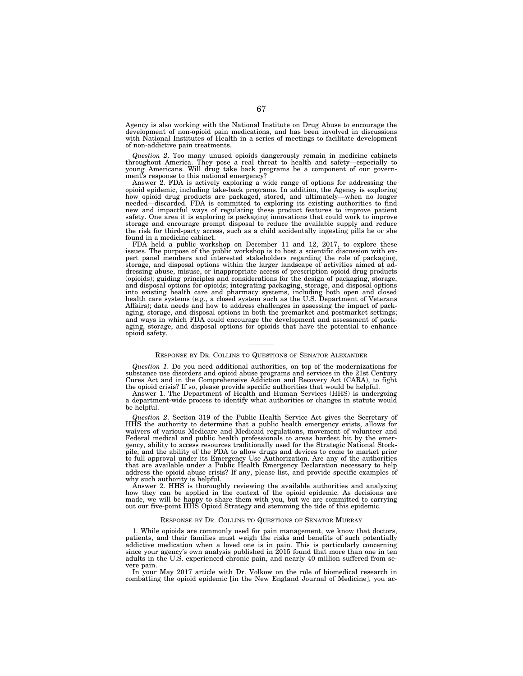Agency is also working with the National Institute on Drug Abuse to encourage the development of non-opioid pain medications, and has been involved in discussions with National Institutes of Health in a series of meetings to facilitate development of non-addictive pain treatments.

*Question 2*. Too many unused opioids dangerously remain in medicine cabinets throughout America. They pose a real threat to health and safety—especially to young Americans. Will drug take back programs be a component of our government's response to this national emergency?

Answer 2. FDA is actively exploring a wide range of options for addressing the opioid epidemic, including take-back programs. In addition, the Agency is exploring how opioid drug products are packaged, stored, and ultimately—when no longer needed—discarded. FDA is committed to exploring its existing authorities to find new and impactful ways of regulating these product features to improve patient safety. One area it is exploring is packaging innovations that could work to improve storage and encourage prompt disposal to reduce the available supply and reduce the risk for third-party access, such as a child accidentally ingesting pills he or she found in a medicine cabinet.

FDA held a public workshop on December 11 and 12, 2017, to explore these issues. The purpose of the public workshop is to host a scientific discussion with expert panel members and interested stakeholders regarding the role of packaging, storage, and disposal options within the larger landscape of activities aimed at addressing abuse, misuse, or inappropriate access of prescription opioid drug products (opioids); guiding principles and considerations for the design of packaging, storage, and disposal options for opioids; integrating packaging, storage, and disposal options into existing health care and pharmacy systems, including both open and closed health care systems (e.g., a closed system such as the U.S. Department of Veterans Affairs); data needs and how to address challenges in assessing the impact of packaging, storage, and disposal options in both the premarket and postmarket settings; and ways in which FDA could encourage the development and assessment of packaging, storage, and disposal options for opioids that have the potential to enhance opioid safety.

## RESPONSE BY DR. COLLINS TO QUESTIONS OF SENATOR ALEXANDER

*Question 1*. Do you need additional authorities, on top of the modernizations for substance use disorders and opioid abuse programs and services in the 21st Century Cures Act and in the Comprehensive Addiction and Recovery Act (CARA), to fight the opioid crisis? If so, please provide specific authorities that would be helpful.

Answer 1. The Department of Health and Human Services (HHS) is undergoing a department-wide process to identify what authorities or changes in statute would be helpful.

*Question 2*. Section 319 of the Public Health Service Act gives the Secretary of HHS the authority to determine that a public health emergency exists, allows for waivers of various Medicare and Medicaid regulations, movement of volunteer and Federal medical and public health professionals to areas hardest hit by the emergency, ability to access resources traditionally used for the Strategic National Stockpile, and the ability of the FDA to allow drugs and devices to come to market prior to full approval under its Emergency Use Authorization. Are any of the authorities that are available under a Public Health Emergency Declaration necessary to help address the opioid abuse crisis? If any, please list, and provide specific examples of why such authority is helpful.

Answer 2. HHS is thoroughly reviewing the available authorities and analyzing how they can be applied in the context of the opioid epidemic. As decisions are made, we will be happy to share them with you, but we are committed to carrying out our five-point HHS Opioid Strategy and stemming the tide of this epidemic.

# RESPONSE BY DR. COLLINS TO QUESTIONS OF SENATOR MURRAY

1. While opioids are commonly used for pain management, we know that doctors, patients, and their families must weigh the risks and benefits of such potentially addictive medication when a loved one is in pain. This is particularly concerning since your agency's own analysis published in 2015 found that more than one in ten adults in the U.S. experienced chronic pain, and nearly 40 million suffered from severe pain.

In your May 2017 article with Dr. Volkow on the role of biomedical research in combatting the opioid epidemic [in the New England Journal of Medicine], you ac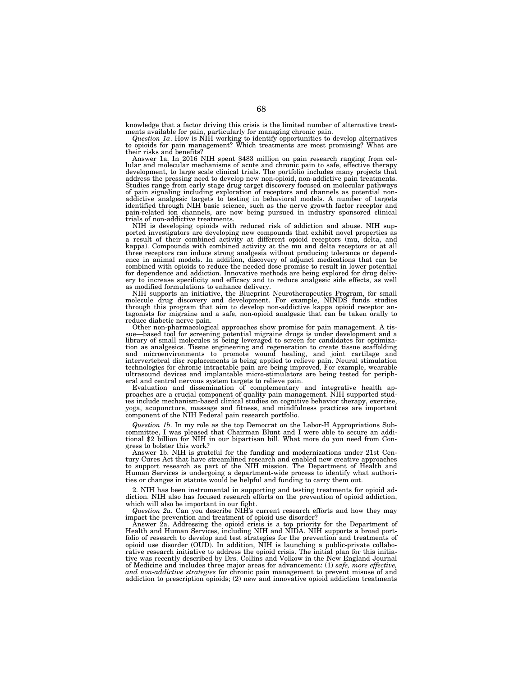knowledge that a factor driving this crisis is the limited number of alternative treat-

ments available for pain, particularly for managing chronic pain.<br>*Question 1a*. How is NIH working to identify opportunities to develop alternatives<br>to opioids for pain management? Which treatments are most promising? Wha their risks and benefits?

Answer 1a. In 2016 NIH spent \$483 million on pain research ranging from cellular and molecular mechanisms of acute and chronic pain to safe, effective therapy development, to large scale clinical trials. The portfolio includes many projects that address the pressing need to develop new non-opioid, non-addictive pain treatments. Studies range from early stage drug target discovery focused on molecular pathways of pain signaling including exploration of receptors and channels as potential nonaddictive analgesic targets to testing in behavioral models. A number of targets identified through NIH basic science, such as the nerve growth factor receptor and pain-related ion channels, are now being pursued in industry sponsored clinical trials of non-addictive treatments.

NIH is developing opioids with reduced risk of addiction and abuse. NIH sup-ported investigators are developing new compounds that exhibit novel properties as a result of their combined activity at different opioid receptors (mu, delta, and kappa). Compounds with combined activity at the mu and delta receptors or at all three receptors can induce strong analgesia without producing tolerance or depend-ence in animal models. In addition, discovery of adjunct medications that can be combined with opioids to reduce the needed dose promise to result in lower potential for dependence and addiction. Innovative methods are being explored for drug delivery to increase specificity and efficacy and to reduce analgesic side effects, as well as modified formulations to enhance delivery.

NIH supports an initiative, the Blueprint Neurotherapeutics Program, for small<br>molecule drug discovery and development. For example, NINDS funds studies<br>through this program that aim to develop non-addictive kappa opioid r tagonists for migraine and a safe, non-opioid analgesic that can be taken orally to reduce diabetic nerve pain.

Other non-pharmacological approaches show promise for pain management. A tissue—based tool for screening potential migraine drugs is under development and a library of small molecules is being leveraged to screen for candidates for optimization as analgesics. Tissue engineering and regeneration to create tissue scaffolding<br>and microenvironments to promote wound healing, and jo intervertebral disc replacements is being applied to relieve pain. Neural stimulation technologies for chronic intractable pain are being improved. For example, wearable ultrasound devices and implantable micro-stimulators are being tested for peripheral and central nervous system targets to relieve pain.

Evaluation and dissemination of complementary and integrative health approaches are a crucial component of quality pain management. NIH supported studies include mechanism-based clinical studies on cognitive behavior therapy, exercise, yoga, acupuncture, massage and fitness, and mindfulness practices are important component of the NIH Federal pain research portfolio.

*Question 1b*. In my role as the top Democrat on the Labor-H Appropriations Subcommittee, I was pleased that Chairman Blunt and I were able to secure an additional \$2 billion for NIH in our bipartisan bill. What more do you need from Congress to bolster this work?

Answer 1b. NIH is grateful for the funding and modernizations under 21st Century Cures Act that have streamlined research and enabled new creative approaches to support research as part of the NIH mission. The Department of Health and Human Services is undergoing a department-wide process to identify what authorities or changes in statute would be helpful and funding to carry them out.

2. NIH has been instrumental in supporting and testing treatments for opioid addiction. NIH also has focused research efforts on the prevention of opioid addiction, which will also be important in our fight.

*Question 2a*. Can you describe NIH's current research efforts and how they may impact the prevention and treatment of opioid use disorder?

Answer 2a. Addressing the opioid crisis is a top priority for the Department of Health and Human Services, including NIH and NIDA. NIH supports a broad portfolio of research to develop and test strategies for the prevention and treatments of opioid use disorder (OUD). In addition, NIH is launching a public-private collaborative research initiative to address the opioid crisis. The initial plan for this initiative was recently described by Drs. Collins and Volkow in the New England Journal of Medicine and includes three major areas for advancement: (1) *safe, more effective, and non-addictive strategies* for chronic pain management to prevent misuse of and addiction to prescription opioids; (2) new and innovative opioid addiction treatments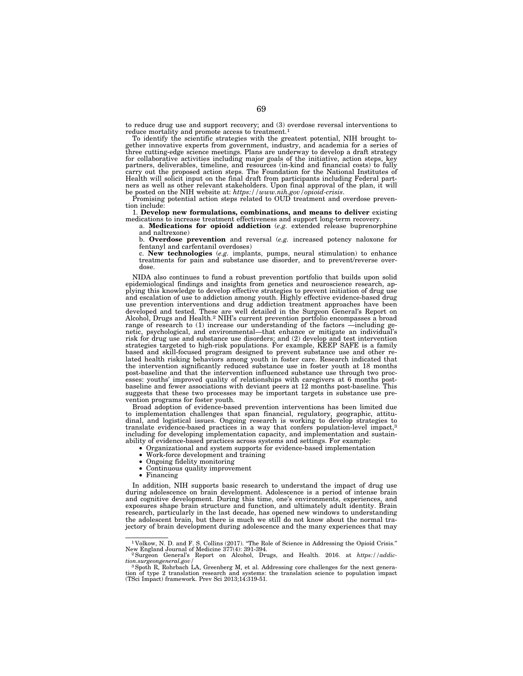to reduce drug use and support recovery; and (3) overdose reversal interventions to reduce mortality and promote access to treatment.1

To identify the scientific strategies with the greatest potential, NIH brought together innovative experts from government, industry, and academia for a series of three cutting-edge science meetings. Plans are underway to develop a draft strategy for collaborative activities including major goals of the initiative, action steps, key partners, deliverables, timeline, and resources (in-kind and financial costs) to fully carry out the proposed action steps. The Foundation for the National Institutes of Health will solicit input on the final draft from participants including Federal partners as well as other relevant stakeholders. Upon final approval of the plan, it will be posted on the NIH website at:  $https://www.nih.gov/opioid-crisis$ .

Promising potential action steps related to OUD treatment and overdose prevention include:

1. Develop new formulations, combinations, and means to deliver existing medications to increase treatment effectiveness and support long-term recovery.<br>a. Medications for opioid addiction (e.g. extended release buprenorp

a. **Medications for opioid addiction** (e.g. extended release buprenorphine and naltrexone)

b. **Overdose prevention** and reversal (*e.g.* increased potency naloxone for fentanyl and carfentanil overdoses)

c. **New technologies** (*e.g.* implants, pumps, neural stimulation) to enhance treatments for pain and substance use disorder, and to prevent/reverse overdose.

NIDA also continues to fund a robust prevention portfolio that builds upon solid epidemiological findings and insights from genetics and neuroscience research, applying this knowledge to develop effective strategies to prevent initiation of drug use and escalation of use to addiction among youth. Highly effective evidence-based drug use prevention interventions and drug addiction treatment approaches have been developed and tested. These are well detailed in the Surgeon General's Report on Alcohol, Drugs and Health.2 NIH's current prevention portfolio encompasses a broad range of research to (1) increase our understanding of the factors —including genetic, psychological, and environmental—that enhance or mitigate an individual's risk for drug use and substance use disorders; and (2) develop and test intervention strategies targeted to high-risk populations. For example, KEEP SAFE is a family based and skill-focused program designed to prevent substance use and other related health risking behaviors among youth in foster care. Research indicated that the intervention significantly reduced substance use in foster youth at 18 months post-baseline and that the intervention influenced substance use through two processes: youths' improved quality of relationships with caregivers at 6 months postbaseline and fewer associations with deviant peers at 12 months post-baseline. This suggests that these two processes may be important targets in substance use prevention programs for foster youth.

Broad adoption of evidence-based prevention interventions has been limited due to implementation challenges that span financial, regulatory, geographic, attitudinal, and logistical issues. Ongoing research is working to develop strategies to translate evidence-based practices in a way that confers population-level impact,3 including for developing implementation capacity, and implementation and sustainability of evidence-based practices across systems and settings. For example:

- Organizational and system supports for evidence-based implementation
- Work-force development and training
- Ongoing fidelity monitoring<br>• Continuous quality improver
- Continuous quality improvement
- Financing

In addition, NIH supports basic research to understand the impact of drug use during adolescence on brain development. Adolescence is a period of intense brain and cognitive development. During this time, one's environments, experiences, and exposures shape brain structure and function, and ultimately adult identity. Brain research, particularly in the last decade, has opened new windows to understanding the adolescent brain, but there is much we still do not know about the normal trajectory of brain development during adolescence and the many experiences that may

<sup>&</sup>lt;sup>1</sup> Volkow, N. D. and F. S. Collins (2017). "The Role of Science in Addressing the Opioid Crisis."<br>New England Journal of Medicine 377(4): 391-394.

New England General's Report on Alcohol, Drugs, and Health. 2016. at *https://addiction.surgeongeneral.gov*/

*tion.surgeongeneral.gov/* 3Spoth R, Rohrbach LA, Greenberg M, et al. Addressing core challenges for the next generation of type 2 translation research and systems: the translation science to population impact (TSci Impact) framework. Prev Sci 2013;14:319-51.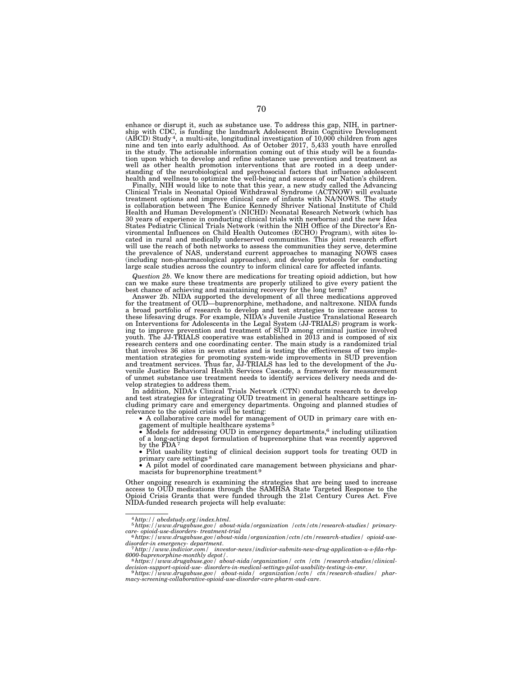enhance or disrupt it, such as substance use. To address this gap, NIH, in partnership with CDC, is funding the landmark Adolescent Brain Cognitive Development (ABCD) Study 4, a multi-site, longitudinal investigation of 10,000 children from ages nine and ten into early adulthood. As of October 2017, 5,433 youth have enrolled in the study. The actionable information coming out of this study will be a foundation upon which to develop and refine substance use prevention and treatment as well as other health promotion interventions that are rooted in a deep understanding of the neurobiological and psychosocial factors that influence adolescent health and wellness to optimize the well-being and success of our Nation's children.

Finally, NIH would like to note that this year, a new study called the Advancing Clinical Trials in Neonatal Opioid Withdrawal Syndrome (ACTNOW) will evaluate treatment options and improve clinical care of infants with NA/NOWS. The study is collaboration between The Eunice Kennedy Shriver National Institute of Child Health and Human Development's (NICHD) Neonatal Research Network (which has 30 years of experience in conducting clinical trials with newborns) and the new Idea States Pediatric Clinical Trials Network (within the NIH Office of the Director's En-vironmental Influences on Child Health Outcomes (ECHO) Program), with sites located in rural and medically underserved communities. This joint research effort will use the reach of both networks to assess the communities they serve, determine the prevalence of NAS, understand current approaches to managing NOWS cases (including non-pharmacological approaches), and develop protocols for conducting large scale studies across the country to inform clinical care for affected infants.

*Question 2b*. We know there are medications for treating opioid addiction, but how can we make sure these treatments are properly utilized to give every patient the best chance of achieving and maintaining recovery for the long term?

Answer 2b. NIDA supported the development of all three medications approved for the treatment of OUD—buprenorphine, methadone, and naltrexone. NIDA funds a broad portfolio of research to develop and test strategies to increase access to these lifesaving drugs. For example, NIDA's Juvenile Justice Translational Research on Interventions for Adolescents in the Legal System (JJ-TRIALS) program is working to improve prevention and treatment of SUD among criminal justice involved youth. The JJ-TRIALS cooperative was established in 2013 and is composed of six research centers and one coordinating center. The main study is a randomized trial that involves 36 sites in seven states and is testing the effectiveness of two implementation strategies for promoting system-wide improvements in SUD prevention<br>and treatment services. Thus far, JJ-TRIALS has led to the development of the Ju-<br>venile Justice Behavioral Health Services Cascade, a framework of unmet substance use treatment needs to identify services delivery needs and develop strategies to address them.

In addition, NIDA's Clinical Trials Network (CTN) conducts research to develop and test strategies for integrating OUD treatment in general healthcare settings including primary care and emergency departments. Ongoing and planned studies of relevance to the opioid crisis will be testing:

• A collaborative care model for management of OUD in primary care with engagement of multiple healthcare systems 5

• Models for addressing OUD in emergency departments,6 including utilization of a long-acting depot formulation of buprenorphine that was recently approved by the FDA<sup>7</sup>

• Pilot usability testing of clinical decision support tools for treating OUD in primary care settings 8

• A pilot model of coordinated care management between physicians and pharmacists for buprenorphine treatment 9

Other ongoing research is examining the strategies that are being used to increase<br>access to OUD medications through the SAMHSA State Targeted Response to the<br>Opioid Crisis Grants that were funded through the 21st Century NIDA-funded research projects will help evaluate:

<sup>4</sup>*http:// abcdstudy.org/index.html*. 5*https://www.drugabuse.gov/ about-nida/organization /cctn/ctn/research-studies/ primary-*

*care- opioid-use-disorders- treatment-trial* 6*https://www.drugabuse.gov/about-nida/organization/cctn/ctn/research-studies/ opioid-usedisorder-in emergency- department*. 7*http://www.indivior.com/ investor-news/indivior-submits-new-drug-application-u-s-fda-rbp-*

*<sup>6000-</sup>buprenorphine-monthly depot/*. 8*https://www.drugabuse.gov/ about-nida/organization/ cctn /ctn /research-studies/clinical-*

*decision-support-opioid-use- disorders-in-medical-settings-pilot-usability-testing-in-emr*. 9*https://www.drugabuse.gov/ about-nida/ organization/cctn/ ctn/research-studies/ phar-*

*macy-screening-collaborative-opioid-use-disorder-care-pharm-oud-care*.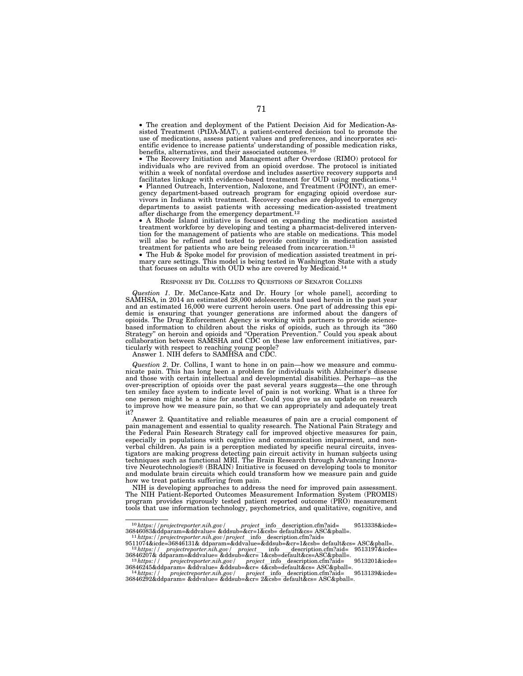• The creation and deployment of the Patient Decision Aid for Medication-Assisted Treatment (PtDA-MAT), a patient-centered decision tool to promote the use of medications, assess patient values and preferences, and incorporates scientific evidence to increase patients' understanding of possible medication risks, benefits, alternatives, and their associated outcomes.<sup>10</sup>

• The Recovery Initiation and Management after Overdose (RIMO) protocol for individuals who are revived from an opioid overdose. The protocol is initiated within a week of nonfatal overdose and includes assertive recovery supports and facilitates linkage with evidence-based treatment for OUD using medications.11 • Planned Outreach, Intervention, Naloxone, and Treatment (POINT), an emergency department-based outreach program for engaging opioid overdose survivors in Indiana with treatment. Recovery coaches are deployed to emergency departments to assist patients with accessing medication-assisted treatment after discharge from the emergency department.<sup>12</sup>

• A Rhode Island initiative is focused on expanding the medication assisted treatment workforce by developing and testing a pharmacist-delivered intervention for the management of patients who are stable on medications. This model will also be refined and tested to provide continuity in medication assisted treatment for patients who are being released from incarceration.13

• The Hub & Spoke model for provision of medication assisted treatment in primary care settings. This model is being tested in Washington State with a study that focuses on adults with OUD who are covered by Medicaid.14

## RESPONSE BY DR. COLLINS TO QUESTIONS OF SENATOR COLLINS

*Question 1*. Dr. McCance-Katz and Dr. Houry [or whole panel], according to SAMHSA, in 2014 an estimated 28,000 adolescents had used heroin in the past year and an estimated 16,000 were current heroin users. One part of addressing this epidemic is ensuring that younger generations are informed about the dangers of opioids. The Drug Enforcement Agency is working with partners to provide sciencebased information to children about the risks of opioids, such as through its ''360 Strategy'' on heroin and opioids and ''Operation Prevention.'' Could you speak about collaboration between SAMSHA and CDC on these law enforcement initiatives, particularly with respect to reaching young people?

Answer 1. NIH defers to SAMHSA and CDC.

*Question 2*. Dr. Collins, I want to hone in on pain—how we measure and communicate pain. This has long been a problem for individuals with Alzheimer's disease and those with certain intellectual and developmental disabilities. Perhaps—as the over-prescription of opioids over the past several years suggests—the one through ten smiley face system to indicate level of pain is not working. What is a three for one person might be a nine for another. Could you give us an update on research to improve how we measure pain, so that we can appropriately and adequately treat it?

Answer 2. Quantitative and reliable measures of pain are a crucial component of pain management and essential to quality research. The National Pain Strategy and the Federal Pain Research Strategy call for improved objective measures for pain, especially in populations with cognitive and communication impairment, and nonverbal children. As pain is a perception mediated by specific neural circuits, investigators are making progress detecting pain circuit activity in human subjects using techniques such as functional MRI. The Brain Research through Advancing Innovative Neurotechnologies® (BRAIN) Initiative is focused on developing tools to monitor and modulate brain circuits which could transform how we measure pain and guide how we treat patients suffering from pain.

NIH is developing approaches to address the need for improved pain assessment. The NIH Patient-Reported Outcomes Measurement Information System (PROMIS) program provides rigorously tested patient reported outcome (PRO) measurement tools that use information technology, psychometrics, and qualitative, cognitive, and

 $\begin{tabular}{ll} \hline 10\,https://projectreporter.nih.gov/\\ 36846083&\texttt{ddparam}=\&\texttt{ddvalue}=\&\texttt{ddsub}=\&\texttt{cc}=\&1\&\texttt{cs}=\&\texttt{default}\&\texttt{cs}=\&\texttt{AGC}\&\texttt{pball}=\ . \end{tabular}$ 36846083&ddparam=&ddvalue= &ddsub=&cr=1&csb= default&cs= ASC&pball=. 11*https://projectreporter.nih.gov/project*linfoldescription.cfm?aid=

<sup>9511074&</sup>amp;icde=36846131& ddparam=&ddvalue=&ddsub=&cr=1&csb= default&cs= ASC&pball=. 12*https:// projectreporter.nih.gov/ project*l info ldescription.cfm?aid= 9513197&icde=

<sup>36846207&</sup>amp; ddparam=&ddvalue= &ddsub=&cr= 1&csb=default&cs=ASC&pball=. 13*https:// projectreporter.nih.gov/ project*linfoldescription.cfm?aid= 9513201&icde=

<sup>36846245&</sup>amp;ddparam= &ddvalue= &ddsub=&cr= 4&csb=default&cs= ASC&pball=.<br>14https:// projectreporter.nih.gov/ project info description.cfm?aid= 9513139&icde=<br>36846292&ddparam= &ddvalue= &ddsub=&cr= 2&csb= d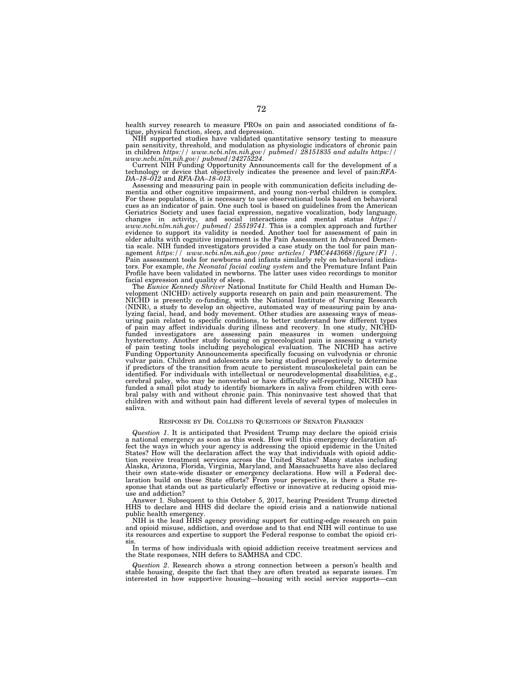health survey research to measure PROs on pain and associated conditions of fatigue, physical function, sleep, and depression.

NIH supported studies have validated quantitative sensory testing to measure pain sensitivity, threshold, and modulation as physiologic indicators of chronic pain<br>in children https://www.ncbi.nlm.nih.gov/pubmed/28151835 and adults https://<br>www.ncbi.nlm.nih.gov/pubmed/24275224.<br>Current NIH Funding O

Current NIH Funding Opportunity Announcements call for the development of a technology or device that objectively indicates the presence and level of pain:*RFA-DA-18-012* and *RFA-DA-18-013*.

Assessing and measuring pain in people with communication deficits including dementia and other cognitive impairment, and young non-verbal children is complex. For these populations, it is necessary to use observational tools based on behavioral cues as an indicator of pain. One such tool is based on guidelines from the American Geriatrics Society and uses facial expression, negative vocalization, body language, changes in activity, and social interactions and mental status *https://www.ncbi.nlm.nih.gov/ pubmed/ 25519741*. This is a complex approa older adults with cognitive impairment is the Pain Assessment in Advanced Dementia scale. NIH funded investigators provided a case study on the tool for pain management *https:// www.ncbi.nlm.nih.gov/pmc articles/ PMC4443668/figure/F1 /*. Pain assessment tools for newborns and infants similarly rely on behavioral indicators. For example, *the Neonatal facial coding system* and the Premature Infant Pain Profile have been validated in newborns. The latter uses video recordings to monitor

facial expression and quality of sleep. The *Eunice Kennedy Shriver* National Institute for Child Health and Human Development (NICHD) actively supports research on pain and pain measurement. The NICHD is presently co-funding, with the National Institute of Nursing Research (NINR), a study to develop an objective, automated way of measur uring pain related to specific conditions, to better understand how different types of pain may affect individuals during illness and recovery. In one study, NICHDfunded investigators are assessing pain measures in women undergoing<br>hysterectomy. Another study focusing on gynecological pain is assessing a variety<br>of pain testing tools including psychological evaluation. The NICHD has vulvar pain. Children and adolescents are being studied prospectively to determine if predictors of the transition from acute to persistent musculoskeletal pain can be identified. For individuals with intellectual or neurodevelopmental disabilities, e.g., cerebral palsy, who may be nonverbal or have difficulty self-reporting, NICHD has funded a small pilot study to identify biomarkers in saliva from children with cerebral palsy with and without chronic pain. This noninvasive test showed that that children with and without pain had different levels of several types of molecules in saliva.

## RESPONSE BY DR. COLLINS TO QUESTIONS OF SENATOR FRANKEN

*Question 1*. It is anticipated that President Trump may declare the opioid crisis a national emergency as soon as this week. How will this emergency declaration affect the ways in which your agency is addressing the opioid epidemic in the United States? How will the declaration affect the way that individuals with opioid addiction receive treatment services across the United States? Many states including Alaska, Arizona, Florida, Virginia, Maryland, and Massachusetts have also declared their own state-wide disaster or emergency declarations. How will a Federal declaration build on these State efforts? From your perspective, is there a State response that stands out as particularly effective or innovative at reducing opioid misuse and addiction?

Answer 1. Subsequent to this October 5, 2017, hearing President Trump directed HHS to declare and HHS did declare the opioid crisis and a nationwide national public health emergency.

NIH is the lead HHS agency providing support for cutting-edge research on pain and opioid misuse, addiction, and overdose and to that end NIH will continue to use its resources and expertise to support the Federal response to combat the opioid crisis.

In terms of how individuals with opioid addiction receive treatment services and the State responses, NIH defers to SAMHSA and CDC.

*Question 2*. Research shows a strong connection between a person's health and stable housing, despite the fact that they are often treated as separate issues. I'm interested in how supportive housing—housing with social service supports—can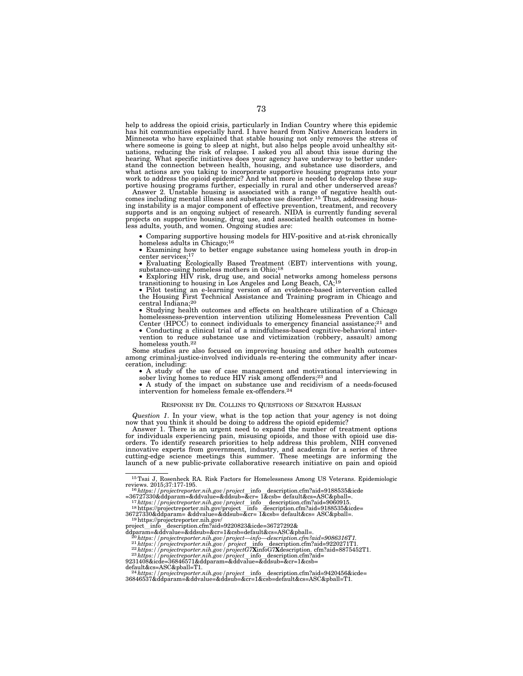help to address the opioid crisis, particularly in Indian Country where this epidemic has hit communities especially hard. I have heard from Native American leaders in Minnesota who have explained that stable housing not only removes the stress of where someone is going to sleep at night, but also helps people avoid unhealthy sit-uations, reducing the risk of relapse. I asked you all about this issue during the hearing. What specific initiatives does your agency have underway to better under-stand the connection between health, housing, and substance use disorders, and what actions are you taking to incorporate supportive housing programs into your work to address the opioid epidemic? And what more is needed to develop these supportive housing programs further, especially in rural and other underserved areas?

Answer 2. Unstable housing is associated with a range of negative health outcomes including mental illness and substance use disorder.15 Thus, addressing housing instability is a major component of effective prevention, treatment, and recovery supports and is an ongoing subject of research. NIDA is currently funding several projects on supportive housing, drug use, and associated health outcomes in homeless adults, youth, and women. Ongoing studies are:

• Comparing supportive housing models for HIV-positive and at-risk chronically homeless adults in Chicago;<sup>16</sup>

• Examining how to better engage substance using homeless youth in drop-in center services;17

• Evaluating Ecologically Based Treatment (EBT) interventions with young, substance-using homeless mothers in Ohio;<sup>18</sup>

• Exploring HIV risk, drug use, and social networks among homeless persons transitioning to housing in Los Angeles and Long Beach, CA;19

• Pilot testing an e-learning version of an evidence-based intervention called the Housing First Technical Assistance and Training program in Chicago and central Indiana;20

• Studying health outcomes and effects on healthcare utilization of a Chicago homelessness-prevention intervention utilizing Homelessness Prevention Call Center (HPCC) to connect individuals to emergency financial assistance;<sup>21</sup> and Conducting a clinical trial of a mindfulness-based cognitive-behav

vention to reduce substance use and victimization (robbery, assault) among homeless youth.22

Some studies are also focused on improving housing and other health outcomes among criminal-justice-involved individuals re-entering the community after incar-<br>ceration, including:

• A study of the use of case management and motivational interviewing in sober living homes to reduce HIV risk among offenders;<sup>23</sup> and

• A study of the impact on substance use and recidivism of a needs-focused intervention for homeless female ex-offenders.24

#### RESPONSE BY DR. COLLINS TO QUESTIONS OF SENATOR HASSAN

*Question 1*. In your view, what is the top action that your agency is not doing now that you think it should be doing to address the opioid epidemic?

Answer 1. There is an urgent need to expand the number of treatment options for individuals experiencing pain, misusing opioids, and those with opioid use disorders. To identify research priorities to help address this problem, NIH convened innovative experts from government, industry, and academia for a series of three cutting-edge science meetings this summer. These meetings are informing the launch of a new public-private collaborative research initiative on pain and opioid

<sup>15</sup>Tsai J, Rosenheck RA. Risk Factors for Homelessness Among US Veterans. Epidemiologic reviews. 2015;37:177-195.<br>
16*https://projectreporter.nih.gov/project* info description.cfm?aid=9188535&icde<br>
=36727330&ddparam=&ddvalue=&ddsub=&cr= 1&csb= default&cs=ASC&pball=.

<sup>-50727330&</sup>amp;duparam=&duvalue=&ddsub=&cr=1&csb= default&cs=ASC&pbali=<br>
<sup>17</sup>https://projectreporter.nih.gov/project\_info\_description.cfm?aid=9060915.<br>
<sup>18</sup>https://projectreporter.nih.gov/project\_info\_description.cfm?aid=918853 36727330&ddparam= &ddvalue=&ddsub=&cr= 1&csb= default&cs= ASC&pball=. 19https://projectreporter.nih.gov/

projectlinfoldescription.cfm?aid=9220823&icde=36727292& ddparam=&ddvalue=&ddsub=&cr=1&csb=default&cs=ASC&pball=. 20*https://projectreporter.nih.gov/project—info—description.cfm?aid=9086316T1.* 21*https://projectreporter.nih.gov/ project*linfoldescription.cfm?aid=9220271T1. 22*https://projectreporter.nih.gov/projectG7***X**infoG7**X**description. cfm?aid=8875452T1. 23*https://projectreporter.nih.gov/project*linfoldescription.cfm?aid= 9231408&icde=36846571&ddparam=&ddvalue=&ddsub=&cr=1&csb=

default&cs=ASC&pball=T1.<br><sup>24</sup>*https://projectreporter.nih.gov/project\_*info\_description.cfm?aid=9420456&icde=<br>36846537&ddparam=&ddvalue=&ddsub=&cr=1&csb=default&cs=ASC&pball=T1.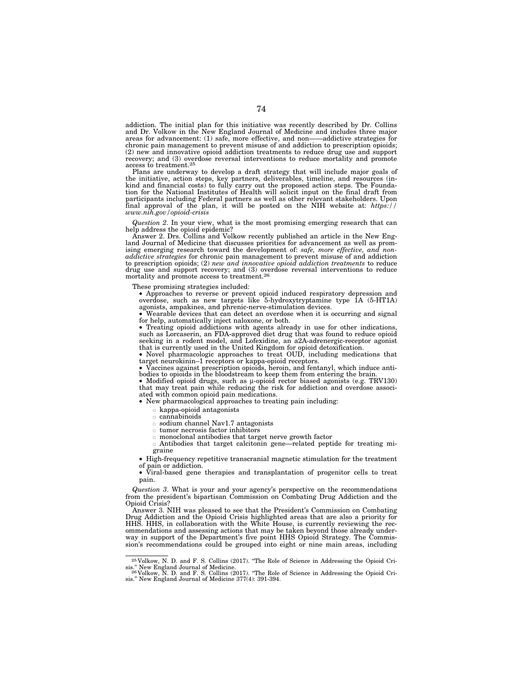addiction. The initial plan for this initiative was recently described by Dr. Collins and Dr. Volkow in the New England Journal of Medicine and includes three major areas for advancement: (1) safe, more effective, and non——addictive strategies for chronic pain management to prevent misuse of and addiction to prescription opioids; (2) new and innovative opioid addiction treatments to reduce drug use and support recovery; and (3) overdose reversal interventions to reduce mortality and promote access to treatment.25

Plans are underway to develop a draft strategy that will include major goals of the initiative, action steps, key partners, deliverables, timeline, and resources (in-kind and financial costs) to fully carry out the proposed action steps. The Foundation for the National Institutes of Health will solicit input on the final draft from participants including Federal partners as well as other relevant stakeholders. Upon final approval of the plan, it will be posted on the NIH website at: *https:// www.nih.gov/opioid-crisis* 

*Question 2*. In your view, what is the most promising emerging research that can help address the opioid epidemic?

Answer 2. Drs. Collins and Volkow recently published an article in the New England Journal of Medicine that discusses priorities for advancement as well as promising emerging research toward the development of: *safe, more effective, and nonaddictive strategies* for chronic pain management to prevent misuse of and addiction to prescription opioids; (2) *new and innovative opioid addiction treatments* to reduce drug use and support recovery; and (3) overdose reversal interventions to reduce mortality and promote access to treatment.26

These promising strategies included: • Approaches to reverse or prevent opioid induced respiratory depression and overdose, such as new targets like 5-hydroxytryptamine type 1A (5-HT1A)

agonists, ampakines, and phrenic-nerve-stimulation devices. • Wearable devices that can detect an overdose when it is occurring and signal for help, automatically inject naloxone, or both.

• Treating opioid addictions with agents already in use for other indications, such as Lorcaserin, an FDA-approved diet drug that was found to reduce opioid seeking in a rodent model, and Lofexidine, an a2A-adrenergic-rece

• Novel pharmacologic approaches to treat OUD, including medications that target neurokinin–1 receptors or kappa-opioid receptors.

• Vaccines against prescription opioids, heroin, and fentanyl, which induce antibodies to opioids in the bloodstream to keep them from entering the brain. • Modified opioid drugs, such as μ-opioid rector biased agonists (e.g. TRV130)

that may treat pain while reducing the risk for addiction and overdose associated with common opioid pain medications.

• New pharmacological approaches to treating pain including:

 $\circ$  kappa-opioid antagonists<br> $\circ$  cannabinoids

 $\circ$  cannabinoids<br> $\circ$  sodium chann

sodium channel Nav1.7 antagonists

 $\circ$  tumor necrosis factor inhibitors<br> $\circ$  monoclonal antibodies that targe

monoclonal antibodies that target nerve growth factor

¯ Antibodies that target calcitonin gene—related peptide for treating migraine

• High-frequency repetitive transcranial magnetic stimulation for the treatment of pain or addiction.

• Viral-based gene therapies and transplantation of progenitor cells to treat pain.

*Question 3*. What is your and your agency's perspective on the recommendations from the president's bipartisan Commission on Combating Drug Addiction and the Opioid Crisis?

Answer 3. NIH was pleased to see that the President's Commission on Combating Drug Addiction and the Opioid Crisis highlighted areas that are also a priority for HHS. HHS, in collaboration with the White House, is currently reviewing the recommendations and assessing actions that may be taken beyond those already underway in support of the Department's five point HHS Opioid Strategy. The Commission's recommendations could be grouped into eight or nine main areas, including

<sup>25</sup> Volkow, N. D. and F. S. Collins (2017). ''The Role of Science in Addressing the Opioid Cri-

sis." New England Journal of Medicine.<br>- <sup>26 </sup>Volkow, N. D. and F. S. Collins (2017). "The Role of Science in Addressing the Opioid Cri-<br>sis." New England Journal of Medicine 377(4): 391-394.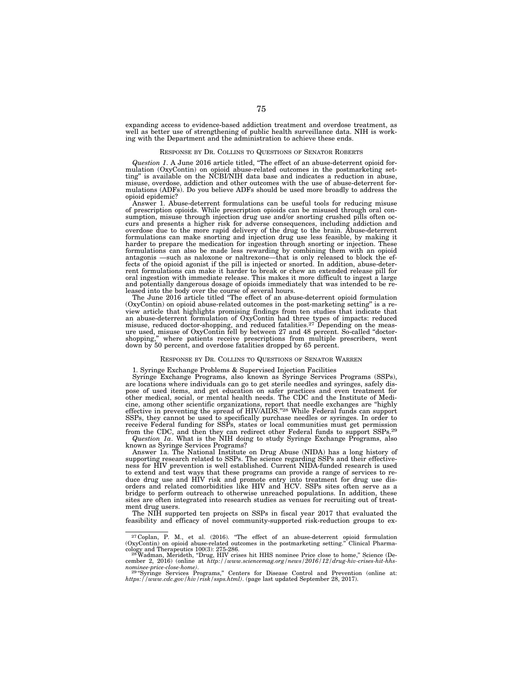expanding access to evidence-based addiction treatment and overdose treatment, as well as better use of strengthening of public health surveillance data. NIH is working with the Department and the administration to achieve these ends.

#### RESPONSE BY DR. COLLINS TO QUESTIONS OF SENATOR ROBERTS

*Question 1*. A June 2016 article titled, ''The effect of an abuse-deterrent opioid formulation (OxyContin) on opioid abuse-related outcomes in the postmarketing set-ting'' is available on the NCBI/NIH data base and indicates a reduction in abuse, misuse, overdose, addiction and other outcomes with the use of abuse-deterrent formulations (ADFs). Do you believe ADFs should be used more broadly to address the opioid epidemic?

Answer 1. Abuse-deterrent formulations can be useful tools for reducing misuse of prescription opioids. While prescription opioids can be misused through oral consumption, misuse through injection drug use and/or snorting crushed pills often occurs and presents a higher risk for adverse consequences, including addiction and overdose due to the more rapid delivery of the drug to the brain. Abuse-deterrent formulations can make snorting and injection drug use less feasible, by making it harder to prepare the medication for ingestion through snorting or injection. These formulations can also be made less rewarding by combining them with an opioid antagonis —such as naloxone or naltrexone—that is only released to block the ef-fects of the opioid agonist if the pill is injected or snorted. In addition, abuse-deterrent formulations can make it harder to break or chew an extended release pill for oral ingestion with immediate release. This makes it more difficult to ingest a large and potentially dangerous dosage of opioids immediately that was intended to be re-leased into the body over the course of several hours.

The June 2016 article titled ''The effect of an abuse-deterrent opioid formulation (OxyContin) on opioid abuse-related outcomes in the post-marketing setting'' is a review article that highlights promising findings from ten studies that indicate that an abuse-deterrent formulation of OxyContin had three types of impacts: reduced misuse, reduced doctor-shopping, and reduced fatalities.<sup>27</sup> Depending on the measure used, misuse of OxyContin fell by between 27 and 48 percent. So-called ''doctorshopping,'' where patients receive prescriptions from multiple prescribers, went down by 50 percent, and overdose fatalities dropped by 65 percent.

#### RESPONSE BY DR. COLLINS TO QUESTIONS OF SENATOR WARREN

#### 1. Syringe Exchange Problems & Supervised Injection Facilities

Syringe Exchange Programs, also known as Syringe Services Programs (SSPs), are locations where individuals can go to get sterile needles and syringes, safely dispose of used items, and get education on safer practices and even treatment for other medical, social, or mental health needs. The CDC and the Institute of Medicine, among other scientific organizations, report that needle exchanges are ''highly effective in preventing the spread of HIV/AIDS.''28 While Federal funds can support SSPs, they cannot be used to specifically purchase needles or syringes. In order to receive Federal funding for SSPs, states or local communities must get permission from the CDC, and then they can redirect other Federal funds to support SSPs.29 *Question 1a*. What is the NIH doing to study Syringe Exchange Programs, also

known as Syringe Services Programs?

Answer 1a. The National Institute on Drug Abuse (NIDA) has a long history of supporting research related to SSPs. The science regarding SSPs and their effectiveness for HIV prevention is well established. Current NIDA-funded research is used to extend and test ways that these programs can provide a range of services to reduce drug use and HIV risk and promote entry into treatment for drug use disorders and related comorbidities like HIV and HCV. SSPs sites often serve as a bridge to perform outreach to otherwise unreached populations. In addition, these sites are often integrated into research studies as venues for recruiting out of treatment drug users.

The NIH supported ten projects on SSPs in fiscal year 2017 that evaluated the feasibility and efficacy of novel community-supported risk-reduction groups to ex-

<sup>27</sup> Coplan, P. M., et al. (2016). ''The effect of an abuse-deterrent opioid formulation (OxyContin) on opioid abuse-related outcomes in the postmarketing setting.'' Clinical Pharma-

cology and Therapeutics 100(3): 275-286.<br><sup>28</sup> Wadman, Merideth, "Drug, HIV crises hit HHS nominee Price close to home," Science (De-<br>cember 2, 2016) (online at *http://www.sciencemag.org/news/2016/12/drug-hiv-crises-hit-hh* 

n*ominee-price-close-home).*<br><sup>29 "</sup>Syringe Services Programs," Centers for Disease Control and Prevention (online at:<br>*https://www.cdc.gov/hiv/risk/ssps.html)*. (page last updated September 28, 2017).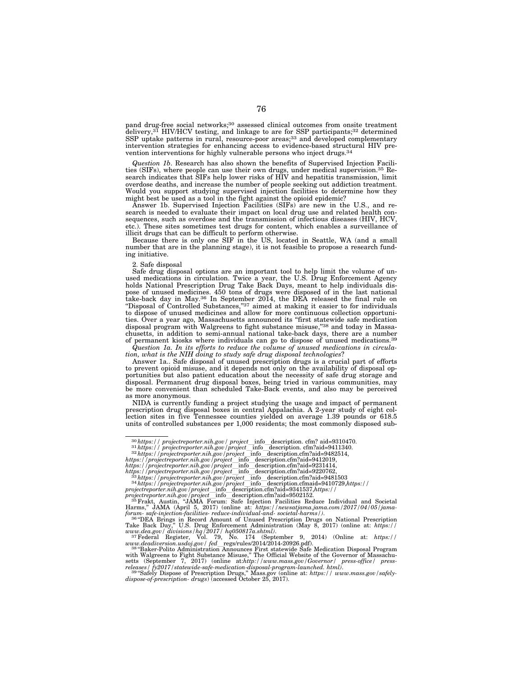pand drug-free social networks;30 assessed clinical outcomes from onsite treatment delivery,<sup>31</sup> HIV/HCV testing, and linkage to are for SSP participants;<sup>32</sup> determined SSP uptake patterns in rural, resource-poor areas;<sup>33</sup> and developed complementary intervention strategies for enhancing access to evidence-based structural HIV prevention interventions for highly vulnerable persons who inject drugs.34

*Question 1b*. Research has also shown the benefits of Supervised Injection Facilities (SIFs), where people can use their own drugs, under medical supervision.35 Research indicates that SIFs help lower risks of HIV and hepatitis transmission, limit overdose deaths, and increase the number of people seeking out addiction treatment. Would you support studying supervised injection facilities to determine how they might best be used as a tool in the fight against the opioid epidemic?

Answer 1b. Supervised Injection Facilities (SIFs) are new in the U.S., and research is needed to evaluate their impact on local drug use and related health consequences, such as overdose and the transmission of infectious diseases (HIV, HCV, etc.). These sites sometimes test drugs for content, which enables a surveillance of illicit drugs that can be difficult to perform otherwise.

Because there is only one SIF in the US, located in Seattle, WA (and a small number that are in the planning stage), it is not feasible to propose a research funding initiative.

2. Safe disposal

Safe drug disposal options are an important tool to help limit the volume of unused medications in circulation. Twice a year, the U.S. Drug Enforcement Agency holds National Prescription Drug Take Back Days, meant to help individuals dispose of unused medicines. 450 tons of drugs were disposed of in the last national take-back day in May.36 In September 2014, the DEA released the final rule on "Disposal of Controlled Substances,"37 aimed at making it easier to for individuals to dispose of unused medicines and allow for more continuous collection opportunities. Over a year ago, Massachusetts announced its ''first statewide safe medication disposal program with Walgreens to fight substance misuse,"<sup>38</sup> and today in Massachusetts, in addition to semi-annual national take-back days, there are a number of permanent kiosks where individuals can go to dispose of unused medications.39

*Question 1a. In its efforts to reduce the volume of unused medications in circulation, what is the NIH doing to study safe drug disposal technologies*?

Answer 1a.. Safe disposal of unused prescription drugs is a crucial part of efforts to prevent opioid misuse, and it depends not only on the availability of disposal opportunities but also patient education about the necessity of safe drug storage and disposal. Permanent drug disposal boxes, being tried in various communities, may be more convenient than scheduled Take-Back events, and also may be perceived as more anonymous.

NIDA is currently funding a project studying the usage and impact of permanent prescription drug disposal boxes in central Appalachia. A 2-year study of eight collection sites in five Tennessee counties yielded on average 1.39 pounds or 618.5 units of controlled substances per 1,000 residents; the most commonly disposed sub-

 $www.deadiversion.usdoj.gov / fed\_regs/rules/2014/2014-20926.pdf).$ <br>  $38 "Baker-Polito Adamistration Annonuces First statewide & the Official Website of the Government of Massachu-  
with Walgrenes to Fight Substance Misuse, "The Official Website of the Government of Massachusetts (September 7, 2017) (online at. *http://www.mass.gov/Governor/ press-office/ press-*  
preleases / fy2017/statewide-safe-mediated. *http://www.mass.gov/Governor/ press-office/ press-*  
preleases / fy2017/statewide-safe-mediated. *http://www.mass.gov/Government.html*).  
39 "Safely-bispose of. <$ 

<sup>&</sup>lt;sup>30</sup>https://projectreporter.nih.gov/project\_info\_description.cfm?aid=9310470.<br>
<sup>31</sup>https://projectreporter.nih.gov/project\_info\_description.cfm?aid=941241340.<br>
<sup>32</sup>https://projectreporter.nih.gov/project\_info\_description.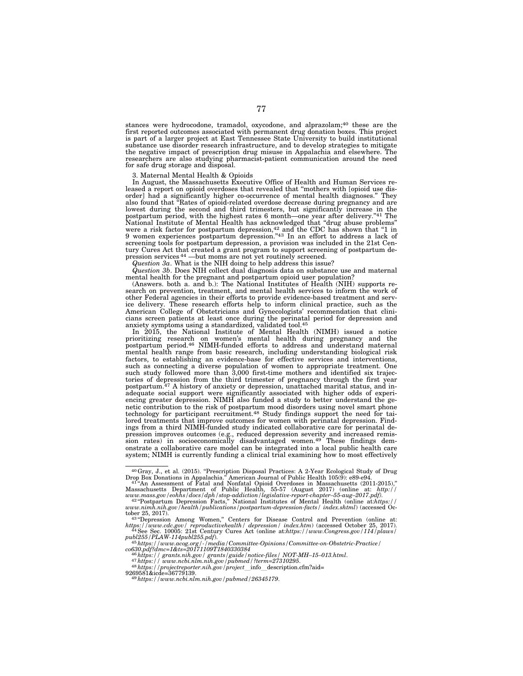stances were hydrocodone, tramadol, oxycodone, and alprazolam;40 these are the first reported outcomes associated with permanent drug donation boxes. This project is part of a larger project at East Tennessee State University to build institutional substance use disorder research infrastructure, and to develop strategies to mitigate the negative impact of prescription drug misuse in Appalachia and elsewhere. The researchers are also studying pharmacist-patient communication around the need for safe drug storage and disposal.

3. Maternal Mental Health & Opioids

In August, the Massachusetts Executive Office of Health and Human Services released a report on opioid overdoses that revealed that ''mothers with [opioid use disorder] had a significantly higher co-occurrence of mental health diagnoses." They also found that "Rates of opioid-related overdose decrease during pregnancy and are lowest during the second and third trimesters, but significantly increase in the postpartum period, with the highest rates 6 month—one year after delivery.''41 The National Institute of Mental Health has acknowledged that ''drug abuse problems'' were a risk factor for postpartum depression,  $42$  and the CDC has shown that "1 in 9 women experiences postpartum depression.''43 In an effort to address a lack of screening tools for postpartum depression, a provision was included in the 21st Century Cures Act that created a grant program to support screening of postpartum depression services 44 —but moms are not yet routinely screened.

*Question 3a*. What is the NIH doing to help address this issue?

*Question 3b*. Does NIH collect dual diagnosis data on substance use and maternal mental health for the pregnant and postpartum opioid user population?

(Answers. both a. and b.): The National Institutes of Health (NIH) supports research on prevention, treatment, and mental health services to inform the work of other Federal agencies in their efforts to provide evidence-based treatment and service delivery. These research efforts help to inform clinical practice, such as the American College of Obstetricians and Gynecologists' recommendation that clinicians screen patients at least once during the perinatal period for depression and anxiety symptoms using a standardized, validated tool.45 In 2015, the National Institute of Mental Health (NIMH) issued a notice

prioritizing research on women's mental health during pregnancy and the postpartum period.46 NIMH-funded efforts to address and understand maternal mental health range from basic research, including understanding biological risk factors, to establishing an evidence-base for effective services and interventions, such as connecting a diverse population of women to appropriate treatment. One such study followed more than 3,000 first-time mothers and identified six trajectories of depression from the third trimester of pregnancy through the first year postpartum.<sup>47</sup> A history of anxiety or depression, unattached marital status, and inadequate social support were significantly associated with higher odds of experiencing greater depression. NIMH also funded a study to better understand the genetic contribution to the risk of postpartum mood disorders using novel smart phone technology for participant recruitment.<sup>48</sup> Study findings support the need for tailored treatments that improve outcomes for women with perinatal depression. Findings from a third NIMH-funded study indicated collaborative care for perinatal depression improves outcomes (e.g., reduced depression severity and increased remis-sion rates) in socioeconomically disadvantaged women.49 These findings demonstrate a collaborative care model can be integrated into a local public health care system; NIMH is currently funding a clinical trial examining how to most effectively

<sup>&</sup>lt;sup>40</sup>Gray, J., et al. (2015). "Prescription Disposal Practices: A 2-Year Ecological Study of Drug Drop Box Donations in Appalachia." American Journal of Public Health 105(9): e89-e94.<br>
<sup>41</sup><sup>4</sup>An Assessment of Fatal and Non

tober 25, 2017).<br><sup>43 "</sup>Depression Among Women," Centers for Disease Control and Prevention (online at:

*https://www.cdc.gov/ reproductivehealth/ depression/ index.htm*) (accessed October 25, 2017). 44See Sec. 10005: 21st Century Cures Act (online at:*https://www.Congress.gov/114/plaws/* 

*publ255/PLAW-114publ255.pdf*). 45*https://www.acog.org/-/media/Committee-Opinions/Committee-on-Obstetric-Practice/* 

 $\frac{45}{45}$  and  $\frac{5}{100}$  grants.nih.gov / grants/guide / notice-files / NOT-MH-15-013.html.<br>  $\frac{47}{4}$  https:// www.ncbi.nlm.nih.gov / pubmed /?term=27310295.<br>  $\frac{48}{4}$  https://projecter.nih.gov / pubmed /?term=2731

<sup>9269581&</sup>amp;icde=36779139. 49*https://www.ncbi.nlm.nih.gov/pubmed/26345179*.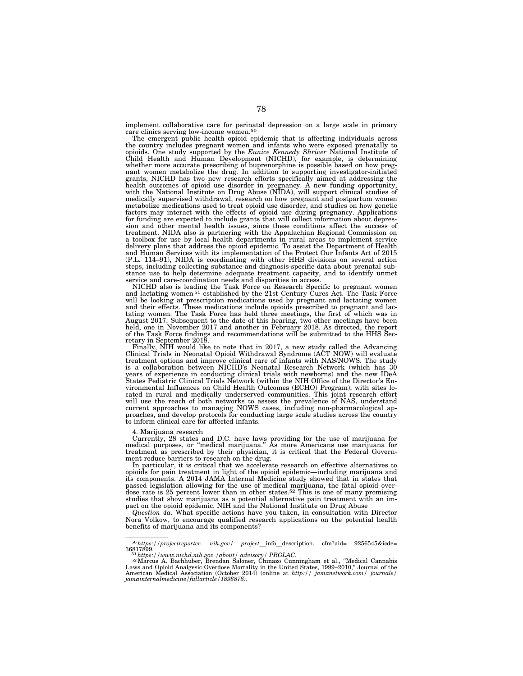implement collaborative care for perinatal depression on a large scale in primary care clinics serving low-income women.<sup>50</sup>

The emergent public health opioid epidemic that is affecting individuals across the country includes pregnant women and infants who were exposed prenatally to opioids. One study supported by the *Eunice Kennedy Shriver* National Institute of Child Health and Human Development (NICHD), for example, is determining whether more accurate prescribing of buprenorphine is possible based on how pregnant women metabolize the drug. In addition to supporting investigator-initiated grants, NICHD has two new research efforts specifically aimed at addressing the health outcomes of opioid use disorder in pregnancy. A new funding opportunity, with the National Institute on Drug Abuse (NIDA), will support medically supervised withdrawal, research on how pregnant and postpartum women metabolize medications used to treat opioid use disorder, and studies on how genetic factors may interact with the effects of opioid use during pregnancy. Applications for funding are expected to include grants that will collect information about depression and other mental health issues, since these conditions affect the success of treatment. NIDA also is partnering with the Appalachian Regional Commission on a toolbox for use by local health departments in rural areas to implement service delivery plans that address the opioid epidemic. To assist the Department of Health and Human Services with its implementation of the Protect Our Infants Act of 2015 (P.L. 114–91), NIDA is coordinating with other HHS divisions on several action steps, including collecting substance-and diagnosis-specific data about prenatal sub-stance use to help determine adequate treatment capacity, and to identify unmet service and care-coordination needs and disparities in access.

NICHD also is leading the Task Force on Research Specific to pregnant women and lactating women 51 established by the 21st Century Cures Act. The Task Force will be looking at prescription medications used by pregnant and lactating women and their effects. These medications include opioids prescribed to pregnant and lactating women. The Task Force has held three meetings, the first of which was in August 2017. Subsequent to the date of this hearing, two other meetings have been held, one in November 2017 and another in February 2018. As directed, the report of the Task Force findings and recommendations will be submitted to the HHS Secretary in September 2018.

Finally, NIH would like to note that in 2017, a new study called the Advancing Clinical Trials in Neonatal Opioid Withdrawal Syndrome (ACT NOW) will evaluate treatment options and improve clinical care of infants with NAS/NOWS. The study is a collaboration between NICHD's Neonatal Research Network (which has 30 years of experience in conducting clinical trials with newborns) and the new IDeA States Pediatric Clinical Trials Network (within the NIH Office of the Director's Environmental Influences on Child Health Outcomes (ECHO) Program), with sites located in rural and medically underserved communities. This joint research effort will use the reach of both networks to assess the prevalence of NAS, understand current approaches to managing NOWS cases, including non-pharmacological approaches, and develop protocols for conducting large scale studies across the country to inform clinical care for affected infants.

4. Marijuana research

Currently, 28 states and D.C. have laws providing for the use of marijuana for medical purposes, or ''medical marijuana.'' As more Americans use marijuana for treatment as prescribed by their physician, it is critical that the Federal Government reduce barriers to research on the drug.

In particular, it is critical that we accelerate research on effective alternatives to opioids for pain treatment in light of the opioid epidemic—including marijuana and its components. A 2014 JAMA Internal Medicine study showed that in states that passed legislation allowing for the use of medical marijuana, the fatal opioid overdose rate is 25 percent lower than in other states.52 This is one of many promising studies that show marijuana as a potential alternative pain treatment with an impact on the opioid epidemic. NIH and the National Institute on Drug Abuse

*Question 4a*. What specific actions have you taken, in consultation with Director Nora Volkow, to encourage qualified research applications on the potential health benefits of marijuana and its components?

<sup>50</sup>*https://projectreporter. nih.gov/ project*linfoldescription. cfm?aid= 9256545&icde=

<sup>36817899.&</sup>lt;br><sup>51</sup>https://www.nichd.nih.gov /about/ advisory/ PRGLAC.<br><sup>52</sup>Marcus A. Bachhuber, Brendan Saloner, Chinazo Cunningham et al., "Medical Cannabis<br>Laws and Opioid Analgesic Overdose Mortality in the United States, 19 American Medical Association (October 2014) (online at *http:// jamanetwork.com/ journals/ jamainternalmedicine/fullarticle/1898878)*.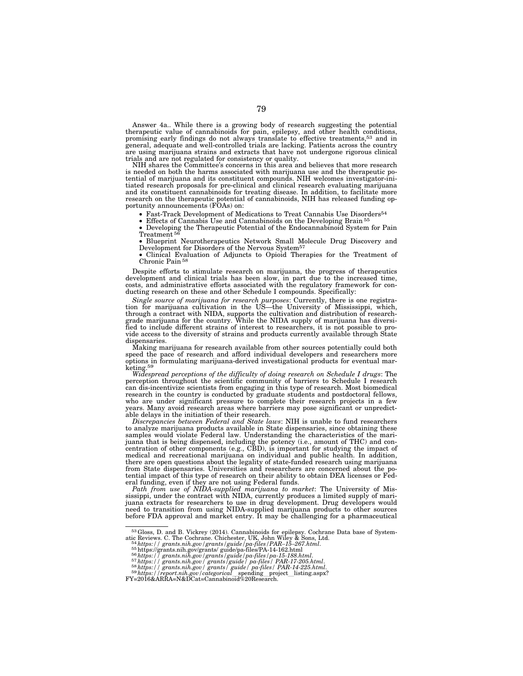Answer 4a.. While there is a growing body of research suggesting the potential therapeutic value of cannabinoids for pain, epilepsy, and other health conditions, promising early findings do not always translate to effective treatments,53 and in general, adequate and well-controlled trials are lacking. Patients across the country are using marijuana strains and extracts that have not undergone rigorous clinical trials and are not regulated for consistency or quality.

NIH shares the Committee's concerns in this area and believes that more research is needed on both the harms associated with marijuana use and the therapeutic potential of marijuana and its constituent compounds. NIH welcomes investigator-initiated research proposals for pre-clinical and clinical research evaluating marijuana and its constituent cannabinoids for treating disease. In addition, to facilitate more research on the therapeutic potential of cannabinoids, NIH has released funding op-portunity announcements (FOAs) on:

• Fast-Track Development of Medications to Treat Cannabis Use Disorders<sup>54</sup>

Effects of Cannabis Use and Cannabinoids on the Developing Brain<sup>5</sup>

• Developing the Therapeutic Potential of the Endocannabinoid System for Pain Treatment<sup>56</sup>

• Blueprint Neurotherapeutics Network Small Molecule Drug Discovery and Development for Disorders of the Nervous System<sup>57</sup>

• Clinical Evaluation of Adjuncts to Opioid Therapies for the Treatment of Chronic Pain 58

Despite efforts to stimulate research on marijuana, the progress of therapeutics development and clinical trials has been slow, in part due to the increased time, costs, and administrative efforts associated with the regulatory framework for conducting research on these and other Schedule I compounds. Specifically:

Single source of marijuana for research purposes: Currently, there is one registration for marijuana cultivation in the US—the University of Mississippi, which, through a contract with NIDA, supports the cultivation and di vide access to the diversity of strains and products currently available through State dispensaries.

Making marijuana for research available from other sources potentially could both speed the pace of research and afford individual developers and researchers more options in formulating marijuana-derived investigational products for eventual marketing.59

*Widespread perceptions of the difficulty of doing research on Schedule I drugs*: The perception throughout the scientific community of barriers to Schedule I research can dis-incentivize scientists from engaging in this type of research. Most biomedical research in the country is conducted by graduate students and postdoctoral fellows, who are under significant pressure to complete their research projects in a few years. Many avoid research areas where barriers may pose significant or unpredictable delays in the initiation of their research. *Discrepancies between Federal and State laws*: NIH is unable to fund researchers

to analyze marijuana products available in State dispensaries, since obtaining these samples would violate Federal law. Understanding the characteristics of the marijuana that is being dispensed, including the potency (i.e., amount of THC) and con-centration of other components (e.g., CBD), is important for studying the impact of medical and recreational marijuana on individual and public health. In addition, there are open questions about the legality of state-funded research using marijuana from State dispensaries. Universities and researchers are concerned about the potential impact of this type of research on their ability to obtain DEA licenses or Federal funding, even if they are not using Federal funds.<br>Path from use of NIDA-supplied marijuana to market: The University of Mis-

sissippi, under the contract with NIDA, currently produces a limited supply of marijuana extracts for researchers to use in drug development. Drug developers would need to transition from using NIDA-supplied marijuana products to other sources before FDA approval and market entry. It may be challenging for a pharmaceutical

<sup>&</sup>lt;sup>53</sup> Gloss, D. and B. Vickrey (2014). Cannabinoids for epilepsy. Cochrane Data base of System-<br>atic Reviews. C. The Cochrane. Chichester, UK, John Wiley & Sons, Ltd.<br><sup>54</sup> Mths://grants.nih.gov/grants/guide/pa-files/PA-14-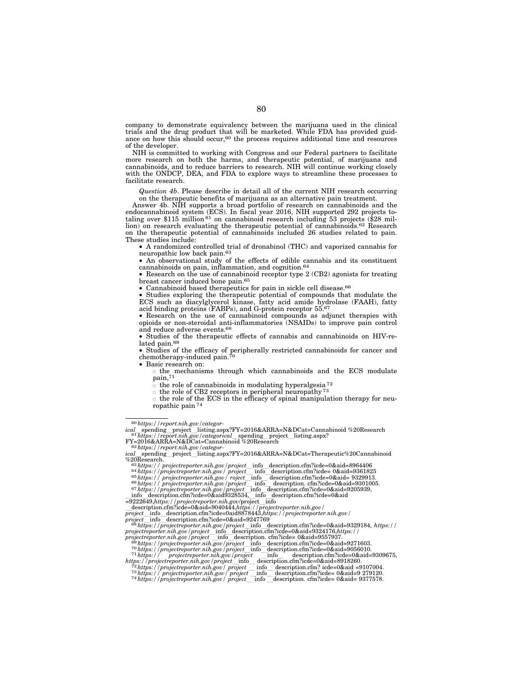company to demonstrate equivalency between the marijuana used in the clinical trials and the drug product that will be marketed. While FDA has provided guidance on how this should occur, $60$  the process requires additional time and resources of the developer.

NIH is committed to working with Congress and our Federal partners to facilitate more research on both the harms, and therapeutic potential, of marijuana and cannabinoids, and to reduce barriers to research. NIH will continue working closely with the ONDCP, DEA, and FDA to explore ways to streamline these processes to facilitate research.

*Question 4b*. Please describe in detail all of the current NIH research occurring on the therapeutic benefits of marijuana as an alternative pain treatment.

Answer 4b. NIH supports a broad portfolio of research on cannabinoids and the endocannabinoid system (ECS). In fiscal year 2016, NIH supported 292 projects to-taling over \$115 million 61 on cannabinoid research including 53 projects (\$28 million) on research evaluating the therapeutic potential of cannabinoids.<sup>62</sup> Research on the therapeutic potential of cannabinoids included 26 studies related to pain. These studies include:

• A randomized controlled trial of dronabinol (THC) and vaporized cannabis for neuropathic low back pain.63

• An observational study of the effects of edible cannabis and its constituent cannabinoids on pain, inflammation, and cognition.64

• Research on the use of cannabinoid receptor type 2 (CB2) agonists for treating breast cancer induced bone pain.65

• Cannabinoid based therapeutics for pain in sickle cell disease.66

• Studies exploring the therapeutic potential of compounds that modulate the ECS such as diacylglycerol kinase, fatty acid amide hydrolase (FAAH), fatty acid binding proteins (FABPs), and G-protein receptor 55.<sup>67</sup>

• Research on the use of cannabinoid compounds as adjunct therapies with opioids or non-steroidal anti-inflammatories (NSAIDs) to improve pain control and reduce adverse events.68

• Studies of the therapeutic effects of cannabis and cannabinoids on HIV-related pain.<sup>69</sup>

• Studies of the efficacy of peripherally restricted cannabinoids for cancer and chemotherapy-induced pain. $70$ 

• Basic research on:  $\circ$  the mechanisms through which cannabinoids and the ECS modulate

pain,71

 $\circ$  the role of cannabinoids in modulating hyperalgesia<sup>72</sup>

 $\circ$  the role of CB2 receptors in peripheral neuropathy <sup>73</sup>

 $\circ$  the role of the ECS in the efficacy of spinal manipulation therapy for neuropathic pain  $7$ 

FY=2016&ARRA=N&DCat=Cannabinoid %20Research 62*https://report.nih.gov/categor-*

 $\frac{1}{2}$ <br>  $\frac{1}{2}$   $\frac{1}{2}$   $\frac{1}{2}$   $\frac{1}{2}$   $\frac{1}{2}$   $\frac{1}{2}$   $\frac{1}{2}$   $\frac{1}{2}$   $\frac{1}{2}$   $\frac{1}{2}$   $\frac{1}{2}$   $\frac{1}{2}$   $\frac{1}{2}$   $\frac{1}{2}$   $\frac{1}{2}$   $\frac{1}{2}$   $\frac{1}{2}$   $\frac{1}{2}$   $\frac{1}{2}$   $\frac{1}{2}$   $\frac{1}{2}$ 

 $\begin{array}{l}\n\text{71} \text{ https://projectreporter.nih.gov/project\_into\_version.cfm?icde=0\&aid=9309675,}\\ \n\text{71} \text{https://projectreporter.nih.gov/project\_info\_description.cfm?icde=0\&aid=9309675,}\\ \n\text{https://projectreporter.nih.gov/project\_info\_description.cfm?icde=0\&aid=8918260.}\\ \n\text{72} \text{https://projectreporter.nih.gov/project\_info\_description.cfm?icde=0\&aid=9107004.}\\ \n\text{73} \text{https://projectreporter.nih.gov/project\_info\_description.cfm?icde$ 

<sup>60</sup>*https://report.nih.gov/categor-*

*ical*lspending\_project\_listing.aspx?FY=2016&ARRA=N&DCat=Cannabinoid %20Research<br><sup>61</sup>h*ttps://report.nih.gov/categorical*lspending\_project\_listing.aspx?<br>FY=2016&ARRA=N&DCat=Cannabinoid %20Research

<sup>&</sup>lt;sup>62</sup>https://report.nih.gov/categor-<br>ical spending project\_listing.aspx?FY=2016&ARRA=N&DCat=Therapeutic%20Cannabinoid<br>%20Research.

<sup>=9222649,</sup>*https://projectreporter.nih.gov*/projectlinfo ldescription.cfm?icde=0&aid=9040444,*https://projectreporter.nih.gov/* 

 $\begin{small} \textit{project}\footnotesize &\text{info}\color{black} &\text{description.cfm} \text{~icde=0} \text{~add8878443}, \textit{https://projectreporter.nih.gov/} \text{~projectreporter.nih.gov/} \text{~projecter} \text{~m} \text{~ofd} \text{~scritpolic.cfm} \text{~de} \text{~cftro} \text{~de} \text{~ofd} \text{~ofd} \text{~ofd} \text{~ofd} \text{~ofd} \text{~ofd} \text{~ofd} \text{~ofd} \text{~ofd} \text{~ofd} \text{~ofd} \text{~ofd$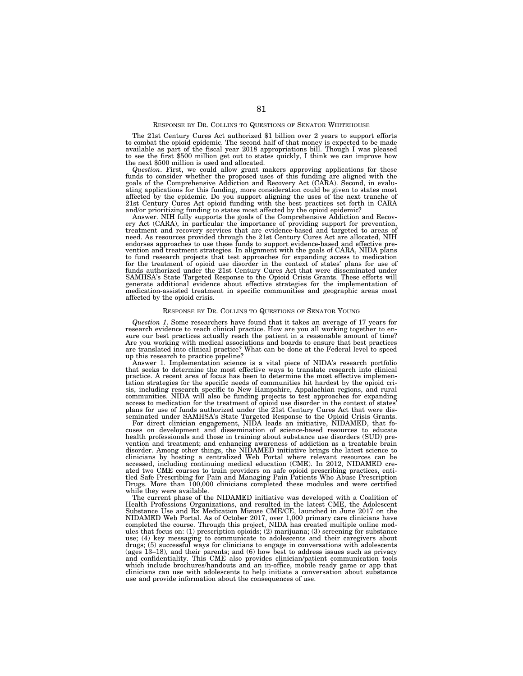# RESPONSE BY DR. COLLINS TO QUESTIONS OF SENATOR WHITEHOUSE

The 21st Century Cures Act authorized \$1 billion over 2 years to support efforts to combat the opioid epidemic. The second half of that money is expected to be made available as part of the fiscal year 2018 appropriations bill. Though I was pleased to see the first \$500 million get out to states quickly, I think we can improve how the next \$500 million is used and allocated.

Question. First, we could allow grant makers approving applications for these funds to consider whether the proposed uses of this funding are aligned with the goals of the Comprehensive Addiction and Recovery Act (CARA). S ating applications for this funding, more consideration could be given to states most affected by the epidemic. Do you support aligning the uses of the next tranche of 21st Century Cures Act opioid funding with the best practices set forth in CARA and/or prioritizing funding to states most affected by the opioid epidemic?

Answer. NIH fully supports the goals of the Comprehensive Addiction and Recovery Act (CARA), in particular the importance of providing support for prevention, treatment and recovery services that are evidence-based and targeted to areas of need. As resources provided through the 21st Century Cures Act are allocated, NIH endorses approaches to use these funds to support evidence-based and effective prevention and treatment strategies. In alignment with the goals of CARA, NIDA plans to fund research projects that test approaches for expanding access to medication for the treatment of opioid use disorder in the context of states' plans for use of funds authorized under the 21st Century Cures Act that were disseminated under SAMHSA's State Targeted Response to the Opioid Crisis Grants. These efforts will generate additional evidence about effective strategies for the implementation of medication-assisted treatment in specific communities and geographic areas most affected by the opioid crisis.

#### RESPONSE BY DR. COLLINS TO QUESTIONS OF SENATOR YOUNG

*Question 1*. Some researchers have found that it takes an average of 17 years for research evidence to reach clinical practice. How are you all working together to ensure our best practices actually reach the patient in a reasonable amount of time? Are you working with medical associations and boards to ensure that best practices are translated into clinical practice? What can be done at the Federal level to speed up this research to practice pipeline?

Answer 1. Implementation science is a vital piece of NIDA's research portfolio that seeks to determine the most effective ways to translate research into clinical practice. A recent area of focus has been to determine the most effective implementation strategies for the specific needs of communities hit hardest by the opioid crisis, including research specific to New Hampshire, Appalachian regions, and rural communities. NIDA will also be funding projects to test approaches for expanding access to medication for the treatment of opioid use disorder in the context of states' plans for use of funds authorized under the 21st Century Cures Act that were disseminated under SAMHSA's State Targeted Response to the Opioid Crisis Grants.

For direct clinician engagement, NIDA leads an initiative, NIDAMED, that focuses on development and dissemination of science-based resources to educate health professionals and those in training about substance use disorders (SUD) prevention and treatment; and enhancing awareness of addiction as a treatable brain disorder. Among other things, the NIDAMED initiative brings the latest science to clinicians by hosting a centralized Web Portal where relevant resources can be accessed, including continuing medical education (CME). In 2012, NIDAMED created two CME courses to train providers on safe opioid prescribing practices, entitled Safe Prescribing for Pain and Managing Pain Patients Who Abuse Prescription Drugs. More than 100,000 clinicians completed these modules and were certified while they were available.

The current phase of the NIDAMED initiative was developed with a Coalition of Health Professions Organizations, and resulted in the latest CME, the Adolescent Substance Use and Rx Medication Misuse CME/CE, launched in June 2017 on the NIDAMED Web Portal. As of October 2017, over 1,000 primary care clinicians have completed the course. Through this project, NIDA has created multiple online modules that focus on: (1) prescription opioids; (2) marijuana; (3) screening for substance use; (4) key messaging to communicate to adolescents and their caregivers about drugs; (5) successful ways for clinicians to engage in conversations with adolescents (ages 13–18), and their parents; and (6) how best to address issues such as privacy and confidentiality. This CME also provides clinician/patient communication tools which include brochures/handouts and an in-office, mobile ready game or app that clinicians can use with adolescents to help initiate a conversation about substance use and provide information about the consequences of use.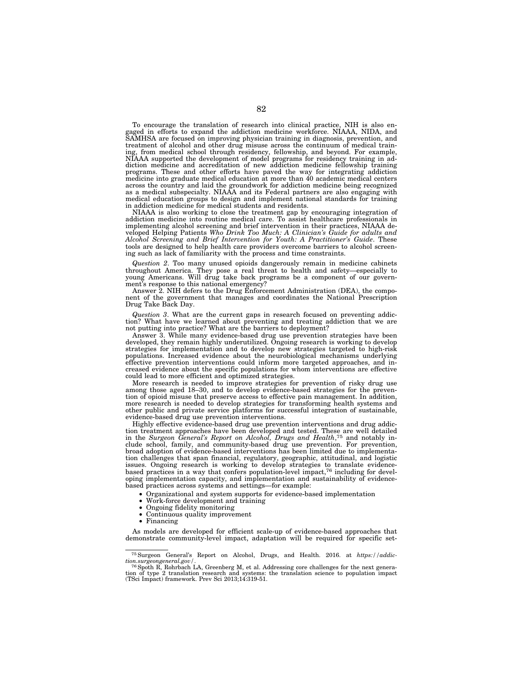To encourage the translation of research into clinical practice, NIH is also engaged in efforts to expand the addiction medicine workforce. NIAAA, NIDA, and SAMHSA are focused on improving physician training in diagnosis, prevention, and treatment of alcohol and other drug misuse across the continuum of medical training, from medical school through residency, fellowship, and beyond. For example, NIAAA supported the development of model programs for residency training in addiction medicine and accreditation of new addiction medicine fellowship training programs. These and other efforts have paved the way for integrating addiction medicine into graduate medical education at more than 40 academic medical centers across the country and laid the groundwork for addiction medicine being recognized as a medical subspecialty. NIAAA and its Federal partners are also engaging with medical education groups to design and implement national standards for training in addiction medicine for medical students and residents.

NIAAA is also working to close the treatment gap by encouraging integration of addiction medicine into routine medical care. To assist healthcare professionals in implementing alcohol screening and brief intervention in their practices, NIAAA developed Helping Patients *Who Drink Too Much: A Clinician's Guide for adults and Alcohol Screening and Brief Intervention for Youth: A Practitioner's Guide*. These tools are designed to help health care providers overcome barriers to alcohol screening such as lack of familiarity with the process and time constraints.

*Question 2*. Too many unused opioids dangerously remain in medicine cabinets throughout America. They pose a real threat to health and safety—especially to young Americans. Will drug take back programs be a component of our government's response to this national emergency?

Answer 2. NIH defers to the Drug Enforcement Administration (DEA), the component of the government that manages and coordinates the National Prescription Drug Take Back Day.

*Question 3*. What are the current gaps in research focused on preventing addiction? What have we learned about preventing and treating addiction that we are not putting into practice? What are the barriers to deployment?

Answer 3. While many evidence-based drug use prevention strategies have been developed, they remain highly underutilized. Ongoing research is working to develop strategies for implementation and to develop new strategies targeted to high-risk populations. Increased evidence about the neurobiological mechanisms underlying effective prevention interventions could inform more targeted approaches, and increased evidence about the specific populations for whom interventions are effective could lead to more efficient and optimized strategies.

More research is needed to improve strategies for prevention of risky drug use among those aged 18–30, and to develop evidence-based strategies for the prevention of opioid misuse that preserve access to effective pain management. In addition, more research is needed to develop strategies for transforming health systems and other public and private service platforms for successful integration of sustainable, evidence-based drug use prevention interventions.

Highly effective evidence-based drug use prevention interventions and drug addiction treatment approaches have been developed and tested. These are well detailed in the *Surgeon General's Report on Alcohol, Drugs and Health*,75 and notably include school, family, and community-based drug use prevention. For prevention, broad adoption of evidence-based interventions has been limited due to implementation challenges that span financial, regulatory, geographic, attitudinal, and logistic issues. Ongoing research is working to develop strategies to translate evidence-<br>based practices in a way that confers population-level impact,<sup>76</sup> including for developing implementation capacity, and implementation and sustainability of evidencebased practices across systems and settings—for example:

- Organizational and system supports for evidence-based implementation
- Work-force development and training
- Ongoing fidelity monitoring
- Continuous quality improvement
- Financing

As models are developed for efficient scale-up of evidence-based approaches that demonstrate community-level impact, adaptation will be required for specific set-

<sup>75</sup>Surgeon General's Report on Alcohol, Drugs, and Health. 2016. at *https://addiction.surgeongeneral.gov/.* The correct of the next general *to*  $\frac{76}{6}$  Spoth R, Rohrbach LA, Greenberg M, et al. Addressing core challenges for the next genera-

tion of type 2 translation research and systems: the translation science to population impact (TSci Impact) framework. Prev Sci 2013;14:319-51.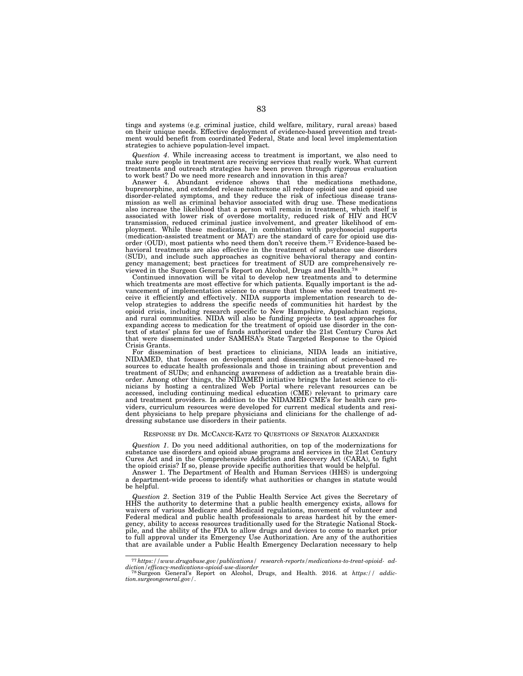tings and systems (e.g. criminal justice, child welfare, military, rural areas) based on their unique needs. Effective deployment of evidence-based prevention and treatment would benefit from coordinated Federal, State and local level implementation strategies to achieve population-level impact.

*Question 4*. While increasing access to treatment is important, we also need to make sure people in treatment are receiving services that really work. What current treatments and outreach strategies have been proven through rigorous evaluation to work best? Do we need more research and innovation in this area?

Answer 4. Abundant evidence shows that the medications methadone, buprenorphine, and extended release naltrexone all reduce opioid use and opioid use disorder-related symptoms, and they reduce the risk of infectious disease transmission as well as criminal behavior associated with drug use. These medications also increase the likelihood that a person will remain in treatment, which itself is associated with lower risk of overdose mortality, reduced risk of HIV and HCV transmission, reduced criminal justice involvement, and greater likelihood of employment. While these medications, in combination with psychosocial supports (medication-assisted treatment or MAT) are the standard of care for opioid use disorder (OUD), most patients who need them don't receive them.77 Evidence-based behavioral treatments are also effective in the treatment of substance use disorders (SUD), and include such approaches as cognitive behavioral therapy and contingency management; best practices for treatment of SUD are comprehensively reviewed in the Surgeon General's Report on Alcohol, Drugs and Health.78

Continued innovation will be vital to develop new treatments and to determine which treatments are most effective for which patients. Equally important is the advancement of implementation science to ensure that those who need treatment receive it efficiently and effectively. NIDA supports implementation research to develop strategies to address the specific needs of communities hit hardest by the opioid crisis, including research specific to New Hampshire, Appalachian regions, and rural communities. NIDA will also be funding projects to test approaches for expanding access to medication for the treatment of opioid use disorder in the context of states' plans for use of funds authorized under the 21st Century Cures Act that were disseminated under SAMHSA's State Targeted Response to the Opioid Crisis Grants.

For dissemination of best practices to clinicians, NIDA leads an initiative, NIDAMED, that focuses on development and dissemination of science-based resources to educate health professionals and those in training about prevention and treatment of SUDs; and enhancing awareness of addiction as a treatable brain disorder. Among other things, the NIDAMED initiative brings the latest science to clinicians by hosting a centralized Web Portal where relevant resources can be accessed, including continuing medical education (CME) relevant to primary care and treatment providers. In addition to the NIDAMED CME's for health care providers, curriculum resources were developed for current medical students and resident physicians to help prepare physicians and clinicians for the challenge of addressing substance use disorders in their patients.

#### RESPONSE BY DR. MCCANCE-KATZ TO QUESTIONS OF SENATOR ALEXANDER

*Question 1*. Do you need additional authorities, on top of the modernizations for substance use disorders and opioid abuse programs and services in the 21st Century Cures Act and in the Comprehensive Addiction and Recovery Act (CARA), to fight the opioid crisis? If so, please provide specific authorities that would be helpful.

Answer 1. The Department of Health and Human Services (HHS) is undergoing a department-wide process to identify what authorities or changes in statute would be helpful.

*Question 2*. Section 319 of the Public Health Service Act gives the Secretary of HHS the authority to determine that a public health emergency exists, allows for waivers of various Medicare and Medicaid regulations, movement of volunteer and Federal medical and public health professionals to areas hardest hit by the emergency, ability to access resources traditionally used for the Strategic National Stockpile, and the ability of the FDA to allow drugs and devices to come to market prior to full approval under its Emergency Use Authorization. Are any of the authorities that are available under a Public Health Emergency Declaration necessary to help

<sup>77</sup>*https://www.drugabuse.gov/publications/ research-reports/medications-to-treat-opioid- ad-*

*diction/efficacy-medications-opioid-use-disorder* 78Surgeon General's Report on Alcohol, Drugs, and Health. 2016. at *https:// addiction.surgeongeneral.gov/*.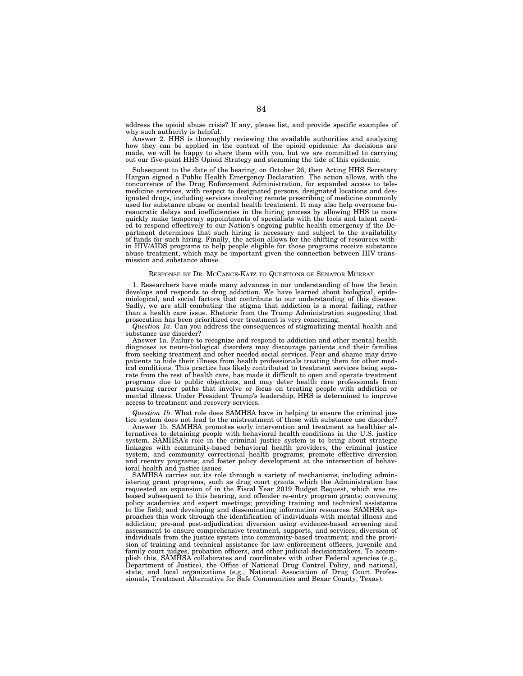address the opioid abuse crisis? If any, please list, and provide specific examples of why such authority is helpful.

Answer 2. HHS is thoroughly reviewing the available authorities and analyzing how they can be applied in the context of the opioid epidemic. As decisions are made, we will be happy to share them with you, but we are committed to carrying out our five-point HHS Opioid Strategy and stemming the tide of this epidemic.

Subsequent to the date of the hearing, on October 26, then Acting HHS Secretary Hargan signed a Public Health Emergency Declaration. The action allows, with the concurrence of the Drug Enforcement Administration, for expanded access to telemedicine services, with respect to designated persons, designated locations and designated drugs, including services involving remote prescribing of medicine commonly used for substance abuse or mental health treatment. It may also help overcome bureaucratic delays and inefficiencies in the hiring process by allowing HHS to more quickly make temporary appointments of specialists with the tools and talent needed to respond effectively to our Nation's ongoing public health emergency if the Department determines that such hiring is necessary and subject to the availability of funds for such hiring. Finally, the action allows for the shifting of resources within HIV/AIDS programs to help people eligible for those programs receive substance abuse treatment, which may be important given the connection between HIV transmission and substance abuse.

#### RESPONSE BY DR. MCCANCE-KATZ TO QUESTIONS OF SENATOR MURRAY

1. Researchers have made many advances in our understanding of how the brain develops and responds to drug addiction. We have learned about biological, epidemiological, and social factors that contribute to our understanding of this disease. Sadly, we are still combating the stigma that addiction is a moral failing, rather than a health care issue. Rhetoric from the Trump Administration suggesting that prosecution has been prioritized over treatment is very concerning.

*Question 1a*. Can you address the consequences of stigmatizing mental health and substance use disorder?

Answer 1a. Failure to recognize and respond to addiction and other mental health diagnoses as neuro-biological disorders may discourage patients and their families from seeking treatment and other needed social services. Fear and shame may drive patients to hide their illness from health professionals treating them for other medical conditions. This practice has likely contributed to treatment services being separate from the rest of health care, has made it difficult to open and operate treatment programs due to public objections, and may deter health care professionals from pursuing career paths that involve or focus on treating people with addiction or mental illness. Under President Trump's leadership, HHS is determined to improve access to treatment and recovery services.

*Question 1b*. What role does SAMHSA have in helping to ensure the criminal justice system does not lead to the mistreatment of those with substance use disorder?

Answer 1b. SAMHSA promotes early intervention and treatment as healthier alternatives to detaining people with behavioral health conditions in the U.S. justice system. SAMHSA's role in the criminal justice system is to bring about strategic linkages with community-based behavioral health providers, the criminal justice system, and community correctional health programs; promote effective diversion and reentry programs; and foster policy development at the intersection of behavioral health and justice issues.

SAMHSA carries out its role through a variety of mechanisms, including administering grant programs, such as drug court grants, which the Administration has requested an expansion of in the Fiscal Year 2019 Budget Request, which was released subsequent to this hearing, and offender re-entry program grants; convening policy academies and expert meetings; providing training and technical assistance to the field; and developing and disseminating information resources. SAMHSA approaches this work through the identification of individuals with mental illness and addiction; pre-and post-adjudication diversion using evidence-based screening and assessment to ensure comprehensive treatment, supports, and services; diversion of individuals from the justice system into community-based treatment; and the provision of training and technical assistance for law enforcement officers, juvenile and family court judges, probation officers, and other judicial decisionmakers. To accomplish this, SAMHSA collaborates and coordinates with other Federal agencies (e.g., Department of Justice), the Office of National Drug Control Policy, and national, state, and local organizations (e.g., National Association of Drug Court Professionals, Treatment Alternative for Safe Communities and Bexar County, Texas).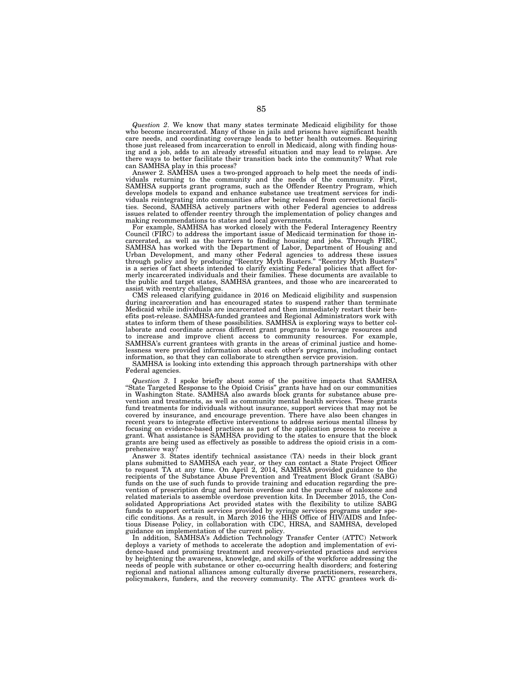*Question 2*. We know that many states terminate Medicaid eligibility for those who become incarcerated. Many of those in jails and prisons have significant health care needs, and coordinating coverage leads to better health outcomes. Requiring those just released from incarceration to enroll in Medicaid, along with finding housing and a job, adds to an already stressful situation and may lead to relapse. Are there ways to better facilitate their transition back into the community? What role can SAMHSA play in this process?

Answer 2. SAMHSA uses a two-pronged approach to help meet the needs of individuals returning to the community and the needs of the community. First, SAMHSA supports grant programs, such as the Offender Reentry Program, which develops models to expand and enhance substance use treatment services for individuals reintegrating into communities after being released from correctional facilities. Second, SAMHSA actively partners with other Federal agencies to address issues related to offender reentry through the implementation of policy changes and making recommendations to states and local governments.

For example, SAMHSA has worked closely with the Federal Interagency Reentry Council (FIRC) to address the important issue of Medicaid termination for those incarcerated, as well as the barriers to finding housing and jobs. Through FIRC, SAMHSA has worked with the Department of Labor, Department of Housing and Urban Development, and many other Federal agencies to address these issues through policy and by producing ''Reentry Myth Busters.'' ''Reentry Myth Busters'' is a series of fact sheets intended to clarify existing Federal policies that affect formerly incarcerated individuals and their families. These documents are available to the public and target states, SAMHSA grantees, and those who are incarcerated to assist with reentry challenges.

CMS released clarifying guidance in 2016 on Medicaid eligibility and suspension during incarceration and has encouraged states to suspend rather than terminate Medicaid while individuals are incarcerated and then immediately restart their benefits post-release. SAMHSA-funded grantees and Regional Administrators work with states to inform them of these possibilities. SAMHSA is exploring ways to better collaborate and coordinate across different grant programs to leverage resources and to increase and improve client access to community resources. For example, SAMHSA's current grantees with grants in the areas of criminal justice and homelessness were provided information about each other's programs, including contact information, so that they can collaborate to strengthen service provision.

SAMHSA is looking into extending this approach through partnerships with other Federal agencies.

*Question 3*. I spoke briefly about some of the positive impacts that SAMHSA ''State Targeted Response to the Opioid Crisis'' grants have had on our communities in Washington State. SAMHSA also awards block grants for substance abuse prevention and treatments, as well as community mental health services. These grants fund treatments for individuals without insurance, support services that may not be covered by insurance, and encourage prevention. There have also been changes in recent years to integrate effective interventions to address serious mental illness by focusing on evidence-based practices as part of the application process to receive a grant. What assistance is SAMHSA providing to the states to ensure that the block grants are being used as effectively as possible to address the opioid crisis in a comprehensive wav?

Answer 3. States identify technical assistance (TA) needs in their block grant plans submitted to SAMHSA each year, or they can contact a State Project Officer to request TA at any time. On April 2, 2014, SAMHSA provided guidance to the recipients of the Substance Abuse Prevention and Treatment Block Grant (SABG) funds on the use of such funds to provide training and education regarding the prevention of prescription drug and heroin overdose and the purchase of naloxone and related materials to assemble overdose prevention kits. In December 2015, the Consolidated Appropriations Act provided states with the flexibility to utilize SABG funds to support certain services provided by syringe services programs under specific conditions. As a result, in March 2016 the HHS Office of HIV/AIDS and Infectious Disease Policy, in collaboration with CDC, HRSA, and SAMHSA, developed guidance on implementation of the current policy.

In addition, SAMHSA's Addiction Technology Transfer Center (ATTC) Network deploys a variety of methods to accelerate the adoption and implementation of evidence-based and promising treatment and recovery-oriented practices and services by heightening the awareness, knowledge, and skills of the workforce addressing the needs of people with substance or other co-occurring health disorders; and fostering regional and national alliances among culturally diverse practitioners, researchers, policymakers, funders, and the recovery community. The ATTC grantees work di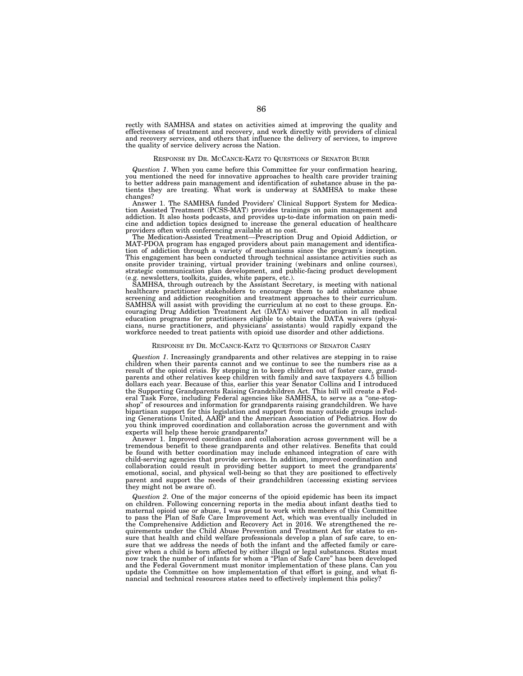rectly with SAMHSA and states on activities aimed at improving the quality and effectiveness of treatment and recovery, and work directly with providers of clinical and recovery services, and others that influence the delivery of services, to improve the quality of service delivery across the Nation.

# RESPONSE BY DR. MCCANCE-KATZ TO QUESTIONS OF SENATOR BURR

*Question 1*. When you came before this Committee for your confirmation hearing, you mentioned the need for innovative approaches to health care provider training to better address pain management and identification of substance abuse in the patients they are treating. What work is underway at SAMHSA to make these changes?

Answer 1. The SAMHSA funded Providers' Clinical Support System for Medication Assisted Treatment (PCSS-MAT) provides trainings on pain management and addiction. It also hosts podcasts, and provides up-to-date information on pain medicine and addiction topics designed to increase the general education of healthcare providers often with conferencing available at no cost.

The Medication-Assisted Treatment—Prescription Drug and Opioid Addiction, or MAT-PDOA program has engaged providers about pain management and identification of addiction through a variety of mechanisms since the program's inception. This engagement has been conducted through technical assistance activities such as onsite provider training, virtual provider training (webinars and online courses), strategic communication plan development, and public-facing product development (e.g. newsletters, toolkits, guides, white papers, etc.).

SAMHSA, through outreach by the Assistant Secretary, is meeting with national healthcare practitioner stakeholders to encourage them to add substance abuse screening and addiction recognition and treatment approaches to their curriculum. SAMHSA will assist with providing the curriculum at no cost to these groups. Encouraging Drug Addiction Treatment Act (DATA) waiver education in all medical education programs for practitioners eligible to obtain the DATA waivers (physicians, nurse practitioners, and physicians' assistants) would rapidly expand the workforce needed to treat patients with opioid use disorder and other addictions.

## RESPONSE BY DR. MCCANCE-KATZ TO QUESTIONS OF SENATOR CASEY

*Question 1*. Increasingly grandparents and other relatives are stepping in to raise children when their parents cannot and we continue to see the numbers rise as a result of the opioid crisis. By stepping in to keep children out of foster care, grandparents and other relatives keep children with family and save taxpayers 4.5 billion dollars each year. Because of this, earlier this year Senator Collins and I introduced the Supporting Grandparents Raising Grandchildren Act. This bill will create a Federal Task Force, including Federal agencies like SAMHSA, to serve as a ''one-stopshop'' of resources and information for grandparents raising grandchildren. We have bipartisan support for this legislation and support from many outside groups including Generations United, AARP and the American Association of Pediatrics. How do you think improved coordination and collaboration across the government and with experts will help these heroic grandparents?

Answer 1. Improved coordination and collaboration across government will be a tremendous benefit to these grandparents and other relatives. Benefits that could be found with better coordination may include enhanced integration of care with child-serving agencies that provide services. In addition, improved coordination and collaboration could result in providing better support to meet the grandparents' emotional, social, and physical well-being so that they are positioned to effectively parent and support the needs of their grandchildren (accessing existing services they might not be aware of).

*Question 2*. One of the major concerns of the opioid epidemic has been its impact on children. Following concerning reports in the media about infant deaths tied to maternal opioid use or abuse, I was proud to work with members of this Committee to pass the Plan of Safe Care Improvement Act, which was eventually included in the Comprehensive Addiction and Recovery Act in 2016. We strengthened the requirements under the Child Abuse Prevention and Treatment Act for states to ensure that health and child welfare professionals develop a plan of safe care, to ensure that we address the needs of both the infant and the affected family or caregiver when a child is born affected by either illegal or legal substances. States must now track the number of infants for whom a ''Plan of Safe Care'' has been developed and the Federal Government must monitor implementation of these plans. Can you update the Committee on how implementation of that effort is going, and what financial and technical resources states need to effectively implement this policy?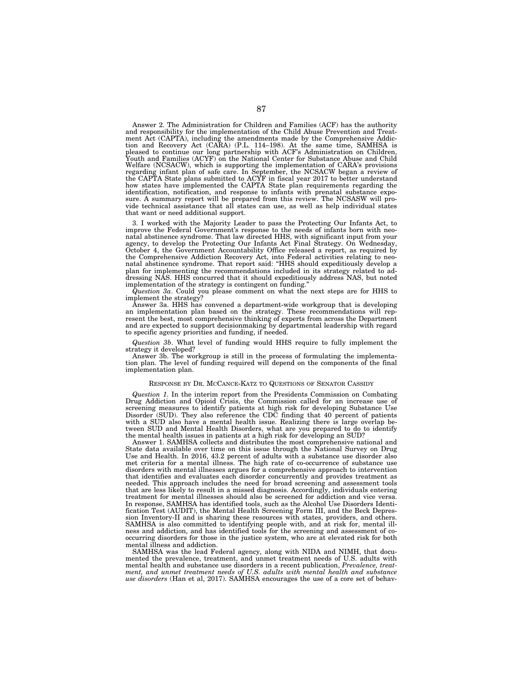Answer 2. The Administration for Children and Families (ACF) has the authority and responsibility for the implementation of the Child Abuse Prevention and Treatment Act (CAPTA), including the amendments made by the Comprehensive Addiction and Recovery Act (CARA) (P.L. 114–198). At the same time, SAMHSA is pleased to continue our long partnership with ACF's Administration on Child Youth and Families (ACYF) on the National Center for Substance Abuse and Child Welfare (NCSACW), which is supporting the implementation of CARA's provisions regarding infant plan of safe care. In September, the NCSACW began a review of the CAPTA State plans submitted to ACYF in fiscal year 2017 to better understand how states have implemented the CAPTA State plan requirements regarding the identification, notification, and response to infants with prenatal substance exposure. A summary report will be prepared from this review. The NCSASW will provide technical assistance that all states can use, as well as help individual states that want or need additional support.

3. I worked with the Majority Leader to pass the Protecting Our Infants Act, to improve the Federal Government's response to the needs of infants born with neonatal abstinence syndrome. That law directed HHS, with significant input from your agency, to develop the Protecting Our Infants Act Final Strategy. On Wednesday, October 4, the Government Accountability Office released a report, as required by the Comprehensive Addiction Recovery Act, into Federal activities relating to neonatal abstinence syndrome. That report said: "HHS should expeditiously develop a plan for implementing the recommendations included in its strategy related to addressing NAS. HHS concurred that it should expeditiously address NAS, but noted implementation of the strategy is contingent on funding.''

*Question 3a*. Could you please comment on what the next steps are for HHS to implement the strategy?

Answer 3a. HHS has convened a department-wide workgroup that is developing an implementation plan based on the strategy. These recommendations will represent the best, most comprehensive thinking of experts from across the Department and are expected to support decisionmaking by departmental leadership with regard to specific agency priorities and funding, if needed.

*Question 3b*. What level of funding would HHS require to fully implement the strategy it developed?

Answer 3b. The workgroup is still in the process of formulating the implementation plan. The level of funding required will depend on the components of the final implementation plan.

### RESPONSE BY DR. MCCANCE-KATZ TO QUESTIONS OF SENATOR CASSIDY

*Question 1*. In the interim report from the Presidents Commission on Combating Drug Addiction and Opioid Crisis, the Commission called for an increase use of screening measures to identify patients at high risk for developing Substance Use Disorder (SUD). They also reference the CDC finding that 40 percent of patients with a SUD also have a mental health issue. Realizing there is large overlap between SUD and Mental Health Disorders, what are you prepared to do to identify the mental health issues in patients at a high risk for developing an SUD?

Answer 1. SAMHSA collects and distributes the most comprehensive national and State data available over time on this issue through the National Survey on Drug Use and Health. In 2016, 43.2 percent of adults with a substance use disorder also met criteria for a mental illness. The high rate of co-occurrence of substance use disorders with mental illnesses argues for a comprehensive approach to intervention that identifies and evaluates each disorder concurrently and provides treatment as needed. This approach includes the need for broad screening and assessment tools that are less likely to result in a missed diagnosis. Accordingly, individuals entering treatment for mental illnesses should also be screened for addiction and vice versa. In response, SAMHSA has identified tools, such as the Alcohol Use Disorders Identification Test (AUDIT), the Mental Health Screening Form III, and the Beck Depression Inventory-II and is sharing these resources with states, providers, and others. SAMHSA is also committed to identifying people with, and at risk for, mental illness and addiction, and has identified tools for the screening and assessment of cooccurring disorders for those in the justice system, who are at elevated risk for both mental illness and addiction.

SAMHSA was the lead Federal agency, along with NIDA and NIMH, that documented the prevalence, treatment, and unmet treatment needs of U.S. adults with mental health and substance use disorders in a recent publication, *Prevalence, treatment, and unmet treatment needs of U.S. adults with mental health and substance use disorders* (Han et al, 2017). SAMHSA encourages the use of a core set of behav-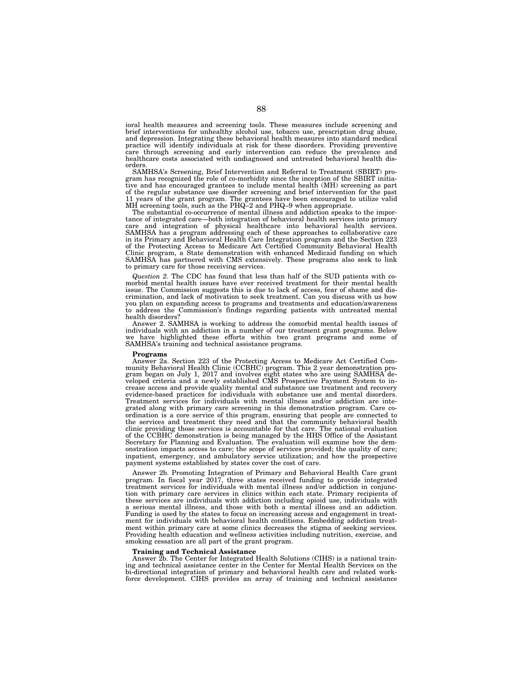ioral health measures and screening tools. These measures include screening and brief interventions for unhealthy alcohol use, tobacco use, prescription drug abuse, and depression. Integrating these behavioral health measures into standard medical practice will identify individuals at risk for these disorders. Providing preventive care through screening and early intervention can reduce the prevalence and healthcare costs associated with undiagnosed and untreated behavioral health disorders.

SAMHSA's Screening, Brief Intervention and Referral to Treatment (SBIRT) program has recognized the role of co-morbidity since the inception of the SBIRT initiative and has encouraged grantees to include mental health (MH) screening as part of the regular substance use disorder screening and brief intervention for the past 11 years of the grant program. The grantees have been encouraged to utilize valid MH screening tools, such as the PHQ–2 and PHQ–9 when appropriate.

The substantial co-occurrence of mental illness and addiction speaks to the importance of integrated care—both integration of behavioral health services into primary care and integration of physical healthcare into behavioral health services. SAMHSA has a program addressing each of these approaches to collaborative care in its Primary and Behavioral Health Care Integration program and the Section 223 of the Protecting Access to Medicare Act Certified Community Behavioral Health Clinic program, a State demonstration with enhanced Medicaid funding on which SAMHSA has partnered with CMS extensively. These programs also seek to link to primary care for those receiving services.

*Question 2*. The CDC has found that less than half of the SUD patients with comorbid mental health issues have ever received treatment for their mental health issue. The Commission suggests this is due to lack of access, fear of shame and discrimination, and lack of motivation to seek treatment. Can you discuss with us how you plan on expanding access to programs and treatments and education/awareness to address the Commission's findings regarding patients with untreated mental health disorders?

Answer 2. SAMHSA is working to address the comorbid mental health issues of individuals with an addiction in a number of our treatment grant programs. Below have highlighted these efforts within two grant programs and some of SAMHSA's training and technical assistance programs.

#### **Programs**

Answer 2a. Section 223 of the Protecting Access to Medicare Act Certified Community Behavioral Health Clinic (CCBHC) program. This 2 year demonstration program began on July 1, 2017 and involves eight states who are using SAMHSA de-veloped criteria and a newly established CMS Prospective Payment System to increase access and provide quality mental and substance use treatment and recovery evidence-based practices for individuals with substance use and mental disorders. Treatment services for individuals with mental illness and/or addiction are integrated along with primary care screening in this demonstration program. Care coordination is a core service of this program, ensuring that people are connected to the services and treatment they need and that the community behavioral health clinic providing those services is accountable for that care. The national evaluation of the CCBHC demonstration is being managed by the HHS Office of the Assistant Secretary for Planning and Evaluation. The evaluation will examine how the demonstration impacts access to care; the scope of services provided; the quality of care; inpatient, emergency, and ambulatory service utilization; and how the prospective payment systems established by states cover the cost of care.

Answer 2b. Promoting Integration of Primary and Behavioral Health Care grant program. In fiscal year 2017, three states received funding to provide integrated treatment services for individuals with mental illness and/or addiction in conjunction with primary care services in clinics within each state. Primary recipients of these services are individuals with addiction including opioid use, individuals with a serious mental illness, and those with both a mental illness and an addiction. Funding is used by the states to focus on increasing access and engagement in treatment for individuals with behavioral health conditions. Embedding addiction treatment within primary care at some clinics decreases the stigma of seeking services. Providing health education and wellness activities including nutrition, exercise, and smoking cessation are all part of the grant program.

#### **Training and Technical Assistance**

Answer 2b. The Center for Integrated Health Solutions (CIHS) is a national training and technical assistance center in the Center for Mental Health Services on the bi-directional integration of primary and behavioral health care and related workforce development. CIHS provides an array of training and technical assistance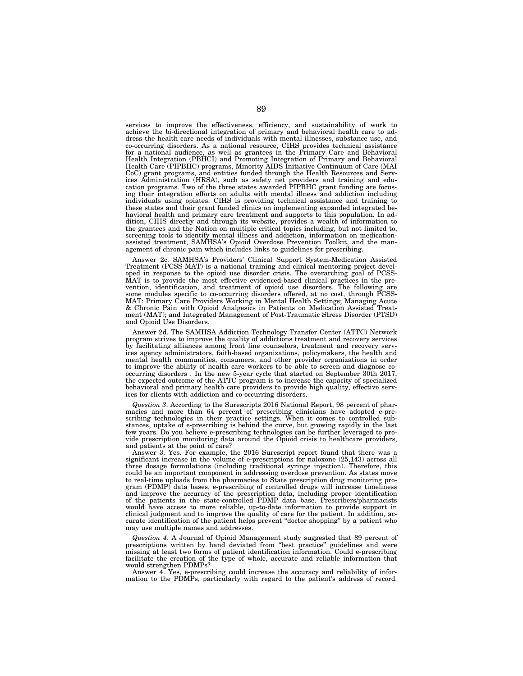services to improve the effectiveness, efficiency, and sustainability of work to achieve the bi-directional integration of primary and behavioral health care to address the health care needs of individuals with mental illnesses, substance use, and co-occurring disorders. As a national resource, CIHS provides technical assistance for a national audience, as well as grantees in the Primary Care and Behavioral Health Integration (PBHCI) and Promoting Integration of Primary and Behavioral Health Care (PIPBHC) programs, Minority AIDS Initiative Continuum of Care (MAI CoC) grant programs, and entities funded through the Health Resources and Services Administration (HRSA), such as safety net providers and training and education programs. Two of the three states awarded PIPBHC grant funding are focusing their integration efforts on adults with mental illness and addiction including individuals using opiates. CIHS is providing technical assistance and training to these states and their grant funded clinics on implementing expanded integrated behavioral health and primary care treatment and supports to this population. In addition, CIHS directly and through its website, provides a wealth of information to the grantees and the Nation on multiple critical topics including, but not limited to, screening tools to identify mental illness and addiction, information on medicationassisted treatment, SAMHSA's Opioid Overdose Prevention Toolkit, and the management of chronic pain which includes links to guidelines for prescribing.

Answer 2c. SAMHSA's Providers' Clinical Support System-Medication Assisted Treatment (PCSS-MAT) is a national training and clinical mentoring project developed in response to the opioid use disorder crisis. The overarching goal of PCSS-MAT is to provide the most effective evidenced-based clinical practices in the prevention, identification, and treatment of opioid use disorders. The following are some modules specific to co-occurring disorders offered, at no cost, through PCSS-MAT: Primary Care Providers Working in Mental Health Settings; Managing Acute & Chronic Pain with Opioid Analgesics in Patients on Medication Assisted Treatment (MAT); and Integrated Management of Post-Traumatic Stress Disorder (PTSD) and Opioid Use Disorders.

Answer 2d. The SAMHSA Addiction Technology Transfer Center (ATTC) Network program strives to improve the quality of addictions treatment and recovery services by facilitating alliances among front line counselors, treatment and recovery services agency administrators, faith-based organizations, policymakers, the health and mental health communities, consumers, and other provider organizations in order to improve the ability of health care workers to be able to screen and diagnose cooccurring disorders . In the new 5-year cycle that started on September 30th 2017, the expected outcome of the ATTC program is to increase the capacity of specialized behavioral and primary health care providers to provide high quality, effective services for clients with addiction and co-occurring disorders.

*Question 3*. According to the Surescripts 2016 National Report, 98 percent of pharmacies and more than 64 percent of prescribing clinicians have adopted e-prescribing technologies in their practice settings. When it comes to controlled substances, uptake of e-prescribing is behind the curve, but growing rapidly in the last few years. Do you believe e-prescribing technologies can be further leveraged to provide prescription monitoring data around the Opioid crisis to healthcare providers, and patients at the point of care?

Answer 3. Yes. For example, the 2016 Surescript report found that there was a significant increase in the volume of e-prescriptions for naloxone (25,143) across all three dosage formulations (including traditional syringe injection). Therefore, this could be an important component in addressing overdose prevention. As states move to real-time uploads from the pharmacies to State prescription drug monitoring program (PDMP) data bases, e-prescribing of controlled drugs will increase timeliness and improve the accuracy of the prescription data, including proper identification of the patients in the state-controlled PDMP data base. Prescribers/pharmacists would have access to more reliable, up-to-date information to provide support in clinical judgment and to improve the quality of care for the patient. In addition, accurate identification of the patient helps prevent ''doctor shopping'' by a patient who may use multiple names and addresses.

*Question 4*. A Journal of Opioid Management study suggested that 89 percent of prescriptions written by hand deviated from ''best practice'' guidelines and were missing at least two forms of patient identification information. Could e-prescribing facilitate the creation of the type of whole, accurate and reliable information that would strengthen PDMPs?

Answer 4. Yes, e-prescribing could increase the accuracy and reliability of information to the PDMPs, particularly with regard to the patient's address of record.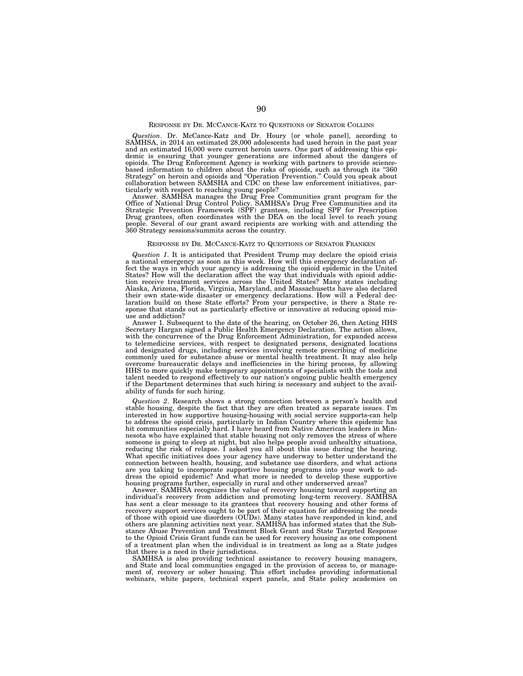# RESPONSE BY DR. MCCANCE-KATZ TO QUESTIONS OF SENATOR COLLINS

*Question*. Dr. McCance-Katz and Dr. Houry [or whole panel], according to SAMHSA, in 2014 an estimated 28,000 adolescents had used heroin in the past year and an estimated 16,000 were current heroin users. One part of addressing this epi-demic is ensuring that younger generations are informed about the dangers of opioids. The Drug Enforcement Agency is working with partners to provide sciencebased information to children about the risks of opioids, such as through its "360<br>Strategy" on heroin and opioids and "Operation Prevention." Could you speak about<br>collaboration between SAMSHA and CDC on these law enforce

ticularly with respect to reaching young people?<br>Answer. SAMHSA manages the Drug Free Communities grant program for the<br>Office of National Drug Control Policy. SAMHSA's Drug Free Communities and its<br>Strategic Prevention Fr people. Several of our grant award recipients are working with and attending the 360 Strategy sessions/summits across the country.

# RESPONSE BY DR. MCCANCE-KATZ TO QUESTIONS OF SENATOR FRANKEN

*Question 1*. It is anticipated that President Trump may declare the opioid crisis a national emergency as soon as this week. How will this emergency declaration affect the ways in which your agency is addressing the opioid epidemic in the United States? How will the declaration affect the way that individuals with opioid addiction receive treatment services across the United States? Many states including Alaska, Arizona, Florida, Virginia, Maryland, and Massachusetts have also declared their own state-wide disaster or emergency declarations. How will a Federal declaration build on these State efforts? From your perspective, is there a State response that stands out as particularly effective or innovative at reducing opioid misuse and addiction?

Answer 1. Subsequent to the date of the hearing, on October 26, then Acting HHS Secretary Hargan signed a Public Health Emergency Declaration. The action allows, with the concurrence of the Drug Enforcement Administration, for expanded access to telemedicine services, with respect to designated persons, designated locations and designated drugs, including services involving remote prescribing of medicine commonly used for substance abuse or mental health treatment. It may also help overcome bureaucratic delays and inefficiencies in the hiring process, by allowing HHS to more quickly make temporary appointments of specialists with the tools and talent needed to respond effectively to our nation's ongoing public health emergency if the Department determines that such hiring is necessary and subject to the availability of funds for such hiring.

*Question 2*. Research shows a strong connection between a person's health and stable housing, despite the fact that they are often treated as separate issues. I'm interested in how supportive housing-housing with social service supports-can help to address the opioid crisis, particularly in Indian Country where this epidemic has hit communities especially hard. I have heard from Native American leaders in Minnesota who have explained that stable housing not only removes the stress of where someone is going to sleep at night, but also helps people avoid unhealthy situations, reducing the risk of relapse. I asked you all about this issue during the hearing. What specific initiatives does your agency have underway to better understand the connection between health, housing, and substance use disorders, and what actions are you taking to incorporate supportive housing programs into your work to address the opioid epidemic? And what more is needed to develop these supportive housing programs further, especially in rural and other underserved areas?

Answer. SAMHSA recognizes the value of recovery housing toward supporting an individual's recovery from addiction and promoting long-term recovery. SAMHSA has sent a clear message to its grantees that recovery housing and other forms of recovery support services ought to be part of their equation for addressing the needs of those with opioid use disorders (OUDs). Many states have responded in kind, and others are planning activities next year. SAMHSA has informed states that the Substance Abuse Prevention and Treatment Block Grant and State Targeted Response to the Opioid Crisis Grant funds can be used for recovery housing as one component of a treatment plan when the individual is in treatment as long as a State judges that there is a need in their jurisdictions.

SAMHSA is also providing technical assistance to recovery housing managers, and State and local communities engaged in the provision of access to, or manage-ment of, recovery or sober housing. This effort includes providing informational webinars, white papers, technical expert panels, and State policy academies on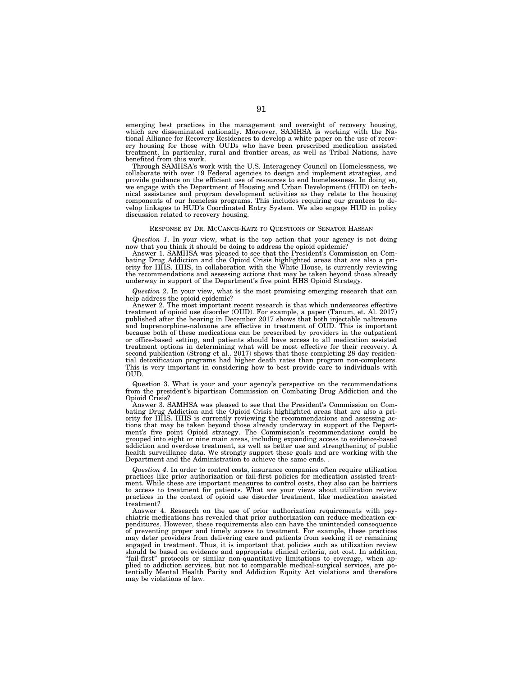emerging best practices in the management and oversight of recovery housing, which are disseminated nationally. Moreover, SAMHSA is working with the National Alliance for Recovery Residences to develop a white paper on the use of recovery housing for those with OUDs who have been prescribed medication assisted treatment. In particular, rural and frontier areas, as well as Tribal Nations, have benefited from this work.

Through SAMHSA's work with the U.S. Interagency Council on Homelessness, we collaborate with over 19 Federal agencies to design and implement strategies, and provide guidance on the efficient use of resources to end homelessness. In doing so, we engage with the Department of Housing and Urban Development (HUD) on technical assistance and program development activities as they relate to the housing components of our homeless programs. This includes requiring our grantees to develop linkages to HUD's Coordinated Entry System. We also engage HUD in policy discussion related to recovery housing.

# RESPONSE BY DR. MCCANCE-KATZ TO QUESTIONS OF SENATOR HASSAN

*Question 1*. In your view, what is the top action that your agency is not doing now that you think it should be doing to address the opioid epidemic?

Answer 1. SAMHSA was pleased to see that the President's Commission on Combating Drug Addiction and the Opioid Crisis highlighted areas that are also a priority for HHS. HHS, in collaboration with the White House, is currently reviewing the recommendations and assessing actions that may be taken beyond those already underway in support of the Department's five point HHS Opioid Strategy.

*Question 2*. In your view, what is the most promising emerging research that can help address the opioid epidemic?

Answer 2. The most important recent research is that which underscores effective treatment of opioid use disorder (OUD). For example, a paper (Tanum, et. Al. 2017) published after the hearing in December 2017 shows that both injectable naltrexone and buprenorphine-naloxone are effective in treatment of OUD. This is important because both of these medications can be prescribed by providers in the outpatient or office-based setting, and patients should have access to all medication assisted treatment options in determining what will be most effective for their recovery. A second publication (Strong et al.. 2017) shows that those completing 28 day residential detoxification programs had higher death rates than program non-completers. This is very important in considering how to best provide care to individuals with OUD.

Question 3. What is your and your agency's perspective on the recommendations from the president's bipartisan Commission on Combating Drug Addiction and the Opioid Crisis?

Answer 3. SAMHSA was pleased to see that the President's Commission on Combating Drug Addiction and the Opioid Crisis highlighted areas that are also a priority for HHS. HHS is currently reviewing the recommendations and assessing actions that may be taken beyond those already underway in support of the Department's five point Opioid strategy. The Commission's recommendations could be grouped into eight or nine main areas, including expanding access to evidence-based addiction and overdose treatment, as well as better use and strengthening of public health surveillance data. We strongly support these goals and are working with the Department and the Administration to achieve the same ends.

*Question 4*. In order to control costs, insurance companies often require utilization practices like prior authorization or fail-first policies for medication assisted treatment. While these are important measures to control costs, they also can be barriers to access to treatment for patients. What are your views about utilization review practices in the context of opioid use disorder treatment, like medication assisted treatment?

Answer 4. Research on the use of prior authorization requirements with psychiatric medications has revealed that prior authorization can reduce medication expenditures. However, these requirements also can have the unintended consequence of preventing proper and timely access to treatment. For example, these practices may deter providers from delivering care and patients from seeking it or remaining engaged in treatment. Thus, it is important that policies such as utilization review should be based on evidence and appropriate clinical criteria, not cost. In addition, "fail-first" protocols or similar non-quantitative limitations to coverage, when applied to addiction services, but not to comparable medical-surgical services, are po-tentially Mental Health Parity and Addiction Equity Act violations and therefore may be violations of law.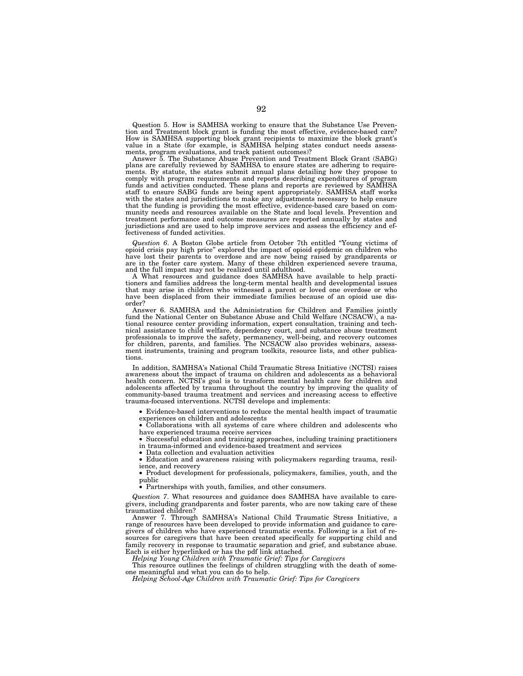Question 5. How is SAMHSA working to ensure that the Substance Use Prevention and Treatment block grant is funding the most effective, evidence-based care? How is SAMHSA supporting block grant recipients to maximize the block grant's value in a State (for example, is SAMHSA helping states conduct needs assessments, program evaluations, and track patient outcomes)?

Answer 5. The Substance Abuse Prevention and Treatment Block Grant (SABG) plans are carefully reviewed by SAMHSA to ensure states are adhering to requirements. By statute, the states submit annual plans detailing how they propose to comply with program requirements and reports describing expenditures of program funds and activities conducted. These plans and reports are reviewed by SAMHSA staff to ensure SABG funds are being spent appropriately. SAMHSA staff works with the states and jurisdictions to make any adjustments necessary to help ensure that the funding is providing the most effective, evidence-based care based on community needs and resources available on the State and local levels. Prevention and treatment performance and outcome measures are reported annually by states and jurisdictions and are used to help improve services and assess the efficiency and ef-fectiveness of funded activities.

*Question 6*. A Boston Globe article from October 7th entitled ''Young victims of opioid crisis pay high price'' explored the impact of opioid epidemic on children who have lost their parents to overdose and are now being raised by grandparents or are in the foster care system. Many of these children experienced severe trauma, and the full impact may not be realized until adulthood.

A What resources and guidance does SAMHSA have available to help practitioners and families address the long-term mental health and developmental issues that may arise in children who witnessed a parent or loved one overdose or who have been displaced from their immediate families because of an opioid use disorder?

Answer 6. SAMHSA and the Administration for Children and Families jointly fund the National Center on Substance Abuse and Child Welfare (NCSACW), a national resource center providing information, expert consultation, training and technical assistance to child welfare, dependency court, and substance abuse treatment professionals to improve the safety, permanency, well-being, and recovery outcomes for children, parents, and families. The NCSACW also provides webinars, assessment instruments, training and program toolkits, resource lists, and other publications.

In addition, SAMHSA's National Child Traumatic Stress Initiative (NCTSI) raises awareness about the impact of trauma on children and adolescents as a behavioral health concern. NCTSI's goal is to transform mental health care for children and adolescents affected by trauma throughout the country by improving the quality of community-based trauma treatment and services and increasing access to effective trauma-focused interventions. NCTSI develops and implements:

• Evidence-based interventions to reduce the mental health impact of traumatic experiences on children and adolescents

• Collaborations with all systems of care where children and adolescents who have experienced trauma receive services

• Successful education and training approaches, including training practitioners in trauma-informed and evidence-based treatment and services

• Data collection and evaluation activities

• Education and awareness raising with policymakers regarding trauma, resilience, and recovery

• Product development for professionals, policymakers, families, youth, and the public

• Partnerships with youth, families, and other consumers.

*Question 7*. What resources and guidance does SAMHSA have available to caregivers, including grandparents and foster parents, who are now taking care of these traumatized children?

Answer 7. Through SAMHSA's National Child Traumatic Stress Initiative, a range of resources have been developed to provide information and guidance to caregivers of children who have experienced traumatic events. Following is a list of resources for caregivers that have been created specifically for supporting child and family recovery in response to traumatic separation and grief, and substance abuse. Each is either hyperlinked or has the pdf link attached.

*Helping Young Children with Traumatic Grief: Tips for Caregivers* 

This resource outlines the feelings of children struggling with the death of someone meaningful and what you can do to help.

*Helping School-Age Children with Traumatic Grief: Tips for Caregivers*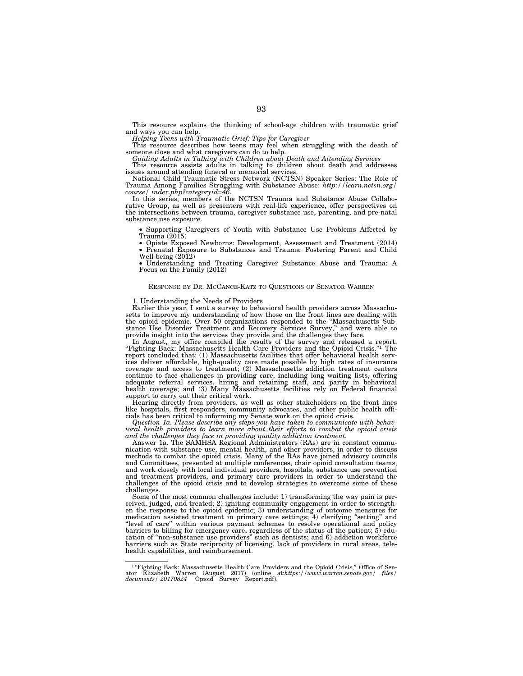This resource explains the thinking of school-age children with traumatic grief

and ways you can help. *Helping Teens with Traumatic Grief: Tips for Caregiver*  This resource describes how teens may feel when struggling with the death of

someone close and what caregivers can do to help. *Guiding Adults in Talking with Children about Death and Attending Services* 

This resource assists adults in talking to children about death and addresses issues around attending funeral or memorial services.

National Child Traumatic Stress Network (NCTSN) Speaker Series: The Role of Trauma Among Families Struggling with Substance Abuse: *http://learn.nctsn.org/* 

In this series, members of the NCTSN Trauma and Substance Abuse Collaborative Group, as well as presenters with real-life experience, offer perspectives on the intersections between trauma, caregiver substance use, parenting, and pre-natal substance use exposure.

• Supporting Caregivers of Youth with Substance Use Problems Affected by Trauma (2015)<br>• Opiate Exposed Newborns: Development, Assessment and Treatment (2014)

Prenatal Exposure to Substances and Trauma: Fostering Parent and Child Well-being (2012)

• Understanding and Treating Caregiver Substance Abuse and Trauma: A Focus on the Family (2012)

# RESPONSE BY DR. MCCANCE-KATZ TO QUESTIONS OF SENATOR WARREN

1. Understanding the Needs of Providers

Earlier this year, I sent a survey to behavioral health providers across Massachusetts to improve my understanding of how those on the front lines are dealing with the opioid epidemic. Over 50 organizations responded to the "Massachusetts Substance Use Disorder Treatment and Recovery Services Survey," and were able to provide insight into the services they provide and the challenges

In August, my office compiled the results of the survey and released a report, ''Fighting Back: Massachusetts Health Care Providers and the Opioid Crisis.''1 The report concluded that: (1) Massachusetts facilities that offer behavioral health services deliver affordable, high-quality care made possible by high rates of insurance coverage and access to treatment; (2) Massachusetts addiction treatment centers continue to face challenges in providing care, including long waiting lists, offering adequate referral services, hiring and retaining staff, and parity in behavioral health coverage; and (3) Many Massachusetts facilities rely on Federal financial support to carry out their critical work.

Hearing directly from providers, as well as other stakeholders on the front lines like hospitals, first responders, community advocates, and other public health officials has been critical to informing my Senate work on the opioid crisis.

*Question 1a. Please describe any steps you have taken to communicate with behavioral health providers to learn more about their efforts to combat the opioid crisis and the challenges they face in providing quality addiction treatment.*  Answer 1a. The SAMHSA Regional Administrators (RAs) are in constant commu-

nication with substance use, mental health, and other providers, in order to discuss methods to combat the opioid crisis. Many of the RAs have joined advisory councils and Committees, presented at multiple conferences, chair opioid consultation teams, and work closely with local individual providers, hospitals, substance use prevention and treatment providers, and primary care providers in order to understand the challenges of the opioid crisis and to develop strategies to overcome some of these challenges.

Some of the most common challenges include: 1) transforming the way pain is perceived, judged, and treated; 2) igniting community engagement in order to strengthen the response to the opioid epidemic; 3) understanding of outcome measures for medication assisted treatment in primary care settings; 4) clarifying ''setting'' and ''level of care'' within various payment schemes to resolve operational and policy barriers to billing for emergency care, regardless of the status of the patient; 5) education of ''non-substance use providers'' such as dentists; and 6) addiction workforce barriers such as State reciprocity of licensing, lack of providers in rural areas, telehealth capabilities, and reimbursement.

<sup>&</sup>lt;sup>1</sup> "Fighting Back: Massachusetts Health Care Providers and the Opioid Crisis," Office of Senator Elizabeth Warren (August 2017) (online at*:https:*//*www.warren.senate.gov/ files/*<br>*documents/ 20170824*\_\_Opioid\_\_Survey\_\_Report.pdf).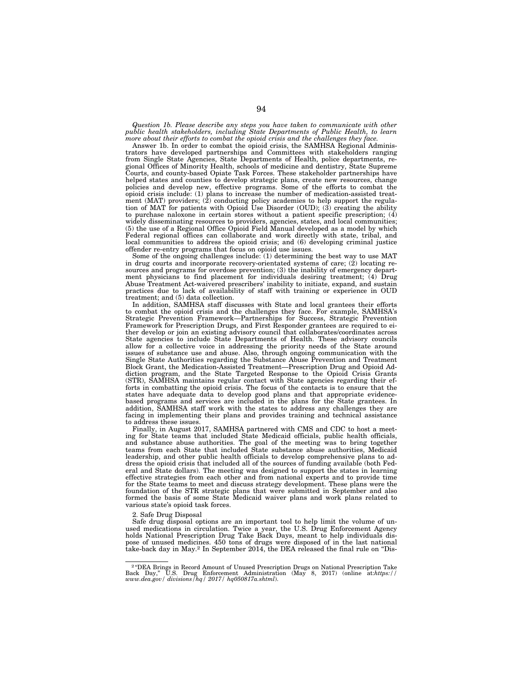*Question 1b. Please describe any steps you have taken to communicate with other public health stakeholders, including State Departments of Public Health, to learn more about their efforts to combat the opioid crisis and the challenges they face.* 

Answer 1b. In order to combat the opioid crisis, the SAMHSA Regional Administrators have developed partnerships and Committees with stakeholders ranging from Single State Agencies, State Departments of Health, police departments, regional Offices of Minority Health, schools of medicine and dentistry, State Supreme Courts, and county-based Opiate Task Forces. These stakeholder partnerships have helped states and counties to develop strategic plans, create new resources, change policies and develop new, effective programs. Some of the efforts to combat the opioid crisis include: (1) plans to increase the number of medication-assisted treatment (MAT) providers; (2) conducting policy academies to help support the regulation of MAT for patients with Opioid Use Disorder (OUD); (3) creating the ability to purchase naloxone in certain stores without a patient specific prescription; (4) widely disseminating resources to providers, agencies, states, and local communities; (5) the use of a Regional Office Opioid Field Manual developed as a model by which Federal regional offices can collaborate and work directly with state, tribal, and local communities to address the opioid crisis; and (6) developing criminal justice offender re-entry programs that focus on opioid use issues.

Some of the ongoing challenges include: (1) determining the best way to use MAT in drug courts and incorporate recovery-orientated systems of care;  $(2)$  locating resources and programs for overdose prevention; (3) the inability of emergency department physicians to find placement for individuals desiring treatment; (4) Drug Abuse Treatment Act-waivered prescribers' inability to initiate, expand, and sustain practices due to lack of availability of staff with training or experience in OUD treatment; and (5) data collection.

In addition, SAMHSA staff discusses with State and local grantees their efforts to combat the opioid crisis and the challenges they face. For example, SAMHSA's Strategic Prevention Framework—Partnerships for Success, Strategic Prevention Framework for Prescription Drugs, and First Responder grantees are required to either develop or join an existing advisory council that collaborates/coordinates across State agencies to include State Departments of Health. These advisory councils allow for a collective voice in addressing the priority needs of the State around issues of substance use and abuse. Also, through ongoing communication with the Single State Authorities regarding the Substance Abuse Prevention and Treatment Block Grant, the Medication-Assisted Treatment—Prescription Drug and Opioid Addiction program, and the State Targeted Response to the Opioid Crisis Grants (STR), SAMHSA maintains regular contact with State agencies regarding their efforts in combatting the opioid crisis. The focus of the contacts is to ensure that the states have adequate data to develop good plans and that appropriate evidencebased programs and services are included in the plans for the State grantees. In addition, SAMHSA staff work with the states to address any challenges they are facing in implementing their plans and provides training and technical assistance to address these issues.

Finally, in August 2017, SAMHSA partnered with CMS and CDC to host a meeting for State teams that included State Medicaid officials, public health officials, and substance abuse authorities. The goal of the meeting was to bring together teams from each State that included State substance abuse authorities, Medicaid leadership, and other public health officials to develop comprehensive plans to address the opioid crisis that included all of the sources of funding available (both Federal and State dollars). The meeting was designed to support the states in learning effective strategies from each other and from national experts and to provide time for the State teams to meet and discuss strategy development. These plans were the foundation of the STR strategic plans that were submitted in September and also formed the basis of some State Medicaid waiver plans and work plans related to various state's opioid task forces.

#### 2. Safe Drug Disposal

Safe drug disposal options are an important tool to help limit the volume of unused medications in circulation. Twice a year, the U.S. Drug Enforcement Agency holds National Prescription Drug Take Back Days, meant to help individuals dispose of unused medicines. 450 tons of drugs were disposed of in the last national take-back day in May.<sup>2</sup> In September 2014, the DEA released the final rule on "Dis-

<sup>&</sup>lt;sup>2</sup> "DEA Brings in Record Amount of Unused Prescription Drugs on National Prescription Take Back Day,'' U.S. Drug Enforcement Administration (May 8, 2017) (online at:*https:// www.dea.gov/ divisions/hq/ 2017/ hq050817a.shtml*).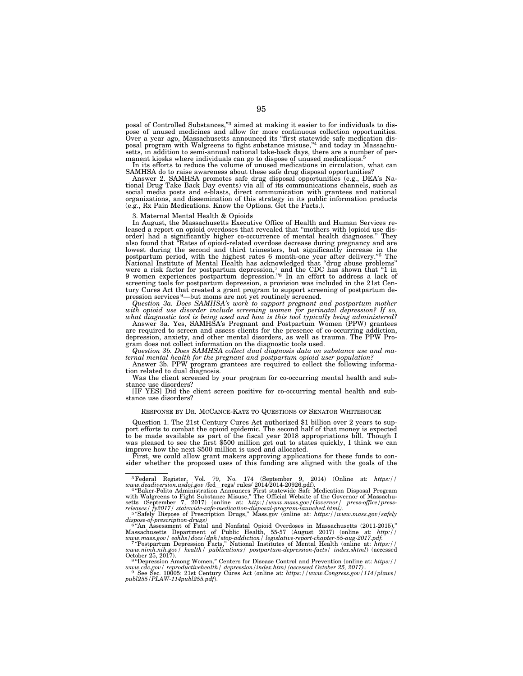posal of Controlled Substances,"3 aimed at making it easier to for individuals to dispose of unused medicines and allow for more continuous collection opportunities. Over a year ago, Massachusetts announced its ''first statewide safe medication disposal program with Walgreens to fight substance misuse,"<sup>4</sup> and today in Massachusetts, in addition to semi-annual national take-back days, there are a number of permanent kiosks where individuals can go to dispose of unused medications.<sup>5</sup><br>In its efforts to reduce the volume of unused medications in circulation, what can

SAMHSA do to raise awareness about these safe drug disposal opportunities?

Answer 2. SAMHSA promotes safe drug disposal opportunities (e.g., DEA's Na-tional Drug Take Back Day events) via all of its communications channels, such as social media posts and e-blasts, direct communication with grantees and national organizations, and dissemination of this strategy in its public information products (e.g., Rx Pain Medications. Know the Options. Get the Facts.).

3. Maternal Mental Health & Opioids

In August, the Massachusetts Executive Office of Health and Human Services released a report on opioid overdoses that revealed that "mothers with [opioid use disorder] had a significantly higher co-occurrence of mental health diagnoses.'' They also found that ''Rates of opioid-related overdose decrease during pregnancy and are lowest during the second and third trimesters, but significantly increase in the postpartum period, with the highest rates 6 month-one year after delivery."<sup>6</sup> The National Institute of Mental Health has acknowledged that "drug abuse problems" were a risk factor for postpartum depression,<sup>7</sup> and the CD screening tools for postpartum depression, a provision was included in the 21st Century Cures Act that created a grant program to support screening of postpartum depression services 9—but moms are not yet routinely screened.

*Question 3a. Does SAMHSA's work to support pregnant and postpartum mother with opioid use disorder include screening women for perinatal depression? If so,* 

*what diagnostic tool is being used and how is this tool typically being administered?*  Answer 3a. Yes, SAMHSA's Pregnant and Postpartum Women (PPW) grantees are required to screen and assess clients for the presence of co-occurring addiction, depression, anxiety, and other mental disorders, as well as trauma. The PPW Program does not collect information on the diagnostic tools used.

*Question 3b. Does SAMHSA collect dual diagnosis data on substance use and maternal mental health for the pregnant and postpartum opioid user population?* 

Answer 3b. PPW program grantees are required to collect the following informa-tion related to dual diagnosis.

Was the client screened by your program for co-occurring mental health and substance use disorders?

[IF YES] Did the client screen positive for co-occurring mental health and substance use disorders?

## RESPONSE BY DR. MCCANCE-KATZ TO QUESTIONS OF SENATOR WHITEHOUSE

Question 1. The 21st Century Cures Act authorized \$1 billion over 2 years to support efforts to combat the opioid epidemic. The second half of that money is expected to be made available as part of the fiscal year 2018 appropriations bill. Though I was pleased to see the first \$500 million get out to states quickly, I think we can improve how the next \$500 million is used and allocated.

First, we could allow grant makers approving applications for these funds to consider whether the proposed uses of this funding are aligned with the goals of the

<sup>3</sup>Federal Register, Vol. 79, No. 174 (September 9, 2014) (Online at: *https:// www.deadiversion.usdoj.gov* /fedlregs/ rules/ 2014/2014-20926.pdf). 4 ''Baker-Polito Administration Announces First statewide Safe Medication Disposal Program with Walgreens to Fight Substance Misuse,'' The Official Website of the Governor of Massachu-setts (September 7, 2017) (online at: *http://www.mass.gov/Governor/ press-office/press-releases/ fy2017/ statewide-safe-medication-disposal-program-launched.html).* <sup>5</sup> ''Safely Dispose of Prescription Drugs,'' Mass.gov (online at: *https://www.mass.gov/safely* 

*dispose-of-prescription-drugs)* <sup>6</sup> ''An Assessment of Fatal and Nonfatal Opioid Overdoses in Massachusetts (2011-2015),''

Massachusetts Department of Public Health, 55-57 (August 2017) (online at:  $http://www.mass.gov/eohts/docs/dphi/so-cdditor/legislative-report-chapter-55-aug-2017,pdf. = 7"Postpartum Depression Pression Facts," National Institutes of Mental Health (online at: [https://www.nimh.nih.gov/health/publications/postpartum-depression-facts/index.shtml](https://www.nimh.nih.gov/)) (accessed October 25, 2017).$ 

www.cdc.gov/ reproductivehealth/ depression/index.htm) (accessed October 25, 2017)..<br>→ See Sec. 10005: 21st Century Cures Act (online at: https://www.Congress.gov/114/plaws/<br>publ255/PLAW-114publ255.pdf).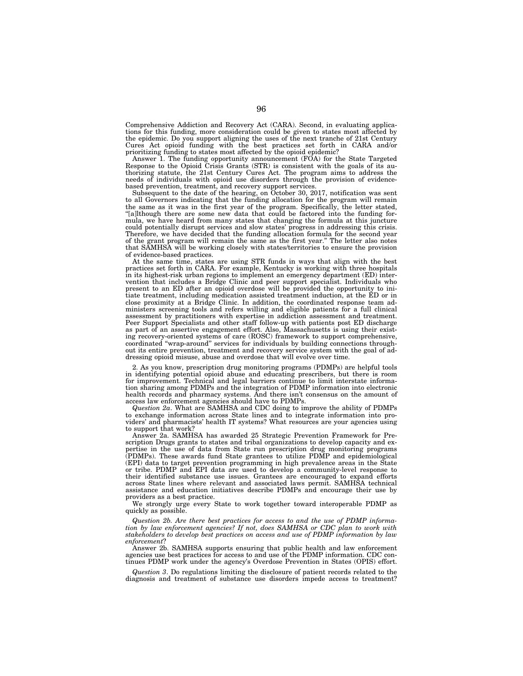Comprehensive Addiction and Recovery Act (CARA). Second, in evaluating applications for this funding, more consideration could be given to states most affected by the epidemic. Do you support aligning the uses of the next tranche of 21st Century Cures Act opioid funding with the best practices set forth in CARA and/or prioritizing funding to states most affected by the opioid epidemic?

Answer 1. The funding opportunity announcement (FOA) for the State Targeted Response to the Opioid Crisis Grants (STR) is consistent with the goals of its authorizing statute, the 21st Century Cures Act. The program aims to address the needs of individuals with opioid use disorders through the provision of evidencebased prevention, treatment, and recovery support services.

Subsequent to the date of the hearing, on October 30, 2017, notification was sent to all Governors indicating that the funding allocation for the program will remain the same as it was in the first year of the program. Specifically, the letter stated, ''[a]lthough there are some new data that could be factored into the funding formula, we have heard from many states that changing the formula at this juncture could potentially disrupt services and slow states' progress in addressing this crisis. Therefore, we have decided that the funding allocation formula for the second year of the grant program will remain the same as the first year.'' The letter also notes that SAMHSA will be working closely with states/territories to ensure the provision of evidence-based practices.

At the same time, states are using STR funds in ways that align with the best practices set forth in CARA. For example, Kentucky is working with three hospitals in its highest-risk urban regions to implement an emergency department (ED) intervention that includes a Bridge Clinic and peer support specialist. Individuals who present to an ED after an opioid overdose will be provided the opportunity to initiate treatment, including medication assisted treatment induction, at the ED or in close proximity at a Bridge Clinic. In addition, the coordinated response team administers screening tools and refers willing and eligible patients for a full clinical assessment by practitioners with expertise in addiction assessment and treatment. Peer Support Specialists and other staff follow-up with patients post ED discharge as part of an assertive engagement effort. Also, Massachusetts is using their existing recovery-oriented systems of care (ROSC) framework to support comprehensive, coordinated "wrap-around" services for individuals by building connections throughout its entire prevention, treatment and recovery service system with the goal of addressing opioid misuse, abuse and overdose that will evolve over time.

2. As you know, prescription drug monitoring programs (PDMPs) are helpful tools in identifying potential opioid abuse and educating prescribers, but there is room for improvement. Technical and legal barriers continue to limit interstate information sharing among PDMPs and the integration of PDMP information into electronic health records and pharmacy systems. And there isn't consensus on the amount of access law enforcement agencies should have to PDMPs.

*Question 2a*. What are SAMHSA and CDC doing to improve the ability of PDMPs to exchange information across State lines and to integrate information into providers' and pharmacists' health IT systems? What resources are your agencies using to support that work?

Answer 2a. SAMHSA has awarded 25 Strategic Prevention Framework for Prescription Drugs grants to states and tribal organizations to develop capacity and expertise in the use of data from State run prescription drug monitoring programs (PDMPs). These awards fund State grantees to utilize PDMP and epidemiological (EPI) data to target prevention programming in high prevalence areas in the State or tribe. PDMP and EPI data are used to develop a community-level response to their identified substance use issues. Grantees are encouraged to expand efforts across State lines where relevant and associated laws permit. SAMHSA technical assistance and education initiatives describe PDMPs and encourage their use by providers as a best practice.

We strongly urge every State to work together toward interoperable PDMP as quickly as possible.

*Question 2b. Are there best practices for access to and the use of PDMP information by law enforcement agencies? If not, does SAMHSA or CDC plan to work with stakeholders to develop best practices on access and use of PDMP information by law enforcement*?

Answer 2b. SAMHSA supports ensuring that public health and law enforcement agencies use best practices for access to and use of the PDMP information. CDC continues PDMP work under the agency's Overdose Prevention in States (OPIS) effort.

*Question 3*. Do regulations limiting the disclosure of patient records related to the diagnosis and treatment of substance use disorders impede access to treatment?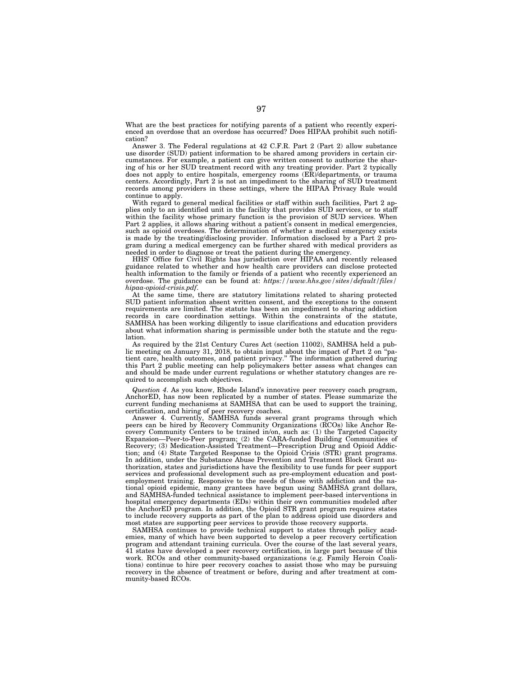What are the best practices for notifying parents of a patient who recently experienced an overdose that an overdose has occurred? Does HIPAA prohibit such notification?

Answer 3. The Federal regulations at 42 C.F.R. Part 2 (Part 2) allow substance use disorder (SUD) patient information to be shared among providers in certain circumstances. For example, a patient can give written consent to authorize the sharing of his or her SUD treatment record with any treating provider. Part 2 typically does not apply to entire hospitals, emergency rooms (ER)/departments, or trauma centers. Accordingly, Part 2 is not an impediment to the sharing of SUD treatment records among providers in these settings, where the HIPAA Privacy Rule would continue to apply.

With regard to general medical facilities or staff within such facilities, Part 2 applies only to an identified unit in the facility that provides SUD services, or to staff within the facility whose primary function is the provision of SUD services. When Part 2 applies, it allows sharing without a patient's consent in medical emergencies, such as opioid overdoses. The determination of whether a medical emergency exists is made by the treating/disclosing provider. Information disclosed by a Part 2 program during a medical emergency can be further shared with medical providers as needed in order to diagnose or treat the patient during the emergency.

HHS' Office for Civil Rights has jurisdiction over HIPAA and recently released guidance related to whether and how health care providers can disclose protected health information to the family or friends of a patient who recently experienced an overdose. The guidance can be found at: *https://www.hhs.gov/sites/default/files/ hipaa-opioid-crisis.pdf*.

At the same time, there are statutory limitations related to sharing protected SUD patient information absent written consent, and the exceptions to the consent requirements are limited. The statute has been an impediment to sharing addiction records in care coordination settings. Within the constraints of the statute, SAMHSA has been working diligently to issue clarifications and education providers about what information sharing is permissible under both the statute and the regulation.

As required by the 21st Century Cures Act (section 11002), SAMHSA held a public meeting on January 31, 2018, to obtain input about the impact of Part 2 on ''patient care, health outcomes, and patient privacy.'' The information gathered during this Part 2 public meeting can help policymakers better assess what changes can and should be made under current regulations or whether statutory changes are required to accomplish such objectives.

*Question 4*. As you know, Rhode Island's innovative peer recovery coach program, AnchorED, has now been replicated by a number of states. Please summarize the current funding mechanisms at SAMHSA that can be used to support the training, certification, and hiring of peer recovery coaches.

Answer 4. Currently, SAMHSA funds several grant programs through which peers can be hired by Recovery Community Organizations (RCOs) like Anchor Recovery Community Centers to be trained in/on, such as: (1) the Targeted Capacity Expansion—Peer-to-Peer program; (2) the CARA-funded Building Communities of Recovery; (3) Medication-Assisted Treatment—Prescription Drug and Opioid Addiction; and (4) State Targeted Response to the Opioid Crisis (STR) grant programs. In addition, under the Substance Abuse Prevention and Treatment Block Grant authorization, states and jurisdictions have the flexibility to use funds for peer support services and professional development such as pre-employment education and postemployment training. Responsive to the needs of those with addiction and the national opioid epidemic, many grantees have begun using SAMHSA grant dollars, and SAMHSA-funded technical assistance to implement peer-based interventions in hospital emergency departments (EDs) within their own communities modeled after the AnchorED program. In addition, the Opioid STR grant program requires states to include recovery supports as part of the plan to address opioid use disorders and most states are supporting peer services to provide those recovery supports.

SAMHSA continues to provide technical support to states through policy academies, many of which have been supported to develop a peer recovery certification program and attendant training curricula. Over the course of the last several years, 41 states have developed a peer recovery certification, in large part because of this work. RCOs and other community-based organizations (e.g. Family Heroin Coalitions) continue to hire peer recovery coaches to assist those who may be pursuing recovery in the absence of treatment or before, during and after treatment at community-based RCOs.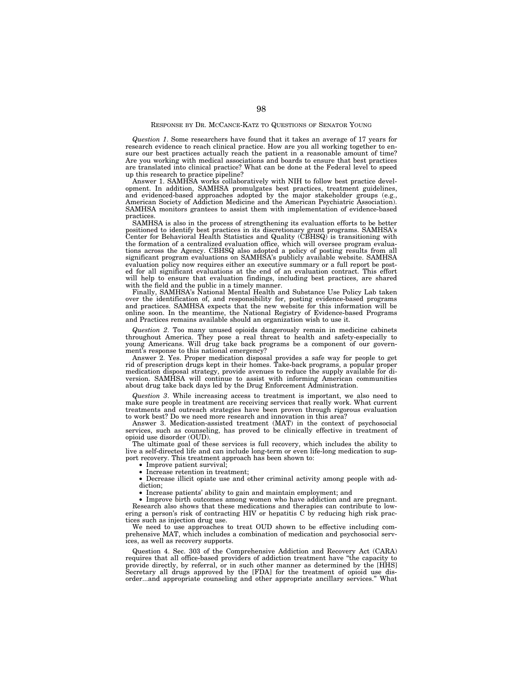## RESPONSE BY DR. MCCANCE-KATZ TO QUESTIONS OF SENATOR YOUNG

*Question 1*. Some researchers have found that it takes an average of 17 years for research evidence to reach clinical practice. How are you all working together to ensure our best practices actually reach the patient in a reasonable amount of time? Are you working with medical associations and boards to ensure that best practices are translated into clinical practice? What can be done at the Federal level to speed up this research to practice pipeline?

Answer 1. SAMHSA works collaboratively with NIH to follow best practice development. In addition, SAMHSA promulgates best practices, treatment guidelines, and evidenced-based approaches adopted by the major stakeholder groups (e.g., American Society of Addiction Medicine and the American Psychiatric Association). SAMHSA monitors grantees to assist them with implementation of evidence-based practices.

SAMHSA is also in the process of strengthening its evaluation efforts to be better positioned to identify best practices in its discretionary grant programs. SAMHSA's Center for Behavioral Health Statistics and Quality (CBHSQ) is transitioning with the formation of a centralized evaluation office, which will oversee program evaluations across the Agency. CBHSQ also adopted a policy of posting results from all significant program evaluations on SAMHSA's publicly available website. SAMHSA evaluation policy now requires either an executive summary or a full report be posted for all significant evaluations at the end of an evaluation contract. This effort will help to ensure that evaluation findings, including best practices, are shared with the field and the public in a timely manner.

Finally, SAMHSA's National Mental Health and Substance Use Policy Lab taken over the identification of, and responsibility for, posting evidence-based programs and practices. SAMHSA expects that the new website for this information will be online soon. In the meantime, the National Registry of Evidence-based Programs and Practices remains available should an organization wish to use it.

*Question 2*. Too many unused opioids dangerously remain in medicine cabinets throughout America. They pose a real threat to health and safety-especially to young Americans. Will drug take back programs be a component of our government's response to this national emergency?

Answer 2. Yes. Proper medication disposal provides a safe way for people to get rid of prescription drugs kept in their homes. Take-back programs, a popular proper medication disposal strategy, provide avenues to reduce the supply available for diversion. SAMHSA will continue to assist with informing American communities about drug take back days led by the Drug Enforcement Administration.

*Question 3*. While increasing access to treatment is important, we also need to make sure people in treatment are receiving services that really work. What current treatments and outreach strategies have been proven through rigorous evaluation to work best? Do we need more research and innovation in this area?

Answer 3. Medication-assisted treatment (MAT) in the context of psychosocial services, such as counseling, has proved to be clinically effective in treatment of opioid use disorder (OUD).

The ultimate goal of these services is full recovery, which includes the ability to live a self-directed life and can include long-term or even life-long medication to support recovery. This treatment approach has been shown to:

• Improve patient survival;

• Increase retention in treatment;

• Decrease illicit opiate use and other criminal activity among people with addiction;

• Increase patients' ability to gain and maintain employment; and

• Improve birth outcomes among women who have addiction and are pregnant. Research also shows that these medications and therapies can contribute to lowering a person's risk of contracting HIV or hepatitis C by reducing high risk practices such as injection drug use.

We need to use approaches to treat OUD shown to be effective including comprehensive MAT, which includes a combination of medication and psychosocial services, as well as recovery supports.

Question 4. Sec. 303 of the Comprehensive Addiction and Recovery Act (CARA) requires that all office-based providers of addiction treatment have ''the capacity to provide directly, by referral, or in such other manner as determined by the [HHS] Secretary all drugs approved by the [FDA] for the treatment of opioid use disorder...and appropriate counseling and other appropriate ancillary services.'' What